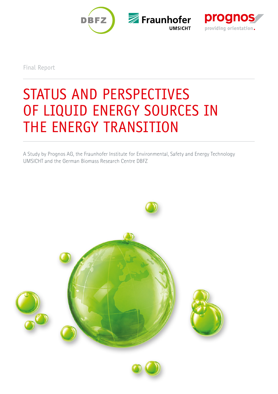



Final Report

# STATUS AND PERSPECTIVES OF LIQUID ENERGY SOURCES IN THE ENERGY TRANSITION

A Study by Prognos AG, the Fraunhofer Institute for Environmental, Safety and Energy Technology UMSICHT and the German Biomass Research Centre DBFZ



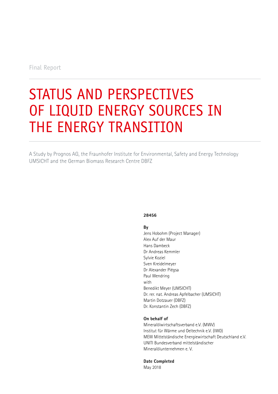Final Report

# STATUS AND PERSPECTIVES OF LIQUID ENERGY SOURCES IN THE ENERGY TRANSITION

A Study by Prognos AG, the Fraunhofer Institute for Environmental, Safety and Energy Technology UMSICHT and the German Biomass Research Centre DBFZ

### **28456**

### **By**

Jens Hobohm (Project Manager) Alex Auf der Maur Hans Dambeck Dr Andreas Kemmler Sylvie Koziel Sven Kreidelmeyer Dr Alexander Piégsa Paul Wendring with Benedikt Meyer (UMSICHT) Dr. rer. nat. Andreas Apfelbacher (UMSICHT) Martin Dotzauer (DBFZ) Dr. Konstantin Zech (DBFZ)

### **On behalf of**

Mineralölwirtschaftsverband e.V. (MWV) Institut für Wärme und Oeltechnik e.V. (IWO) MEW Mittelständische Energiewirtschaft Deutschland e.V. UNITI Bundesverband mittelständischer Mineralölunternehmen e. V.

**Date Completed** 

May 2018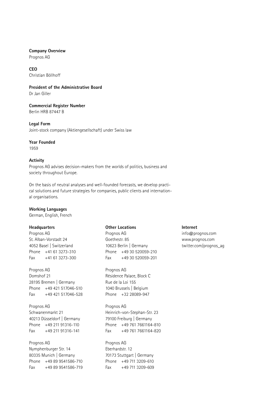### **Company Overview**

Prognos AG

### **CEO** Christian Böllhoff

# **President of the Administrative Board**

Dr Jan Giller

### **Commercial Register Number** Berlin HRB 87447 B

**Legal Form** Joint-stock company (Aktiengesellschaft) under Swiss law

# **Year Founded**

1959

## **Activity**

Prognos AG advises decision-makers from the worlds of politics, business and society throughout Europe.

On the basis of neutral analyses and well-founded forecasts, we develop practical solutions and future strategies for companies, public clients and international organisations.

### **Working Languages**

German, English, French

## **Headquarters**

Prognos AG St. Alban-Vorstadt 24 4052 Basel | Switzerland Phone +41 61 3273-310  $Fax +41 61 3273-300$ 

# Prognos AG Domshof 21 28195 Bremen | Germany Phone +49 421 517046-510 Fax +49 421 517046-528

Prognos AG Schwanenmarkt 21 40213 Düsseldorf | Germany Phone +49 211 91316-110

Fax +49 211 91316-141

# Prognos AG Nymphenburger Str. 14 80335 Munich | Germany Phone +49 89 9541586-710 Fax +49 89 9541586-719

## **Other Locations**

Prognos AG Goethestr. 85 10623 Berlin | Germany Phone +49 30 520059-210 Fax +49 30 520059-201

Prognos AG Résidence Palace, Block C Rue de la Loi 155 1040 Brussels | Belgium Phone +32 28089-947

Prognos AG Heinrich-von-Stephan-Str. 23 79100 Freiburg | Germany Phone +49 761 7661164-810 Fax +49 761 7661164-820

Prognos AG Eberhardstr. 12 70173 Stuttgart | Germany Phone +49 711 3209-610  $F_{\text{ax}}$  +49 711 3209-609

### **Internet**

info@prognos.com www.prognos.com twitter.com/prognos\_ag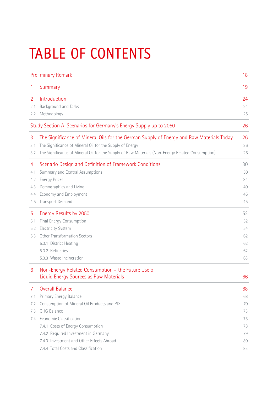# TABLE OF CONTENTS

|     | <b>Preliminary Remark</b>                                                                        |    |
|-----|--------------------------------------------------------------------------------------------------|----|
| 1   | Summary                                                                                          | 19 |
| 2   | Introduction                                                                                     | 24 |
| 2.1 | Background and Tasks                                                                             | 24 |
| 2.2 | Methodology                                                                                      | 25 |
|     | Study Section A: Scenarios for Germany's Energy Supply up to 2050                                | 26 |
| 3   | The Significance of Mineral Oils for the German Supply of Energy and Raw Materials Today         | 26 |
| 3.1 | The Significance of Mineral Oil for the Supply of Energy                                         | 26 |
| 3.2 | The Significance of Mineral Oil for the Supply of Raw Materials (Non-Energy Related Consumption) | 26 |
| 4   | Scenario Design and Definition of Framework Conditions                                           | 30 |
| 4.1 | Summary and Central Assumptions                                                                  | 30 |
| 4.2 | <b>Energy Prices</b>                                                                             | 34 |
| 4.3 | Demographics and Living                                                                          | 40 |
| 4.4 | Economy and Employment                                                                           | 45 |
| 4.5 | Transport Demand                                                                                 | 45 |
| 5   | Energy Results by 2050                                                                           | 52 |
| 5.1 | Final Energy Consumption                                                                         | 52 |
| 5.2 | <b>Electricity System</b>                                                                        | 54 |
| 5.3 | Other Transformation Sectors                                                                     | 62 |
|     | 5.3.1 District Heating                                                                           | 62 |
|     | 5.3.2 Refineries                                                                                 | 62 |
|     | 5.3.3 Waste Incineration                                                                         | 63 |
| 6   | Non-Energy Related Consumption - the Future Use of                                               |    |
|     | Liquid Energy Sources as Raw Materials                                                           | 66 |
| 7   | <b>Overall Balance</b>                                                                           | 68 |
| 7.1 | Primary Energy Balance                                                                           | 68 |
| 7.2 | Consumption of Mineral Oil Products and PtX                                                      | 70 |
| 7.3 | GHG Balance                                                                                      | 73 |
| 7.4 | Economic Classification                                                                          | 78 |
|     | 7.4.1 Costs of Energy Consumption                                                                | 78 |
|     | 7.4.2 Required Investment in Germany                                                             | 79 |
|     | 7.4.3 Investment and Other Effects Abroad                                                        | 80 |
|     | 7.4.4 Total Costs and Classification                                                             | 83 |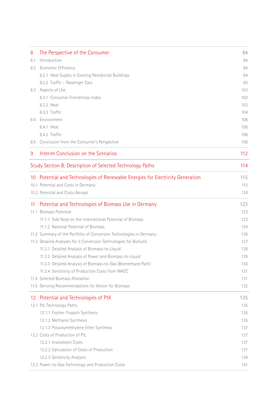| 8   | The Perspective of the Consumer                                                | 84  |
|-----|--------------------------------------------------------------------------------|-----|
| 8.1 | Introduction                                                                   | 84  |
| 8.2 | Economic Efficiency                                                            | 84  |
|     | 8.2.1 Heat Supply in Existing Residential Buildings                            | 84  |
|     | 8.2.2 Traffic - Passenger Cars                                                 | 93  |
|     | 8.3 Aspects of Use                                                             | 103 |
|     | 8.3.1 Consumer Friendliness Index                                              | 103 |
|     | 8.3.2 Heat                                                                     | 103 |
|     | 8.3.3 Traffic                                                                  | 104 |
| 8.4 | Environment                                                                    | 106 |
|     | 8.4.1 Heat                                                                     | 106 |
|     | 8.4.2 Traffic                                                                  | 106 |
|     | 8.5 Conclusion from the Consumer's Perspective                                 | 108 |
| 9   | Interim Conclusion on the Scenarios                                            | 112 |
|     | Study Section B: Description of Selected Technology Paths                      | 114 |
|     | 10 Potential and Technologies of Renewable Energies for Electricity Generation | 115 |
|     | 10.1 Potential and Costs in Germany                                            | 115 |
|     | 10.2 Potential and Costs Abroad                                                | 118 |
| 11  | Potential and Technologies of Biomass Use in Germany                           | 123 |
|     | 11.1 Biomass Potential                                                         | 123 |
|     | 11.1.1 Side Note on the International Potential of Biomass                     | 123 |
|     | 11.1.2 National Potential of Biomass                                           | 124 |
|     | 11.2 Summary of the Portfolio of Conversion Technologies in Germany            | 126 |
|     | 11.3 Detailed Analyses for 3 Conversion Technologies for Biofuels              | 127 |
|     | 11.3.1 Detailed Analysis of Biomass-to-Liquid                                  | 128 |
|     | 11.3.2 Detailed Analysis of Power and Biomass-to-Liquid                        | 129 |
|     | 11.3.3 Detailed Analysis of Biomass-to-Gas (Biomethane Path)                   | 130 |
|     | 11.3.4 Sensitivity of Production Costs from WACC                               | 131 |
|     | 11.4 Selected Biomass Allocation                                               | 131 |
|     | 11.5 Deriving Recommendations for Action for Biomass                           | 132 |
| 12  | Potential and Technologies of PtX                                              | 135 |
|     | 12.1 PtL Technology Paths                                                      | 135 |
|     | 12.1.1 Fischer-Tropsch Synthesis                                               | 135 |
|     | 12.1.2 Methanol Synthesis                                                      | 135 |
|     | 12.1.3 Polyoxymethylene Ether Synthesis                                        | 137 |
|     | 12.2 Costs of Production of PtL                                                | 137 |
|     | 12.2.1 Investment Costs                                                        | 137 |
|     | 12.2.2 Calculation of Costs of Production                                      | 137 |
|     | 12.2.3 Sensitivity Analysis                                                    | 139 |
|     | 12.3 Power-to-Gas Technology and Production Costs                              | 141 |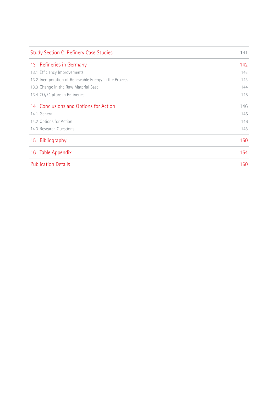| <b>Study Section C: Refinery Case Studies</b>         |     |
|-------------------------------------------------------|-----|
| 13 Refineries in Germany                              | 142 |
| 13.1 Efficiency Improvements                          | 143 |
| 13.2 Incorporation of Renewable Energy in the Process | 143 |
| 13.3 Change in the Raw Material Base                  | 144 |
| 13.4 CO <sub>2</sub> Capture in Refineries            | 145 |
| 14 Conclusions and Options for Action                 | 146 |
| 14.1 General                                          | 146 |
| 14.2 Options for Action                               | 146 |
| 14.3 Research Questions                               | 148 |
| Bibliography<br>15                                    | 150 |
| Table Appendix<br>16                                  | 154 |
| <b>Publication Details</b>                            | 160 |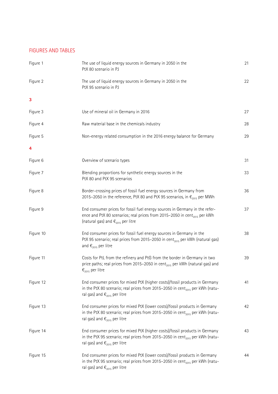# FIGURES AND TABLES

| Figure 1  | The use of liquid energy sources in Germany in 2050 in the<br>PtX 80 scenario in PJ                                                                                                                                   | 21 |
|-----------|-----------------------------------------------------------------------------------------------------------------------------------------------------------------------------------------------------------------------|----|
| Figure 2  | The use of liquid energy sources in Germany in 2050 in the<br>PtX 95 scenario in PJ                                                                                                                                   | 22 |
| 3         |                                                                                                                                                                                                                       |    |
| Figure 3  | Use of mineral oil in Germany in 2016                                                                                                                                                                                 | 27 |
| Figure 4  | Raw material base in the chemicals industry                                                                                                                                                                           | 28 |
| Figure 5  | Non-energy related consumption in the 2016 energy balance for Germany                                                                                                                                                 | 29 |
| 4         |                                                                                                                                                                                                                       |    |
| Figure 6  | Overview of scenario types                                                                                                                                                                                            | 31 |
| Figure 7  | Blending proportions for synthetic energy sources in the<br>PtX 80 and PtX 95 scenarios                                                                                                                               | 33 |
| Figure 8  | Border-crossing prices of fossil fuel energy sources in Germany from<br>2015–2050 in the reference, PtX 80 and PtX 95 scenarios, in $\epsilon_{2015}$ per MWh                                                         | 36 |
| Figure 9  | End consumer prices for fossil fuel energy sources in Germany in the refer-<br>ence and PtX 80 scenarios; real prices from 2015-2050 in cent <sub>2015</sub> per kWh<br>(natural gas) and $\epsilon_{2015}$ per litre | 37 |
| Figure 10 | End consumer prices for fossil fuel energy sources in Germany in the<br>PtX 95 scenario; real prices from 2015-2050 in cent <sub>2015</sub> per kWh (natural gas)<br>and $\epsilon_{2015}$ per litre                  | 38 |
| Figure 11 | Costs for PtL from the refinery and PtG from the border in Germany in two<br>price paths; real prices from 2015–2050 in cent <sub>2015</sub> per kWh (natural gas) and<br>$\epsilon_{2015}$ per litre                 | 39 |
| Figure 12 | End consumer prices for mixed PtX (higher costs)/fossil products in Germany<br>in the PtX 80 scenario; real prices from 2015–2050 in cent <sub>2015</sub> per kWh (natu-<br>ral gas) and $\epsilon_{2015}$ per litre  | 41 |
| Figure 13 | End consumer prices for mixed PtX (lower costs)/fossil products in Germany<br>in the PtX 80 scenario; real prices from 2015-2050 in cent <sub>2015</sub> per kWh (natu-<br>ral gas) and $\epsilon_{2015}$ per litre   | 42 |
| Figure 14 | End consumer prices for mixed PtX (higher costs)/fossil products in Germany<br>in the PtX 95 scenario; real prices from 2015-2050 in cent <sub>2015</sub> per kWh (natu-<br>ral gas) and $\epsilon_{2015}$ per litre  | 43 |
| Figure 15 | End consumer prices for mixed PtX (lower costs)/fossil products in Germany<br>in the PtX 95 scenario; real prices from 2015-2050 in cent <sub>2015</sub> per kWh (natu-<br>ral gas) and $\epsilon_{2015}$ per litre   | 44 |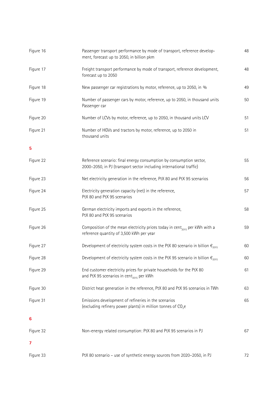| Figure 16 | Passenger transport performance by mode of transport, reference develop-<br>ment, forecast up to 2050, in billion pkm                      | 48 |
|-----------|--------------------------------------------------------------------------------------------------------------------------------------------|----|
| Figure 17 | Freight transport performance by mode of transport, reference development,<br>forecast up to 2050                                          | 48 |
| Figure 18 | New passenger car registrations by motor, reference, up to 2050, in %                                                                      | 49 |
| Figure 19 | Number of passenger cars by motor, reference, up to 2050, in thousand units<br>Passenger car                                               | 50 |
| Figure 20 | Number of LCVs by motor, reference, up to 2050, in thousand units LCV                                                                      | 51 |
| Figure 21 | Number of HGVs and tractors by motor, reference, up to 2050 in<br>thousand units                                                           | 51 |
| 5         |                                                                                                                                            |    |
| Figure 22 | Reference scenario: final energy consumption by consumption sector,<br>2000-2050, in PJ (transport sector including international traffic) | 55 |
| Figure 23 | Net electricity generation in the reference, PtX 80 and PtX 95 scenarios                                                                   | 56 |
| Figure 24 | Electricity generation capacity (net) in the reference,<br>PtX 80 and PtX 95 scenarios                                                     | 57 |
| Figure 25 | German electricity imports and exports in the reference,<br>PtX 80 and PtX 95 scenarios                                                    | 58 |
| Figure 26 | Composition of the mean electricity prices today in cent <sub>2015</sub> per kWh with a<br>reference quantity of 3,500 kWh per year        | 59 |
| Figure 27 | Development of electricity system costs in the PtX 80 scenario in billion $\epsilon_{2015}$                                                | 60 |
| Figure 28 | Development of electricity system costs in the PtX 95 scenario in billion $\epsilon_{2015}$                                                | 60 |
| Figure 29 | End customer electricity prices for private households for the PtX 80<br>and PtX 95 scenarios in cent <sub>2015</sub> per kWh              | 61 |
| Figure 30 | District heat generation in the reference, PtX 80 and PtX 95 scenarios in TWh                                                              | 63 |
| Figure 31 | Emissions development of refineries in the scenarios<br>(excluding refinery power plants) in million tonnes of CO <sub>2</sub> e           | 65 |
| 6         |                                                                                                                                            |    |
| Figure 32 | Non-energy related consumption: PtX 80 and PtX 95 scenarios in PJ                                                                          | 67 |
| 7         |                                                                                                                                            |    |
| Figure 33 | PtX 80 scenario - use of synthetic energy sources from 2020-2050, in PJ                                                                    | 72 |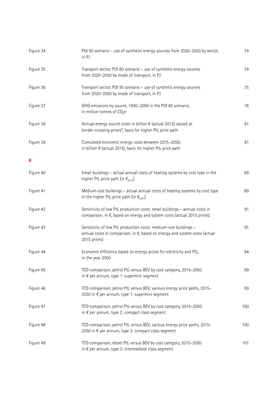| Figure 34 | PtX 95 scenario - use of synthetic energy sources from 2020-2050 by sector,<br>in PJ                                                                                     | 74  |
|-----------|--------------------------------------------------------------------------------------------------------------------------------------------------------------------------|-----|
| Figure 35 | Transport sector, PtX 80 scenario - use of synthetic energy sources<br>from 2020-2050 by mode of transport, in PJ                                                        | 74  |
| Figure 36 | Transport sector, PtX 95 scenario - use of synthetic energy sources<br>from 2020-2050 by mode of transport, in PJ                                                        | 75  |
| Figure 37 | GHG emissions by source, 1990-2050 in the PtX 80 scenario,<br>in million tonnes of CO <sub>2</sub> e                                                                     | 78  |
| Figure 38 | Annual energy source costs in billion $\epsilon$ (actual 2015) valued at<br>border-crossing prices*, basis for higher PtL price path                                     | 81  |
| Figure 39 | Cumulated economic energy costs between 2015-2050,<br>in billion $\epsilon$ (actual 2015), basis for higher PtL price path                                               | 81  |
| 8         |                                                                                                                                                                          |     |
| Figure 40 | Small buildings - actual annual costs of heating systems by cost type in the<br>higher PtL price path (in $\epsilon_{\text{2015}}$ )                                     | 89  |
| Figure 41 | Medium-size buildings - actual annual costs of heating systems by cost type<br>in the higher PtL price path (in $\epsilon_{2015}$ )                                      | 89  |
| Figure 42 | Sensitivity of low PtL production costs: small buildings - annual costs in<br>comparison, in €, based on energy and system costs (actual 2015 prices)                    | 91  |
| Figure 43 | Sensitivity of low PtL production costs: medium-size buildings -<br>annual costs in comparison, in $\epsilon$ , based on energy and system costs (actual<br>2015 prices) | 91  |
| Figure 44 | Economic efficiency based on energy prices for electricity and PtL,<br>in the year 2050                                                                                  | 94  |
| Figure 45 | TCO comparison, petrol PtL versus BEV by cost category, 2015-2050<br>in € per annum, type 1: supermini segment                                                           | 99  |
| Figure 46 | TCO comparison, petrol PtL versus BEV, various energy price paths, 2015-<br>2050 in € per annum, type 1: supermini segment                                               | 99  |
| Figure 47 | TCO comparison, petrol PtL versus BEV by cost category, 2015-2050<br>in $\epsilon$ per annum, type 2: compact class segment                                              | 100 |
| Figure 48 | TCO comparison, petrol PtL versus BEV, various energy price paths, 2015-<br>2050 in € per annum, type 2: compact class segment                                           | 100 |
| Figure 49 | TCO comparison, diesel PtL versus BEV by cost category, 2015-2050<br>in $\epsilon$ per annum, type 3: intermediate class segment                                         | 101 |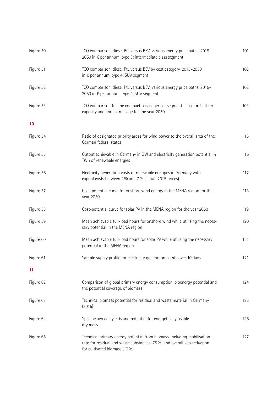| Figure 50 | TCO comparison, diesel PtL versus BEV, various energy price paths, 2015-<br>2050 in € per annum, type 3: intermediate class segment                                                | 101 |
|-----------|------------------------------------------------------------------------------------------------------------------------------------------------------------------------------------|-----|
| Figure 51 | TCO comparison, diesel PtL versus BEV by cost category, 2015-2050<br>in € per annum, type 4: SUV segment                                                                           | 102 |
| Figure 52 | TCO comparison, diesel PtL versus BEV, various energy price paths, 2015-<br>2050 in € per annum, type 4: SUV segment                                                               | 102 |
| Figure 53 | TCO comparison for the compact passenger car segment based on battery<br>capacity and annual mileage for the year 2050                                                             | 103 |
| 10        |                                                                                                                                                                                    |     |
| Figure 54 | Ratio of designated priority areas for wind power to the overall area of the<br>German federal states                                                                              | 115 |
| Figure 55 | Output achievable in Germany in GW and electricity generation potential in<br>TWh of renewable energies                                                                            | 116 |
| Figure 56 | Electricity generation costs of renewable energies in Germany with<br>capital costs between 2% and 7% (actual 2015 prices)                                                         | 117 |
| Figure 57 | Cost-potential curve for onshore wind energy in the MENA region for the<br>year 2050                                                                                               | 118 |
| Figure 58 | Cost-potential curve for solar PV in the MENA region for the year 2050                                                                                                             | 119 |
| Figure 59 | Mean achievable full-load hours for onshore wind while utilising the neces-<br>sary potential in the MENA region                                                                   | 120 |
| Figure 60 | Mean achievable full-load hours for solar PV while utilising the necessary<br>potential in the MENA region                                                                         | 121 |
| Figure 61 | Sample supply profile for electricity generation plants over 10 days                                                                                                               | 121 |
| 11        |                                                                                                                                                                                    |     |
| Figure 62 | Comparison of global primary energy consumption, bioenergy potential and<br>the potential coverage of biomass                                                                      | 124 |
| Figure 63 | Technical biomass potential for residual and waste material in Germany<br>(2015)                                                                                                   | 125 |
| Figure 64 | Specific acreage yields and potential for energetically usable<br>dry mass                                                                                                         | 126 |
| Figure 65 | Technical primary energy potential from biomass, including mobilisation<br>rate for residual and waste substances (75%) and overall loss reduction<br>for cultivated biomass (10%) | 127 |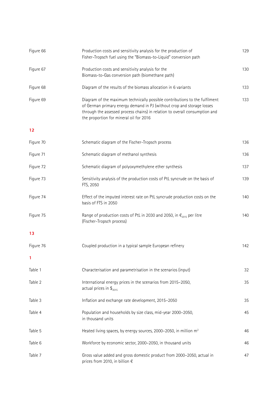| Figure 66 | Production costs and sensitivity analysis for the production of<br>Fisher-Tropsch fuel using the "Biomass-to-Liquid" conversion path                                                                                                                                            | 129 |
|-----------|---------------------------------------------------------------------------------------------------------------------------------------------------------------------------------------------------------------------------------------------------------------------------------|-----|
| Figure 67 | Production costs and sensitivity analysis for the<br>Biomass-to-Gas conversion path (biomethane path)                                                                                                                                                                           | 130 |
| Figure 68 | Diagram of the results of the biomass allocation in 6 variants                                                                                                                                                                                                                  | 133 |
| Figure 69 | Diagram of the maximum technically possible contributions to the fulfilment<br>of German primary energy demand in PJ (without crop and storage losses<br>through the assessed process chains) in relation to overall consumption and<br>the proportion for mineral oil for 2016 | 133 |
| 12        |                                                                                                                                                                                                                                                                                 |     |
| Figure 70 | Schematic diagram of the Fischer-Tropsch process                                                                                                                                                                                                                                | 136 |
| Figure 71 | Schematic diagram of methanol synthesis                                                                                                                                                                                                                                         | 136 |
| Figure 72 | Schematic diagram of polyoxymethylene ether synthesis                                                                                                                                                                                                                           | 137 |
| Figure 73 | Sensitivity analysis of the production costs of PtL syncrude on the basis of<br>FTS, 2050                                                                                                                                                                                       | 139 |
| Figure 74 | Effect of the imputed interest rate on PtL syncrude production costs on the<br>basis of FTS in 2050                                                                                                                                                                             | 140 |
| Figure 75 | Range of production costs of PtL in 2030 and 2050, in $\epsilon_{2015}$ per litre<br>(Fischer-Tropsch process)                                                                                                                                                                  | 140 |
| 13        |                                                                                                                                                                                                                                                                                 |     |
| Figure 76 | Coupled production in a typical sample European refinery                                                                                                                                                                                                                        | 142 |
| 1         |                                                                                                                                                                                                                                                                                 |     |
| Table 1   | Characterisation and parametrisation in the scenarios (input)                                                                                                                                                                                                                   | 32  |
| Table 2   | International energy prices in the scenarios from 2015-2050,<br>actual prices in $\$_{2015}$                                                                                                                                                                                    | 35  |
| Table 3   | Inflation and exchange rate development, 2015-2050                                                                                                                                                                                                                              | 35  |
| Table 4   | Population and households by size class, mid-year 2000-2050,<br>in thousand units                                                                                                                                                                                               | 45  |
| Table 5   | Heated living spaces, by energy sources, 2000-2050, in million m <sup>2</sup>                                                                                                                                                                                                   | 46  |
| Table 6   | Workforce by economic sector, 2000-2050, in thousand units                                                                                                                                                                                                                      | 46  |
| Table 7   | Gross value added and gross domestic product from 2000-2050, actual in<br>prices from 2010, in billion $\epsilon$                                                                                                                                                               | 47  |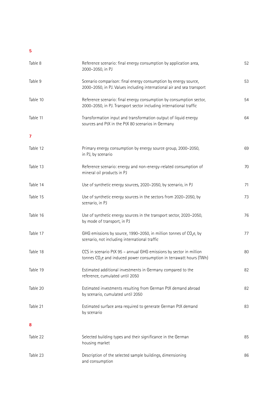# **5**

| Table 8  | Reference scenario: final energy consumption by application area,<br>2000-2050, in PJ                                                      | 52 |
|----------|--------------------------------------------------------------------------------------------------------------------------------------------|----|
| Table 9  | Scenario comparison: final energy consumption by energy source,<br>2000-2050, in PJ. Values including international air and sea transport  | 53 |
| Table 10 | Reference scenario: final energy consumption by consumption sector,<br>2000-2050, in PJ. Transport sector including international traffic  | 54 |
| Table 11 | Transformation input and transformation output of liquid energy<br>sources and PtX in the PtX 80 scenarios in Germany                      | 64 |
| 7        |                                                                                                                                            |    |
| Table 12 | Primary energy consumption by energy source group, 2000-2050,<br>in PJ, by scenario                                                        | 69 |
| Table 13 | Reference scenario: energy and non-energy-related consumption of<br>mineral oil products in PJ                                             | 70 |
| Table 14 | Use of synthetic energy sources, 2020-2050, by scenario, in PJ                                                                             | 71 |
| Table 15 | Use of synthetic energy sources in the sectors from 2020-2050, by<br>scenario, in PJ                                                       | 73 |
| Table 16 | Use of synthetic energy sources in the transport sector, 2020-2050,<br>by mode of transport, in PJ                                         | 76 |
| Table 17 | GHG emissions by source, 1990–2050, in million tonnes of CO <sub>2</sub> e, by<br>scenario, not including international traffic            | 77 |
| Table 18 | CCS in scenario PtX 95 - annual GHG emissions by sector in million<br>tonnes $CO2e$ and induced power consumption in terrawatt hours (TWh) | 80 |
| Table 19 | Estimated additional investments in Germany compared to the<br>reference, cumulated until 2050                                             | 82 |
| Table 20 | Estimated investments resulting from German PtX demand abroad<br>by scenario, cumulated until 2050                                         | 82 |
| Table 21 | Estimated surface area required to generate German PtX demand<br>by scenario                                                               | 83 |
| 8        |                                                                                                                                            |    |
| Table 22 | Selected building types and their significance in the German<br>housing market                                                             | 85 |
| Table 23 | Description of the selected sample buildings, dimensioning<br>and consumption                                                              | 86 |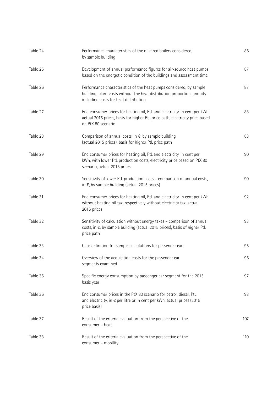| Table 24 | Performance characteristics of the oil-fired boilers considered,<br>by sample building                                                                                                  | 86  |
|----------|-----------------------------------------------------------------------------------------------------------------------------------------------------------------------------------------|-----|
| Table 25 | Development of annual performance figures for air-source heat pumps<br>based on the energetic condition of the buildings and assessment time                                            | 87  |
| Table 26 | Performance characteristics of the heat pumps considered, by sample<br>building, plant costs without the heat distribution proportion, annuity<br>including costs for heat distribution | 87  |
| Table 27 | End consumer prices for heating oil, PtL and electricity, in cent per kWh,<br>actual 2015 prices, basis for higher PtL price path, electricity price based<br>on PtX 80 scenario        | 88  |
| Table 28 | Comparison of annual costs, in $\epsilon$ , by sample building<br>(actual 2015 prices), basis for higher PtL price path                                                                 | 88  |
| Table 29 | End consumer prices for heating oil, PtL and electricity, in cent per<br>kWh, with lower PtL production costs, electricity price based on PtX 80<br>scenario, actual 2015 prices        | 90  |
| Table 30 | Sensitivity of lower PtL production costs - comparison of annual costs,<br>in $\epsilon$ , by sample building (actual 2015 prices)                                                      | 90  |
| Table 31 | End consumer prices for heating oil, PtL and electricity, in cent per kWh,<br>without heating oil tax, respectively without electricity tax, actual<br>2015 prices                      | 92  |
| Table 32 | Sensitivity of calculation without energy taxes - comparison of annual<br>costs, in €, by sample building (actual 2015 prices), basis of higher PtL<br>price path                       | 93  |
| Table 33 | Case definition for sample calculations for passenger cars                                                                                                                              | 95  |
| Table 34 | Overview of the acquisition costs for the passenger car<br>segments examined                                                                                                            | 96  |
| Table 35 | Specific energy consumption by passenger car segment for the 2015<br>basis year                                                                                                         | 97  |
| Table 36 | End consumer prices in the PtX 80 scenario for petrol, diesel, PtL<br>and electricity, in € per litre or in cent per kWh, actual prices (2015<br>price basis)                           | 98  |
| Table 37 | Result of the criteria evaluation from the perspective of the<br>consumer - heat                                                                                                        | 107 |
| Table 38 | Result of the criteria evaluation from the perspective of the<br>consumer - mobility                                                                                                    | 110 |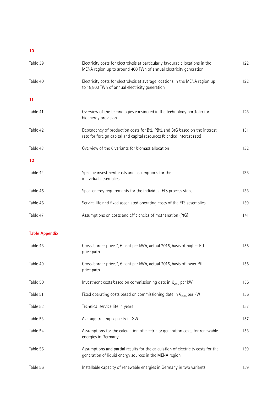# **10**

| Table 39              | Electricity costs for electrolysis at particularly favourable locations in the<br>MENA region up to around 400 TWh of annual electricity generation  | 122 |
|-----------------------|------------------------------------------------------------------------------------------------------------------------------------------------------|-----|
| Table 40              | Electricity costs for electrolysis at average locations in the MENA region up<br>to 18,800 TWh of annual electricity generation                      | 122 |
| 11                    |                                                                                                                                                      |     |
| Table 41              | Overview of the technologies considered in the technology portfolio for<br>bioenergy provision                                                       | 128 |
| Table 42              | Dependency of production costs for BtL, PBtL and BtG based on the interest<br>rate for foreign capital and capital resources (blended interest rate) | 131 |
| Table 43              | Overview of the 6 variants for biomass allocation                                                                                                    | 132 |
| 12                    |                                                                                                                                                      |     |
| Table 44              | Specific investment costs and assumptions for the<br>individual assemblies                                                                           | 138 |
| Table 45              | Spec. energy requirements for the individual FTS process steps                                                                                       | 138 |
| Table 46              | Service life and fixed associated operating costs of the FTS assemblies                                                                              | 139 |
| Table 47              | Assumptions on costs and efficiencies of methanation (PtG)                                                                                           | 141 |
| <b>Table Appendix</b> |                                                                                                                                                      |     |
| Table 48              | Cross-border prices*, € cent per kWh, actual 2015, basis of higher PtL<br>price path                                                                 | 155 |
| Table 49              | Cross-border prices*, € cent per kWh, actual 2015, basis of lower PtL<br>price path                                                                  | 155 |
| Table 50              | Investment costs based on commissioning date in $\epsilon_{2015}$ per kW                                                                             | 156 |
| Table 51              | Fixed operating costs based on commissioning date in $\epsilon_{2015}$ per kW                                                                        | 156 |
| Table 52              | Technical service life in years                                                                                                                      | 157 |
| Table 53              | Average trading capacity in GW                                                                                                                       | 157 |
| Table 54              | Assumptions for the calculation of electricity generation costs for renewable<br>energies in Germany                                                 | 158 |
| Table 55              | Assumptions and partial results for the calculation of electricity costs for the<br>generation of liquid energy sources in the MENA region           | 159 |
| Table 56              | Installable capacity of renewable energies in Germany in two variants                                                                                | 159 |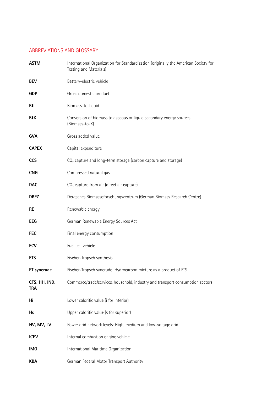# ABBREVIATIONS AND GLOSSARY

| <b>ASTM</b>                 | International Organization for Standardization (originally the American Society for<br>Testing and Materials) |
|-----------------------------|---------------------------------------------------------------------------------------------------------------|
| <b>BEV</b>                  | Battery-electric vehicle                                                                                      |
| <b>GDP</b>                  | Gross domestic product                                                                                        |
| <b>BtL</b>                  | Biomass-to-liquid                                                                                             |
| BtX                         | Conversion of biomass to gaseous or liquid secondary energy sources<br>(Biomass-to-X)                         |
| <b>GVA</b>                  | Gross added value                                                                                             |
| <b>CAPEX</b>                | Capital expenditure                                                                                           |
| <b>CCS</b>                  | CO <sub>2</sub> capture and long-term storage (carbon capture and storage)                                    |
| <b>CNG</b>                  | Compressed natural gas                                                                                        |
| <b>DAC</b>                  | CO <sub>2</sub> capture from air (direct air capture)                                                         |
| <b>DBFZ</b>                 | Deutsches Biomasseforschungszentrum (German Biomass Research Centre)                                          |
| <b>RE</b>                   | Renewable energy                                                                                              |
| EEG                         | German Renewable Energy Sources Act                                                                           |
| <b>FEC</b>                  | Final energy consumption                                                                                      |
| <b>FCV</b>                  | Fuel cell vehicle                                                                                             |
| <b>FTS</b>                  | Fischer-Tropsch synthesis                                                                                     |
| FT syncrude                 | Fischer-Tropsch syncrude: Hydrocarbon mixture as a product of FTS                                             |
| CTS, HH, IND,<br><b>TRA</b> | Commerce/trade/services, household, industry and transport consumption sectors                                |
| Hi                          | Lower calorific value (i for inferior)                                                                        |
| Hs                          | Upper calorific value (s for superior)                                                                        |
| HV, MV, LV                  | Power grid network levels: High, medium and low-voltage grid                                                  |
| <b>ICEV</b>                 | Internal combustion engine vehicle                                                                            |
| <b>IMO</b>                  | International Maritime Organization                                                                           |
| <b>KBA</b>                  | German Federal Motor Transport Authority                                                                      |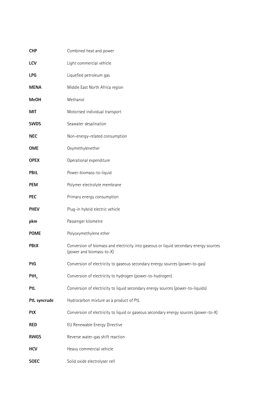| <b>CHP</b>       | Combined heat and power                                                                                           |
|------------------|-------------------------------------------------------------------------------------------------------------------|
| <b>LCV</b>       | Light commercial vehicle                                                                                          |
| <b>LPG</b>       | Liquefied petroleum gas                                                                                           |
| <b>MENA</b>      | Middle East North Africa region                                                                                   |
| <b>MeOH</b>      | Methanol                                                                                                          |
| MIT              | Motorised individual transport                                                                                    |
| <b>SWDS</b>      | Seawater desalination                                                                                             |
| <b>NEC</b>       | Non-energy-related consumption                                                                                    |
| <b>OME</b>       | Oxymethylenether                                                                                                  |
| <b>OPEX</b>      | Operational expenditure                                                                                           |
| <b>PBtL</b>      | Power-biomass-to-liquid                                                                                           |
| <b>PEM</b>       | Polymer electrolyte membrane                                                                                      |
| <b>PEC</b>       | Primary energy consumption                                                                                        |
| <b>PHEV</b>      | Plug-in hybrid electric vehicle                                                                                   |
| pkm              | Passenger kilometre                                                                                               |
| <b>POME</b>      | Polyoxymethylene ether                                                                                            |
| <b>PBtX</b>      | Conversion of biomass and electricity into gaseous or liquid secondary energy sources<br>(power and biomass-to-X) |
| PtG              | Conversion of electricity to gaseous secondary energy sources (power-to-gas)                                      |
| PtH <sub>2</sub> | Conversion of electricity to hydrogen (power-to-hydrogen)                                                         |
| PtL              | Conversion of electricity to liquid secondary energy sources (power-to-liquids)                                   |
| PtL syncrude     | Hydrocarbon mixture as a product of PtL                                                                           |
| <b>PtX</b>       | Conversion of electricity to liquid or gaseous secondary energy sources (power-to-X)                              |
| <b>RED</b>       | EU Renewable Energy Directive                                                                                     |
| <b>RWGS</b>      | Reverse water-gas shift reaction                                                                                  |
| <b>HCV</b>       | Heavy commercial vehicle                                                                                          |
| <b>SOEC</b>      | Solid oxide electrolyser cell                                                                                     |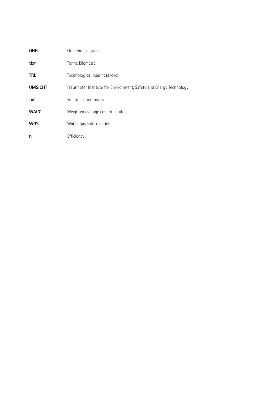| <b>GHG</b>     | Greenhouse gases                                                   |
|----------------|--------------------------------------------------------------------|
| tkm            | Tonne kilometre                                                    |
| <b>TRL</b>     | Technological readiness level                                      |
| <b>UMSICHT</b> | Fraunhofer Institute for Environment, Safety and Energy Technology |
| fuh            | Full utilisation hours                                             |
| <b>WACC</b>    | Weighted average cost of capital                                   |
| <b>WGS</b>     | Water-gas shift reaction                                           |
| η              | Efficiency                                                         |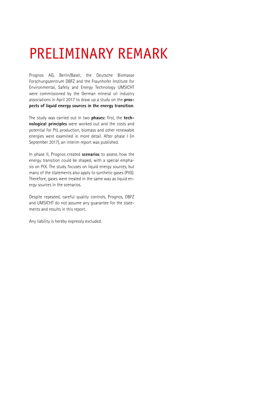# PRELIMINARY REMARK

Prognos AG, Berlin/Basel, the Deutsche Biomasse Forschungszentrum DBFZ and the Fraunhofer Institute for Environmental, Safety and Energy Technology UMSICHT were commissioned by the German mineral oil industry associations in April 2017 to draw up a study on the **prospects of liquid energy sources in the energy transition**.

The study was carried out in two **phases:** first, the **technological principles** were worked out and the costs and potential for PtL production, biomass and other renewable energies were examined in more detail. After phase I (in September 2017), an interim report was published.

In phase II, Prognos created **scenarios** to assess how the energy transition could be shaped, with a special emphasis on PtX. The study focuses on liquid energy sources, but many of the statements also apply to synthetic gases (PtG). Therefore, gases were treated in the same way as liquid energy sources in the scenarios.

Despite repeated, careful quality controls, Prognos, DBFZ and UMSICHT do not assume any guarantee for the statements and results in this report.

Any liability is hereby expressly excluded.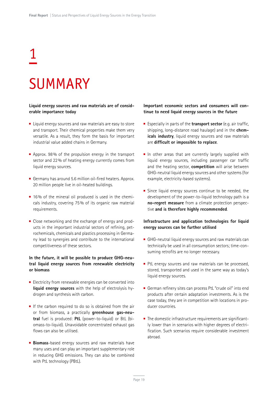# 1

# SUMMARY

### **Liquid energy sources and raw materials are of considerable importance today**

- Liquid energy sources and raw materials are easy to store and transport. Their chemical properties make them very versatile. As a result, they form the basis for important industrial value added chains in Germany.
- Approx. 98% of the propulsion energy in the transport sector and 22% of heating energy currently comes from liquid energy sources.
- Germany has around 5.6 million oil-fired heaters. Approx. 20 million people live in oil-heated buildings.
- 16% of the mineral oil produced is used in the chemicals industry, covering 75% of its organic raw material requirements.
- Close networking and the exchange of energy and products in the important industrial sectors of refining, petrochemicals, chemicals and plastics processing in Germany lead to synergies and contribute to the international competitiveness of these sectors.

# **In the future, it will be possible to produce GHG-neutral liquid energy sources from renewable electricity or biomass**

- Electricity from renewable energies can be converted into **liquid energy sources** with the help of electrolysis hydrogen and synthesis with carbon.
- If the carbon required to do so is obtained from the air or from biomass, a practically **greenhouse gas-neutral** fuel is produced: **PtL** (power-to-liquid) or BtL (biomass-to-liquid). Unavoidable concentrated exhaust gas flows can also be utilised.
- **Biomass**-based energy sources and raw materials have many uses and can play an important supplementary role in reducing GHG emissions. They can also be combined with PtL technology (PBtL).

### **Important economic sectors and consumers will continue to need liquid energy sources in the future**

- Especially in parts of the **transport sector** (e.g. air traffic, shipping, long-distance road haulage) and in the **chemicals industry**, liquid energy sources and raw materials are **difficult or impossible to replace**.
- $\blacksquare$  In other areas that are currently largely supplied with liquid energy sources, including passenger car traffic and the heating sector, **competition** will arise between GHG-neutral liquid energy sources and other systems (for example, electricity-based systems).
- Since liquid energy sources continue to be needed, the development of the power-to-liquid technology path is a **no-regret measure** from a climate protection perspective **and is therefore highly recommended**.

## **Infrastructure and application technologies for liquid energy sources can be further utilised**

- GHG-neutral liquid energy sources and raw materials can technically be used in all consumption sectors; time-consuming retrofits are no longer necessary.
- PtL energy sources and raw materials can be processed, stored, transported and used in the same way as today's liquid energy sources.
- German refinery sites can process PtL "crude oil" into end products after certain adaptation investments. As is the case today, they are in competition with locations in producer countries.
- The domestic infrastructure requirements are significantly lower than in scenarios with higher degrees of electrification. Such scenarios require considerable investment abroad.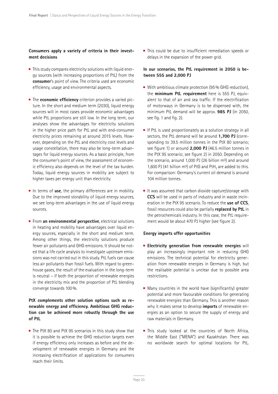### **Consumers apply a variety of criteria in their investment decisions**

- **This study compares electricity solutions with liquid ener**gy sources (with increasing proportions of PtL) from the **consumer**'s point of view. The criteria used are economic efficiency, usage and environmental aspects.
- **The economic efficiency** criterion provides a varied picture. In the short and medium term (2030), liquid energy sources will in most cases provide economic advantages while PtL proportions are still low. In the long term, our analyses show the advantages for electricity solutions in the higher price path for PtL and with end-consumer electricity prices remaining at around 2015 levels. However, depending on the PtL and electricity cost levels and usage constellation, there may also be long-term advantages for liquid energy sources. As a basic principle, from the consumer's point of view, the assessment of economic efficiency also depends on the level of the tax burden. Today, liquid energy sources in mobility are subject to higher taxes per energy unit than electricity.
- In terms of use, the primary differences are in mobility. Due to the improved storability of liquid energy sources, we see long-term advantages in the use of liquid energy sources.
- **Filter From an environmental perspective**, electrical solutions in heating and mobility have advantages over liquid energy sources, especially in the short and medium term. Among other things, the electricity solutions produce fewer air pollutants and GHG emissions. It should be noted that a life cycle analysis to investigate upstream emissions was not carried out in this study. PtL fuels can cause less air pollutants than fossil fuels. With regard to greenhouse gases, the result of the evaluation in the long-term is neutral – if both the proportion of renewable energies in the electricity mix and the proportion of PtL blending converge towards 100%.

# **PtX complements other solution options such as renewable energy and efficiency. Ambitious GHG reduction can be achieved more robustly through the use of PtL**

 $\blacksquare$  The PtX 80 and PtX 95 scenarios in this study show that it is possible to achieve the GHG reduction targets even if energy efficiency only increases as before and the development of renewable energies in Germany and the increasing electrification of applications for consumers reach their limits.

■ This could be due to insufficient remediation speeds or delays in the expansion of the power grid.

### **In our scenarios, the PtL requirement in 2050 is between 555 and 2,000 PJ**

- With ambitious climate protection (95% GHG reduction), the **minimum PtL requirement** here is 555 PJ, equivalent to that of air and sea traffic. If the electrification of motorways in Germany is to be dispensed with, the minimum PtL demand will be approx. **985 PJ** (in 2050, see fig. 1 and fig. 2).
- If PtL is used proportionately as a solution strategy in all sectors, the PtL demand will be around **1,700 PJ** (corresponding to 39.5 million tonnes in the PtX 80 scenario; see figure 1) or around **2,000 PJ** (46.5 million tonnes in the PtX 95 scenario; see figure 2) in 2050. Depending on the scenario, around 1,000 PJ (26 billion m<sup>3</sup>) and around 1,600 PJ (41 billion m<sup>3</sup>) of PtG and PtH<sub>2</sub> are added to this. For comparison: Germany's current oil demand is around 104 million tonnes.
- It was assumed that carbon dioxide capture/storage with **CCS** will be used in parts of industry and in waste incineration in the PtX 95 scenario. To reduce the **use of CCS**, fossil resources could also be partially **replaced by PtL** in the petrochemicals industry. In this case, the PtL requirement would be about 470 PJ higher (see figure 2).

### **Energy imports offer opportunities**

- **Electricity generation from renewable energies** will play an increasingly important role in reducing GHG emissions. The technical potential for electricity generation from renewable energies in Germany is high, but the realisable potential is unclear due to possible area restrictions.
- Many countries in the world have (significantly) greater potential and more favourable conditions for generating renewable energies than Germany. This is another reason why it makes sense to develop **imports** of renewable energies as an option to secure the supply of energy and raw materials in Germany.
- This study looked at the countries of North Africa. the Middle East ("MENA") and Kazakhstan. There was no worldwide search for optimal locations for PtL.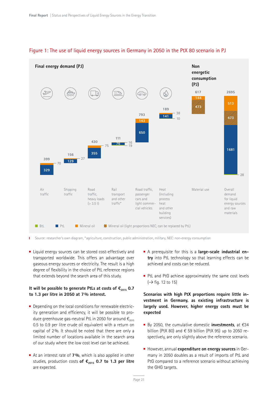

# Figure 1: The use of liquid energy sources in Germany in 2050 in the PtX 80 scenario in PJ

Source: researcher's own diagram, \* agriculture, construction, public administration, military, NEC: non-energy consumption T.

■ Liquid energy sources can be stored cost-effectively and transported worldwide. This offers an advantage over gaseous energy sources or electricity. The result is a high degree of flexibility in the choice of PtL reference regions that extends beyond the search area of this study.

## **It will be possible to generate PtLs at costs of €2015 0.7 to 1.3 per litre in 2050 at 7% interest.**

- Depending on the local conditions for renewable electricity generation and efficiency, it will be possible to produce greenhouse gas-neutral PtL in 2050 for around  $\epsilon_{2015}$ 0.5 to 0.9 per litre crude oil equivalent with a return on capital of 2%. It should be noted that there are only a limited number of locations available in the search area of our study where the low cost level can be achieved.
- At an interest rate of **7%**, which is also applied in other studies, production costs of €<sub>2015</sub> 0.7 to 1.3 per litre are expected.
- A prerequisite for this is a **large-scale industrial entry** into PtL technology so that learning effects can be achieved and costs can be reduced.
- PtL and PtG achieve approximately the same cost levels  $(\rightarrow$  fig. 12 to 15)

**Scenarios with high PtX proportions require little investment in Germany, as existing infrastructure is largely used. However, higher energy costs must be expected** 

- By 2050, the cumulative domestic **investments**, at €34 billion (PtX 80) and  $\epsilon$  59 billion (PtX 95) up to 2050 respectively, are only slightly above the reference scenario.
- **However, annual expenditure on energy sources** in Germany in 2050 doubles as a result of imports of PtL and PtG compared to a reference scenario without achieving the GHG targets.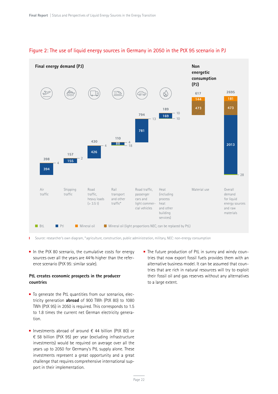

# Figure 2: The use of liquid energy sources in Germany in 2050 in the PtX 95 scenario in PJ

Source: researcher's own diagram, \* agriculture, construction, public administration, military, NEC: non-energy consumption Ť

 $\blacksquare$  In the PtX 80 scenario, the cumulative costs for energy sources over all the years are 44% higher than the reference scenario (PtX 95: similar scale).

## **PtL creates economic prospects in the producer countries**

- To generate the PtL quantities from our scenarios, electricity generation **abroad** of 900 TWh (PtX 80) to 1080 TWh (PtX 95) in 2050 is required. This corresponds to 1.5 to 1.8 times the current net German electricity generation.
- Investments abroad of around  $\epsilon$  44 billion (PtX 80) or € 58 billion (PtX 95) per year (excluding infrastructure investments) would be required on average over all the years up to 2050 for Germany's PtL supply alone. These investments represent a great opportunity and a great challenge that requires comprehensive international support in their implementation.

■ The future production of PtL in sunny and windy countries that now export fossil fuels provides them with an alternative business model. It can be assumed that countries that are rich in natural resources will try to exploit their fossil oil and gas reserves without any alternatives to a large extent.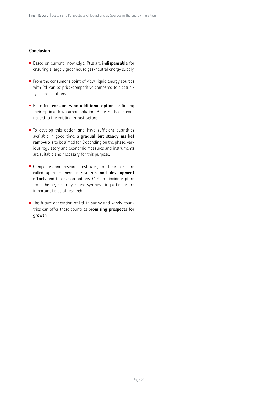### **Conclusion**

- Based on current knowledge, PtLs are **indispensable** for ensuring a largely greenhouse gas-neutral energy supply.
- From the consumer's point of view, liquid energy sources with PtL can be price-competitive compared to electricity-based solutions.
- **PtL offers consumers an additional option** for finding their optimal low-carbon solution. PtL can also be connected to the existing infrastructure.
- $\blacksquare$  To develop this option and have sufficient quantities available in good time, a **gradual but steady market ramp-up** is to be aimed for. Depending on the phase, various regulatory and economic measures and instruments are suitable and necessary for this purpose.
- **Companies and research institutes, for their part, are** called upon to increase **research and development efforts** and to develop options. Carbon dioxide capture from the air, electrolysis and synthesis in particular are important fields of research.
- The future generation of PtL in sunny and windy countries can offer these countries **promising prospects for growth**.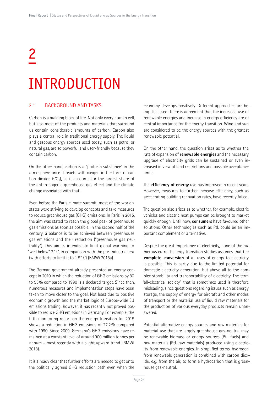# 2 INTRODUCTION

# 2.1 BACKGROUND AND TASKS

Carbon is a building block of life. Not only every human cell, but also most of the products and materials that surround us contain considerable amounts of carbon. Carbon also plays a central role in traditional energy supply. The liquid and gaseous energy sources used today, such as petrol or natural gas, are so powerful and user-friendly because they contain carbon.

On the other hand, carbon is a "problem substance" in the atmosphere once it reacts with oxygen in the form of carbon dioxide  $(CO<sub>2</sub>)$ , as it accounts for the largest share of the anthropogenic greenhouse gas effect and the climate change associated with that.

Even before the Paris climate summit, most of the world's states were striving to develop concepts and take measures to reduce greenhouse gas (GHG) emissions. In Paris in 2015, the aim was stated to reach the global peak of greenhouse gas emissions as soon as possible. In the second half of the century, a balance is to be achieved between greenhouse gas emissions and their reduction ("greenhouse gas neutrality"). This aim is intended to limit global warming to "well below" 2° C, in comparison with the pre-industrial era (with efforts to limit it to 1.5° C) (BMWi 2018a).

The German government already presented an energy concept in 2010 in which the reduction of GHG emissions by 80 to 95% compared to 1990 is a declared target. Since then, numerous measures and implementation steps have been taken to move closer to the goal. Not least due to positive economic growth and the market logic of Europe-wide EU emissions trading, however, it has recently not proved possible to reduce GHG emissions in Germany. For example, the fifth monitoring report on the energy transition for 2015 shows a reduction in GHG emissions of 27.2% compared with 1990. Since 2009, Germany's GHG emissions have remained at a constant level of around 900 million tonnes per annum – most recently with a slight upward trend. (BMWi 2018).

It is already clear that further efforts are needed to get onto the politically agreed GHG reduction path even when the economy develops positively. Different approaches are being discussed. There is agreement that the increased use of renewable energies and increase in energy efficiency are of central importance for the energy transition. Wind and sun are considered to be the energy sources with the greatest renewable potential.

On the other hand, the question arises as to whether the rate of expansion of **renewable energies** and the necessary upgrade of electricity grids can be sustained or even increased in view of land restrictions and possible acceptance limits.

The **efficiency of energy use** has improved in recent years. However, measures to further increase efficiency, such as accelerating building renovation rates, have recently failed.

The question also arises as to whether, for example, electric vehicles and electric heat pumps can be brought to market quickly enough. Until now, **consumers** have favoured other solutions. Other technologies such as PtL could be an important complement or alternative.

Despite the great importance of electricity, none of the numerous current energy transition studies assumes that the **complete conversion** of all uses of energy to electricity is possible. This is partly due to the limited potential for domestic electricity generation, but above all to the complex storability and transportability of electricity. The term "all-electrical society" that is sometimes used is therefore misleading, since questions regarding issues such as energy storage, the supply of energy for aircraft and other modes of transport or the material use of liquid raw materials for the production of various everyday products remain unanswered.

Potential alternative energy sources and raw materials for material use that are largely greenhouse gas-neutral may be renewable biomass or energy sources (PtL fuels) and raw materials (PtL raw materials) produced using electricity from renewable energies. In simplified terms, hydrogen from renewable generation is combined with carbon dioxide, e.g. from the air, to form a hydrocarbon that is greenhouse gas-neutral.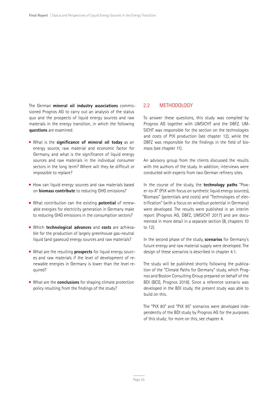The German **mineral oil industry associations** commissioned Prognos AG to carry out an analysis of the status quo and the prospects of liquid energy sources and raw materials in the energy transition, in which the following **questions** are examined:

- What is the **significance of mineral oil today** as an energy source, raw material and economic factor for Germany, and what is the significance of liquid energy sources and raw materials in the individual consumer sectors in the long term? Where will they be difficult or impossible to replace?
- How can liquid energy sources and raw materials based on **biomass contribute** to reducing GHG emissions?
- What contribution can the existing **potential** of renewable energies for electricity generation in Germany make to reducing GHG emissions in the consumption sectors?
- Which **technological advances** and **costs** are achievable for the production of largely greenhouse gas-neutral liquid (and gaseous) energy sources and raw materials?
- What are the resulting **prospects** for liquid energy sources and raw materials if the level of development of renewable energies in Germany is lower than the level required?
- What are the **conclusions** for shaping climate protection policy resulting from the findings of the study?

## 2.2 METHODOLOGY

To answer these questions, this study was compiled by Prognos AG together with UMSICHT and the DBFZ. UM-SICHT was responsible for the section on the technologies and costs of PtX production (see chapter 12), while the DBFZ was responsible for the findings in the field of biomass (see chapter 11).

An advisory group from the clients discussed the results with the authors of the study. In addition, interviews were conducted with experts from two German refinery sites.

In the course of the study, the **technology paths** "Power-to-X" (PtX with focus on synthetic liquid energy sources), "Biomass" (potentials and costs) and "Technologies of electrification" (with a focus on wind/sun potential in Germany) were developed. The results were published in an interim report (Prognos AG, DBFZ, UMSICHT 2017) and are documented in more detail in a separate section (B, chapters 10 to 12).

In the second phase of the study, **scenarios** for Germany's future energy and raw material supply were developed. The design of these scenarios is described in chapter 4.1.

The study will be published shortly following the publication of the "Climate Paths for Germany" study, which Prognos and Boston Consulting Group prepared on behalf of the BDI (BCG, Prognos 2018). Since a reference scenario was developed in the BDI study, the present study was able to build on this.

The "PtX 80" and "PtX 95" scenarios were developed independently of the BDI study by Prognos AG for the purposes of this study; for more on this, see chapter 4.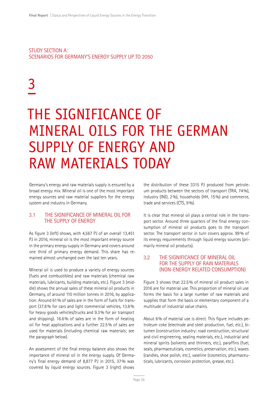STUDY SECTION A: SCENARIOS FOR GERMANY'S ENERGY SUPPLY UP TO 2050

# 3

# THE SIGNIFICANCE OF MINERAL OILS FOR THE GERMAN SUPPLY OF ENERGY AND RAW MATERIALS TODAY

Germany's energy and raw materials supply is ensured by a broad energy mix. Mineral oil is one of the most important energy sources and raw material suppliers for the energy system and industry in Germany.

# 3.1 THE SIGNIFICANCE OF MINERAL OIL FOR THE SUPPLY OF ENERGY

As figure 3 (left) shows, with 4,567 PJ of an overall 13,451 PJ in 2016, mineral oil is the most important energy source in the primary energy supply in Germany and covers around one third of primary energy demand. This share has remained almost unchanged over the last ten years.

Mineral oil is used to produce a variety of energy sources (fuels and combustibles) and raw materials (chemical raw materials, lubricants, building materials, etc.). Figure 3 (middle) shows the annual sales of these mineral oil products in Germany, of around 110 million tonnes in 2016, by application: Around 61% of sales are in the form of fuels for transport (37.8% for cars and light commercial vehicles, 13.8% for heavy goods vehicles/trucks and 9.3% for air transport and shipping). 16.6% of sales are in the form of heating oil for heat applications and a further 22.5% of sales are used for materials (including chemical raw materials; see the paragraph below).

An assessment of the final energy balance also shows the importance of mineral oil in the energy supply. Of Germany's final energy demand of 8,877 PJ in 2015, 37% was covered by liquid energy sources. Figure 3 (right) shows

the distribution of these 3315 PJ produced from petroleum products between the sectors of transport (TRA, 74%), industry (IND, 2%), households (HH, 15%) and commerce, trade and services (CTS, 9%).

It is clear that mineral oil plays a central role in the transport sector. Around three quarters of the final energy consumption of mineral oil products goes to the transport sector. The transport sector in turn covers approx. 99% of its energy requirements through liquid energy sources (primarily mineral oil products).

# 3.2 THE SIGNIFICANCE OF MINERAL OIL FOR THE SUPPLY OF RAW MATERIALS (NON-ENERGY RELATED CONSUMPTION)

Figure 3 shows that 22.5% of mineral oil product sales in 2016 are for material use. This proportion of mineral oil use forms the basis for a large number of raw materials and supplies that form the basis or elementary component of a multitude of industrial value chains.

About 6% of material use is direct. This figure includes petroleum coke (electrode and steel production, fuel, etc.), bitumen (construction industry: road construction, structural and civil engineering, sealing materials, etc.), industrial and mineral spirits (solvents and thinners, etc.), paraffins (fuel, seals, pharmaceuticals, cosmetics, preservation, etc.), waxes (candles, shoe polish, etc.), vaseline (cosmetics, pharmaceuticals, lubricants, corrosion protection, grease, etc.).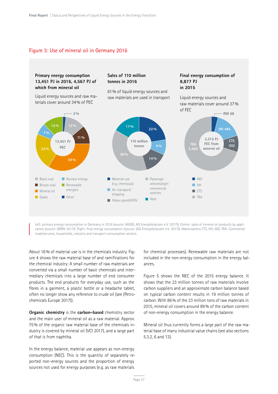# Figure 3: Use of mineral oil in Germany 2016



Left: primary energy consumption in Germany in 2016 (source: (AGEB, AG Energiebilanzen e.V. 2017)). Centre: sales of mineral oil products by application (source: (MWV 2017)). Right: final energy consumption (source: (AG Energiebilanzen e.V. 2017)). Abbreviations CTS, HH, IND, TRA: Commerce/ trade/services, households, industry and transport consumption sectors.

About 16% of material use is in the chemicals industry. Figure 4 shows the raw material base of and ramifications for the chemical industry: A small number of raw materials are converted via a small number of basic chemicals and intermediary chemicals into a large number of end consumer products. The end products for everyday use, such as the fibres in a garment, a plastic bottle or a headache tablet, often no longer show any reference to crude oil (see (Petrochemicals Europe 2017)).

**Organic chemistry** is the **carbon-based** chemistry sector and the main user of mineral oil as a raw material. Approx. 75% of the organic raw material base of the chemicals industry is covered by mineral oil (VCI 2017), and a large part of that is from naphtha.

In the energy balance, material use appears as non-energy consumption (NEC). This is the quantity of separately reported non-energy sources and the proportion of energy sources not used for energy purposes (e.g. as raw materials

for chemical processes). Renewable raw materials are not included in the non-energy consumption in the energy balances.

Figure 5 shows the NEC of the 2015 energy balance. It shows that the 23 million tonnes of raw materials involve carbon suppliers and an approximate carbon balance based on typical carbon content results in 19 million tonnes of carbon. With 86% of the 23 million tons of raw materials in 2015, mineral oil covers around 89% of the carbon content of non-energy consumption in the energy balance.

Mineral oil thus currently forms a large part of the raw material base of many industrial value chains (see also sections 5.3.2, 6 and 13).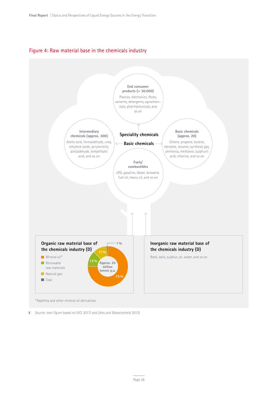# Figure 4: Raw material base in the chemicals industry



\*Naphtha and other mineral oil derivatives

I Source: own figure based on (VCI 2017) and (Jess and Wasserscheid 2013)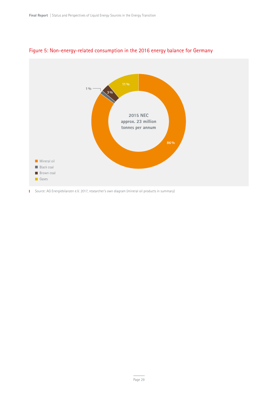

# Figure 5: Non-energy-related consumption in the 2016 energy balance for Germany

Source: AG Energiebilanzen e.V. 2017, researcher's own diagram (mineral oil products in summary)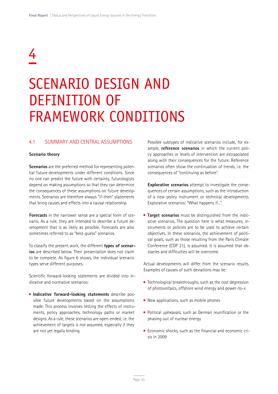# 4

# SCENARIO DESIGN AND DEFINITION OF FRAMEWORK CONDITIONS

## 4.1 SUMMARY AND CENTRAL ASSUMPTIONS

### **Scenario theory**

**Scenarios** are the preferred method for representing potential future developments under different conditions. Since no one can predict the future with certainty, futurologists depend on making assumptions so that they can determine the consequences of these assumptions on future developments. Scenarios are therefore always "if-then" statements that bring causes and effects into a causal relationship.

**Forecasts** in the narrower sense are a special form of scenario. As a rule, they are intended to describe a future development that is as likely as possible. Forecasts are also sometimes referred to as "best-guess" scenarios.

To classify the present work, the different **types of scenarios** are described below. Their presentation does not claim to be complete. As figure 6 shows, the individual scenario types serve different purposes.

Scientific forward-looking statements are divided into indicative and normative scenarios:

**Indicative forward-looking statements** describe possible future developments based on the assumptions made. This process involves testing the effects of instruments, policy approaches, technology paths or market designs. As a rule, these scenarios are open-ended, i.e. the achievement of targets is not assumed, especially if they are not yet legally binding.

Possible subtypes of indicative scenarios include, for example, **reference scenarios** in which the current policy approaches or levels of intervention are extrapolated along with their consequences for the future. Reference scenarios often show the continuation of trends, i.e. the consequences of "continuing as before".

**Explorative scenarios** attempt to investigate the consequences of certain assumptions, such as the introduction of a new policy instrument or technical developments. Explorative scenarios: "What happens if...".

**Target scenarios** must be distinguished from the indicative scenarios. The question here is what measures, instruments or policies are to be used to achieve certain objectives. In these scenarios, the achievement of political goals, such as those resulting from the Paris Climate Conference (COP 21), is assumed. It is assumed that obstacles and difficulties will be overcome.

Actual developments will differ from the scenario results. Examples of causes of such deviations may be:

- $\blacksquare$  Technological breakthroughs, such as the cost degression of photovoltaics, offshore wind energy and power-to-x
- New applications, such as mobile phones
- **Political upheavals, such as German reunification or the** phasing out of nuclear energy
- Economic shocks, such as the financial and economic crisis in 2009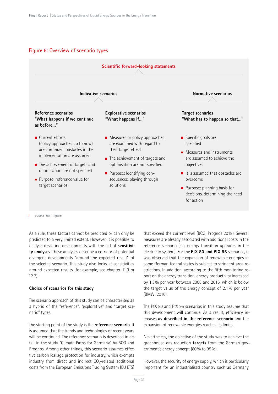# Figure 6: Overview of scenario types



**I** Source: own figure

As a rule, these factors cannot be predicted or can only be predicted to a very limited extent. However, it is possible to analyse deviating developments with the aid of **sensitivity analyses**. These analyses describe a corridor of potential divergent developments "around the expected result" of the selected scenario. This study also looks at sensitivities around expected results (for example, see chapter 11.3 or 12.2).

### **Choice of scenarios for this study**

The scenario approach of this study can be characterised as a hybrid of the "reference", "explorative" and "target scenario" types.

The starting point of the study is the **reference scenario**. It is assumed that the trends and technologies of recent years will be continued. The reference scenario is described in detail in the study "Climate Paths for Germany" by BCG and Prognos. Among other things, this scenario assumes effective carbon leakage protection for industry, which exempts industry from direct and indirect  $CO_{2}$ -related additional costs from the European Emissions Trading System (EU ETS)

that exceed the current level (BCG, Prognos 2018). Several measures are already associated with additional costs in the reference scenario (e.g. energy transition upgrades in the electricity system). For the **PtX 80 and PtX 95** scenarios, it was observed that the expansion of renewable energies in some German federal states is subject to stringent area restrictions. In addition, according to the fifth monitoring report on the energy transition, energy productivity increased by 1.3% per year between 2008 and 2015, which is below the target value of the energy concept of 2.1% per year (BMWi 2016).

The PtX 80 and PtX 95 scenarios in this study assume that this development will continue. As a result, efficiency increases **as described in the reference scenario** and the expansion of renewable energies reaches its limits.

Nevertheless, the objective of the study was to achieve the greenhouse gas reduction **targets** from the German government's energy concept (80% to 95%).

However, the security of energy supply, which is particularly important for an industrialised country such as Germany,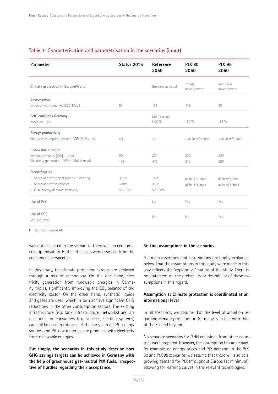# Table 1: Characterisation and parametrisation in the scenarios (input)

| Parameter                                     | Status 2015 | Reference<br>2050         | <b>PtX 80</b><br>2050  | <b>PtX 95</b><br>2050    |
|-----------------------------------------------|-------------|---------------------------|------------------------|--------------------------|
| Climate protection in Europe/World            |             | Business as usual         | steady<br>development  | ambitious<br>development |
| <b>Energy prices</b>                          |             |                           |                        |                          |
| Crude oil world market (\$2015/bbl)           | 51          | 115                       | 115                    | 50                       |
| <b>GHG</b> emissions Germany<br>based on 1990 |             | Model result<br>$(-60\%)$ | $-80%$                 | $-95%$                   |
| Energy productivity                           |             |                           |                        |                          |
| energy consumption per unit GDP (MJ/€2015)    | 6.1         | 2.2                       | $\sim$ as in reference | $\sim$ as in reference   |
| Renewable energies                            |             |                           |                        |                          |
| installed capacity [GW] - Input               | 90          | 224                       | 230                    | 230                      |
| Electricity generation [TWh] - Model result   | 178         | 475                       | 513                    | 506                      |
| Electrification                               |             |                           |                        |                          |
| - Share of electric heat pumps in heating     | 3.8%        | 14%                       | as in reference        | as in reference          |
| - Share of electric vehicles                  | $\sim 0\%$  | 33 %                      | as in reference        | as in reference          |
| - Final energy demand electricity             | 515 TWh     | 525 TWh                   |                        |                          |
| Use of PtX                                    |             | No                        | Yes                    | Yes                      |
| Use of CCS<br>(e.g. industry)                 |             | N <sub>o</sub>            | <b>No</b>              | Yes                      |

**I** Source: Prognos AG

was not discussed in the scenarios. There was no economic cost optimisation. Rather, the costs were assessed from the consumer's perspective.

In this study, the climate protection targets are achieved through a mix of technology. On the one hand, electricity generation from renewable energies in Germany triples, significantly improving the CO<sub>2</sub> balance of the electricity sector. On the other hand, synthetic liquids and gases are used, which in turn achieve significant GHG reductions in the other consumption sectors. The existing infrastructure (e.g. tank infrastructure, networks) and applications for consumers (e.g. vehicles, heating systems) can still be used in this case. Particularly abroad, PtL energy sources and PtL raw materials are produced with electricity from renewable energies.

**Put simply, the scenarios in this study describe how GHG savings targets can be achieved in Germany with the help of greenhouse gas-neutral PtX fuels, irrespective of hurdles regarding their acceptance.**

### **Setting assumptions in the scenarios**

The main assertions and assumptions are briefly explained below. That the assumptions in this study were made in this way reflects the "explorative" nature of the study. There is no statement on the probability or desirability of these assumptions in this regard.

## **Assumption 1: Climate protection is coordinated at an international level**

In all scenarios, we assume that the level of ambition regarding climate protection in Germany is in line with that of the EU and beyond.

No separate scenarios for GHG emissions from other countries were prepared. However, the assumption has an impact, for example, on energy prices and PtX demand. In the PtX 80 and PtX 95 scenarios, we assume that there will also be a growing demand for PtX throughout Europe (at minimum), allowing for learning curves in the relevant technologies.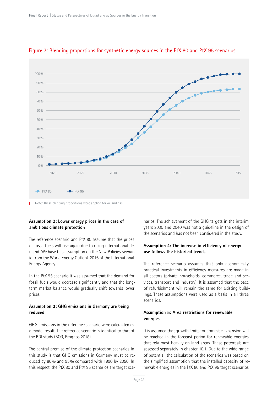

# Figure 7: Blending proportions for synthetic energy sources in the PtX 80 and PtX 95 scenarios

Note: These blending proportions were applied for oil and gas

# **Assumption 2: Lower energy prices in the case of ambitious climate protection**

The reference scenario and PtX 80 assume that the prices of fossil fuels will rise again due to rising international demand. We base this assumption on the New Policies Scenario from the World Energy Outlook 2016 of the International Energy Agency.

In the PtX 95 scenario it was assumed that the demand for fossil fuels would decrease significantly and that the longterm market balance would gradually shift towards lower prices.

## **Assumption 3: GHG emissions in Germany are being reduced**

GHG emissions in the reference scenario were calculated as a model result. The reference scenario is identical to that of the BDI study (BCG, Prognos 2018).

The central premise of the climate protection scenarios in this study is that GHG emissions in Germany must be reduced by 80% and 95% compared with 1990 by 2050. In this respect, the PtX 80 and PtX 95 scenarios are target scenarios. The achievement of the GHG targets in the interim years 2030 and 2040 was not a guideline in the design of the scenarios and has not been considered in the study.

# **Assumption 4: The increase in efficiency of energy use follows the historical trends**

The reference scenario assumes that only economically practical investments in efficiency measures are made in all sectors (private households, commerce, trade and services, transport and industry). It is assumed that the pace of refurbishment will remain the same for existing buildings. These assumptions were used as a basis in all three scenarios.

# **Assumption 5: Area restrictions for renewable energies**

It is assumed that growth limits for domestic expansion will be reached in the forecast period for renewable energies that rely most heavily on land areas. These potentials are assessed separately in chapter 10.1. Due to the wide range of potential, the calculation of the scenarios was based on the simplified assumption that the installed capacity of renewable energies in the PtX 80 and PtX 95 target scenarios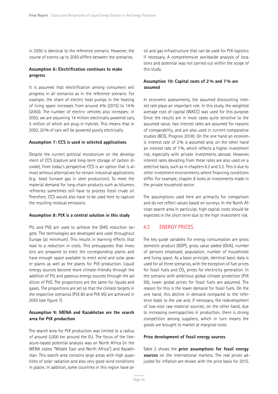in 2050 is identical to the reference scenario. However, the course of events up to 2050 differs between the scenarios.

# **Assumption 6: Electrification continues to make progress**

It is assumed that electrification among consumers will progress in all scenarios as in the reference scenario. For example, the share of electric heat pumps in the heating of living space increases from around 4% (2015) to 14% (2050). The number of electric vehicles also increases: in 2050, we are assuming 14 million electrically powered cars, 5 million of which are plug-in hybrids. This means that in 2050, 20% of cars will be powered purely electrically.

### **Assumption 7: CCS is used in selected applications**

Despite the current political moratorium on the development of CCS (capture and long-term storage of carbon dioxide), from today's perspective CCS is an option that is almost without alternatives for certain industrial applications (e.g. blast furnace gas in steel production). To meet the material demand for long-chain products such as bitumen, refineries sometimes still have to process fossil crude oil. Therefore, CCS would also have to be used here to capture the resulting residual emissions.

### **Assumption 8: PtX is a central solution in this study**

PtL and PtG are used to achieve the GHG reduction targets. The technologies are developed and used throughout Europe (at minimum). This results in learning effects that lead to a reduction in costs. This presupposes that investors are prepared to erect the corresponding plants and have enough space available to erect wind and solar power plants as well as the plants for PtX production. Liquid energy sources become more climate-friendly through the addition of PtL and gaseous energy sources through the addition of PtG. The proportions are the same for liquids and gases. The proportions are set so that the climate targets in the respective scenarios (PtX 80 and PtX 95) are achieved in 2050 (see figure 7).

## **Assumption 9: MENA and Kazakhstan are the search area for PtX production**

The search area for PtX production was limited to a radius of around 5,000 km around the EU. The focus of the literature-based potential analysis was on North Africa (in the MENA states "Middle East and North Africa") and Kazakhstan. This search area contains large areas with high quantities of solar radiation and also very good wind conditions in places. In addition, some countries in this region have an

oil and gas infrastructure that can be used for PtX logistics if necessary. A comprehensive worldwide analysis of locations and potential was not carried out within the scope of this study.

## **Assumption 10: Capital costs of 2% and 7% are assumed**

In economic assessments, the assumed discounting interest rate plays an important role. In this study, the weighted average cost of capital (WACC) was used for this purpose. Since the results are in most cases quite sensitive to the assumed value, two interest rates are assumed for reasons of comparability, and are also used in current comparative studies (BCG, Prognos 2018): On the one hand an economic interest rate of 2% is assumed and, on the other hand an interest rate of 7%, which reflects a higher investment risk, especially with private investments abroad. However, interest rates deviating from these rates are also used on a selective basis, such as in chapters 8.2 and 5.2. This is due to other investment environments where financing conditions differ. For example, chapter 8 looks at investments made in the private household sector.

The assumptions used here are primarily for comparison and do not reflect values based on surveys. In the North African search area in particular, high capital costs should be expected in the short term due to the high investment risk.

# 4.2 ENERGY PRICES

The key guide variables for energy consumption are gross domestic product (GDP), gross value added (GVA), number of persons employed, population, number of households and living space. As a basic principle, identical basic data is used for all three scenarios, with the exception of fuel prices for fossil fuels and CO<sub>2</sub> prices for electricity generation. In the scenario with ambitious global climate protection (PtX 95), lower global prices for fossil fuels are assumed. The reason for this is the lower demand for fossil fuels. On the one hand, this decline in demand compared to the reference leads to the use and, if necessary, the redevelopment of low-cost raw material sources; on the other hand, due to increasing overcapacities in production, there is strong competition among suppliers, which in turn means the goods are brought to market at marginal costs.

#### **Price development of fossil energy sources**

Table 2 shows the **price assumptions for fossil energy sources** on the international markets. The real prices adjusted for inflation are shown with the price basis for 2015.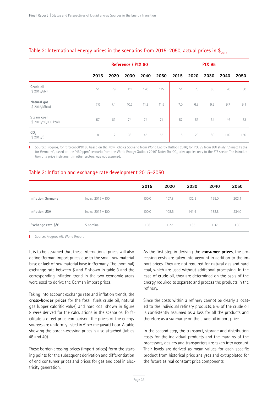|                                      |      | Reference / PtX 80 |      |      |      | <b>PtX 95</b> |      |      |      |      |
|--------------------------------------|------|--------------------|------|------|------|---------------|------|------|------|------|
|                                      | 2015 | 2020               | 2030 | 2040 | 2050 | 2015          | 2020 | 2030 | 2040 | 2050 |
| Crude oil<br>(\$ 2015/bbl)           | 51   | 79                 | 111  | 120  | 115  | 51            | 70   | 80   | 70   | 50   |
| Natural gas<br>(\$2015/Mbtu)         | 7.0  | 7.1                | 10.3 | 11.3 | 11.6 | 7.0           | 6.9  | 9.2  | 9.7  | 9.1  |
| Steam coal<br>(\$ 2015/t 6,000 kcal) | 57   | 63                 | 74   | 74   | 71   | 57            | 56   | 54   | 46   | 33   |
| CO <sub>2</sub><br>(\$2015/t)        | 8    | 12                 | 33   | 45   | 55   | 8             | 20   | 80   | 140  | 150  |

# Table 2: International energy prices in the scenarios from 2015–2050, actual prices in  $\frac{1}{2015}$

Source: Prognos, for reference/PtX 80 based on the New Policies Scenario from World Energy Outlook 2016; for PtX 95 from BDI study "Climate Paths T. for Germany", based on the "450 ppm" scenario from the World Energy Outlook 2016\* Note: The CO<sub>2</sub> price applies only to the ETS sector. The introduction of a price instrument in other sectors was not assumed.

# Table 3: Inflation and exchange rate development 2015–2050

|                             |                     | 2015  | 2020  | 2030  | 2040  | 2050  |
|-----------------------------|---------------------|-------|-------|-------|-------|-------|
| <b>Inflation Germany</b>    | $Index, 2015 = 100$ | 100.0 | 107.8 | 132.5 | 165.0 | 203.1 |
| <b>Inflation USA</b>        | $Index, 2015 = 100$ | 100.0 | 108.6 | 141.4 | 182.8 | 234.0 |
| Exchange rate $\frac{1}{2}$ | \$ nominal          | 1.08  | 1.22  | 1.35  | 1.37  | 1.39  |

**I** Source: Prognos AG, World Report

It is to be assumed that these international prices will also define German import prices due to the small raw material base or lack of raw material base in Germany. The (nominal) exchange rate between \$ and  $\epsilon$  shown in table 3 and the corresponding inflation trend in the two economic areas were used to derive the German import prices.

Taking into account exchange rate and inflation trends, the **cross-border prices** for the fossil fuels crude oil, natural gas (upper calorific value) and hard coal shown in figure 8 were derived for the calculations in the scenarios. To facilitate a direct price comparison, the prices of the energy sources are uniformly listed in  $\epsilon$  per megawatt hour. A table showing the border-crossing prices is also attached (tables 48 and 49).

These border-crossing prices (import prices) form the starting points for the subsequent derivation and differentiation of end consumer prices and prices for gas and coal in electricity generation.

As the first step in deriving the **consumer prices**, the processing costs are taken into account in addition to the import prices. They are not required for natural gas and hard coal, which are used without additional processing. In the case of crude oil, they are determined on the basis of the energy required to separate and process the products in the refinery.

Since the costs within a refinery cannot be clearly allocated to the individual refinery products, 5% of the crude oil is consistently assumed as a loss for all the products and therefore as a surcharge on the crude oil import price.

In the second step, the transport, storage and distribution costs for the individual products and the margins of the processors, dealers and transporters are taken into account. Their levels are derived as mean values for each specific product from historical price analyses and extrapolated for the future as real constant price components.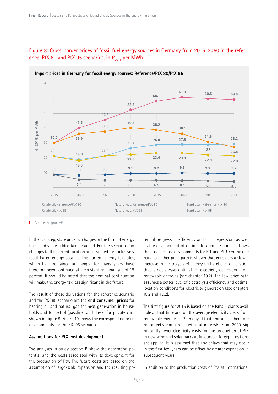

#### Figure 8: Cross-border prices of fossil fuel energy sources in Germany from 2015–2050 in the reference, PtX 80 and PtX 95 scenarios, in  $\epsilon_{2015}$  per MWh

Source: Prognos AG T.

In the last step, state price surcharges in the form of energy taxes and value-added tax are added. For the scenarios, no changes to the current taxation are assumed for exclusively fossil-based energy sources. The current energy tax rates, which have remained unchanged for many years, have therefore been continued at a constant nominal rate of 19 percent. It should be noted that the nominal continuation will make the energy tax less significant in the future.

The **result** of these derivations for the reference scenario and the PtX 80 scenario are the **end consumer prices** for heating oil and natural gas for heat generation in households and for petrol (gasoline) and diesel for private cars shown in figure 9. Figure 10 shows the corresponding price developments for the PtX 95 scenario.

#### **Assumptions for PtX cost development**

The analyses in study section B show the generation potential and the costs associated with its development for the production of PtX. The future costs are based on the assumption of large-scale expansion and the resulting po-

tential progress in efficiency and cost degression, as well as the development of optimal locations. Figure 11 shows the possible cost developments for PtL and PtG. On the one hand, a higher price path is shown that considers a slower increase in electrolysis efficiency and a choice of location that is not always optimal for electricity generation from renewable energies (see chapter 10.2). The low price path assumes a better level of electrolysis efficiency and optimal location conditions for electricity generation (see chapters 10.2 and 12.2).

The first figure for 2015 is based on the (small) plants available at that time and on the average electricity costs from renewable energies in Germany at that time and is therefore not directly comparable with future costs. From 2020, significantly lower electricity costs for the production of PtX in new wind and solar parks at favourable foreign locations are applied. It is assumed that any delays that may occur in the first few years can be offset by greater expansion in subsequent years.

In addition to the production costs of PtX at international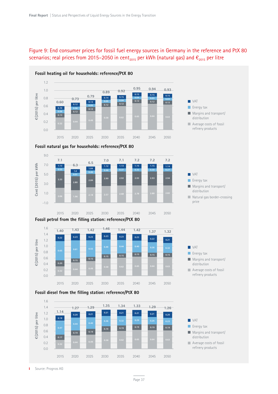#### Figure 9: End consumer prices for fossil fuel energy sources in Germany in the reference and PtX 80 scenarios; real prices from 2015–2050 in cent<sub>2015</sub> per kWh (natural gas) and  $\epsilon_{2015}$  per litre





**Fossil petrol from the filling station: reference/PtX 80**





Margins and transport/ distribution

Natural gas border-crossing

**VAT Energy tax** 

price

refinery products







T.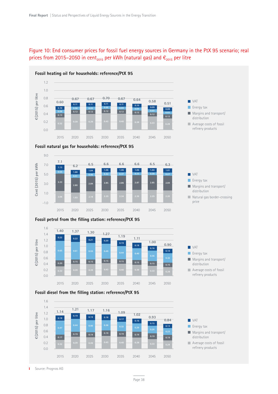

#### Figure 10: End consumer prices for fossil fuel energy sources in Germany in the PtX 95 scenario; real prices from 2015–2050 in cent<sub>2015</sub> per kWh (natural gas) and  $\epsilon_{2015}$  per litre











Average costs of fossil refinery products



2015 2020 2025 2030 2035 2040 2045 2050

**0.39 0.39 0.43 0.40 0.38 0.33 0.28**



refinery products

#### **Fossil petrol from the filling station: reference/PtX 95**

**Fossil diesel from the filling station: reference/PtX 95**

Source: Prognos AG T.

0.0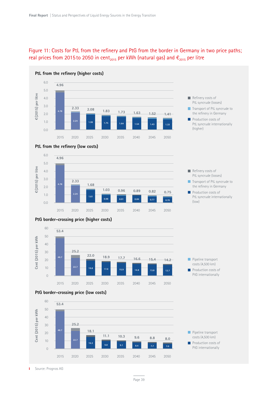





2015 2020 2025 2030 2035 2040 2045 2050

Source: Prognos AG T

0

Page 39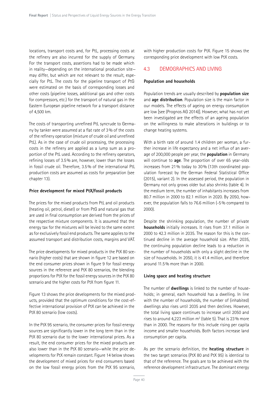locations, transport costs and, for PtL, processing costs at the refinery are also incurred for the supply of Germany. For the transport costs, assertions had to be made which in reality—depending on the international production site may differ, but which are not relevant to the result, especially for PtL. The costs for the pipeline transport of PtG were estimated on the basis of corresponding losses and other costs (pipeline losses, additional gas and other costs for compressors, etc.) for the transport of natural gas in the Eastern European pipeline network for a transport distance of 4,500 km.

The costs of transporting unrefined PtL syncrude to Germany by tanker were assumed at a flat rate of 3% of the costs of the refinery operation (mixture of crude oil and unrefined PtL). As in the case of crude oil processing, the processing costs in the refinery are applied as a lump sum as a proportion of the PtL used. According to the refinery operators, refining losses of 3.5% are, however, lower than the losses in fossil crude oil. Therefore, 3.5% of the international PtL production costs are assumed as costs for preparation (see chapter 13).

#### **Price development for mixed PtX/fossil products**

The prices for the mixed products from PtL and oil products (heating oil, petrol, diesel) or from PtG and natural gas that are used in final consumption are derived from the prices of the respective mixture components. It is assumed that the energy tax for the mixtures will be levied to the same extent as for exclusively fossil end products. The same applies to the assumed transport and distribution costs, margins and VAT.

The price developments for mixed products in the PtX 80 scenario (higher costs) that are shown in figure 12 are based on the end consumer prices shown in figure 9 for fossil energy sources in the reference and PtX 80 scenarios, the blending proportions for PtX for the fossil energy sources in the PtX 80 scenario and the higher costs for PtX from figure 11.

Figure 13 shows the price developments for the mixed products, provided that the optimum conditions for the cost-effective international provision of PtX can be achieved in the PtX 80 scenario (low costs).

In the PtX 95 scenario, the consumer prices for fossil energy sources are significantly lower in the long term than in the PtX 80 scenario due to the lower international prices. As a result, the end consumer prices for the mixed products are also lower than in the PtX 80 scenario—while the price developments for PtX remain constant. Figure 14 below shows the development of mixed prices for end consumers based on the low fossil energy prices from the PtX 95 scenario,

with higher production costs for PtX. Figure 15 shows the corresponding price development with low PtX costs.

#### 4.3 DEMOGRAPHICS AND LIVING

#### **Population and households**

Population trends are usually described by **population size** and **age distribution**. Population size is the main factor in our models. The effects of ageing on energy consumption are low [see (Prognos AG 2014)]. However, what has not yet been investigated are the effects of an ageing population on the willingness to make alterations in buildings or to change heating systems.

With a birth rate of around 1.4 children per woman, a further increase in life expectancy and a net influx of an average of 200,000 people per year, the **population** in Germany will continue to **age**. The proportion of over 65 year-olds increases from 21% today to 30% (13th coordinated population forecast by the German Federal Statistical Office (2015), variant 2). In the assessed period, the population in Germany not only grows older but also shrinks (table 4). In the medium term, the number of inhabitants increases from 80.7 million in 2000 to 82.1 million in 2020. By 2050, however, the population falls to 76.6 million (-5% compared to 2000).

Despite the shrinking population, the number of private **households** initially increases. It rises from 37.1 million in 2000 to 42.3 million in 2035. The reason for this is the continued decline in the average household size. After 2035, the continuing population decline leads to a reduction in the number of households with only a slight decline in the size of households. In 2050, it is 41.4 million, and therefore around 11.5% more than in 2000.

#### **Living space and heating structure**

The number of **dwellings** is linked to the number of households; in general, each household has a dwelling. In line with the number of households, the number of (inhabited) dwellings also rises until 2035 and then declines. However, the total living space continues to increase until 2050 and rises to around 4,223 million  $m^2$  (table 5). That is 23% more than in 2000. The reasons for this include rising per capita income and smaller households. Both factors increase land consumption per capita.

As per the scenario definition, the **heating structure** in the two target scenarios (PtX 80 and PtX 95) is identical to that of the reference. The goals are to be achieved with the reference development infrastructure. The dominant energy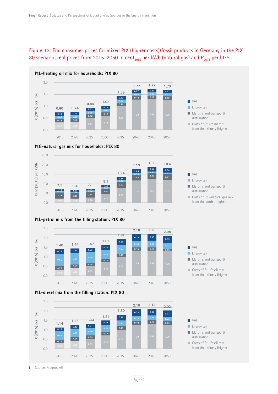#### Figure 12: End consumer prices for mixed PtX (higher costs)/fossil products in Germany in the PtX 80 scenario; real prices from 2015–2050 in cent<sub>2015</sub> per kWh (natural gas) and  $\epsilon_{2015}$  per litre



#### **PtG-natural gas mix for households: PtX 80**













**NO** VAT

**VAT Energy tax** 

**Margins and transport/** distribution

Costs of PtG-natural gas mix from the border (higher)

**N** VAT **Energy tax Margins and transport/** distribution

Costs of PtL-fossil mix from the refinery (higher)

Source: Prognos AG Ï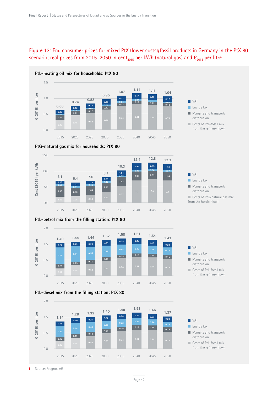#### Figure 13: End consumer prices for mixed PtX (lower costs)/fossil products in Germany in the PtX 80 scenario; real prices from 2015–2050 in cent<sub>2015</sub> per kWh (natural gas) and  $\epsilon_{2015}$  per litre



#### **PtG-natural gas mix for households: PtX 80**



#### **PtL-petrol mix from the filling station: PtX 80**







from the refinery (low)

**Margins and transport/** distribution Costs of PtL-fossil mix

Margins and transport/ distribution

Costs of PtG-natural gas mix from the border (low)

**VAT Energy tax** 

**VAT Energy tax** 



Costs of PtL-fossil mix from the refinery (low)

Source: Prognos AG T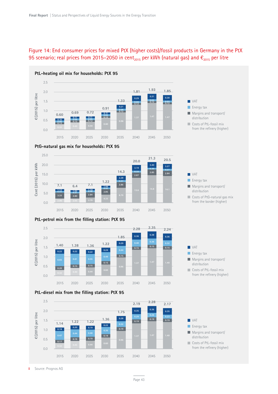#### Figure 14: End consumer prices for mixed PtX (higher costs)/fossil products in Germany in the PtX 95 scenario; real prices from 2015–2050 in cent<sub>2015</sub> per kWh (natural gas) and  $\epsilon_{2015}$  per litre















**Margins and transport/** distribution

Costs of PtG-natural gas mix from the border (higher)

**VAT Energy tax** 



Costs of PtL-fossil mix from the refinery (higher)

Source: Prognos AG Ť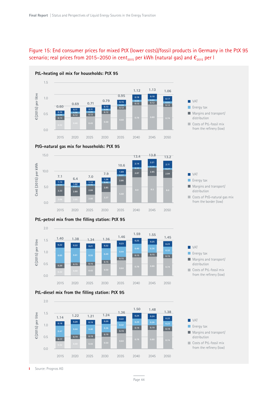#### Figure 15: End consumer prices for mixed PtX (lower costs)/fossil products in Germany in the PtX 95 scenario; real prices from 2015–2050 in cent<sub>2015</sub> per kWh (natural gas) and  $\epsilon_{2015}$  per l







#### **PtL-petrol mix from the filling station: PtX 95**









**Margins and transport/** distribution Costs of PtL-fossil mix from the refinery (low)

Margins and transport/ distribution

Costs of PtG-natural gas mix from the border (low)

**N** VAT **Energy tax** 

**N** VAT **Energy tax** 

Costs of PtL-fossil mix from the refinery (low)

Source: Prognos AG T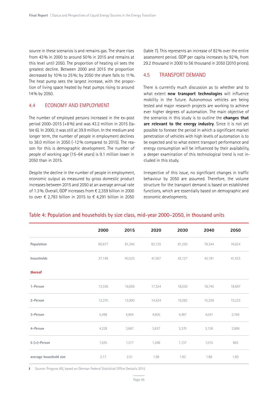source in these scenarios is and remains gas. The share rises from 43% in 2000 to around 50% in 2015 and remains at this level until 2050. The proportion of heating oil sees the greatest decline. Between 2000 and 2015 the proportion decreased by 10% to 25%; by 2050 the share falls to 11%. The heat pump sees the largest increase, with the proportion of living space heated by heat pumps rising to around 14% by 2050.

#### 4.4 ECONOMY AND EMPLOYMENT

The number of employed persons increased in the ex-post period 2000–2015 (+8%) and was 43.2 million in 2015 (table 6). In 2000, it was still at 39.9 million. In the medium and longer term, the number of people in employment declines to 38.0 million in 2050 (-12% compared to 2015). The reason for this is demographic development. The number of people of working age (15–64 years) is 9.1 million lower in 2050 than in 2015.

Despite the decline in the number of people in employment, economic output as measured by gross domestic product increases between 2015 and 2050 at an average annual rate of 1.3%. Overall, GDP increases from € 2,359 billion in 2000 to over € 2,783 billion in 2015 to € 4,291 billion in 2050

(table 7). This represents an increase of 82% over the entire assessment period. GDP per capita increases by 92%, from 29.2 thousand in 2000 to 56 thousand in 2050 (2010 prices).

#### 4.5 TRANSPORT DEMAND

There is currently much discussion as to whether and to what extent **new transport technologies** will influence mobility in the future. Autonomous vehicles are being tested and major research projects are working to achieve ever higher degrees of automation. The main objective of the scenarios in this study is to outline the **changes that are relevant to the energy industry**. Since it is not yet possible to foresee the period in which a significant market penetration of vehicles with high levels of automation is to be expected and to what extent transport performance and energy consumption will be influenced by their availability, a deeper examination of this technological trend is not included in this study.

Irrespective of this issue, no significant changes in traffic behaviour by 2050 are assumed. Therefore, the volume structure for the transport demand is based on established functions, which are essentially based on demographic and economic developments.

#### Table 4: Population and households by size class, mid-year 2000–2050, in thousand units

|                        | 2000   | 2015   | 2020   | 2030   | 2040   | 2050   |
|------------------------|--------|--------|--------|--------|--------|--------|
| Population             | 80,677 | 81,340 | 82,125 | 81,250 | 79,344 | 76,624 |
| households             | 37,148 | 40,525 | 41,567 | 42,127 | 42,181 | 41,433 |
| thereof                |        |        |        |        |        |        |
| 1-Person               | 13,336 | 16,656 | 17,354 | 18,030 | 18,740 | 18,697 |
| 2-Person               | 12,370 | 13,900 | 14,424 | 15,082 | 15,259 | 15,223 |
| 3-Person               | 5,498  | 4,964  | 4,905  | 4,487  | 4,041  | 3,764  |
| 4-Person               | 4,328  | 3,667  | 3,637  | 3,370  | 3,126  | 2,886  |
| $5 (+)$ -Person        | 1,635  | 1,317  | 1,268  | 1,137  | 1,015  | 863    |
| average household size | 2.17   | 2.01   | 1.98   | 1.93   | 1.88   | 1.85   |

Source: Prognos AG, based on German Federal Statistical Office Destatis 2015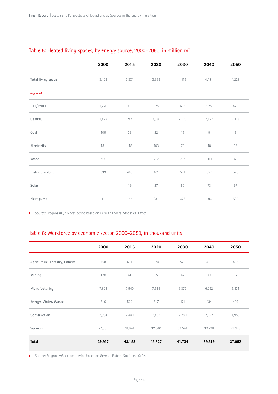|                    | 2000         | 2015  | 2020  | 2030  | 2040  | 2050   |
|--------------------|--------------|-------|-------|-------|-------|--------|
| Total living space | 3,423        | 3,801 | 3,965 | 4,115 | 4,181 | 4,223  |
| thereof            |              |       |       |       |       |        |
| <b>HEL/PtHEL</b>   | 1,220        | 968   | 875   | 693   | 575   | 478    |
| Gas/PtG            | 1,472        | 1,921 | 2,030 | 2,123 | 2,127 | 2,113  |
| Coal               | 105          | 29    | 22    | 15    | $\,9$ | $\,$ 6 |
| Electricity        | 181          | 118   | 103   | 70    | 48    | 36     |
| Wood               | 93           | 185   | 217   | 267   | 300   | 326    |
| District heating   | 339          | 416   | 461   | 521   | 557   | 576    |
| Solar              | $\mathbf{1}$ | 19    | 27    | 50    | 73    | 97     |
| Heat pump          | 11           | 144   | 231   | 378   | 493   | 590    |

#### Table 5: Heated living spaces, by energy source, 2000–2050, in million m2

Source: Prognos AG, ex-post period based on German Federal Statistical Office

#### Table 6: Workforce by economic sector, 2000–2050, in thousand units

|                                | 2000   | 2015   | 2020   | 2030   | 2040   | 2050   |
|--------------------------------|--------|--------|--------|--------|--------|--------|
| Agriculture, Forestry, Fishery | 758    | 651    | 624    | 525    | 451    | 403    |
| Mining                         | 120    | 61     | 55     | 42     | 33     | 27     |
| Manufacturing                  | 7,828  | 7,540  | 7,539  | 6,873  | 6,252  | 5,831  |
| Energy, Water, Waste           | 516    | 522    | 517    | 471    | 434    | 409    |
| Construction                   | 2,894  | 2,440  | 2,452  | 2,280  | 2,122  | 1,955  |
| <b>Services</b>                | 27,801 | 31,944 | 32,640 | 31,541 | 30,228 | 29,328 |
| Total                          | 39,917 | 43,158 | 43,827 | 41,734 | 39,519 | 37,952 |

Ť. Source: Prognos AG, ex-post period based on German Federal Statistical Office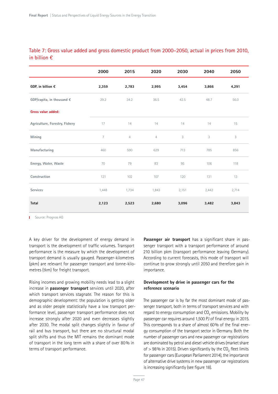| Table 7: Gross value added and gross domestic product from 2000–2050, actual in prices from 2010, |  |  |  |  |  |
|---------------------------------------------------------------------------------------------------|--|--|--|--|--|
| in billion $\bm{\epsilon}$                                                                        |  |  |  |  |  |

|                                | 2000  | 2015           | 2020           | 2030  | 2040  | 2050  |
|--------------------------------|-------|----------------|----------------|-------|-------|-------|
| GDP, in billion $\epsilon$     | 2,359 | 2,783          | 2,995          | 3,454 | 3,866 | 4,291 |
| GDP/capita, in thousand €      | 29.2  | 34.2           | 36.5           | 42.5  | 48.7  | 56.0  |
| Gross value added:             |       |                |                |       |       |       |
| Agriculture, Forestry, Fishery | 17    | 14             | 14             | 14    | 14    | 15    |
| Mining                         | 7     | $\overline{4}$ | $\overline{4}$ | 3     | 3     | 3     |
| Manufacturing                  | 460   | 590            | 629            | 713   | 785   | 856   |
| Energy, Water, Waste           | 70    | 79             | 83             | 95    | 106   | 118   |
| Construction                   | 121   | 102            | 107            | 120   | 131   | 13    |
| <b>Services</b>                | 1,448 | 1,734          | 1,843          | 2,151 | 2,442 | 2,714 |
| <b>Total</b>                   | 2,123 | 2,523          | 2,680          | 3,096 | 3,482 | 3,843 |

**I** Source: Prognos AG

A key driver for the development of energy demand in transport is the development of traffic volumes. Transport performance is the measure by which the development of transport demand is usually gauged. Passenger-kilometres (pkm) are relevant for passenger transport and tonne-kilometres (tkm) for freight transport.

Rising incomes and growing mobility needs lead to a slight increase in **passenger transport** services until 2020, after which transport services stagnate. The reason for this is demographic development: the population is getting older and as older people statistically have a low transport performance level, passenger transport performance does not increase strongly after 2020 and even decreases slightly after 2030. The modal split changes slightly in favour of rail and bus transport, but there are no structural modal split shifts and thus the MIT remains the dominant mode of transport in the long term with a share of over 80% in terms of transport performance.

**Passenger air transport** has a significant share in passenger transport with a transport performance of around 210 billion pkm (transport performance leaving Germany). According to current forecasts, this mode of transport will continue to grow strongly until 2050 and therefore gain in importance.

#### **Development by drive in passenger cars for the reference scenario**

The passenger car is by far the most dominant mode of passenger transport, both in terms of transport services and with regard to energy consumption and  $CO<sub>2</sub>$  emissions. Mobility by passenger car requires around 1,500 PJ of final energy in 2015. This corresponds to a share of almost 60% of the final energy consumption of the transport sector in Germany. Both the number of passenger cars and new passenger car registrations are dominated by petrol and diesel vehicle drives (market share of  $> 98\%$  in 2015). Driven significantly by the CO<sub>2</sub> fleet limits for passenger cars (European Parliament 2014), the importance of alternative drive systems in new passenger car registrations is increasing significantly (see figure 18).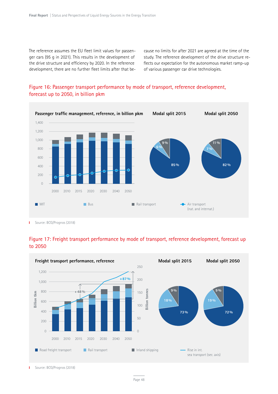The reference assumes the EU fleet limit values for passenger cars (95 g in 2021). This results in the development of the drive structure and efficiency by 2020. In the reference development, there are no further fleet limits after that because no limits for after 2021 are agreed at the time of the study. The reference development of the drive structure reflects our expectation for the autonomous market ramp-up of various passenger car drive technologies.



#### Figure 16: Passenger transport performance by mode of transport, reference development, forecast up to 2050, in billion pkm

Source: BCG/Prognos (2018) T.





Source: BCG/Prognos (2018)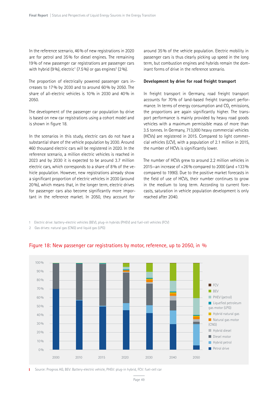In the reference scenario, 46% of new registrations in 2020 are for petrol and 35% for diesel engines. The remaining 19% of new passenger car registrations are passenger cars with hybrid (9%), electric $1$  (7.5%) or gas engines $2$  (2%).

The proportion of electrically powered passenger cars increases to 17% by 2030 and to around 60% by 2050. The share of all-electric vehicles is 10% in 2030 and 40% in 2050.

The development of the passenger car population by drive is based on new car registrations using a cohort model and is shown in figure 18.

In the scenarios in this study, electric cars do not have a substantial share of the vehicle population by 2030. Around 460 thousand electric cars will be registered in 2020. In the reference scenario, a million electric vehicles is reached in 2023 and by 2030 it is expected to be around 3.7 million electric cars, which corresponds to a share of 8% of the vehicle population. However, new registrations already show a significant proportion of electric vehicles in 2030 (around 20%), which means that, in the longer term, electric drives for passenger cars also become significantly more important in the reference market. In 2050, they account for

around 35% of the vehicle population. Electric mobility in passenger cars is thus clearly picking up speed in the long term, but combustion engines and hybrids remain the dominant forms of drive in the reference scenario.

#### **Development by drive for road freight transport**

In freight transport in Germany, road freight transport accounts for 70% of land-based freight transport performance. In terms of energy consumption and CO<sub>2</sub> emissions, the proportions are again significantly higher. The transport performance is mainly provided by heavy road goods vehicles with a maximum permissible mass of more than 3.5 tonnes. In Germany, 713,000 heavy commercial vehicles (HCVs) are registered in 2015. Compared to light commercial vehicles (LCV), with a population of 2.1 million in 2015, the number of HCVs is significantly lower.

The number of HCVs grew to around 2.2 million vehicles in 2015—an increase of +26% compared to 2000 (and +133% compared to 1990). Due to the positive market forecasts in the field of use of HCVs, their number continues to grow in the medium to long term. According to current forecasts, saturation in vehicle population development is only reached after 2040.

1 Electric drive: battery-electric vehicles (BEV), plug-in hybrids (PHEV) and fuel-cell vehicles (FCV)

2 Gas drives: natural gas (CNG) and liquid gas (LPG)



#### Figure 18: New passenger car registrations by motor, reference, up to 2050, in %

Source: Prognos AG, BEV: Battery-electric vehicle, PHEV: plug-in hybrid, FCV: fuel-cell car T.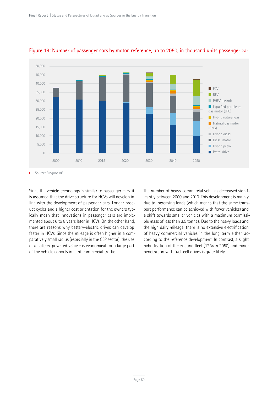

#### Figure 19: Number of passenger cars by motor, reference, up to 2050, in thousand units passenger car

Source: Prognos AG т

Since the vehicle technology is similar to passenger cars, it is assumed that the drive structure for HCVs will develop in line with the development of passenger cars. Longer product cycles and a higher cost orientation for the owners typically mean that innovations in passenger cars are implemented about 6 to 8 years later in HCVs. On the other hand, there are reasons why battery-electric drives can develop faster in HCVs. Since the mileage is often higher in a comparatively small radius (especially in the CEP sector), the use of a battery-powered vehicle is economical for a large part of the vehicle cohorts in light commercial traffic.

The number of heavy commercial vehicles decreased significantly between 2000 and 2010. This development is mainly due to increasing loads (which means that the same transport performance can be achieved with fewer vehicles) and a shift towards smaller vehicles with a maximum permissible mass of less than 3.5 tonnes. Due to the heavy loads and the high daily mileage, there is no extensive electrification of heavy commercial vehicles in the long term either, according to the reference development. In contrast, a slight hybridisation of the existing fleet (12% in 2050) and minor penetration with fuel-cell drives is quite likely.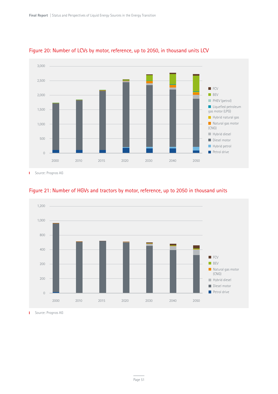

#### Figure 20: Number of LCVs by motor, reference, up to 2050, in thousand units LCV

Source: Prognos AG  $\mathbf I$ 



#### Figure 21: Number of HGVs and tractors by motor, reference, up to 2050 in thousand units

**I** Source: Prognos AG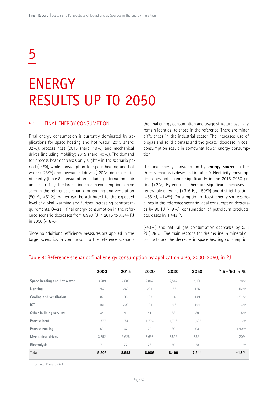## 5

### ENERGY RESULTS UP TO 2050

#### 5.1 FINAL ENERGY CONSUMPTION

Final energy consumption is currently dominated by applications for space heating and hot water (2015 share: 32%), process heat (2015 share: 19%) and mechanical drives (including mobility; 2015 share: 40%). The demand for process heat decreases only slightly in the scenario period (-3%), while consumption for space heating and hot water (-28%) and mechanical drives (-20%) decreases significantly (table 8, consumption including international air and sea traffic). The largest increase in consumption can be seen in the reference scenario for cooling and ventilation (50 PJ,  $+51\%$ ), which can be attributed to the expected level of global warming and further increasing comfort requirements. Overall, final energy consumption in the reference scenario decreases from 8,993 PJ in 2015 to 7,344 PJ in 2050 (-18%).

Since no additional efficiency measures are applied in the target scenarios in comparison to the reference scenario, the final energy consumption and usage structure basically remain identical to those in the reference. There are minor differences in the industrial sector. The increased use of biogas and solid biomass and the greater decrease in coal consumption result in somewhat lower energy consumption.

The final energy consumption by **energy source** in the three scenarios is described in table 9. Electricity consumption does not change significantly in the 2015–2050 period  $(+2\%)$ . By contrast, there are significant increases in renewable energies (+316 PJ; +50%) and district heating (+55 PJ; +14%). Consumption of fossil energy sources declines in the reference scenario: coal consumption decreases by 90 PJ (-19%), consumption of petroleum products decreases by 1,443 PJ

(-43%) and natural gas consumption decreases by 553 PJ (-25%). The main reasons for the decline in mineral oil products are the decrease in space heating consumption

|                             | 2000  | 2015  | 2020  | 2030  | 2050  | $'15 - '50$ in % |
|-----------------------------|-------|-------|-------|-------|-------|------------------|
| Space heating and hot water | 3,289 | 2,883 | 2,867 | 2,547 | 2,080 | $-28%$           |
| Lighting                    | 257   | 260   | 231   | 188   | 125   | $-52%$           |
| Cooling and ventilation     | 82    | 98    | 103   | 116   | 149   | $+51%$           |
| ICT                         | 181   | 200   | 194   | 196   | 194   | $-3\%$           |
| Other building services     | 34    | 41    | 41    | 38    | 39    | $-5\%$           |
| Process heat                | 1,777 | 1,741 | 1,704 | 1,716 | 1,695 | $-3\%$           |
| Process cooling             | 63    | 67    | 70    | 80    | 93    | $+40%$           |
| <b>Mechanical drives</b>    | 3,752 | 3,626 | 3,698 | 3,536 | 2,891 | $-20%$           |
| Electrolysis                | 71    | 77    | 76    | 79    | 78    | $+1\%$           |
| <b>Total</b>                | 9,506 | 8,993 | 8,986 | 8,496 | 7,344 | $-18%$           |

#### Table 8: Reference scenario: final energy consumption by application area, 2000–2050, in PJ

**I** Source: Prognos AG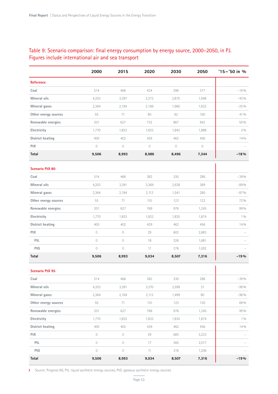#### Table 9: Scenario comparison: final energy consumption by energy source, 2000–2050, in PJ. Figures include international air and sea transport

|                        | 2000                | 2015                | 2020        | 2030           | 2050           | $'15 - '50$ in % |
|------------------------|---------------------|---------------------|-------------|----------------|----------------|------------------|
| <b>Reference</b>       |                     |                     |             |                |                |                  |
| Coal                   | 514                 | 466                 | 424         | 396            | 377            | $-19%$           |
| Mineral oils           | 4,203               | 3,391               | 3,372       | 2,875          | 1,948          | $-43%$           |
| Mineral gases          | 2,364               | 2,184               | 2,166       | 1,960          | 1,632          | $-25%$           |
| Other energy sources   | 55                  | 71                  | 80          | 92             | 100            | 41 %             |
| Renewable energies     | 201                 | 627                 | 732         | 867            | 942            | 50%              |
| Electricity            | 1,770               | 1,853               | 1,833       | 1,842          | 1,888          | 2%               |
| District heating       | 400                 | 402                 | 429         | 462            | 456            | 14%              |
| PtX                    | $\mathcal O$        | $\mathcal O$        | $\mathbf 0$ | $\circledcirc$ | $\circledcirc$ |                  |
| Total                  | 9,506               | 8,993               | 8,986       | 8,496          | 7,344          | $-18%$           |
| <b>Scenario PtX 80</b> |                     |                     |             |                |                |                  |
| Coal                   | 514                 | 466                 | 382         | 330            | 286            | $-39%$           |
| Mineral oils           | 4,203               | 3,391               | 3,369       | 2,638          | 369            | $-89%$           |
| Mineral gases          | 2,364               | 2,184               | 2,112       | 1,541          | 280            | $-87%$           |
| Other energy sources   | 55                  | 71                  | 110         | 123            | 122            | 72%              |
| Renewable energies     | 201                 | 627                 | 769         | 976            | 1,245          | 99%              |
| Electricity            | 1,770               | 1,853               | 1,832       | 1,835          | 1,874          | 10/0             |
| District heating       | 400                 | 402                 | 429         | 462            | 456            | 14%              |
| PtX                    | $\mathcal O$        | $\mathsf{O}\xspace$ | 29          | 602            | 2,683          |                  |
| PtL                    | $\mathsf{O}\xspace$ | $\mathsf{O}\xspace$ | 18          | 326            | 1,681          |                  |
| PtG                    | $\mathcal O$        | $\mathbf 0$         | 11          | 276            | 1,002          |                  |
| Total                  | 9,506               | 8,993               | 9,034       | 8,507          | 7,316          | $-19%$           |
| <b>Scenario PtX 95</b> |                     |                     |             |                |                |                  |
| Coal                   | 514                 | 466                 | 382         | 330            | 286            | $-39%$           |
| Mineral oils           | 4,203               | 3,391               | 3,370       | 2,599          | 31             | $-99%$           |
| Mineral gases          | 2,364               | 2,184               | 2,112       | 1,499          | 80             | $-96%$           |
| Other energy sources   | 55                  | 71                  | 110         | 123            | 120            | 69 %             |
| Renewable energies     | 201                 | 627                 | 769         | 976            | 1,245          | 99%              |
| Electricity            | 1,770               | 1,853               | 1,832       | 1,835          | 1,874          | 10/0             |
| District heating       | 400                 | 402                 | 429         | 462            | 456            | 14%              |
| PtX                    | $\mathsf{O}\xspace$ | $\circlearrowright$ | 29          | 683            | 3,223          |                  |
| PtL                    | $\mathsf{O}\xspace$ | $\circlearrowright$ | 17          | 365            | 2,017          |                  |
| PtG                    | $\mathbf 0$         | $\mathbb O$         | 11          | 318            | 1,206          |                  |
| Total                  | 9,506               | 8,993               | 9,034       | 8,507          | 7,316          | $-19%$           |

Source: Prognos AG, PtL: liquid synthetic energy sources, PtG: gaseous synthetic energy sources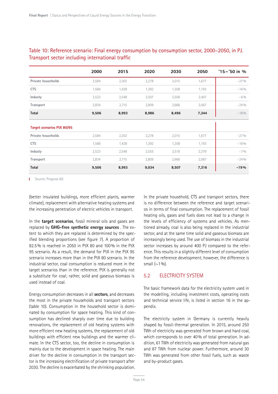|                                   | 2000  | 2015  | 2020  | 2030  | 2050  | $'15 - '50$ in % |
|-----------------------------------|-------|-------|-------|-------|-------|------------------|
| Private households                | 2,584 | 2,302 | 2,278 | 2,015 | 1,677 | $-27%$           |
| <b>CTS</b>                        | 1,566 | 1,428 | 1,392 | 1,308 | 1,193 | $-16%$           |
| Industy                           | 2,523 | 2,548 | 2,507 | 2,506 | 2,407 | $-6%$            |
| Transport                         | 2,834 | 2,715 | 2,809 | 2,666 | 2,067 | $-24%$           |
| <b>Total</b>                      | 9,506 | 8,993 | 8,986 | 8,496 | 7,344 | $-18%$           |
| <b>Target scenarios PtX 80/95</b> |       |       |       |       |       |                  |
| Private households                | 2,584 | 2,302 | 2,278 | 2,015 | 1,677 | $-27%$           |
| <b>CTS</b>                        | 1,566 | 1,428 | 1,392 | 1,308 | 1,193 | $-16%$           |
| Industy                           | 2,523 | 2,548 | 2,555 | 2,518 | 2,379 | $-7%$            |
| Transport                         | 2,834 | 2,715 | 2,809 | 2,666 | 2,067 | $-24%$           |
| Total                             | 9,506 | 8,993 | 9,034 | 8,507 | 7,316 | $-19%$           |

#### Table 10: Reference scenario: Final energy consumption by consumption sector, 2000–2050, in PJ. Transport sector including international traffic

**I** Source: Prognos AG

(better insulated buildings, more efficient plants, warmer climate), replacement with alternative heating systems and the increasing penetration of electric vehicles in transport.

In the **target scenarios**, fossil mineral oils and gases are replaced by **GHG-free synthetic energy sources** . The extent to which they are replaced is determined by the specified blending proportions (see figure 7). A proportion of 82.5% is reached in 2050 in PtX 80 and 100% in the PtX 95 scenario. As a result, the demand for PtX in the PtX 95 scenario increases more than in the PtX 80 scenario. In the industrial sector, coal consumption is reduced more in the target scenarios than in the reference. PtX is generally not a substitute for coal; rather, solid and gaseous biomass is used instead of coal.

Energy consumption decreases in all **sectors**, and decreases the most in the private households and transport sectors (table 10). Consumption in the household sector is dominated by consumption for space heating. This kind of consumption has declined sharply over time due to building renovations, the replacement of old heating systems with more efficient new heating systems, the replacement of old buildings with efficient new buildings and the warmer climate. In the CTS sector, too, the decline in consumption is mainly due to the development in space heating. The main driver for the decline in consumption in the transport sector is the increasing electrification of private transport after 2030. The decline is exacerbated by the shrinking population.

In the private household, CTS and transport sectors, there is no difference between the reference and target scenarios in terms of final consumption. The replacement of fossil heating oils, gases and fuels does not lead to a change in the levels of efficiency of systems and vehicles. As mentioned already, coal is also being replaced in the industrial sector, and at the same time solid and gaseous biomass are increasingly being used. The use of biomass in the industrial sector increases by around 400 PJ compared to the reference. This results in a slightly different level of consumption from the reference development; however, the difference is small  $({\sim}1\%)$ .

#### 5.2 ELECTRICITY SYSTEM

The basic framework data for the electricity system used in the modelling, including investment costs, operating costs and technical service life, is listed in section 16 in the appendix.

The electricity system in Germany is currently heavily shaped by fossil-thermal generation. In 2015, around 250 TWh of electricity was generated from brown and hard coal, which corresponds to over 40% of total generation. In addition, 61 TWh of electricity was generated from natural gas and 87 TWh from nuclear power. Furthermore, around 30 TWh was generated from other fossil fuels, such as waste and by-product gases.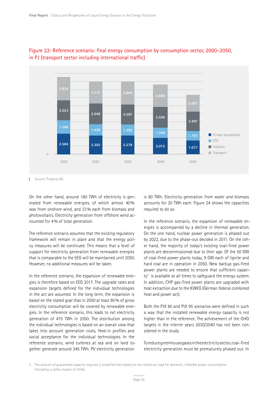

#### Figure 22: Reference scenario: final energy consumption by consumption sector, 2000–2050, in PJ (transport sector including international traffic)

Source: Prognos AG т

On the other hand, around 180 TWh of electricity is generated from renewable energies, of which almost 40% was from onshore wind, and 23% each from biomass and photovoltaics. Electricity generation from offshore wind accounted for 4% of total generation.

The reference scenario assumes that the existing regulatory framework will remain in place and that the energy policy measures will be continued. This means that a level of support for electricity generation from renewable energies that is comparable to the EEG will be maintained until 2050. However, no additional measures will be taken.

In the reference scenario, the expansion of renewable energies is therefore based on EEG 2017. The upgrade rates and expansion targets defined for the individual technologies in the act are assumed. In the long term, the expansion is based on the stated goal that in 2050 at least 80% of gross electricity consumption will be covered by renewable energies. In the reference scenario, this leads to net electricity generation of 475 TWh in 2050. The distribution among the individual technologies is based on an overall view that takes into account generation costs, feed-in profiles and social acceptance for the individual technologies. In the reference scenario, wind turbines at sea and on land together generate around 345 TWh. PV electricity generation

is 90 TWh. Electricity generation from water and biomass accounts for 20 TWh each. Figure 24 shows the capacities required to do so.

In the reference scenario, the expansion of renewable energies is accompanied by a decline in thermal generation. On the one hand, nuclear power generation is phased out by 2022, due to the phase-out decided in 2011. On the other hand, the majority of today's existing coal-fired power plants are decommissioned due to their age. Of the 50 GW of coal-fired power plants today, 9 GW each of lignite and hard coal are in operation in 2050. New backup gas-fired power plants are needed to ensure that sufficient capaci $ty<sup>3</sup>$  is available at all times to safeguard the energy system. In addition, CHP gas-fired power plants are upgraded with heat extraction due to the KWKG (German federal combined heat and power act).

Both the PtX 80 and PtX 95 scenarios were defined in such a way that the installed renewable energy capacity is not higher than in the reference. The achievement of the GHG targets in the interim years 2030/2040 has not been considered in the study.

To reduce greenhouse gases in the electricity sector, coal-fired electricity generation must be prematurely phased out. In

3 The amount of guaranteed capacity required is simplified here based on the maximum load for domestic, inflexible power consumption (including a safety margin of 10%).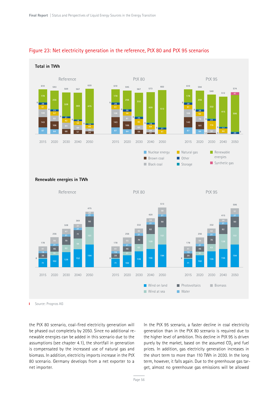

#### Figure 23: Net electricity generation in the reference, PtX 80 and PtX 95 scenarios



**Renewable energies in TWh**



Source: Prognos AG Ï.

the PtX 80 scenario, coal-fired electricity generation will be phased out completely by 2050. Since no additional renewable energies can be added in this scenario due to the assumptions (see chapter 4.1), the shortfall in generation is compensated by the increased use of natural gas and biomass. In addition, electricity imports increase in the PtX 80 scenario. Germany develops from a net exporter to a net importer.

In the PtX 95 scenario, a faster decline in coal electricity generation than in the PtX 80 scenario is required due to the higher level of ambition. This decline in PtX 95 is driven purely by the market, based on the assumed CO<sub>2</sub> and fuel prices. In addition, gas electricity generation increases in the short term to more than 110 TWh in 2030. In the long term, however, it falls again. Due to the greenhouse gas target, almost no greenhouse gas emissions will be allowed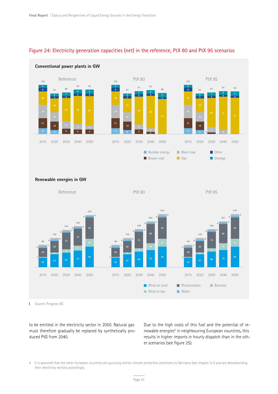#### Figure 24: Electricity generation capacities (net) in the reference, PtX 80 and PtX 95 scenarios



#### **Conventional power plants in GW**

**Renewable energies in GW**



Ï. Source: Prognos AG

to be emitted in the electricity sector in 2050. Natural gas must therefore gradually be replaced by synthetically produced PtG from 2040.

Due to the high costs of this fuel and the potential of renewable energies<sup>4</sup> in neighbouring European countries, this results in higher imports in hourly dispatch than in the other scenarios (see figure 25).

 It is assumed that the other European countries are pursuing similar climate protection ambitions to Germany (see chapter 4.1) and are decarbonising their electricity sectors accordingly.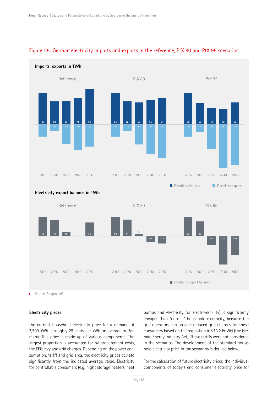

#### Figure 25: German electricity imports and exports in the reference, PtX 80 and PtX 95 scenarios

Source: Prognos AG T.

#### **Electricity prices**

The current household electricity price for a demand of 3,500 kWh is roughly 29 cents per kWh on average in Germany. This price is made up of various components. The largest proportion is accounted for by procurement costs, the EEG levy and grid charges. Depending on the power consumption, tariff and grid area, the electricity prices deviate significantly from the indicated average value. Electricity for controllable consumers (e.g. night storage heaters, heat

pumps and electricity for electromobility) is significantly cheaper than "normal" household electricity, because the grid operators can provide reduced grid charges for these consumers based on the regulation in §13.2 EnWG (the German Energy Industry Act). These tariffs were not considered in the scenarios. The development of the standard household electricity price in the scenarios is derived below.

For the calculation of future electricity prices, the individual components of today's end consumer electricity price for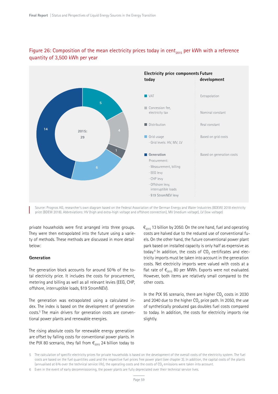

#### Figure 26: Composition of the mean electricity prices today in cent<sub>2015</sub> per kWh with a reference quantity of 3,500 kWh per year

Source: Prognos AG, researcher's own diagram based on the Federal Association of the German Energy and Water Industries (BDEW) 2018 electricity price (BDEW 2018). Abbreviations: HV (high and extra-high voltage and offshore connection), MV (medium voltage), LV (low voltage)

private households were first arranged into three groups. They were then extrapolated into the future using a variety of methods. These methods are discussed in more detail below:

#### **Generation**

The generation block accounts for around 50% of the total electricity price. It includes the costs for procurement, metering and billing as well as all relevant levies (EEG, CHP, offshore, interruptible loads, §19 StromNEV).

The generation was extrapolated using a calculated index. The index is based on the development of generation costs.5 The main drivers for generation costs are conventional power plants and renewable energies.

The rising absolute costs for renewable energy generation are offset by falling costs for conventional power plants. In the PtX 80 scenario, they fall from  $\epsilon_{2015}$  24 billion today to  $\epsilon_{2015}$  13 billion by 2050. On the one hand, fuel and operating costs are halved due to the reduced use of conventional fuels. On the other hand, the future conventional power plant park based on installed capacity is only half as expensive as today. $6$  In addition, the costs of  $CO<sub>2</sub>$  certificates and electricity imports must be taken into account in the generation costs. Net electricity imports were valued with costs at a flat rate of  $\epsilon_{2015}$  80 per MWh. Exports were not evaluated. However, both items are relatively small compared to the other costs.

In the PtX 95 scenario, there are higher  $CO<sub>2</sub>$  costs in 2030 and 2040 due to the higher CO<sub>2</sub> price path. In 2050, the use of synthetically produced gas doubles fuel costs compared to today. In addition, the costs for electricity imports rise slightly.

<sup>5</sup> The calculation of specific electricity prices for private households is based on the development of the overall costs of the electricity system. The fuel costs are based on the fuel quantities used and the respective fuel prices free power plant (see chapter 3). In addition, the capital costs of the plants (annualised at 6% over the technical service life), the operating costs and the costs of  $CO<sub>2</sub>$  emissions were taken into account.

<sup>6</sup> Even in the event of early decommissioning, the power plants are fully depreciated over their technical service lives.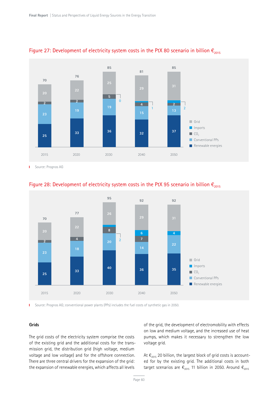



Ï. Source: Prognos AG



#### Figure 28: Development of electricity system costs in the PtX 95 scenario in billion  $\epsilon_{2015}$

Source: Prognos AG; conventional power plants (PPs) includes the fuel costs of synthetic gas in 2050. Ĭ.

#### **Grids**

The grid costs of the electricity system comprise the costs of the existing grid and the additional costs for the transmission grid, the distribution grid (high voltage, medium voltage and low voltage) and for the offshore connection. There are three central drivers for the expansion of the grid: the expansion of renewable energies, which affects all levels

of the grid, the development of electromobility with effects on low and medium voltage, and the increased use of heat pumps, which makes it necessary to strengthen the low voltage grid.

At  $\epsilon_{2015}$  20 billion, the largest block of grid costs is accounted for by the existing grid. The additional costs in both target scenarios are  $\epsilon_{2015}$  11 billion in 2050. Around  $\epsilon_{2015}$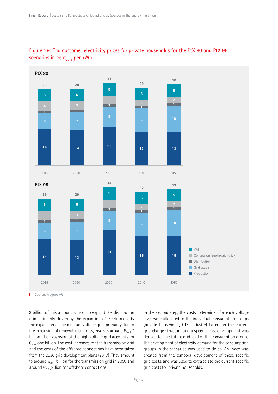

#### Figure 29: End customer electricity prices for private households for the PtX 80 and PtX 95 scenarios in cent $_{2015}$  per kWh

Source: Prognos AG T.

3 billion of this amount is used to expand the distribution grid—primarily driven by the expansion of electromobility. The expansion of the medium voltage grid, primarily due to the expansion of renewable energies, involves around  $\epsilon_{2015}$  2 billion. The expansion of the high voltage grid accounts for  $\epsilon_{2015}$  one billion. The cost increases for the transmission grid and the costs of the offshore connections have been taken from the 2030 grid development plans (2017). They amount to around  $\epsilon_{2015}$  billion for the transmission grid in 2050 and around  $\epsilon_{2015}$ billion for offshore connections.

In the second step, the costs determined for each voltage level were allocated to the individual consumption groups (private households, CTS, industry) based on the current grid charge structure and a specific cost development was derived for the future grid load of the consumption groups. The development of electricity demand for the consumption groups in the scenarios was used to do so. An index was created from the temporal development of these specific grid costs, and was used to extrapolate the current specific grid costs for private households.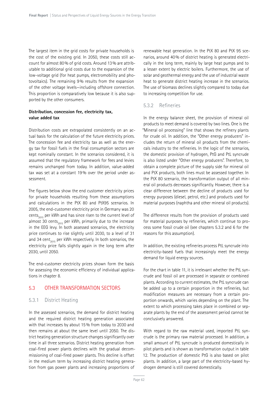The largest item in the grid costs for private households is the cost of the existing grid. In 2050, these costs still account for almost 80% of grid costs. Around 13% are attributable to additional grid costs due to the expansion of the low-voltage grid (for heat pumps, electromobility and photovoltaics). The remaining 9% results from the expansion of the other voltage levels—including offshore connection. This proportion is comparatively low because it is also supported by the other consumers.

#### **Distribution, concession fee, electricity tax, value added tax**

Distribution costs are extrapolated consistently on an actual basis for the calculation of the future electricity prices. The concession fee and electricity tax as well as the energy tax for fossil fuels in the final consumption sectors are kept nominally constant. In the scenarios considered, it is assumed that the regulatory framework for fees and levies remains unchanged from today. In addition, value-added tax was set at a constant 19% over the period under assessment.

The figures below show the end customer electricity prices for private households resulting from these assumptions and calculations in the PtX 80 and PtX95 scenarios. In 2005, the end-customer electricity price in Germany was 20 cents<sub>2015</sub> per kWh and has since risen to the current level of almost 30 cents<sub>2015</sub> per kWh, primarily due to the increase in the EEG levy. In both assessed scenarios, the electricity price continues to rise slightly until 2030, to a level of 31 and 34 cent<sub>2015</sub> per kWh respectively. In both scenarios, the electricity price falls slightly again in the long term after 2030, until 2050.

The end-customer electricity prices shown form the basis for assessing the economic efficiency of individual applications in chapter 8.

#### 5.3 OTHER TRANSFORMATION SECTORS

#### 5.3.1 District Heating

In the assessed scenarios, the demand for district heating and the required district heating generation associated with that increases by about 15% from today to 2030 and then remains at about the same level until 2050. The district heating generation structure changes significantly over time in all three scenarios. District heating generation from coal-fired power plants declines with the gradual decommissioning of coal-fired power plants. This decline is offset in the medium term by increasing district heating generation from gas power plants and increasing proportions of

renewable heat generation. In the PtX 80 and PtX 95 scenarios, around 40% of district heating is generated electrically in the long term, mainly by large heat pumps and to a lesser extent by electric boilers. Furthermore, the use of solar and geothermal energy and the use of industrial waste heat to generate district heating increase in the scenarios. The use of biomass declines slightly compared to today due to increasing competition for use.

#### 5.3.2 Refineries

In the energy balance sheet, the provision of mineral oil products to meet demand is covered by two lines. One is the "Mineral oil processing" line that shows the refinery plants for crude oil. In addition, the "Other energy producers" includes the return of mineral oil products from the chemicals industry to the refineries. In the logic of the scenarios, the domestic provision of hydrogen, PtG and PtL syncrude is also listed under "Other energy producers". Therefore, to obtain a complete picture of the supply side for mineral oil and PtX products, both lines must be assessed together. In the PtX 80 scenario, the transformation output of all mineral oil products decreases significantly. However, there is a clear difference between the decline of products used for energy purposes (diesel, petrol, etc.) and products used for material purposes (naphtha and other mineral oil products).

The difference results from the provision of products used for material purposes by refineries, which continue to process some fossil crude oil (see chapters 5.3.2 and 6 for the reasons for this assumption).

In addition, the existing refineries process PtL syncrude into electricity-based fuels that increasingly meet the energy demand for liquid energy sources.

For the chart in table 11, it is irrelevant whether the PtL syncrude and fossil oil are processed in separate or combined plants. According to current estimates, the PtL syncrude can be added up to a certain proportion in the refineries, but modification measures are necessary from a certain proportion onwards, which varies depending on the plant. The extent to which processing takes place in combined or separate plants by the end of the assessment period cannot be conclusively answered.

With regard to the raw material used, imported PtL syncrude is the primary raw material processed. In addition, a small amount of PtL syncrude is produced domestically in pilot plants and is shown as transformation output in table 12. The production of domestic PtG is also based on pilot plants. In addition, a large part of the electricity-based hydrogen demand is still covered domestically.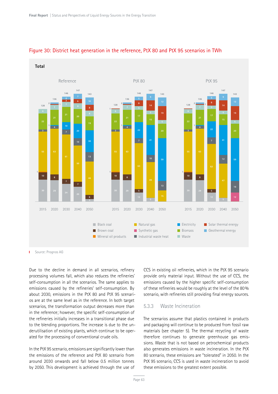

#### Figure 30: District heat generation in the reference, PtX 80 and PtX 95 scenarios in TWh

Source: Prognos AG т

Due to the decline in demand in all scenarios, refinery processing volumes fall, which also reduces the refineries' self-consumption in all the scenarios. The same applies to emissions caused by the refineries' self-consumption. By about 2030, emissions in the PtX 80 and PtX 95 scenarios are at the same level as in the reference. In both target scenarios, the transformation output decreases more than in the reference; however, the specific self-consumption of the refineries initially increases in a transitional phase due to the blending proportions. The increase is due to the underutilisation of existing plants, which continue to be operated for the processing of conventional crude oils.

In the PtX 95 scenario, emissions are significantly lower than the emissions of the reference and PtX 80 scenario from around 2030 onwards and fall below 0.5 million tonnes by 2050. This development is achieved through the use of CCS in existing oil refineries, which in the PtX 95 scenario provide only material input. Without the use of CCS, the emissions caused by the higher specific self-consumption of these refineries would be roughly at the level of the 80% scenario, with refineries still providing final energy sources.

#### 5.3.3 Waste Incineration

The scenarios assume that plastics contained in products and packaging will continue to be produced from fossil raw materials (see chapter 5). The thermal recycling of waste therefore continues to generate greenhouse gas emissions. Waste that is not based on petrochemical products also generates emissions in waste incineration. In the PtX 80 scenario, these emissions are "tolerated" in 2050. In the PtX 95 scenario, CCS is used in waste incineration to avoid these emissions to the greatest extent possible.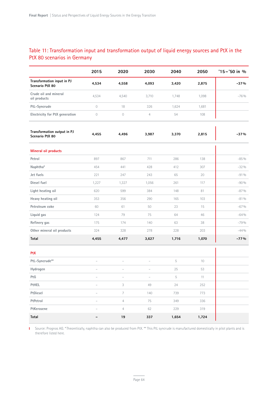#### Table 11: Transformation input and transformation output of liquid energy sources and PtX in the PtX 80 scenarios in Germany

|                                                | 2015                     | 2020                     | 2030                     | 2040  | 2050            | $'15 - '50$ in % |
|------------------------------------------------|--------------------------|--------------------------|--------------------------|-------|-----------------|------------------|
| Transformation input in PJ<br>Scenario PtX 80  | 4,534                    | 4,558                    | 4,093                    | 3,420 | 2,875           | $-37%$           |
| Crude oil and mineral<br>oil products          | 4,534                    | 4,540                    | 3,710                    | 1,748 | 1,098           | $-76%$           |
| PtL-Syncrude                                   | $\mathcal O$             | 18                       | 326                      | 1,624 | 1,681           |                  |
| Electricity for PtX generation                 | $\mathcal O$             | $\mathcal O$             | $\overline{4}$           | 54    | 108             |                  |
| Transformation output in PJ<br>Scenario PtX 80 | 4,455                    | 4,496                    | 3,987                    | 3,370 | 2,815           | $-37%$           |
| <b>Mineral oil products</b>                    |                          |                          |                          |       |                 |                  |
| Petrol                                         | 897                      | 867                      | 711                      | 286   | 138             | $-85\%$          |
| Naphtha*                                       | 454                      | 441                      | 428                      | 412   | 307             | $-32%$           |
| Jet fuels                                      | 221                      | 247                      | 243                      | 65    | 20              | $-91%$           |
| Diesel fuel                                    | 1,227                    | 1,327                    | 1,056                    | 261   | 117             | $-90%$           |
| Light heating oil                              | 620                      | 599                      | 384                      | 148   | 81              | $-87%$           |
| Heavy heating oil                              | 353                      | 356                      | 290                      | 165   | 103             | $-81%$           |
| Petroleum coke                                 | 60                       | 61                       | 50                       | 23    | 15              | $-67%$           |
| Liquid gas                                     | 124                      | 79                       | 75                       | 64    | 46              | $-64%$           |
| Refinery gas                                   | 175                      | 174                      | 140                      | 63    | 38              | $-79%$           |
| Other mineral oil products                     | 324                      | 328                      | 278                      | 228   | 203             | $-44%$           |
| Total                                          | 4,455                    | 4,477                    | 3,627                    | 1,716 | 1,070           | $-77%$           |
| <b>PtX</b>                                     |                          |                          |                          |       |                 |                  |
| PtL-Syncrude**                                 | $\overline{\phantom{0}}$ |                          | $\overline{\phantom{a}}$ | 5     | 10 <sup>°</sup> |                  |
| Hydrogen                                       | $\overline{\phantom{a}}$ | $\overline{\phantom{a}}$ | $\overline{\phantom{a}}$ | 25    | 53              |                  |
| PtG                                            |                          |                          |                          | 5     | 11              |                  |
| PtHEL                                          |                          | 3                        | 49                       | 24    | 252             |                  |
| PtDiesel                                       |                          | $\overline{7}$           | 140                      | 739   | 773             |                  |
| PtPetrol                                       |                          | $\overline{4}$           | 75                       | 349   | 336             |                  |
| PtKerosene                                     |                          | $\overline{4}$           | 62                       | 229   | 319             |                  |
| Total                                          |                          | $19\,$                   | 337                      | 1,654 | 1,724           |                  |

Ï. Source: Prognos AG. \*Theoretically, naphtha can also be produced from PtX. \*\* This PtL syncrude is manufactured domestically in pilot plants and is therefore listed here.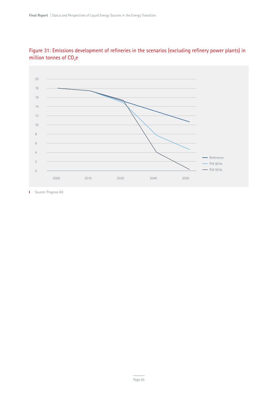



**I** Source: Prognos AG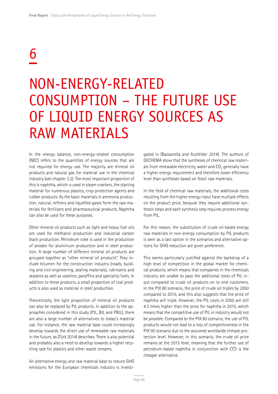## 6

### NON-ENERGY-RELATED CONSUMPTION – THE FUTURE USE OF LIQUID ENERGY SOURCES AS RAW MATERIALS

In the energy balance, non-energy-related consumption (NEC) refers to the quantities of energy sources that are not required for energy use. The majority are mineral oil products and natural gas for material use in the chemical industry (see chapter 3.2). The most important proportion of this is naphtha, which is used in steam crackers, the starting material for numerous plastics, crop protection agents and rubber products. As the basic materials in ammonia production, natural, refinery and liquefied gases form the raw materials for fertilisers and pharmaceutical products. Naphtha can also be used for these purposes.

Other mineral oil products such as light and heavy fuel oils are used for methanol production and industrial carbon black production. Petroleum coke is used in the production of anodes for aluminium production and in steel production. A large number of different mineral oil products are grouped together as "other mineral oil products". They include bitumen for the construction industry (roads, building and civil engineering, sealing materials), lubricants and sealants as well as vaseline, paraffins and speciality fuels. In addition to these products, a small proportion of coal products is also used as material in steel production.

Theoretically, the light proportion of mineral oil products can also be replaced by PtL products. In addition to the approaches considered in this study (PtL, BtL and PBtL), there are also a large number of alternatives to today's material use. For instance, the raw material base could increasingly develop towards the direct use of renewable raw materials in the future, as (Türk 2014) describes. There is also potential and probably also a need to develop towards a higher recycling rate for plastics and other waste streams.

An alternative energy and raw material base to reduce GHG emissions for the European chemicals industry is investigated in (Bazzanella and Ausfelder 2014). The authors of DECHEMA show that the syntheses of chemical raw materials from renewable electricity, water and CO<sub>2</sub> generally have a higher energy requirement and therefore lower efficiency level than syntheses based on fossil raw materials.

In the field of chemical raw materials, the additional costs resulting from the higher energy input have multiple effects on the product price, because they require additional synthesis steps and each synthesis step requires process energy from PtL.

For this reason, the substitution of crude oil-based energy raw materials in non-energy consumption by PtL products is seen as a last option in the scenarios and alternative options for GHG reduction are given preference.

This seems particularly justified against the backdrop of a high level of competition in the global market for chemical products, which means that companies in the chemicals industry are unable to pass the additional costs of PtL input compared to crude oil products on to end customers. In the PtX 80 scenario, the price of crude oil triples by 2050 compared to 2015, and this also suggests that the price of naphtha will triple. However, the PtL costs in 2050 are still 4.3 times higher than the price for naphtha in 2015, which means that the competitive use of PtL in industry would not be possible. Compared to the PtX 80 scenario, the use of PtL products would not lead to a loss of competitiveness in the PtX 95 scenario due to the assumed worldwide climate protection level. However, in this scenario, the crude oil price remains at the 2015 level, meaning that the further use of petroleum-based naphtha in conjunction with CCS is the cheaper alternative.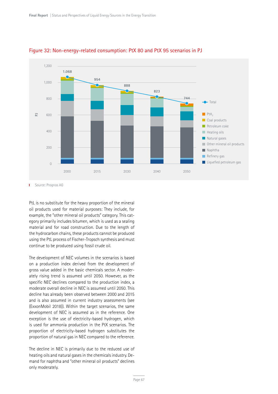

#### Figure 32: Non-energy-related consumption: PtX 80 and PtX 95 scenarios in PJ

T. Source: Prognos AG

PtL is no substitute for the heavy proportion of the mineral oil products used for material purposes: They include, for example, the "other mineral oil products" category. This category primarily includes bitumen, which is used as a sealing material and for road construction. Due to the length of the hydrocarbon chains, these products cannot be produced using the PtL process of Fischer-Tropsch synthesis and must continue to be produced using fossil crude oil.

The development of NEC volumes in the scenarios is based on a production index derived from the development of gross value added in the basic chemicals sector. A moderately rising trend is assumed until 2050. However, as the specific NEC declines compared to the production index, a moderate overall decline in NEC is assumed until 2050. This decline has already been observed between 2000 and 2015 and is also assumed in current industry assessments (see (ExxonMobil 2018)). Within the target scenarios, the same development of NEC is assumed as in the reference. One exception is the use of electricity-based hydrogen, which is used for ammonia production in the PtX scenarios. The proportion of electricity-based hydrogen substitutes the proportion of natural gas in NEC compared to the reference.

The decline in NEC is primarily due to the reduced use of heating oils and natural gases in the chemicals industry. Demand for naphtha and "other mineral oil products" declines only moderately.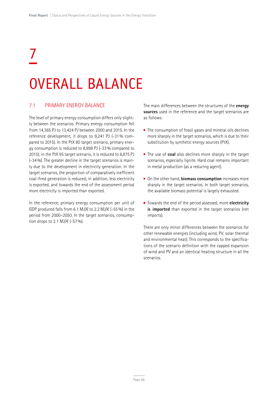# 7 OVERALL BALANCE

#### 7.1 PRIMARY ENERGY BALANCE

The level of primary energy consumption differs only slightly between the scenarios. Primary energy consumption fell from 14,365 PJ to 13,424 PJ between 2000 and 2015. In the reference development, it drops to 9,241 PJ (-31% compared to 2015). In the PtX 80 target scenario, primary energy consumption is reduced to 8,998 PJ (-33% compared to 2015); in the PtX 95 target scenario, it is reduced to 8,875 PJ (-34%). The greater decline in the target scenarios is mainly due to the development in electricity generation. In the target scenarios, the proportion of comparatively inefficient coal-fired generation is reduced; in addition, less electricity is exported, and towards the end of the assessment period more electricity is imported than exported.

In the reference, primary energy consumption per unit of GDP produced falls from 6.1 MJ/ $\in$  to 2.2 MJ/ $\in$  (-55%) in the period from 2000–2050. In the target scenarios, consumption drops to 2.1 MJ/ $\in$  (-57%).

The main differences between the structures of the **energy sources** used in the reference and the target scenarios are as follows:

- $\blacksquare$  The consumption of fossil gases and mineral oils declines more sharply in the target scenarios, which is due to their substitution by synthetic energy sources (PtX).
- The use of **coal** also declines more sharply in the target scenarios, especially lignite. Hard coal remains important in metal production (as a reducing agent).
- On the other hand, **biomass consumption** increases more sharply in the target scenarios. In both target scenarios, the available biomass potential is largely exhausted.
- Towards the end of the period assessed, more **electricity is imported** than exported in the target scenarios (net imports).

There are only minor differences between the scenarios for other renewable energies (including wind, PV, solar thermal and environmental heat). This corresponds to the specifications of the scenario definition with the capped expansion of wind and PV and an identical heating structure in all the scenarios.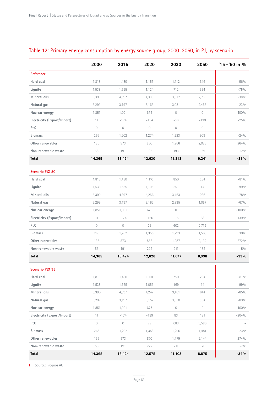|                             | 2000       | 2015           | 2020           | 2030           | 2050           | $'15 - '50$ in % |
|-----------------------------|------------|----------------|----------------|----------------|----------------|------------------|
| <b>Reference</b>            |            |                |                |                |                |                  |
| Hard coal                   | 1,818      | 1,480          | 1,157          | 1,112          | 646            | $-56%$           |
| Lignite                     | 1,538      | 1,555          | 1,124          | 712            | 394            | $-75%$           |
| Mineral oils                | 5,390      | 4,397          | 4,338          | 3,812          | 2,709          | $-38%$           |
| Natural gas                 | 3,299      | 3,197          | 3,163          | 3,031          | 2,458          | $-23%$           |
| Nuclear energy              | 1,851      | 1,001          | 675            | $\overline{0}$ | $\overline{0}$ | $-100%$          |
| Electricity (Export/Import) | 11         | $-174$         | $-154$         | $-36$          | $-130$         | $-25%$           |
| PtX                         | $\circ$    | $\overline{0}$ | $\overline{0}$ | $\overline{0}$ | $\circ$        |                  |
| <b>Biomass</b>              | 266        | 1,202          | 1,274          | 1,223          | 909            | $-24%$           |
| Other renewables            | 136        | 573            | 860            | 1,266          | 2,085          | 264%             |
| Non-renewable waste         | 56         | 191            | 196            | 193            | 169            | $-12%$           |
| Total                       | 14,365     | 13,424         | 12,630         | 11,313         | 9,241          | $-31%$           |
| <b>Scenario PtX 80</b>      |            |                |                |                |                |                  |
| Hard coal                   | 1,818      | 1,480          | 1,110          | 850            | 284            | $-81%$           |
| Lignite                     | 1,538      | 1,555          | 1,105          | 551            | 14             | $-99%$           |
| Mineral oils                | 5,390      | 4,397          | 4,256          | 3,463          | 986            | $-78%$           |
| Natural gas                 | 3,299      | 3,197          | 3,162          | 2,835          | 1,057          | $-67%$           |
| Nuclear energy              | 1,851      | 1,001          | 675            | $\mathbf 0$    | $\circ$        | $-100%$          |
| Electricity (Export/Import) | 11         | $-174$         | $-156$         | $-15$          | 68             | $-139%$          |
| PtX                         | $\circ$    | $\mathbf 0$    | 29             | 602            | 2,712          |                  |
| <b>Biomass</b>              | 266        | 1,202          | 1,355          | 1,293          | 1,563          | 30%              |
| Other renewables            | 136        | 573            | 868            | 1,287          | 2,132          | 272%             |
| Non-renewable waste         | 56         | 191            | 222            | 211            | 182            | $-5\%$           |
| Total                       | 14,365     | 13,424         | 12,626         | 11,077         | 8,998          | $-33%$           |
| <b>Scenario PtX 95</b>      |            |                |                |                |                | п                |
| Hard coal                   | 1,818      | 1,480          | 1,101          | 750            | 284            | $-81\%$          |
| Lignite                     | 1,538      | 1,555          | 1,053          | 169            | 14             | $-99%$           |
| Mineral oils                | 5,390      | 4,397          | 4,247          | 3,401          | 644            | $-85%$           |
| Natural gas                 | 3,299      | 3,197          | 3,157          | 3,030          | 364            | $-89%$           |
| Nuclear energy              | 1,851      | 1,001          | 677            | $\circ$        | $\circ$        | $-100%$          |
| Electricity (Export/Import) | 11         | $-174$         | $-139$         | 83             | 181            | $-204%$          |
| PtX                         | $\bigcirc$ | $\circ$        | 29             | 683            | 3,586          |                  |
| <b>Biomass</b>              | 266        | 1,202          | 1,358          | 1,296          | 1,481          | 23 %             |
| Other renewables            | 136        | 573            | 870            | 1,479          | 2,144          | 274%             |
| Non-renewable waste         | 56         | 191            | 222            | 211            | 178            | $-7.0/0$         |
| Total                       | 14,365     | 13,424         | 12,575         | 11,103         | 8,875          | $-34%$           |

#### Table 12: Primary energy consumption by energy source group, 2000–2050, in PJ, by scenario

**I** Source: Prognos AG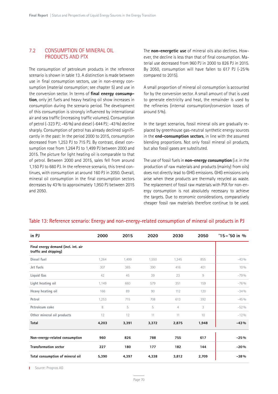#### 7.2 CONSUMPTION OF MINERAL OIL PRODUCTS AND PTX

The consumption of petroleum products in the reference scenario is shown in table 13. A distinction is made between use in final consumption sectors, use in non-energy consumption (material consumption; see chapter 5) and use in the conversion sector. In terms of **final energy consumption**, only jet fuels and heavy heating oil show increases in consumption during the scenario period. The development of this consumption is strongly influenced by international air and sea traffic (increasing traffic volumes). Consumption of petrol (-323 PJ; -45%) and diesel (-644 PJ; -43%) decline sharply. Consumption of petrol has already declined significantly in the past: In the period 2000 to 2015, consumption decreased from 1,253 PJ to 715 PJ. By contrast, diesel consumption rose from 1,264 PJ to 1,499 PJ between 2000 and 2015. The picture for light heating oil is comparable to that of petrol. Between 2000 and 2015, sales fell from around 1,150 PJ to 660 PJ. In the reference scenario, this trend continues, with consumption at around 160 PJ in 2050. Overall, mineral oil consumption in the final consumption sectors decreases by 43% to approximately 1,950 PJ between 2015 and 2050.

The **non-energetic use** of mineral oils also declines. However, the decline is less than that of final consumption. Material use decreased from 960 PJ in 2000 to 826 PJ in 2015. By 2050, consumption will have fallen to 617 PJ (-25% compared to 2015).

A small proportion of mineral oil consumption is accounted for by the conversion sector. A small amount of that is used to generate electricity and heat, the remainder is used by the refineries (internal consumption/conversion losses of around 5%).

In the target scenarios, fossil mineral oils are gradually replaced by greenhouse gas-neutral synthetic energy sources in the **end-consumption sectors**, in line with the assumed blending proportions. Not only fossil mineral oil products, but also fossil gases are substituted.

The use of fossil fuels in **non-energy consumption** (i.e. in the production of raw materials and products (mainly) from oils) does not directly lead to GHG emissions. GHG emissions only arise when these products are thermally recycled as waste. The replacement of fossil raw materials with PtX for non-energy consumption is not absolutely necessary to achieve the targets. Due to economic considerations, comparatively cheaper fossil raw materials therefore continue to be used.

| in PJ                                                        | 2000  | 2015  | 2020  | 2030  | 2050  | $'15 - '50$ in % |
|--------------------------------------------------------------|-------|-------|-------|-------|-------|------------------|
| Final energy demand (incl. int. air<br>traffic and shipping) |       |       |       |       |       |                  |
| Diesel fuel                                                  | 1,264 | 1,499 | 1,550 | 1,345 | 855   | $-43%$           |
| Jet fuels                                                    | 307   | 365   | 390   | 416   | 401   | $10\%$           |
| Liquid Gas                                                   | 42    | 45    | 39    | 23    | 9     | $-79%$           |
| Light heating oil                                            | 1,149 | 660   | 579   | 351   | 159   | $-76%$           |
| Heavy heating oil                                            | 166   | 89    | 90    | 112   | 120   | $-34%$           |
| Petrol                                                       | 1,253 | 715   | 708   | 613   | 392   | $-45%$           |
| Petroleum coke                                               | 8     | 5     | 5     | 4     | 3     | $-52%$           |
| Other mineral oil products                                   | 12    | 12    | 11    | 11    | 10    | $-12%$           |
| <b>Total</b>                                                 | 4,203 | 3,391 | 3,372 | 2,875 | 1,948 | $-43%$           |
| Non-energy-related consumption                               | 960   | 826   | 788   | 755   | 617   | $-25%$           |
| <b>Transformation sector</b>                                 | 227   | 180   | 177   | 182   | 144   | $-20%$           |
| Total consumption of mineral oil                             | 5,390 | 4,397 | 4,338 | 3,812 | 2,709 | $-38%$           |

#### Table 13: Reference scenario: Energy and non-energy-related consumption of mineral oil products in PJ

Source: Prognos AG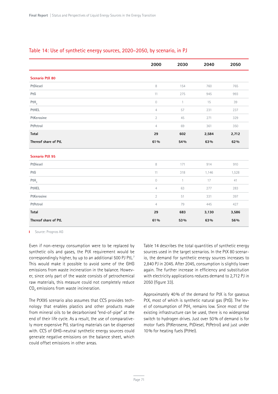|                        | 2000           | 2030         | 2040  | 2050  |
|------------------------|----------------|--------------|-------|-------|
| <b>Scenario PtX 80</b> |                |              |       |       |
| PtDiesel               | 8              | 154          | 760   | 765   |
| PtG                    | 11             | 275          | 945   | 993   |
| PtH <sub>2</sub>       | $\mathcal O$   | $\mathbf{1}$ | 15    | 39    |
| PtHEL                  | $\overline{4}$ | 57           | 231   | 237   |
| PtKerosine             | $\overline{2}$ | 45           | 271   | 329   |
| PtPetrol               | $\overline{4}$ | 69           | 361   | 350   |
| Total                  | 29             | 602          | 2,584 | 2,712 |
| Thereof share of PtL   | 61%            | 54%          | 63%   | 62 %  |
| <b>Scenario PtX 95</b> |                |              |       |       |
| PtDiesel               | 8              | 171          | 914   | 910   |
| PtG                    | 11             | 318          | 1,146 | 1,528 |
| PtH <sub>2</sub>       | $\mathcal O$   | $\mathbf{1}$ | 17    | 41    |
| PtHEL                  | $\overline{4}$ | 63           | 277   | 283   |
| PtKerosine             | $\overline{2}$ | 51           | 331   | 397   |
| PtPetrol               | $\overline{4}$ | 79           | 445   | 427   |
| Total                  | 29             | 683          | 3,130 | 3,586 |
| Thereof share of PtL   | 61%            | 53%          | 63%   | 56%   |

#### Table 14: Use of synthetic energy sources, 2020–2050, by scenario, in PJ

**I** Source: Prognos AG

Even if non-energy consumption were to be replaced by synthetic oils and gases, the PtX requirement would be correspondingly higher, by up to an additional 500 PJ PtL.7 This would make it possible to avoid some of the GHG emissions from waste incineration in the balance. However, since only part of the waste consists of petrochemical raw materials, this measure could not completely reduce CO<sub>2</sub> emissions from waste incineration.

The PtX95 scenario also assumes that CCS provides technology that enables plastics and other products made from mineral oils to be decarbonised "end-of-pipe" at the end of their life cycle. As a result, the use of comparatively more expensive PtL starting materials can be dispensed with. CCS of GHG-neutral synthetic energy sources could generate negative emissions on the balance sheet, which could offset emissions in other areas.

Table 14 describes the total quantities of synthetic energy sources used in the target scenarios. In the PtX 80 scenario, the demand for synthetic energy sources increases to 2,840 PJ in 2045. After 2045, consumption is slightly lower again. The further increase in efficiency and substitution with electricity applications reduces demand to 2,712 PJ in 2050 (figure 33).

Approximately 40% of the demand for PtX is for gaseous PtX, most of which is synthetic natural gas (PtG). The level of consumption of PtH<sub>2</sub> remains low. Since most of the existing infrastructure can be used, there is no widespread switch to hydrogen drives. Just over 50% of demand is for motor fuels (PtKerosene, PtDiesel, PtPetrol) and just under 10% for heating fuels (PtHel).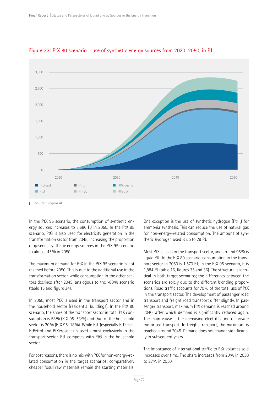

#### Figure 33: PtX 80 scenario – use of synthetic energy sources from 2020–2050, in PJ

In the PtX 95 scenario, the consumption of synthetic energy sources increases to 3,586 PJ in 2050. In the PtX 95 scenario, PtG is also used for electricity generation in the transformation sector from 2045, increasing the proportion of gaseous synthetic energy sources in the PtX 95 scenario to almost 45% in 2050.

The maximum demand for PtX in the PtX 95 scenario is not reached before 2050. This is due to the additional use in the transformation sector, while consumption in the other sectors declines after 2045, analogous to the -80% scenario (table 15 and figure 34).

In 2050, most PtX is used in the transport sector and in the household sector (residential buildings). In the PtX 80 scenario, the share of the transport sector in total PtX consumption is 58% (PtX 95: 53%) and that of the household sector is 20% (PtX 95: 18%). While PtL (especially PtDiesel, PtPetrol and PtKerosene) is used almost exclusively in the transport sector, PtL competes with PtG in the household sector.

For cost reasons, there is no mix with PtX for non-energy-related consumption in the target scenarios; comparatively cheaper fossil raw materials remain the starting materials.

One exception is the use of synthetic hydrogen  $(\text{PtH}_2)$  for ammonia synthesis. This can reduce the use of natural gas for non-energy-related consumption. The amount of synthetic hydrogen used is up to 29 PJ.

Most PtX is used in the transport sector, and around 95% is liquid PtL. In the PtX 80 scenario, consumption in the transport sector in 2050 is 1,570 PJ; in the PtX 95 scenario, it is 1,884 PJ (table 16, figures 35 and 36). The structure is identical in both target scenarios; the differences between the scenarios are solely due to the different blending proportions. Road traffic accounts for 70% of the total use of PtX in the transport sector. The development of passenger road transport and freight road transport differ slightly. In passenger transport, maximum PtX demand is reached around 2040, after which demand is significantly reduced again. The main cause is the increasing electrification of private motorised transport. In freight transport, the maximum is reached around 2045. Demand does not change significantly in subsequent years.

The importance of international traffic to PtX volumes sold increases over time. The share increases from 20% in 2030 to 27% in 2050.

Source: Prognos AG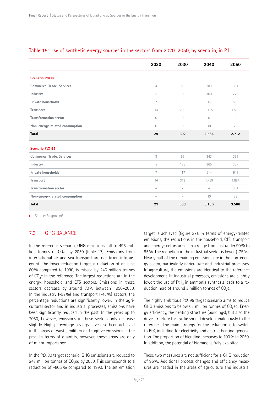|                                | 2020                     | 2030                     | 2040                     | 2050    |
|--------------------------------|--------------------------|--------------------------|--------------------------|---------|
| <b>Scenario PtX 80</b>         |                          |                          |                          |         |
| Commerce, Trade, Services      | $\overline{4}$           | 58                       | 283                      | 301     |
| Industry                       | 5                        | 160                      | 300                      | 278     |
| Private households             | $\overline{7}$           | 105                      | 507                      | 535     |
| Transport                      | 14                       | 280                      | 1.485                    | 1.570   |
| <b>Transformation sector</b>   | $\circ$                  | $\circ$                  | $\circ$                  | $\circ$ |
| Non-energy-related consumption | $\circ$                  | $\circ$                  | 10                       | 29      |
| <b>Total</b>                   | 29                       | 602                      | 2.584                    | 2.712   |
| <b>Scenario PtX 95</b>         |                          |                          |                          |         |
| Commerce, Trade, Services      | 3                        | 65                       | 343                      | 361     |
| Industry                       | 5                        | 189                      | 365                      | 337     |
| Private households             | $\overline{7}$           | 117                      | 614                      | 641     |
| Transport                      | 14                       | 313                      | 1.799                    | 1.884   |
| <b>Transformation sector</b>   | $\overline{\phantom{a}}$ | $\overline{\phantom{a}}$ | $\overline{\phantom{a}}$ | 334     |
| Non-energy-related consumption | $\overline{\phantom{a}}$ | $\overline{\phantom{a}}$ | 10                       | 29      |
| <b>Total</b>                   | 29                       | 683                      | 3.130                    | 3.586   |

#### Table 15: Use of synthetic energy sources in the sectors from 2020–2050, by scenario, in PJ

**I** Source: Prognos AG

## 7.3 GHG BALANCE

In the reference scenario, GHG emissions fall to 496 million tonnes of  $CO<sub>2</sub>e$  by 2050 (table 17). Emissions from international air and sea transport are not taken into account. The lower reduction target, a reduction of at least 80% compared to 1990, is missed by 246 million tonnes of CO<sub>2</sub>e in the reference. The largest reductions are in the energy, household and CTS sectors. Emissions in these sectors decrease by around 70% between 1990–2050. In the industry (-52%) and transport (-43%) sectors, the percentage reductions are significantly lower. In the agricultural sector and in industrial processes, emissions have been significantly reduced in the past. In the years up to 2050, however, emissions in these sectors only decrease slightly. High percentage savings have also been achieved in the areas of waste, military and fugitive emissions in the past. In terms of quantity, however, these areas are only of minor importance.

In the PtX 80 target scenario, GHG emissions are reduced to 247 million tonnes of  $CO<sub>2</sub>$ eq by 2050. This corresponds to a reduction of -80.3% compared to 1990. The set emission target is achieved (figure 37). In terms of energy-related emissions, the reductions in the household, CTS, transport and energy sectors are all in a range from just under 90% to 95%. The reduction in the industrial sector is lower (-75%). Nearly half of the remaining emissions are in the non-energy sector, particularly agriculture and industrial processes. In agriculture, the emissions are identical to the reference development. In industrial processes, emissions are slightly lower: the use of PtH<sub>2</sub> in ammonia synthesis leads to a reduction here of around 3 million tonnes of  $CO<sub>2</sub>e$ .

The highly ambitious PtX 95 target scenario aims to reduce GHG emissions to below 65 million tonnes of  $CO<sub>2</sub>$ eq. Energy efficiency, the heating structure (buildings), but also the drive structure for traffic should develop analogously to the reference. The main strategy for the reduction is to switch to PtX, including for electricity and district heating generation. The proportion of blending increases to 100% in 2050. In addition, the potential of biomass is fully exploited.

These two measures are not sufficient for a GHG reduction of 95%. Additional process changes and efficiency measures are needed in the areas of agriculture and industrial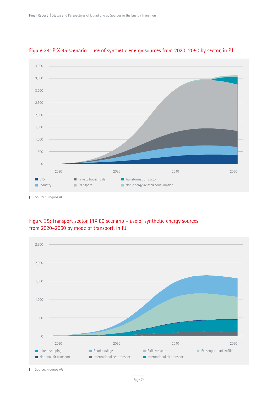

## Figure 34: PtX 95 scenario – use of synthetic energy sources from 2020–2050 by sector, in PJ

Figure 35: Transport sector, PtX 80 scenario – use of synthetic energy sources from 2020–2050 by mode of transport, in PJ



Source: Prognos AG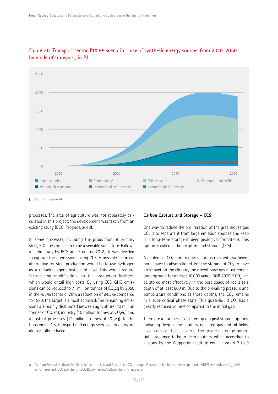

## Figure 36: Transport sector, PtX 95 scenario – use of synthetic energy sources from 2020–2050 by mode of transport, in PJ

Source: Prognos AG

processes. The area of agriculture was not separately calculated in this project; the development was taken from an existing study (BCG, Prognos, 2018).

In some processes, including the production of primary steel, PtX does not seem to be a sensible substitute. Following the study by BCG and Prognos (2018), it was decided to capture these emissions using CCS. A possible technical alternative for steel production would be to use hydrogen as a reducing agent instead of coal. This would require far-reaching modifications to the production facilities, which would entail high costs. By using CCS, GHG emissions can be reduced to 71 million tonnes of CO<sub>2</sub>eq by 2050 in the -95% scenario. With a reduction of 94.3% compared to 1990, the target is almost achieved. The remaining emissions are mainly distributed between agriculture (40 million tonnes of  $CO_2$ eq), industry (10 million tonnes of  $CO_2$ eq) and industrial processes (12 million tonnes of  $CO_2$ eq). In the household, CTS, transport and energy sectors, emissions are almost fully reduced.

#### **Carbon Capture and Storage – CCS**

One way to reduce the proliferation of the greenhouse gas CO<sub>2</sub> is to separate it from large emission sources and keep it in long-term storage in deep geological formations. This option is called carbon capture and storage (CCS).

A geological  $CO<sub>2</sub>$  store requires porous rock with sufficient pore space to absorb liquid. For the storage of  $CO<sub>2</sub>$  to have an impact on the climate, the greenhouse gas must remain underground for at least 10,000 years (BGR 2009). $8$  CO<sub>2</sub> can be stored most effectively in the pore space of rocks at a depth of at least 800 m. Due to the prevailing pressure and temperature conditions at these depths, the  $CO<sub>2</sub>$  remains in a supercritical phase state. This quasi-liquid  $CO<sub>2</sub>$  has a greatly reduced volume compared to the initial gas.

There are a number of different geological storage options, including deep saline aquifers, depleted gas and oil fields, coal seams and salt caverns. The greatest storage potential is assumed to be in deep aquifers, which according to a study by the Wuppertal Institute could contain 2 to 9

8 German Federal Institute for Geosciences and Natural Resources: CO<sub>2</sub> storage (German only), https://www.bgr.bund.de/DE/Themen/Nutzung\_tieferer\_Untergrund\_CO2Speicherung/CO2Speicherung/co2speicherung\_node.html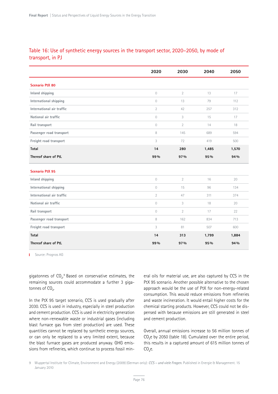## Table 16: Use of synthetic energy sources in the transport sector, 2020–2050, by mode of transport, in PJ

|                           | 2020           | 2030           | 2040  | 2050  |
|---------------------------|----------------|----------------|-------|-------|
| <b>Scenario PtX 80</b>    |                |                |       |       |
| Inland shipping           | 0              | $\overline{2}$ | 13    | 17    |
| International shipping    | 0              | 13             | 79    | 112   |
| International air traffic | $\overline{2}$ | 42             | 257   | 312   |
| National air traffic      | 0              | 3              | 15    | 17    |
| Rail transport            | 0              | $\overline{2}$ | 14    | 18    |
| Passenger road transport  | 8              | 145            | 689   | 594   |
| Freight road transport    | 3              | 72             | 419   | 500   |
| Total                     | 14             | 280            | 1,485 | 1,570 |
| Thereof share of PtL      | 99%            | 97%            | 95%   | 94%   |
| <b>Scenario PtX 95</b>    |                |                |       |       |
| Inland shipping           | 0              | $\overline{2}$ | 16    | 20    |
| International shipping    | $\overline{0}$ | 15             | 96    | 134   |
| International air traffic | $\overline{2}$ | 47             | 311   | 374   |
| National air traffic      | 0              | 3              | 18    | 20    |
| Rail transport            | $\overline{0}$ | $\overline{2}$ | 17    | 22    |
| Passenger road transport  | 8              | 162            | 834   | 713   |
| Freight road transport    | 3              | 81             | 507   | 600   |
| <b>Total</b>              | 14             | 313            | 1,799 | 1,884 |
| Thereof share of PtL      | 99%            | 97%            | 95%   | 94%   |

**I** Source: Prognos AG

gigatonnes of  $CO<sub>2</sub>$ . $^{\circ}$  Based on conservative estimates, the remaining sources could accommodate a further 3 gigatonnes of  $CO<sub>2</sub>$ .

In the PtX 95 target scenario, CCS is used gradually after 2030. CCS is used in industry, especially in steel production and cement production. CCS is used in electricity generation where non-renewable waste or industrial gases (including blast furnace gas from steel production) are used. These quantities cannot be replaced by synthetic energy sources, or can only be replaced to a very limited extent, because the blast furnace gases are produced anyway. GHG emissions from refineries, which continue to process fossil mineral oils for material use, are also captured by CCS in the PtX 95 scenario. Another possible alternative to the chosen approach would be the use of PtX for non-energy-related consumption. This would reduce emissions from refineries and waste incineration. It would entail higher costs for the chemical starting products. However, CCS could not be dispensed with because emissions are still generated in steel and cement production.

Overall, annual emissions increase to 56 million tonnes of CO<sub>2</sub>e by 2050 (table 18). Cumulated over the entire period, this results in a captured amount of 615 million tonnes of  $CO<sub>2</sub>e$ .

<sup>9</sup> Wuppertal Institute for Climate, Environment and Energy (2009) (German only): *CCS – und viele Fragen.* Published in Energie & Management. 15 January 2010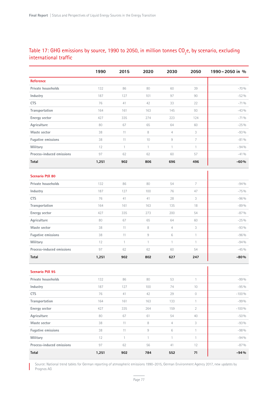## Table 17: GHG emissions by source, 1990 to 2050, in million tonnes  $\mathsf{CO}_\mathrm{_2}$ e, by scenario, excluding international traffic

|                           | 1990  | 2015           | 2020               | 2030           | 2050           | 1990-2050 in % |
|---------------------------|-------|----------------|--------------------|----------------|----------------|----------------|
| <b>Reference</b>          |       |                |                    |                |                |                |
| Private households        | 132   | 86             | 80                 | 60             | 39             | $-70%$         |
| Industry                  | 187   | 127            | 101                | 97             | 90             | $-52%$         |
| <b>CTS</b>                | 76    | 41             | 42                 | 33             | 22             | $-71%$         |
| Transportation            | 164   | 161            | 163                | 145            | 93             | $-43%$         |
| Energy sector             | 427   | 335            | 274                | 223            | 124            | $-71%$         |
| Agriculture               | 80    | 67             | 65                 | 64             | 60             | $-25%$         |
| Waste sector              | 38    | 11             | 8                  | $\overline{4}$ | 3              | $-93%$         |
| <b>Fugative emissions</b> | 38    | 11             | 10                 | $\,9$          | $\overline{7}$ | $-81%$         |
| Military                  | 12    | $\mathbf{1}$   | $\mathbf{1}$       | $\mathbf{1}$   | $\mathbf{1}$   | $-94%$         |
| Process-induced emissions | 97    | 62             | 62                 | 60             | 57             | $-41%$         |
| Total                     | 1,251 | 902            | 806                | 696            | 496            | $-60%$         |
| <b>Scenario PtX 80</b>    |       |                |                    |                |                |                |
| Private households        | 132   | 86             | 80                 | 54             | 7              | $-94%$         |
| Industry                  | 187   | 127            | 100                | 76             | 47             | $-75%$         |
| <b>CTS</b>                | 76    | 41             | 41                 | 28             | 3              | $-96%$         |
| Transportation            | 164   | 161            | 163                | 135            | 18             | $-89%$         |
| Energy sector             | 427   | 335            | 273                | 200            | 54             | $-87%$         |
| Agriculture               | 80    | 67             | 65                 | 64             | 60             | $-25%$         |
| Waste sector              | 38    | 11             | 8                  | $\overline{4}$ | 3              | $-93%$         |
| <b>Fugative emissions</b> | 38    | 11             | $\hbox{ }^{\rm 9}$ | $\,6$          | $\mathbf{1}$   | $-96%$         |
| Military                  | 12    | $\mathbf{1}$   | $\mathbf{1}$       | $\mathbf{1}$   | $\mathbf{1}$   | $-94%$         |
| Process-induced emissions | 97    | 62             | 62                 | 60             | 54             | $-45%$         |
| Total                     | 1,251 | 902            | 802                | 627            | 247            | $-80%$         |
| <b>Scenario PtX 95</b>    |       |                |                    |                |                |                |
| Private households        | 132   | 86             | 80                 | 53             | $\mathbf{1}$   | $-99%$         |
| Industry                  | 187   | 127            | 100                | 74             | $10\,$         | $-95\%$        |
| <b>CTS</b>                | 76    | 41             | 42                 | 29             | $\bigcirc$     | $-100%$        |
| Transportation            | 164   | 161            | 163                | 133            | $\mathbf{1}$   | $-99%$         |
| Energy sector             | 427   | 335            | 264                | 159            | $\overline{2}$ | $-100%$        |
| Agriculture               | 80    | 67             | 61                 | 54             | 40             | $-50%$         |
| Waste sector              | 38    | 11             | 8                  | $\overline{4}$ | 3              | $-93%$         |
| <b>Fugative emissions</b> | 38    | 11             | $\hbox{ }^{\rm 9}$ | $\,6$          | $\mathbf{1}$   | $-98%$         |
| Military                  | 12    | $\overline{1}$ | $\mathbf{1}$       | $\mathbf{1}$   | $\mathbf{1}$   | $-94%$         |
| Process-induced emissions | 97    | 62             | 56                 | 41             | 12             | $-87%$         |
| Total                     | 1,251 | 902            | 784                | 552            | ${\bf 71}$     | $-94%$         |

Source: National trend tables for German reporting of atmospheric emissions 1990–2015, German Environment Agency 2017, new updates by Prognos AG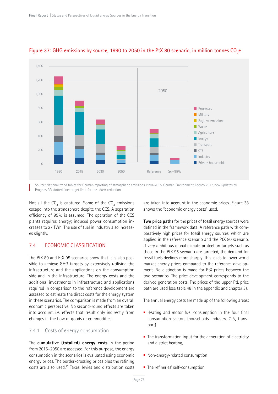

#### Figure 37: GHG emissions by source, 1990 to 2050 in the PtX 80 scenario, in million tonnes  $CO<sub>2</sub>e$

Source: National trend tables for German reporting of atmospheric emissions 1990–2015, German Environment Agency 2017, new updates by Prognos AG, dotted line: target limit for the -80% reduction

Not all the  $CO<sub>2</sub>$  is captured. Some of the  $CO<sub>2</sub>$  emissions escape into the atmosphere despite the CCS. A separation efficiency of 95% is assumed. The operation of the CCS plants requires energy; induced power consumption increases to 27 TWh. The use of fuel in industry also increases slightly.

## 7.4 ECONOMIC CLASSIFICATION

The PtX 80 and PtX 95 scenarios show that it is also possible to achieve GHG targets by extensively utilising the infrastructure and the applications on the consumption side and in the infrastructure. The energy costs and the additional investments in infrastructure and applications required in comparison to the reference development are assessed to estimate the direct costs for the energy system in these scenarios. The comparison is made from an overall economic perspective. No second-round effects are taken into account, i.e. effects that result only indirectly from changes in the flow of goods or commodities.

#### 7.4.1 Costs of energy consumption

The **cumulative (totalled) energy costs** in the period from 2015–2050 are assessed. For this purpose, the energy consumption in the scenarios is evaluated using economic energy prices. The border-crossing prices plus the refining costs are also used.10 Taxes, levies and distribution costs

are taken into account in the economic prices. Figure 38 shows the "economic energy costs" used.

**Two price paths** for the prices of fossil energy sources were defined in the framework data. A reference path with comparatively high prices for fossil energy sources, which are applied in the reference scenario and the PtX 80 scenario. If very ambitious global climate protection targets such as those in the PtX 95 scenario are targeted, the demand for fossil fuels declines more sharply. This leads to lower world market energy prices compared to the reference development. No distinction is made for PtX prices between the two scenarios. The price development corresponds to the derived generation costs. The prices of the upper PtL price path are used (see table 48 in the appendix and chapter 3).

The annual energy costs are made up of the following areas:

- $\blacksquare$  Heating and motor fuel consumption in the four final consumption sectors (households, industry, CTS, transport)
- The transformation input for the generation of electricity and district heating,
- Non-energy-related consumption
- The refineries' self-consumption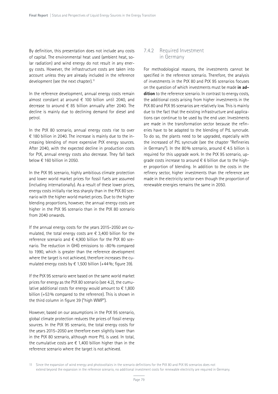By definition, this presentation does not include any costs of capital. The environmental heat used (ambient heat, solar radiation) and wind energy do not result in any energy costs. However, the infrastructure costs are taken into account unless they are already included in the reference development (see the next chapter).<sup>11</sup>

In the reference development, annual energy costs remain almost constant at around € 100 billion until 2040, and decrease to around  $\epsilon$  85 billion annually after 2040. The decline is mainly due to declining demand for diesel and petrol.

In the PtX 80 scenario, annual energy costs rise to over € 180 billion in 2040. The increase is mainly due to the increasing blending of more expensive PtX energy sources. After 2040, with the expected decline in production costs for PtX, annual energy costs also decrease. They fall back below  $\epsilon$  160 billion in 2050.

In the PtX 95 scenario, highly ambitious climate protection and lower world market prices for fossil fuels are assumed (including internationally). As a result of these lower prices, energy costs initially rise less sharply than in the PtX 80 scenario with the higher world market prices. Due to the higher blending proportions, however, the annual energy costs are higher in the PtX 95 scenario than in the PtX 80 scenario from 2040 onwards.

If the annual energy costs for the years 2015–2050 are cumulated, the total energy costs are  $\epsilon$  3,400 billion for the reference scenario and  $\epsilon$  4,900 billion for the PtX 80 scenario. The reduction in GHG emissions to -80% compared to 1990, which is greater than the reference development where the target is not achieved, therefore increases the cumulated energy costs by  $\epsilon$  1,500 billion (+44%; figure 39).

If the PtX 95 scenario were based on the same world market prices for energy as the PtX 80 scenario (see 4.2), the cumulative additional costs for energy would amount to  $\epsilon$  1,800 billion (+53% compared to the reference). This is shown in the third column in figure 39 ("high WMP").

However, based on our assumptions in the PtX 95 scenario, global climate protection reduces the prices of fossil energy sources. In the PtX 95 scenario, the total energy costs for the years 2015–2050 are therefore even slightly lower than in the PtX 80 scenario, although more PtL is used. In total, the cumulative costs are  $\epsilon$  1,400 billion higher than in the reference scenario where the target is not achieved.

## 7.4.2 Required Investment in Germany

For methodological reasons, the investments cannot be specified in the reference scenario. Therefore, the analysis of investments in the PtX 80 and PtX 95 scenarios focuses on the question of which investments must be made **in addition** to the reference scenario. In contrast to energy costs, the additional costs arising from higher investments in the PtX 80 and PtX 95 scenarios are relatively low. This is mainly due to the fact that the existing infrastructure and applications can continue to be used by the end user. Investments are made in the transformation sector because the refineries have to be adapted to the blending of PtL syncrude. To do so, the plants need to be upgraded, especially with the increased of PtL syncrude (see the chapter "Refineries in Germany"). In the 80% scenario, around  $\epsilon$  4.5 billion is required for this upgrade work. In the PtX 95 scenario, upgrade costs increase to around  $\epsilon$  6 billion due to the higher proportion of blending. In addition to the costs in the refinery sector, higher investments than the reference are made in the electricity sector even though the proportion of renewable energies remains the same in 2050.

<sup>11</sup> Since the expansion of wind energy and photovoltaics in the scenario definitions for the PtX 80 and PtX 95 scenarios does not extend beyond the expansion in the reference scenario, no additional investment costs for renewable electricity are required in Germany.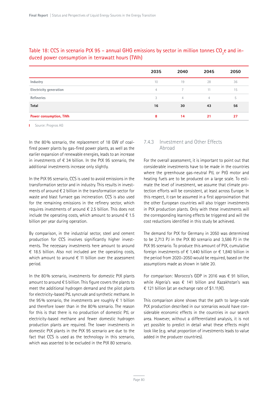|                               | 2035           | 2040           | 2045           | 2050 |
|-------------------------------|----------------|----------------|----------------|------|
| Industry                      | 10             | 19             | 28             | 36   |
| <b>Electricity generation</b> | $\overline{4}$ | $\overline{7}$ | 11             | 15   |
| Refineries                    | 3              | $\overline{4}$ | $\overline{4}$ | 5    |
| Total                         | 16             | 30             | 43             | 56   |
| <b>Power consumption, TWh</b> | 8              | 14             | 21             | 27   |

## Table 18: CCS in scenario PtX 95 – annual GHG emissions by sector in million tonnes CO<sub>2</sub>e and induced power consumption in terrawatt hours (TWh)

**I** Source: Prognos AG

In the 80% scenario, the replacement of 18 GW of coalfired power plants by gas-fired power plants, as well as the earlier expansion of renewable energies, leads to an increase in investments of  $\epsilon$  34 billion. In the PtX 95 scenario, the additional investments increase only slightly.

In the PtX 95 scenario, CCS is used to avoid emissions in the transformation sector and in industry. This results in investments of around € 2 billion in the transformation sector for waste and blast furnace gas incineration. CCS is also used for the remaining emissions in the refinery sector, which requires investments of around  $\epsilon$  2.5 billion. This does not include the operating costs, which amount to around  $\epsilon$  1.5 billion per year during operation.

By comparison, in the industrial sector, steel and cement production for CCS involves significantly higher investments. The necessary investments here amount to around € 18.5 billion. Also not included are the operating costs, which amount to around  $\epsilon$  11 billion over the assessment period.

In the 80% scenario, investments for domestic PtX plants amount to around  $\epsilon$  5 billion. This figure covers the plants to meet the additional hydrogen demand and the pilot plants for electricity-based PtL syncrude and synthetic methane. In the 95% scenario, the investments are roughly  $\epsilon$  1 billion and therefore lower than in the 80% scenario. The reason for this is that there is no production of domestic PtL or electricity-based methane and fewer domestic hydrogen production plants are required. The lower investments in domestic PtX plants in the PtX 95 scenario are due to the fact that CCS is used as the technology in this scenario, which was asserted to be excluded in the PtX 80 scenario.

#### 7.4.3 Investment and Other Effects Abroad

For the overall assessment, it is important to point out that considerable investments have to be made in the countries where the greenhouse gas-neutral PtL or PtG motor and heating fuels are to be produced on a large scale. To estimate the level of investment, we assume that climate protection efforts will be consistent, at least across Europe. In this respect, it can be assumed in a first approximation that the other European countries will also trigger investments in PtX production plants. Only with these investments will the corresponding learning effects be triggered and will the cost reductions identified in this study be achieved.

The demand for PtX for Germany in 2050 was determined to be 2,713 PJ in the PtX 80 scenario and 3,586 PJ in the PtX 95 scenario. To produce this amount of PtX, cumulative foreign investments of  $\epsilon$  1,440 billion or  $\epsilon$  1,840 billion in the period from 2020–2050 would be required, based on the assumptions made as shown in table 20.

For comparison: Morocco's GDP in 2016 was € 91 billion, while Algeria's was € 141 billion and Kazakhstan's was € 121 billion (at an exchange rate of \$1.11/€).

This comparison alone shows that the path to large-scale PtX production described in our scenarios would have considerable economic effects in the countries in our search area. However, without a differentiated analysis, it is not yet possible to predict in detail what these effects might look like (e.g. what proportion of investments leads to value added in the producer countries).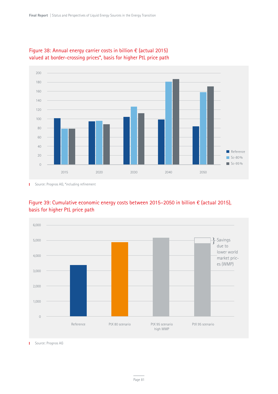



T. Source: Prognos AG, \*including refinement



## Figure 39: Cumulative economic energy costs between 2015–2050 in billion € (actual 2015), basis for higher PtL price path

**I** Source: Prognos AG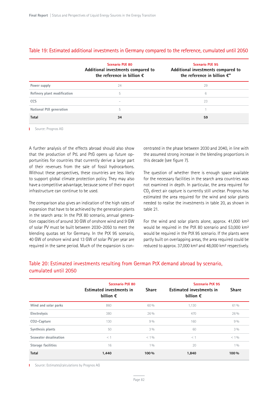|                             | Scenario PtX 80<br>Additional investments compared to<br>the reference in billion $\epsilon$ | <b>Scenario PtX 95</b><br>Additional investments compared to<br>the reference in billion $\mathbf{f}$ " |
|-----------------------------|----------------------------------------------------------------------------------------------|---------------------------------------------------------------------------------------------------------|
| Power supply                | 24                                                                                           | 29                                                                                                      |
| Refinery plant modification | 5                                                                                            | 6                                                                                                       |
| <b>CCS</b>                  |                                                                                              | 23                                                                                                      |
| National PtX generation     | 5                                                                                            |                                                                                                         |
| <b>Total</b>                | 34                                                                                           | 59                                                                                                      |

#### Table 19: Estimated additional investments in Germany compared to the reference, cumulated until 2050

**I** Source: Prognos AG

A further analysis of the effects abroad should also show that the production of PtL and PtG opens up future opportunities for countries that currently derive a large part of their revenues from the sale of fossil hydrocarbons. Without these perspectives, these countries are less likely to support global climate protection policy. They may also have a competitive advantage, because some of their export infrastructure can continue to be used.

The comparison also gives an indication of the high rates of expansion that have to be achieved by the generation plants in the search area: In the PtX 80 scenario, annual generation capacities of around 30 GW of onshore wind and 9 GW of solar PV must be built between 2030–2050 to meet the blending quotas set for Germany. In the PtX 95 scenario, 40 GW of onshore wind and 13 GW of solar PV per year are required in the same period. Much of the expansion is concentrated in the phase between 2030 and 2040, in line with the assumed strong increase in the blending proportions in this decade (see figure 7).

The question of whether there is enough space available for the necessary facilities in the search area countries was not examined in depth. In particular, the area required for  $CO<sub>2</sub>$  direct air capture is currently still unclear. Prognos has estimated the area required for the wind and solar plants needed to realise the investments in table 20, as shown in table 21.

For the wind and solar plants alone, approx. 41,000 km<sup>2</sup> would be required in the PtX 80 scenario and 53,000 km² would be required in the PtX 95 scenario. If the plants were partly built on overlapping areas, the area required could be reduced to approx. 37,000 km² and 48,000 km² respectively.

## Table 20: Estimated investments resulting from German PtX demand abroad by scenario, cumulated until 2050

|                           | Szcenario PtX 80                               |                | Szcenario PtX 95                               |                |  |  |
|---------------------------|------------------------------------------------|----------------|------------------------------------------------|----------------|--|--|
|                           | Estimated investments in<br>billion $\epsilon$ | <b>Share</b>   | Estimated investments in<br>billion $\epsilon$ | <b>Share</b>   |  |  |
| Wind and solar parks      | 860                                            | 60 %           | 1,130                                          | 61%            |  |  |
| Electrolysis              | 380                                            | 26%            | 470                                            | 26%            |  |  |
| CO2-Capture               | 130                                            | 9%             | 160                                            | 9%             |  |  |
| Synthesis plants          | 50                                             | 3%             | 60                                             | $3\%$          |  |  |
| Seawater desalination     | $<$ 1                                          | < 10/0         | $<$ 1                                          | $< 1\%$        |  |  |
| <b>Storage facilities</b> | 16                                             | 1 <sub>0</sub> | 20                                             | 1 <sub>0</sub> |  |  |
| <b>Total</b>              | 1,440                                          | 100 %          | 1,840                                          | 100 %          |  |  |

**I** Source: Estimates/calculations by Prognos AG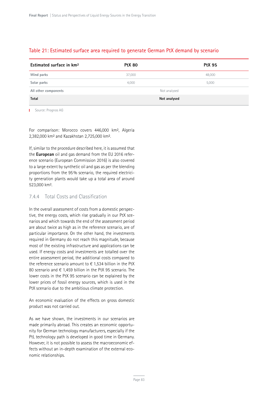## Table 21: Estimated surface area required to generate German PtX demand by scenario

| Estimated surface in km <sup>2</sup> | <b>PtX 80</b> | <b>PtX 95</b> |
|--------------------------------------|---------------|---------------|
| Wind parks                           | 37,000        | 48,000        |
| Solar parks                          | 4,000         | 5,000         |
| All other components                 |               | Not analysed  |
| Total                                |               | Not analysed  |

**I** Source: Prognos AG

For comparison: Morocco covers 446,000 km², Algeria 2,382,000 km² and Kazakhstan 2,725,000 km².

If, similar to the procedure described here, it is assumed that the **European** oil and gas demand from the EU 2016 reference scenario (European Commission 2016) is also covered to a large extent by synthetic oil and gas as per the blending proportions from the 95% scenario, the required electricity generation plants would take up a total area of around 523,000 km².

#### 7.4.4 Total Costs and Classification

In the overall assessment of costs from a domestic perspective, the energy costs, which rise gradually in our PtX scenarios and which towards the end of the assessment period are about twice as high as in the reference scenario, are of particular importance. On the other hand, the investments required in Germany do not reach this magnitude, because most of the existing infrastructure and applications can be used. If energy costs and investments are totalled over the entire assessment period, the additional costs compared to the reference scenario amount to  $\epsilon$  1,534 billion in the PtX 80 scenario and € 1,459 billion in the PtX 95 scenario. The lower costs in the PtX 95 scenario can be explained by the lower prices of fossil energy sources, which is used in the PtX scenario due to the ambitious climate protection.

An economic evaluation of the effects on gross domestic product was not carried out.

As we have shown, the investments in our scenarios are made primarily abroad. This creates an economic opportunity for German technology manufacturers, especially if the PtL technology path is developed in good time in Germany. However, it is not possible to assess the macroeconomic effects without an in-depth examination of the external economic relationships.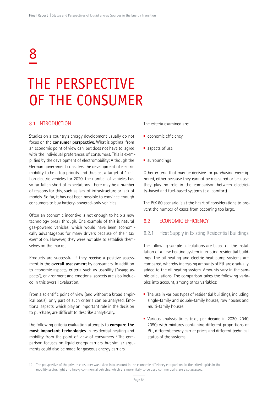# 8

## THE PERSPECTIVE OF THE CONSUMER

#### 8.1 INTRODUCTION

Studies on a country's energy development usually do not focus on the **consumer perspective**. What is optimal from an economic point of view can, but does not have to, agree with the individual preferences of consumers. This is exemplified by the development of electromobility: Although the German government considers the development of electric mobility to be a top priority and thus set a target of 1 million electric vehicles for 2020, the number of vehicles has so far fallen short of expectations. There may be a number of reasons for this, such as lack of infrastructure or lack of models. So far, it has not been possible to convince enough consumers to buy battery-powered-only vehicles.

Often an economic incentive is not enough to help a new technology break through. One example of this is natural gas-powered vehicles, which would have been economically advantageous for many drivers because of their tax exemption. However, they were not able to establish themselves on the market.

Products are successful if they receive a positive assessment in the **overall assessment** by consumers. In addition to economic aspects, criteria such as usability ("usage aspects"), environment and emotional aspects are also included in this overall evaluation.

From a scientific point of view (and without a broad empirical basis), only part of such criteria can be analysed. Emotional aspects, which play an important role in the decision to purchase, are difficult to describe analytically.

The following criteria evaluation attempts to **compare the most important technologies** in residential heating and mobility from the point of view of consumers <sup>12</sup> The comparison focuses on liquid energy carriers, but similar arguments could also be made for gaseous energy carriers.

The criteria examined are:

- $\blacksquare$  economic efficiency
- aspects of use
- surroundings

Other criteria that may be decisive for purchasing were ignored, either because they cannot be measured or because they play no role in the comparison between electricity-based and fuel-based systems (e.g. comfort).

The PtX 80 scenario is at the heart of considerations to prevent the number of cases from becoming too large.

#### 8.2 ECONOMIC EFFICIENCY

#### 8.2.1 Heat Supply in Existing Residential Buildings

The following sample calculations are based on the installation of a new heating system in existing residential buildings. The oil heating and electric heat pump systems are compared, whereby increasing amounts of PtL are gradually added to the oil heating system. Amounts vary in the sample calculations. The comparison takes the following variables into account, among other variables:

- $\blacksquare$  The use in various types of residential buildings, including single-family and double-family houses, row houses and multi-family houses
- Various analysis times (e.g., per decade in 2030, 2040, 2050) with mixtures containing different proportions of PtL, different energy carrier prices and different technical status of the systems

<sup>12</sup> The perspective of the private consumer was taken into account in the economic efficiency comparison. In the criteria grids in the mobility sector, light and heavy commercial vehicles, which are more likely to be used commercially, are also assessed.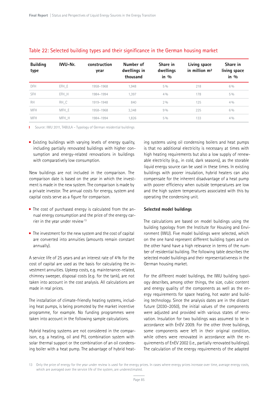| <b>Building</b><br>type | IWU-Nr. | construction<br>year | Number of<br>dwellings in<br>thousand | Share in<br>dwellings<br>in $\frac{0}{0}$ | Living space<br>in million m <sup>2</sup> | Share in<br>living space<br>in $\frac{0}{0}$ |
|-------------------------|---------|----------------------|---------------------------------------|-------------------------------------------|-------------------------------------------|----------------------------------------------|
| DFH                     | EFH E   | 1958-1968            | 1,948                                 | $5\%$                                     | 218                                       | $6\%$                                        |
| SFH                     | EFH H   | 1984-1994            | 1,397                                 | 4%                                        | 178                                       | $5\%$                                        |
| <b>RH</b>               | RH C    | 1919-1948            | 840                                   | $2\%$                                     | 125                                       | 4%                                           |
| <b>MFH</b>              | MFH E   | 1958-1968            | 3,348                                 | 9%                                        | 225                                       | $6\%$                                        |
| <b>MFH</b>              | MFH H   | 1984-1994            | 1,826                                 | $5\%$                                     | 133                                       | 4%                                           |
|                         |         |                      |                                       |                                           |                                           |                                              |

#### Table 22: Selected building types and their significance in the German housing market

I Source: IWU 2011, TABULA – Typology of German residential buildings

Existing buildings with varying levels of energy quality, including partially renovated buildings with higher consumption and energy-related renovations in buildings with comparatively low consumption.

New buildings are not included in the comparison. The comparison date is based on the year in which the investment is made in the new system. The comparison is made by a private investor. The annual costs for energy, system and capital costs serve as a figure for comparison.

- The cost of purchased energy is calculated from the annual energy consumption and the price of the energy carrier in the year under review<sup>13</sup>
- $\blacksquare$  The investment for the new system and the cost of capital are converted into annuities (amounts remain constant annually).

A service life of 25 years and an interest rate of 4% for the cost of capital are used as the basis for calculating the investment annuities. Upkeep costs, e.g. maintenance-related, chimney sweeper, disposal costs (e.g. for the tank), are not taken into account in the cost analysis. All calculations are made in real prices.

The installation of climate-friendly heating systems, including heat pumps, is being promoted by the market incentive programme, for example. No funding programmes were taken into account in the following sample calculations.

Hybrid heating systems are not considered in the comparison, e.g. a heating, oil and PtL combination system with solar thermal support or the combination of an oil condensing boiler with a heat pump. The advantage of hybrid heating systems using oil condensing boilers and heat pumps is that no additional electricity is necessary at times with high heating requirements but also a low supply of renewable electricity (e.g., in cold, dark seasons), as the storable liquid energy source can be used in these times. In existing buildings with poorer insulation, hybrid heaters can also compensate for the inherent disadvantage of a heat pump with poorer efficiency when outside temperatures are low and the high system temperatures associated with this by operating the condensing unit.

#### **Selected model buildings**

The calculations are based on model buildings using the building typology from the Institute for Housing and Environment (IWU). Five model buildings were selected, which on the one hand represent different building types and on the other hand have a high relevance in terms of the number of residential building. The following table describes the selected model buildings and their representativeness in the German housing market.

For the different model buildings, the IWU building typology describes, among other things, the size, cubic content and energy quality of the components as well as the energy requirements for space heating, hot water and building technology. Since the analysis dates are in the distant future (2030–2050), the initial values of the components were adjusted and provided with various states of renovation. Insulation for two buildings was assumed to be in accordance with EnEV 2009. For the other three buildings, some components were left in their original condition. while others were renovated in accordance with the requirements of EnEV 2002 (i.e., partially renovated buildings). The calculation of the energy requirements of the adapted

<sup>13</sup> Only the price of energy for the year under review is used for the energy prices. In cases where energy prices increase over time, average energy costs, which are averaged over the service life of the system, are underestimated.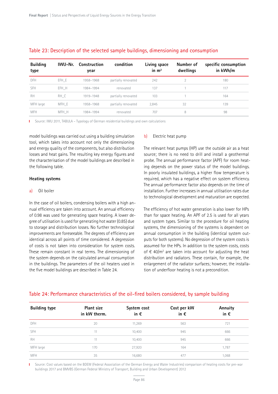| <b>Building</b><br>type | IWU-Nr. | Construction<br>year | condition           | Living space<br>in $m2$ | Number of<br>dwellings | specific consumption<br>in kWh/m |
|-------------------------|---------|----------------------|---------------------|-------------------------|------------------------|----------------------------------|
| <b>DFH</b>              | EFH E   | 1958-1968            | partially renovated | 242                     | $\overline{2}$         | 180                              |
| SFH                     | EFH H   | 1984-1994            | renovated           | 137                     |                        | 117                              |
| <b>RH</b>               | RH C    | 1919-1948            | partially renovated | 103                     |                        | 164                              |
| MFH large               | MFH E   | 1958-1968            | partially renovated | 2,845                   | 32                     | 139                              |
| <b>MFH</b>              | MFH H   | 1984-1994            | renovated           | 707                     | 8                      | 98                               |

#### Table 23: Description of the selected sample buildings, dimensioning and consumption

Source: IWU 2011, TABULA – Typology of German residential buildings and own calculations

model buildings was carried out using a building simulation tool, which takes into account not only the dimensioning and energy quality of the components, but also distribution losses and heat gains. The resulting key energy figures and the characterisation of the model buildings are described in the following table.

#### **Heating systems**

#### a) Oil boiler

In the case of oil boilers, condensing boilers with a high annual efficiency are taken into account. An annual efficiency of 0.98 was used for generating space heating. A lower degree of utilisation is used for generating hot water (0.85) due to storage and distribution losses. No further technological improvements are foreseeable. The degrees of efficiency are identical across all points of time considered. A degression of costs is not taken into consideration for system costs. These remain constant in real terms. The dimensioning of the system depends on the calculated annual consumption in the buildings. The parameters of the oil heaters used in the five model buildings are described in Table 24.

#### b) Electric heat pump

The relevant heat pumps (HP) use the outside air as a heat source; there is no need to drill and install a geothermal probe. The annual performance factor (APF) for room heating depends on the power status of the model buildings. In poorly insulated buildings, a higher flow temperature is required, which has a negative effect on system efficiency. The annual performance factor also depends on the time of installation. Further increases in annual utilisation rates due to technological development and maturation are expected.

The efficiency of hot water generation is also lower for HPs than for space heating. An APF of 2.5 is used for all years and system types. Similar to the procedure for oil heating systems, the dimensioning of the systems is dependent on annual consumption in the building (identical system outputs for both systems). No degression of the system costs is assumed for the HPs. In addition to the system costs, costs of  $\epsilon$  40/m<sup>2</sup> are taken into account for adjusting the heat distribution and radiators. These contain, for example, the enlargement of the radiator surfaces; however, the installation of underfloor heating is not a precondition.

| <b>Building type</b> | <b>Plant size</b><br>in kW therm. | System cost<br>in $\epsilon$ | Cost per kW<br>in $\epsilon$ | Annuity<br>in $\epsilon$ |
|----------------------|-----------------------------------|------------------------------|------------------------------|--------------------------|
| DFH                  | 20                                | 11,269                       | 563                          | 721                      |
| SFH                  | 11                                | 10,400                       | 945                          | 666                      |
| <b>RH</b>            | 11                                | 10,400                       | 945                          | 666                      |
| MFH large            | 170                               | 27,920                       | 164                          | 1,787                    |
| <b>MFH</b>           | 35                                | 16,680                       | 477                          | 1,068                    |

#### Table 24: Performance characteristics of the oil-fired boilers considered, by sample building

Source: Cost values based on the BDEW (Federal Association of the German Energy and Water Industries) comparison of heating costs for pre-war T. buildings 2017 and BMVBS (German Federal Ministry of Transport, Building and Urban Development) 2012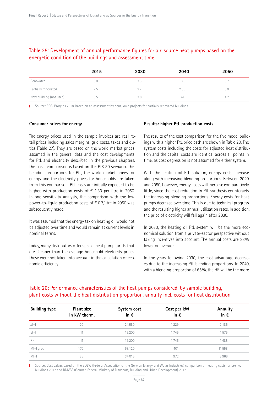## Table 25: Development of annual performance figures for air-source heat pumps based on the energetic condition of the buildings and assessment time

|                         | 2015 | 2030 | 2040 | 2050 |
|-------------------------|------|------|------|------|
| Renovated               | 3.0  | 3.3  | 3.5  |      |
| Partially renovated     | 2.5  | 2.7  | 2.85 | 3.0  |
| New building (not used) | 3.5  | 3.8  | 4.C  | 4.2  |

I Source: BCG, Prognos 2018, based on an assessment by dena, own projects for partially renovated buildings

#### **Consumer prices for energy**

The energy prices used in the sample invoices are real retail prices including sales margins, grid costs, taxes and duties (Table 27). They are based on the world market prices assumed in the general data and the cost developments for PtL and electricity described in the previous chapters. The basic comparison is based on the PtX 80 scenario. The blending proportions for PtL, the world market prices for energy and the electricity prices for households are taken from this comparison. PtL costs are initially expected to be higher, with production costs of  $\epsilon$  1.33 per litre in 2050. In one sensitivity analysis, the comparison with the low power-to-liquid production costs of € 0.7/litre in 2050 was subsequently made.

It was assumed that the energy tax on heating oil would not be adjusted over time and would remain at current levels in nominal terms.

Today, many distributors offer special heat pump tariffs that are cheaper than the average household electricity prices. These were not taken into account in the calculation of economic efficiency.

#### **Results: higher PtL production costs**

The results of the cost comparison for the five model buildings with a higher PtL price path are shown in Table 28. The system costs including the costs for adjusted heat distribution and the capital costs are identical across all points in time, as cost degression is not assumed for either system.

With the heating oil PtL solution, energy costs increase along with increasing blending proportions. Between 2040 and 2050, however, energy costs will increase comparatively little, since the cost reduction in PtL synthesis counteracts the increasing blending proportions. Energy costs for heat pumps decrease over time. This is due to technical progress and the resulting higher annual utilisation rates. In addition, the price of electricity will fall again after 2030.

In 2030, the heating oil PtL system will be the more economical solution from a private-sector perspective without taking incentives into account. The annual costs are 23% lower on average.

In the years following 2030, the cost advantage decreases due to the increasing PtL blending proportions. In 2040, with a blending proportion of 65%, the HP will be the more

| <b>Building type</b> | Plant size<br>in kW therm. | System cost<br>in $\epsilon$ | Cost per kW<br>in $\epsilon$ | Annuity<br>in $\epsilon$ |
|----------------------|----------------------------|------------------------------|------------------------------|--------------------------|
| ZFH                  | 20                         | 24,580                       | 1,229                        | 2,186                    |
| EFH                  | 11                         | 19,200                       | 1,745                        | 1,575                    |
| <b>RH</b>            | 11                         | 19,200                       | 1,745                        | 1,488                    |
| MFH groß             | 170                        | 68,120                       | 401                          | 11,558                   |
| <b>MFH</b>           | 35                         | 34,015                       | 972                          | 3,966                    |

## Table 26: Performance characteristics of the heat pumps considered, by sample building, plant costs without the heat distribution proportion, annuity incl. costs for heat distribution

Source: Cost values based on the BDEW (Federal Association of the German Energy and Water Industries) comparison of heating costs for pre-war buildings 2017 and BMVBS (German Federal Ministry of Transport, Building and Urban Development) 2012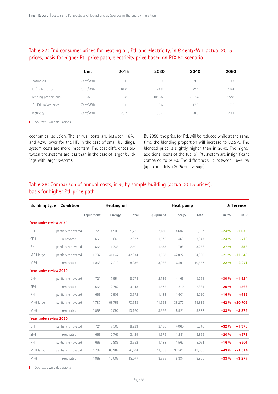## Table 27: End consumer prices for heating oil, PtL and electricity, in € cent/kWh, actual 2015 prices, basis for higher PtL price path, electricity price based on PtX 80 scenario

|                      | Unit     | 2015  | 2030  | 2040  | 2050  |
|----------------------|----------|-------|-------|-------|-------|
| Heating oil          | Cent/kWh | 6.0   | 8.9   | 9.5   | 9.3   |
| PtL (higher price)   | Cent/kWh | 64.0  | 24.8  | 22.1  | 19.4  |
| Blending proportions | 0/0      | $0\%$ | 10.9% | 65.1% | 82.5% |
| HEL-PtL-mixed price  | Cent/kWh | 6.0   | 10.6  | 17.8  | 17.6  |
| Electricity          | Cent/kWh | 28.7  | 30.7  | 28.5  | 29.1  |

**I** Source: Own calculations

economical solution. The annual costs are between 16% and 42% lower for the HP. In the case of small buildings, system costs are more important. The cost differences between the systems are less than in the case of larger buildings with larger systems.

By 2050, the price for PtL will be reduced while at the same time the blending proportion will increase to 82.5%. The blended price is slightly higher than in 2040. The higher additional costs of the fuel oil PtL system are insignificant compared to 2040. The differences lie between 16–43% (approximately +30% on average).

## Table 28: Comparison of annual costs, in  $\epsilon$ , by sample building (actual 2015 prices), basis for higher PtL price path

| <b>Building type</b>   | Condition          |           | Heating oil |        |           | Heat pump |        |                  | <b>Difference</b> |
|------------------------|--------------------|-----------|-------------|--------|-----------|-----------|--------|------------------|-------------------|
|                        |                    | Equipment | Energy      | Total  | Equipment | Energy    | Total  | in $\frac{0}{0}$ | in €              |
| Year under review 2030 |                    |           |             |        |           |           |        |                  |                   |
| <b>DFH</b>             | partialy renovated | 721       | 4,509       | 5,231  | 2,186     | 4,682     | 6,867  | $-24%$           | $-1,636$          |
| SFH                    | renovated          | 666       | 1,661       | 2,327  | 1,575     | 1,468     | 3,043  | $-24%$           | $-716$            |
| <b>RH</b>              | partialy renovated | 666       | 1,735       | 2,401  | 1,488     | 1,798     | 3,286  | $-27%$           | $-886$            |
| MFH large              | partialy renovated | 1,787     | 41,047      | 42,834 | 11,558    | 42,822    | 54,380 | $-21%$           | $-11,546$         |
| <b>MFH</b>             | renovated          | 1,068     | 7,219       | 8,286  | 3,966     | 6,591     | 10,557 | $-22%$           | $-2,271$          |
| Year under review 2040 |                    |           |             |        |           |           |        |                  |                   |
| <b>DFH</b>             | partialy renovated | 721       | 7,554       | 8,275  | 2,186     | 4,165     | 6,351  | $+30%$           | $+1,924$          |
| SFH                    | renovated          | 666       | 2,782       | 3,448  | 1,575     | 1,310     | 2,884  | $+20%$           | $+563$            |
| <b>RH</b>              | partialy renovated | 666       | 2,906       | 3,572  | 1,488     | 1,601     | 3,090  | $+16%$           | $+482$            |
| MFH large              | partialy renovated | 1,787     | 68,756      | 70,543 | 11,558    | 38,277    | 49,835 | $+42%$           | $+20,709$         |
| <b>MFH</b>             | renovated          | 1,068     | 12,092      | 13,160 | 3,966     | 5,921     | 9,888  | $+33%$           | $+3,272$          |
| Year under review 2050 |                    |           |             |        |           |           |        |                  |                   |
| <b>DFH</b>             | partialy renovated | 721       | 7,502       | 8,223  | 2,186     | 4,060     | 6,245  | $+32%$           | $+1,978$          |
| SFH                    | renovated          | 666       | 2,763       | 3,429  | 1,575     | 1,281     | 2,855  | $+20%$           | $+573$            |
| <b>RH</b>              | partialy renovated | 666       | 2,886       | 3,552  | 1,488     | 1,563     | 3,051  | $+16%$           | $+501$            |
| MFH large              | partialy renovated | 1,787     | 68,287      | 70,074 | 11,558    | 37,502    | 49,060 | $+43%$           | $+21,014$         |
| <b>MFH</b>             | renovated          | 1,068     | 12,009      | 13,077 | 3,966     | 5,834     | 9,800  | $+33%$           | $+3,277$          |

Source: Own calculations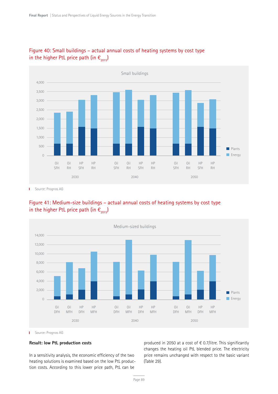

## Figure 40: Small buildings – actual annual costs of heating systems by cost type in the higher PtL price path (in  $\epsilon_{2015}$ )

Source: Prognos AG Ï

## Figure 41: Medium-size buildings – actual annual costs of heating systems by cost type in the higher PtL price path (in  $\epsilon_{2015}$ )



**I** Source: Prognos AG

#### **Result: low PtL production costs**

In a sensitivity analysis, the economic efficiency of the two heating solutions is examined based on the low PtL production costs. According to this lower price path, PtL can be

produced in 2050 at a cost of € 0.7/litre. This significantly changes the heating oil PtL blended price. The electricity price remains unchanged with respect to the basic variant (Table 29).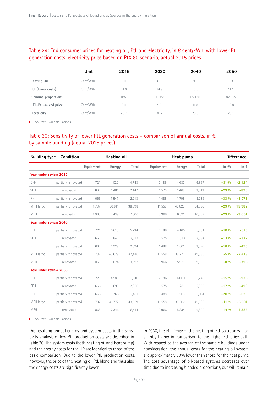## Table 29: End consumer prices for heating oil, PtL and electricity, in € cent/kWh, with lower PtL generation costs, electricity price based on PtX 80 scenario, actual 2015 prices

|                             | Unit     | 2015 | 2030  | 2040  | 2050  |
|-----------------------------|----------|------|-------|-------|-------|
| Heating Oil                 | Cent/kWh | 6.0  | 8.9   | 9.5   | 9.3   |
| PtL (lower costs)           | Cent/kWh | 64.0 | 14.9  | 13.0  | 11.1  |
| <b>Blending proportions</b> |          | 0%   | 10.9% | 65.1% | 82.5% |
| HEL-PtL-mixed price         | Cent/kWh | 6.0  | 9.5   | 11.8  | 10.8  |
| Electricity                 | Cent/kWh | 28.7 | 30.7  | 28.5  | 29.7  |

**I** Source: Own calculations

## Table 30: Sensitivity of lower PtL generation costs – comparison of annual costs, in  $\epsilon$ , by sample building (actual 2015 prices)

| <b>Building type</b>          | Condition          |           | Heating oil |        |           | Heat pump |        |                  | <b>Difference</b> |
|-------------------------------|--------------------|-----------|-------------|--------|-----------|-----------|--------|------------------|-------------------|
|                               |                    | Equipment | Energy      | Total  | Equipment | Energy    | Total  | in $\frac{0}{0}$ | in €              |
| Year under review 2030        |                    |           |             |        |           |           |        |                  |                   |
| DFH                           | partialy renovated | 721       | 4,022       | 4,743  | 2,186     | 4,682     | 6,867  | $-31%$           | $-2,124$          |
| <b>SFH</b>                    | renovated          | 666       | 1,481       | 2,147  | 1,575     | 1,468     | 3,043  | $-29%$           | $-896$            |
| <b>RH</b>                     | partialy renovated | 666       | 1,547       | 2,213  | 1,488     | 1,798     | 3,286  | $-33%$           | $-1,073$          |
| MFH large                     | partialy renovated | 1,787     | 36,611      | 38,398 | 11,558    | 42,822    | 54,380 | $-29%$           | 15,982            |
| <b>MFH</b>                    | renovated          | 1,068     | 6,439       | 7,506  | 3,966     | 6,591     | 10,557 | $-29%$           | $-3,051$          |
| Year under review 2040        |                    |           |             |        |           |           |        |                  |                   |
| DFH                           | partialy renovated | 721       | 5,013       | 5,734  | 2,186     | 4,165     | 6,351  | $-10%$           | $-616$            |
| <b>SFH</b>                    | renovated          | 666       | 1,846       | 2,512  | 1,575     | 1,310     | 2,884  | $-13%$           | $-372$            |
| <b>RH</b>                     | partialy renovated | 666       | 1,929       | 2,594  | 1,488     | 1,601     | 3,090  | $-16%$           | $-495$            |
| MFH large                     | partialy renovated | 1,787     | 45,629      | 47,416 | 11,558    | 38,277    | 49,835 | $-5%$            | $-2,419$          |
| <b>MFH</b>                    | renovated          | 1,068     | 8,024       | 9,092  | 3,966     | 5,921     | 9,888  | $-8%$            | $-795$            |
| <b>Year under review 2050</b> |                    |           |             |        |           |           |        |                  |                   |
| DFH                           | partialy renovated | 721       | 4,589       | 5,310  | 2,186     | 4,060     | 6,245  | $-15%$           | $-935$            |
| SFH                           | renovated          | 666       | 1,690       | 2,356  | 1,575     | 1,281     | 2,855  | $-17%$           | $-499$            |
| <b>RH</b>                     | partialy renovated | 666       | 1,766       | 2,431  | 1,488     | 1,563     | 3,051  | $-20%$           | $-620$            |
| MFH large                     | partialy renovated | 1,787     | 41,772      | 43,559 | 11,558    | 37,502    | 49,060 | $-11\%$          | $-5,501$          |
| <b>MFH</b>                    | renovated          | 1,068     | 7,346       | 8,414  | 3,966     | 5,834     | 9,800  | $-14%$           | $-1,386$          |

**I** Source: Own calculations

The resulting annual energy and system costs in the sensitivity analysis of low PtL production costs are described in Table 30. The system costs (both heating oil and heat pump) and the energy costs for the HP are identical to those of the basic comparison. Due to the lower PtL production costs, however, the price of the heating oil PtL blend and thus also the energy costs are significantly lower.

In 2030, the efficiency of the heating oil PtL solution will be slightly higher in comparison to the higher PtL price path. With respect to the average of the sample buildings under consideration, the annual costs for the heating oil system are approximately 30% lower than those for the heat pump. The cost advantage of oil-based systems decreases over time due to increasing blended proportions, but will remain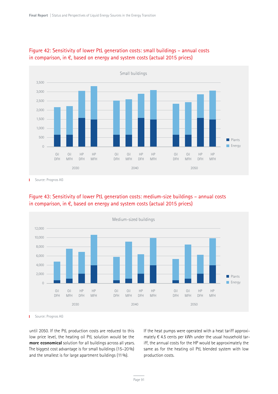

## Figure 42: Sensitivity of lower PtL generation costs: small buildings – annual costs in comparison, in €, based on energy and system costs (actual 2015 prices)

Source: Prognos AG т





Ï. Source: Prognos AG

until 2050. If the PtL production costs are reduced to this low price level, the heating oil PtL solution would be the **more economical** solution for all buildings across all years. The biggest cost advantage is for small buildings (15–20%) and the smallest is for large apartment buildings (11 %).

If the heat pumps were operated with a heat tariff approximately  $\epsilon$  4.5 cents per kWh under the usual household tariff, the annual costs for the HP would be approximately the same as for the heating oil PtL blended system with low production costs.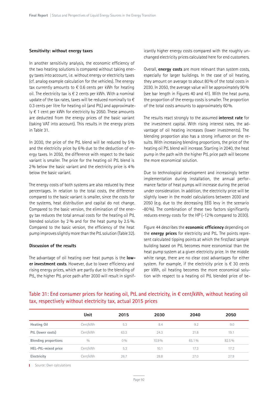#### **Sensitivity: without energy taxes**

In another sensitivity analysis, the economic efficiency of the two heating solutions is compared without taking energy taxes into account, i.e. without energy or electricity taxes (cf. analog example calculation for the vehicles). The energy tax currently amounts to  $\epsilon$  0.6 cents per kWh for heating oil. The electricity tax is  $\epsilon$  2 cents per kWh. With a nominal update of the tax rates, taxes will be reduced nominally to  $\epsilon$ 0.3 cents per litre for heating oil (and PtL) and approximate- $\vert \psi \vert \in 1$  cent per kWh for electricity by 2050. These amounts are deducted from the energy prices of the basic variant (taking VAT into account). This results in the energy prices in Table 31.

In 2030, the price of the PtL blend will be reduced by 5% and the electricity price by 6% due to the deduction of energy taxes. In 2050, the difference with respect to the basic variant is smaller. The price for the heating oil PtL blend is 2% below the basic variant and the electricity price is 4% below the basic variant.

The energy costs of both systems are also reduced by these percentages. In relation to the total costs, the difference compared to the basic variant is smaller, since the costs for the systems, heat distribution and capital do not change. Compared to the basic version, the elimination of the energy tax reduces the total annual costs for the heating oil PtL blended solution by 2 % and for the heat pump by 2.5 %. Compared to the basic version, the efficiency of the heat pump improves slightly more than the PtL solution (Table 32).

#### **Discussion of the results**

The advantage of oil heating over heat pumps is the **lower investment costs**. However, due to lower efficiency and rising energy prices, which are partly due to the blending of PtL, the higher PtL price path after 2030 will result in significantly higher energy costs compared with the roughly unchanged electricity prices calculated here for end customers.

Overall, **energy costs** are more relevant than system costs, especially for larger buildings. In the case of oil heating, they amount on average to about 80% of the total costs in 2030. In 2050, the average value will be approximately 90% (see bar length in Figures 40 and 41). With the heat pump, the proportion of the energy costs is smaller. The proportion of the total costs amounts to approximately 60%.

The results react strongly to the assumed **interest rate** for the investment capital. With rising interest rates, the advantage of oil heating increases (lower investments). The blending proportion also has a strong influence on the results. With increasing blending proportions, the price of the heating oil PtL blend will increase. Starting in 2040, the heat pump in the path with the higher PtL price path will become the more economical solution.

Due to technological development and increasingly better implementation during installation, the annual performance factor of heat pumps will increase during the period under consideration. In addition, the electricity price will be slightly lower in the model calculations between 2030 and 2050 (e.g. due to the decreasing EEG levy in the scenario -80%). The combination of these two factors significantly reduces energy costs for the HP (-12% compared to 2030).

Figure 44 describes the **economic efficiency** depending on the **energy prices** for electricity and PtL. The points represent calculated tipping points at which the first/last sample building based on PtL becomes more economical than the heat pump system at a given electricity price. In the middle white range, there are no clear cost advantages for either system. For example, if the electricity price is  $\epsilon$  30 cents per kWh, oil heating becomes the more economical solution with respect to a heating oil PtL blended price of be-

## Table 31: End consumer prices for heating oil, PtL and electricity, in  $\epsilon$  cent/kWh, without heating oil tax, respectively without electricity tax, actual 2015 prices

|                             | Unit     | 2015 | 2030     | 2040  | 2050  |
|-----------------------------|----------|------|----------|-------|-------|
| Heating Oil                 | Cent/kWh | 5.3  | 8.4      | 9.2   | 9.0   |
| PtL (lower costs)           | Cent/kWh | 63.3 | 24.3     | 21.8  | 19.1  |
| <b>Blending proportions</b> | 0/0      | 0%   | $10.9\%$ | 65.1% | 82.5% |
| HEL-PtL-mixed price         | Cent/kWh | 5.3  | 10.1     | 17.3  | 17.2  |
| Electricity                 | Cent/kWh | 26.7 | 28.8     | 27.0  | 27.9  |

**I** Source: Own calculations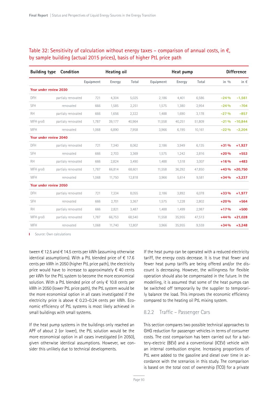## Table 32: Sensitivity of calculation without energy taxes – comparison of annual costs, in  $\epsilon$ , by sample building (actual 2015 prices), basis of higher PtL price path

| <b>Building type</b>          | Condition          |           | Heating oil |        |           | Heat pump |        |          | <b>Difference</b> |
|-------------------------------|--------------------|-----------|-------------|--------|-----------|-----------|--------|----------|-------------------|
|                               |                    | Equipment | Energy      | Total  | Equipment | Energy    | Total  | in $0/0$ | in $\epsilon$     |
| Year under review 2030        |                    |           |             |        |           |           |        |          |                   |
| DFH                           | partialy renovated | 721       | 4,304       | 5,025  | 2,186     | 4,401     | 6,586  | $-24%$   | $-1,561$          |
| SFH                           | renovated          | 666       | 1,585       | 2,251  | 1,575     | 1,380     | 2,954  | $-24%$   | $-704$            |
| <b>RH</b>                     | partialy renovated | 666       | 1,656       | 2,322  | 1,488     | 1,690     | 3,178  | $-27%$   | $-857$            |
| MFH groß                      | partialy renovated | 1,787     | 39,177      | 40,964 | 11,558    | 40,251    | 51,809 | $-21%$   | $-10,844$         |
| <b>MFH</b>                    | renovated          | 1,068     | 6,890       | 7,958  | 3,966     | 6,195     | 10,161 | $-22%$   | $-2,204$          |
| Year under review 2040        |                    |           |             |        |           |           |        |          |                   |
| DFH                           | partialy renovated | 721       | 7,340       | 8,062  | 2,186     | 3,949     | 6,135  | $+31%$   | $+1,927$          |
| <b>SFH</b>                    | renovated          | 666       | 2,703       | 3,369  | 1,575     | 1,242     | 2,816  | $+20%$   | $+553$            |
| <b>RH</b>                     | partialy renovated | 666       | 2,824       | 3,490  | 1,488     | 1,518     | 3,007  | $+16%$   | $+483$            |
| MFH groß                      | partialy renovated | 1,787     | 66,814      | 68,601 | 11,558    | 36,292    | 47,850 | $+43%$   | $+20,750$         |
| <b>MFH</b>                    | renovated          | 1,068     | 11,750      | 12,818 | 3,966     | 5,614     | 9,581  | $+34%$   | $+3,237$          |
| <b>Year under review 2050</b> |                    |           |             |        |           |           |        |          |                   |
| <b>DFH</b>                    | partialy renovated | 721       | 7,334       | 8,055  | 2,186     | 3,892     | 6,078  | $+33%$   | $+1,977$          |
| <b>SFH</b>                    | renovated          | 666       | 2,701       | 3,367  | 1,575     | 1,228     | 2,802  | $+20%$   | $+564$            |
| <b>RH</b>                     | partialy renovated | 666       | 2,821       | 3,487  | 1,488     | 1,499     | 2,987  | $+17%$   | $+500$            |
| MFH groß                      | partialy renovated | 1,787     | 66,753      | 68,540 | 11,558    | 35,955    | 47,513 | $+44%$   | $+21,028$         |
| <b>MFH</b>                    | renovated          | 1,068     | 11,740      | 12,807 | 3,966     | 35,955    | 9,559  | $+34%$   | $+3,248$          |

**I** Source: Own calculations

tween  $\epsilon$  12.5 and  $\epsilon$  14.5 cents per kWh (assuming otherwise identical assumptions). With a PtL blended price of  $\epsilon$  17.6 cents per kWh in 2050 (higher PtL price path), the electricity price would have to increase to approximately  $\epsilon$  40 cents per kWh for the PtL system to become the more economical solution. With a PtL blended price of only  $\epsilon$  10.8 cents per kWh in 2050 (lower PtL price path), the PtL system would be the more economical option in all cases investigated if the electricity price is above  $\epsilon$  0.23–0.24 cents per kWh. Economic efficiency of PtL systems is most likely achieved in small buildings with small systems.

If the heat pump systems in the buildings only reached an APF of about 2 (or lower), the PtL solution would be the more economical option in all cases investigated (in 2050), given otherwise identical assumptions. However, we consider this unlikely due to technical developments.

If the heat pump can be operated with a reduced electricity tariff, the energy costs decrease. It is true that fewer and fewer heat pump tariffs are being offered and/or the discount is decreasing. However, the willingness for flexible operation should also be compensated in the future. In the modelling, it is assumed that some of the heat pumps can be switched off temporarily by the supplier to temporarily balance the load. This improves the economic efficiency compared to the heating oil PtL mixing system.

#### 8.2.2 Traffic – Passenger Cars

This section compares two possible technical approaches to GHG reduction for passenger vehicles in terms of consumer costs. The cost comparison has been carried out for a battery-electric (BEV) and a conventional (ICEV) vehicle with an internal combustion engine. Increasing proportions of PtL were added to the gasoline and diesel over time in accordance with the scenarios in this study. The comparison is based on the total cost of ownership (TCO) for a private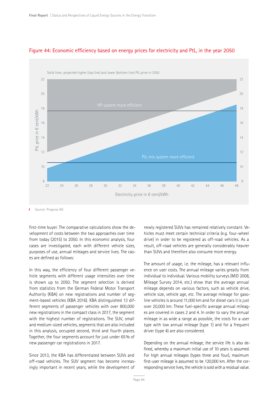

## Figure 44: Economic efficiency based on energy prices for electricity and PtL, in the year 2050

Source: Prognos AG

first-time buyer. The comparative calculations show the development of costs between the two approaches over time from today (2015) to 2050. In this economic analysis, four cases are investigated, each with different vehicle sizes, purposes of use, annual mileages and service lives. The cases are defined as follows:

In this way, the efficiency of four different passenger vehicle segments with different usage intensities over time is shown up to 2050. The segment selection is derived from statistics from the German Federal Motor Transport Authority (KBA) on new registrations and number of segment-based vehicles (KBA 2016). KBA distinguished 13 different segments of passenger vehicles with over 800,000 new registrations in the compact class in 2017, the segment with the highest number of registrations. The SUV, small and medium-sized vehicles, segments that are also included in this analysis, occupied second, third and fourth places. Together, the four segments account for just under 65% of new passenger car registrations in 2017.

Since 2013, the KBA has differentiated between SUVs and off-road vehicles. The SUV segment has become increasingly important in recent years, while the development of

newly registered SUVs has remained relatively constant. Vehicles must meet certain technical criteria (e.g. four-wheel drive) in order to be registered as off-road vehicles. As a result, off-road vehicles are generally considerably heavier than SUVs and therefore also consume more energy.

The amount of usage, i.e. the mileage, has a relevant influence on user costs. The annual mileage varies greatly from individual to individual. Various mobility surveys (MiD 2008, Mileage Survey 2014, etc.) show that the average annual mileage depends on various factors, such as vehicle drive, vehicle size, vehicle age, etc. The average mileage for gasoline vehicles is around 11,000 km and for diesel cars it is just over 20,000 km. These fuel-specific average annual mileages are covered in cases 2 and 4. In order to vary the annual mileage in as wide a range as possible, the costs for a user type with low annual mileage (type 1) and for a frequent driver (type 4) are also considered.

Depending on the annual mileage, the service life is also defined, whereby a maximum initial use of 10 years is assumed. For high annual mileages (types three and four), maximum first-user mileage is assumed to be 120,000 km. After the corresponding service lives, the vehicle is sold with a residual value.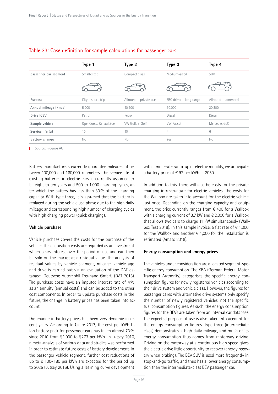|                       | Type 1                 | Type 2                 | Type 3                      | Type 4                |
|-----------------------|------------------------|------------------------|-----------------------------|-----------------------|
| passenger car segment | Small-sized            | Compact class          | Medium-sized                | <b>SUV</b>            |
|                       |                        |                        |                             |                       |
| Purpose               | $City - short-trip$    | Allround - private use | $FRQ$ driver $-$ long range | Allround - commercial |
| Annual mileage (km/a) | 5,000                  | 10,900                 | 30,000                      | 20,300                |
| Drive ICEV            | Petrol                 | Petrol                 | Diesel                      | Diesel                |
| Sample vehicle        | Opel Corsa, Renaul Zoe | VW Golf, e-Golf        | <b>VW Passat</b>            | Mercedes GLC          |
| Service life (a)      | 10                     | 10                     | $\overline{4}$              | 6                     |
| Battery change        | No                     | No                     | Yes                         | No                    |

#### Table 33: Case definition for sample calculations for passenger cars

**I** Source: Prognos AG

Battery manufacturers currently guarantee mileages of between 100,000 and 160,000 kilometers. The service life of existing batteries in electric cars is currently assumed to be eight to ten years and 500 to 1,000 charging cycles, after which the battery has less than 80% of the charging capacity. With type three, it is assumed that the battery is replaced during the vehicle use phase due to the high daily mileage and corresponding high number of charging cycles with high charging power (quick charging).

#### **Vehicle purchase**

Vehicle purchase covers the costs for the purchase of the vehicle. The acquisition costs are regarded as an investment which bears interest over the period of use and can then be sold on the market at a residual value. The analysis of residual values by vehicle segment, mileage, vehicle age and drive is carried out via an evaluation of the DAT database (Deutsche Automobil Treuhand GmbH) (DAT 2018). The purchase costs have an imputed interest rate of 4% as an annuity (annual costs) and can be added to the other cost components. In order to update purchase costs in the future, the change in battery prices has been taken into account.

The change in battery prices has been very dynamic in recent years. According to Claire 2017, the cost per kWh Li-Ion battery pack for passenger cars has fallen almost 73% since 2010 from \$1,000 to \$273 per kWh. In Lutsey 2016, a meta-analysis of various data and studies was performed in order to estimate future costs of battery development. In the passenger vehicle segment, further cost reductions of up to € 130–180 per kWh are expected for the period up to 2025 (Lutsey 2016). Using a learning curve development

with a moderate ramp-up of electric mobility, we anticipate a battery price of € 92 per kWh in 2050.

In addition to this, there will also be costs for the private charging infrastructure for electric vehicles. The costs for the Wallbox are taken into account for the electric vehicle just once. Depending on the charging capacity and equipment, the price currently ranges from  $\epsilon$  400 for a Wallbox with a charging current of 3.7 kW and € 2,000 for a Wallbox that allows two cars to charge 11 kW simultaneously (Wallbox Test 2018). In this sample invoice, a flat rate of  $\epsilon$  1,000 for the Wallbox and another  $\epsilon$  1,000 for the installation is estimated (Amato 2018).

#### **Energy consumption and energy prices**

The vehicles under consideration are allocated segment-specific energy consumption. The KBA (German Federal Motor Transport Authority) categorises the specific energy consumption figures for newly registered vehicles according to their drive system and vehicle class. However, the figures for passenger cares with alternative drive systems only specify the number of newly registered vehicles, not the specific fuel consumption figures. As such, the energy consumption figures for the BEVs are taken from an internal car database. The expected purpose of use is also taken into account for the energy consumption figures. Type three (intermediate class) demonstrates a high daily mileage, and much of its energy consumption thus comes from motorway driving. Driving on the motorway at a continuous high speed gives the electric drive little opportunity to recover (energy recovery when braking). The BEV SUV is used more frequently in stop-and-go traffic, and thus has a lower energy consumption than the intermediate-class BEV passenger car.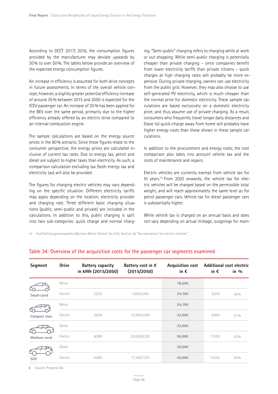According to (ICCT 2017) 2016, the consumption figures provided by the manufacturer may deviate upwards by 30% to over 50%. The tables below provide an overview of the expected energy consumption figures.

An increase in efficiency is assumed for both drive concepts in future assessments. In terms of the overall vehicle concept, however, a slightly greater potential efficiency increase of around 35% between 2015 and 2050 is expected for the ICEV passenger car. An increase of 30% has been applied for the BEV over the same period, primarily due to the higher efficiency already offered by an electric drive compared to an internal combustion engine.

The sample calculations are based on the energy source prices in the 80% scenario. Since these figures relate to the consumer perspective, the energy prices are calculated inclusive of current tax rates. Due to energy tax, petrol and diesel are subject to higher taxes than electricity. As such, a comparison calculation excluding tax (both energy tax and electricity tax) will also be provided.

The figures for charging electric vehicles may vary depending on the specific situation. Different electricity tariffs may apply depending on the location, electricity provider and charging rate. Three different basic charging situations (public, semi-public and private) are included in the calculations. In addition to this, public charging is split into two sub-categories: quick charge and normal charging. "Semi-public" charging refers to charging while at work or out shopping. While semi-public charging is potentially cheaper than private charging – since companies benefit from lower electricity tariffs than private citizens – quick charges at high charging rates will probably be more expensive. During private charging, owners can use electricity from the public grid. However, they may also choose to use self-generated PV electricity, which is much cheaper than the normal price for domestic electricity. These sample calculations are based exclusively on a domestic electricity price, and thus assume use of private charging. As a result, consumers who frequently travel longer daily distances and (have to) quick-charge away from home will probably have higher energy costs than those shown in these sample calculations.

In addition to the procurement and energy costs, the cost comparison also takes into account vehicle tax and the costs of maintenance and repairs.

Electric vehicles are currently exempt from vehicle tax for 10 years.14 From 2020 onwards, the vehicle tax for electric vehicles will be charged based on the permissible total weight, and will reach approximately the same level as for petrol passenger cars. Vehicle tax for diesel passenger cars is substantially higher.

While vehicle tax is charged on an annual basis and does not vary depending on actual mileage, outgoings for main-

14 Kraftfahrzeugsteuergesetz (German Motor Vehicle Tax Act), Section 3d "Tax exemption for electric vehicles"

| Segment       | <b>Drive</b> | <b>Battery capacity</b><br>in kWh (2015/2050) | Battery cost in $\epsilon$<br>(2015/2050) | <b>Acquisition cost</b><br>in $\epsilon$ | in $\epsilon$ | Additional cost electric<br>in $\frac{0}{0}$ |
|---------------|--------------|-----------------------------------------------|-------------------------------------------|------------------------------------------|---------------|----------------------------------------------|
|               | Petrol       |                                               |                                           | 18,200                                   |               |                                              |
| Small-sized   | Electric     | 22/33                                         | 7,500/3,000                               | 24,700                                   | 6,500         | 36%                                          |
|               | Petrol       |                                               |                                           | 24,100                                   |               |                                              |
| Compact class | Electric     | 36/54                                         | 12,300/5,000                              | 33,000                                   | 8,900         | 37 %                                         |
|               | Diesel       |                                               |                                           | 33,000                                   |               |                                              |
| Medium-sized  | Electric     | 60/89                                         | 20,500/8,200                              | 50,000                                   | 17,000        | 52 %                                         |
|               | Diesel       |                                               |                                           | 30,000                                   |               |                                              |
| <b>SUV</b>    | Electric     | 55/80                                         | 17,100/7,335                              | 45,000                                   | 15,000        | 50%                                          |

#### Table 34: Overview of the acquisition costs for the passenger car segments examined

Source: Prognos AG T.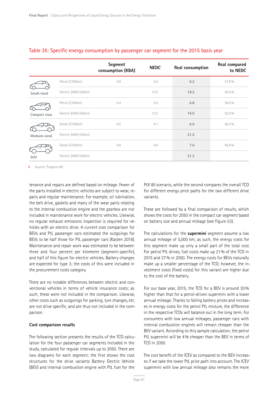|               |                      | Segment<br>consumption (KBA) | <b>NEDC</b> | Real consumption | Real compared<br>to NEDC |
|---------------|----------------------|------------------------------|-------------|------------------|--------------------------|
|               | Petrol (I/100km)     | 4.9                          | 4.5         | 6.2              | 37.8%                    |
| Small-sized   | Electric (kWh/100km) |                              | 13.0        | 18.2             | $40.5\%$                 |
|               | Petrol (I/100km)     | 5.4                          | 5.0         | 6.8              | 36.0%                    |
| Compact class | Electric (kWh/100km) |                              | 12.5        | 19.0             | 52.0%                    |
|               | Diesel (I/100km)     | 4.5                          | 4.1         | 6.0              | 46.3 %                   |
| Medium-sized  | Electric (kWh/100km) |                              |             | 21.5             |                          |
|               | Diesel (I/100km)     | 4.8                          | 4.8         | 7.0              | 45.8%                    |
| <b>SUV</b>    | Electric (kWh/100km) |                              |             | 21.3             |                          |

#### Table 35: Specific energy consumption by passenger car segment for the 2015 basis year

Source: Prognos AG

tenance and repairs are defined based on mileage. Fewer of the parts installed in electric vehicles are subject to wear, repairs and regular maintenance. For example, oil lubrication, the belt drive, gaskets and many of the wear parts relating to the internal combustion engine and the gearbox are not included in maintenance work for electric vehicles. Likewise, no regular exhaust emissions inspection is required for vehicles with an electric drive. A current cost comparison for BEVs and PtL passenger cars estimated the outgoings for BEVs to be half those for PtL passenger cars (Kasten 2018). Maintenance and repair work was estimated to be between three and four percent per kilometre (segment-specific), and half of this figure for electric vehicles. Battery changes are expected for type 3; the costs of this were included in the procurement costs category.

There are no notable differences between electric and conventional vehicles in terms of vehicle insurance costs; as such, these were not included in the comparison. Likewise, other costs such as outgoings for parking, tyre changes, etc. are not drive specific, and are thus not included in the comparison.

#### **Cost comparison results**

The following section presents the results of the TCO calculation for the four passenger car segments included in the study, calculated for regular intervals up to 2050. There are two diagrams for each segment: the first shows the cost structures for the drive variants Battery Electric Vehicle (BEV) and internal combustion engine with PtL fuel for the

PtX 80 scenario, while the second compares the overall TCO for different energy price paths for the two different drive variants.

These are followed by a final comparison of results, which shows the costs for 2050 in the compact car segment based on battery size and annual mileage (see Figure 53).

The calculations for the **supermini** segment assume a low annual mileage of 5,000 km; as such, the energy costs for this segment make up only a small part of the total cost. For petrol PtL drives, fuel costs make up 21% of the TCO in 2015 and 27% in 2050. The energy costs for BEVs naturally make up a smaller percentage of the TCO; however, the investment costs (fixed costs) for this variant are higher due to the cost of the battery.

For our base year, 2015, the TCO for a BEV is around 30% higher than that for a petrol-driven supermini with a lower annual mileage. Thanks to falling battery prices and increases in energy costs for the petrol PtL mixture, the difference in the respective TCOs will balance out in the long term. For consumers with low annual mileages, passenger cars with internal combustion engines will remain cheaper than the BEV variant. According to this sample calculation, the petrol PtL supermini will be 4% cheaper than the BEV in terms of TCO in 2050.

The cost benefit of the ICEV as compared to the BEV increases if we take the lower PtL price path into account. The ICEV supermini with low annual mileage also remains the more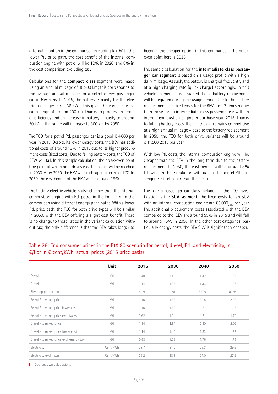affordable option in the comparison excluding tax. With the lower PtL price path, the cost benefit of the internal combustion engine with petrol will be 12% in 2020, and 8% in the cost comparison excluding tax.

Calculations for the **compact class** segment were made using an annual mileage of 10,900 km; this corresponds to the average annual mileage for a petrol-driven passenger car in Germany. In 2015, the battery capacity for the electric passenger car is 36 kWh. This gives the compact-class car a range of around 200 km. Thanks to progress in terms of efficiency and an increase in battery capacity to around 50 kWh, the range will increase to 300 km by 2050.

The TCO for a petrol PtL passenger car is a good  $\epsilon$  4,000 per year in 2015. Despite its lower energy costs, the BEV has additional costs of around 13% in 2015 due to its higher procurement costs (fixed costs). Due to falling battery costs, the TCO of BEVs will fall. In this sample calculation, the break-even point (the point at which both drives cost the same) will be reached in 2030. After 2030, the BEV will be cheaper in terms of TCO. In 2050, the cost benefit of the BEV will be around 15%.

The battery electric vehicle is also cheaper than the internal combustion engine with PtL petrol in the long term in the comparison using different energy price paths. With a lower PtL price path, the TCO for both drive types will be similar in 2050, with the BEV offering a slight cost benefit. There is no change to these ratios in the variant calculation without tax; the only difference is that the BEV takes longer to

become the cheaper option in this comparison. The breakeven point here is 2035.

The sample calculation for the **intermediate class passenger car segment** is based on a usage profile with a high daily mileage. As such, the battery is charged frequently and at a high charging rate (quick charge) accordingly. In this vehicle segment, it is assumed that a battery replacement will be required during the usage period. Due to the battery replacement, the fixed costs for the BEV are 1.7 times higher than those for an intermediate-class passenger car with an internal combustion engine in our base year, 2015. Thanks to falling battery costs, the electric car remains competitive at a high annual mileage – despite the battery replacement. In 2050, the TCO for both drive variants will be around € 11,500 2015 per year.

With low PtL costs, the internal combustion engine will be cheaper than the BEV in the long term due to the battery replacement. In 2050, the cost benefit will be around 8%. Likewise, in the calculation without tax, the diesel PtL passenger car is cheaper than the electric car.

The fourth passenger car class included in the TCO investigation is the **SUV segment**. The fixed costs for an SUV with an internal combustion engine are  $\epsilon$ 5,000<sub>2015</sub> per year. The additional procurement costs associated with the BEV compared to the ICEV are around 55% in 2015 and will fall to around 15% in 2050. In the other cost categories, particularly energy costs, the BEV SUV is significantly cheaper.

|                                         | Unit           | 2015  | 2030   | 2040 | 2050 |
|-----------------------------------------|----------------|-------|--------|------|------|
| Petrol                                  | $\epsilon$ /l  | 1.40  | 1.46   | 1.42 | 1.32 |
| Diesel                                  | $\epsilon$ /l  | 1.14  | 1.35   | 1.33 | 1.26 |
| Blending proportions                    |                | $0\%$ | $11\%$ | 65 % | 83 % |
| Petrol PtL mixed price                  | $-\epsilon$ /l | 1.40  | 1.63   | 2.18 | 2.08 |
| Petrol PtL mixed price lower cost       | $\epsilon$ /l  | 1.40  | 1.52   | 1.61 | 1.43 |
| Petrol PtL mixed price excl. taxes      | $\epsilon$ /l  | 0.62  | 1.04   | 1.71 | 1.70 |
| Diesel PtL mixed price                  | $\epsilon$ /l  | 1.14  | 1.51   | 2.10 | 2.02 |
| Diesel PtL mixed price lower cost       | $\epsilon$ /l  | 1.14  | 1.40   | 1.53 | 1.37 |
| Diesel PtL mixed price excl. energy tax | $\epsilon$ /l  | 0.58  | 1.09   | 1.76 | 1.75 |
| Electricity                             | Cent/kWh       | 28.7  | 31.2   | 29.3 | 29.9 |
| Electricity excl. taxes                 | Cent/kWh       | 26.2  | 28.8   | 27.0 | 27.9 |

## Table 36: End consumer prices in the PtX 80 scenario for petrol, diesel, PtL and electricity, in  $€/$ l or in  $€$  cent/kWh, actual prices (2015 price basis)

**I** Source: Own calculations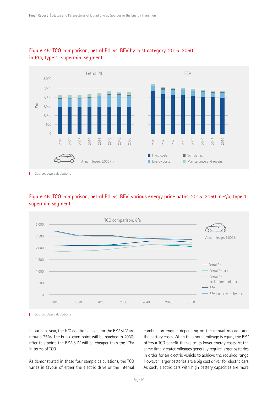

## Figure 45: TCO comparison, petrol PtL vs. BEV by cost category, 2015–2050 in €/a, type 1: supermini segment

Source: Own calculations T.

## Figure 46: TCO comparison, petrol PtL vs. BEV, various energy price paths, 2015–2050 in €/a, type 1: supermini segment



Source: Own calculations f,

In our base year, the TCO additional costs for the BEV SUV are around 25%. The break-even point will be reached in 2030; after this point, the BEV-SUV will be cheaper than the ICEV in terms of TCO.

As demonstrated in these four sample calculations, the TCO varies in favour of either the electric drive or the internal

combustion engine, depending on the annual mileage and the battery costs. When the annual mileage is equal, the BEV offers a TCO benefit thanks to its lower energy costs. At the same time, greater mileages generally require larger batteries in order for an electric vehicle to achieve the required range. However, larger batteries are a big cost driver for electric cars. As such, electric cars with high battery capacities are more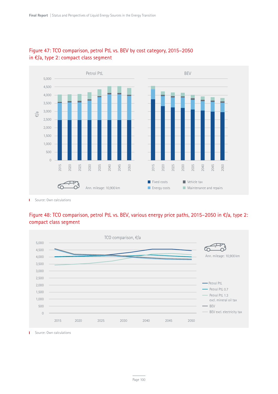

## Figure 47: TCO comparison, petrol PtL vs. BEV by cost category, 2015–2050 in €/a, type 2: compact class segment

T.

## Figure 48: TCO comparison, petrol PtL vs. BEV, various energy price paths, 2015–2050 in €/a, type 2: compact class segment



Source: Own calculations  $\mathbf{L}$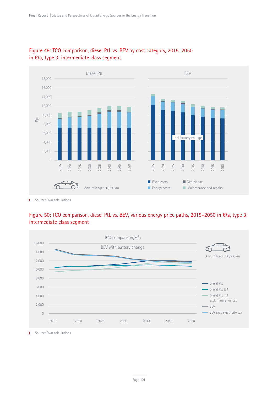



Source: Own calculations т

## Figure 50: TCO comparison, diesel PtL vs. BEV, various energy price paths, 2015–2050 in €/a, type 3: intermediate class segment



Source: Own calculations  $\mathbf{L}$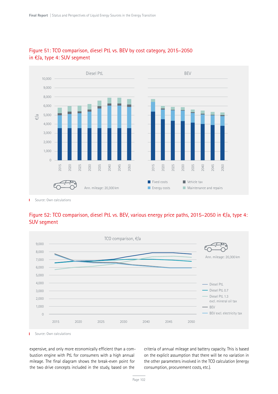

## Figure 51: TCO comparison, diesel PtL vs. BEV by cost category, 2015–2050 in €/a, type 4: SUV segment

т

## Figure 52: TCO comparison, diesel PtL vs. BEV, various energy price paths, 2015–2050 in €/a, type 4: SUV segment



Source: Own calculations T.

expensive, and only more economically efficient than a combustion engine with PtL for consumers with a high annual mileage. The final diagram shows the break-even point for the two drive concepts included in the study, based on the

criteria of annual mileage and battery capacity. This is based on the explicit assumption that there will be no variation in the other parameters involved in the TCO calculation (energy consumption, procurement costs, etc.).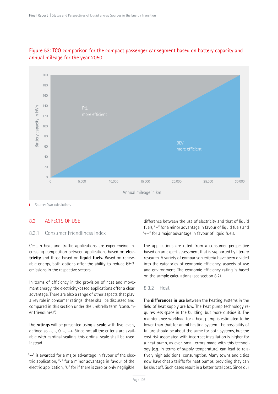

## Figure 53: TCO comparison for the compact passenger car segment based on battery capacity and annual mileage for the year 2050

#### 8.3 ASPECTS OF USE

#### 8.3.1 Consumer Friendliness Index

Certain heat and traffic applications are experiencing increasing competition between applications based on **electricity** and those based on **liquid fuels.** Based on renewable energy, both options offer the ability to reduce GHG emissions in the respective sectors.

In terms of efficiency in the provision of heat and movement energy, the electricity-based applications offer a clear advantage. There are also a range of other aspects that play a key role in consumer ratings; these shall be discussed and compared in this section under the umbrella term "consumer friendliness".

The **ratings** will be presented using a **scale** with five levels, defined as  $-$ ,  $-$ ,  $0$ ,  $+$ ,  $+$ +. Since not all the criteria are available with cardinal scaling, this ordinal scale shall be used instead.

"--" is awarded for a major advantage in favour of the electric application, "-" for a minor advantage in favour of the electric application, "0" for if there is zero or only negligible

difference between the use of electricity and that of liquid fuels, "+" for a minor advantage in favour of liquid fuels and "++" for a major advantage in favour of liquid fuels.

The applications are rated from a consumer perspective based on an expert assessment that is supported by literary research. A variety of comparison criteria have been divided into the categories of economic efficiency, aspects of use and environment. The economic efficiency rating is based on the sample calculations (see section 8.2).

#### 8.3.2 Heat

The **differences in use** between the heating systems in the field of heat supply are low. The heat pump technology requires less space in the building, but more outside it. The maintenance workload for a heat pump is estimated to be lower than that for an oil heating system. The possibility of failure should be about the same for both systems, but the cost risk associated with incorrect installation is higher for a heat pump, as even small errors made with this technology (e.g. in terms of supply temperature) can lead to relatively high additional consumption. Many towns and cities now have cheap tariffs for heat pumps, providing they can be shut off. Such cases result in a better total cost. Since our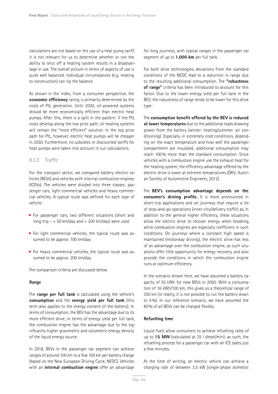calculations are not based on the use of a heat pump tariff, it is not relevant for us to determine whether or not the ability to shut off a heating system results in a disadvantage in use. The overall picture in terms of aspects of use is quite well balanced. Individual circumstances (e.g. relating to construction) can tip the balance.

As shown in the index, from a consumer perspective, the **economic efficiency** rating is primarily determined by the costs of PtL generation. Until 2030, oil-powered systems should be more economically efficient than electric heat pumps. After this, there is a split in the pattern: if the PtL costs develop along the low price path, oil heating systems will remain the "more efficient" solution. In the top price path for PtL, however, electric heat pumps will be cheaper in 2050. Furthermore, no subsidies or discounted tariffs for heat pumps were taken into account in our calculations.

#### 8.3.3 Traffic

For the transport sector, we compared battery electric vehicles (BEVs) and vehicles with internal combustion engines (ICEVs). The vehicles were divided into three classes: passenger cars, light commercial vehicles and heavy commercial vehicles. A typical route was defined for each type of vehicle:

- For passenger cars, two different situations (short and long trip  $-$  < 50 km/day and > 200 km/day) were used
- For light commercial vehicles, the typical route was assumed to be approx. 100 km/day
- For heavy commercial vehicles, the typical route was assumed to be approx. 200 km/day

The comparison criteria are discussed below.

#### **Range**

The **range per full tank** is calculated using the vehicle's **consumption** and the **energy yield per full tank** (this term also applies to the energy content of the battery). In terms of consumption, the BEV has the advantage due to its more efficient drive; in terms of energy yield per full tank, the combustion engine has the advantage due to the significantly higher gravimetric and volumetric energy density of the liquid energy source.

In 2018, BEVs in the passenger car segment can achieve ranges of around 100 km to a few 100 km per battery charge (based on the New European Driving Cycle, NEDC). Vehicles with an **internal combustion engine** offer an advantage for long journeys, with typical ranges in the passenger car segment of up to **1,000 km** per full tank.

For both drive technologies, deviations from the standard conditions of the NEDC lead to a reduction in range due to the resulting additional consumption. The **"robustness of range"** criteria has been introduced to account for this factor. Due to the lower energy yield per full tank in the BEV, the robustness of range tends to be lower for this drive type:

The **consumption benefit offered by the BEV is reduced at lower temperatures** due to the additional loads drawing power from the battery (winter: heating/summer: air conditioning). Especially in extremely cold conditions, depending on the exact temperature and how well the passenger compartment are insulated, additional consumption may reach 100% more than the standard consumption. Since vehicles with a combustion engine use the exhaust heat for the heating system, the efficiency advantage offered by the electric drive is lower at extreme temperatures (ÖKV, Austrian Society of Automotive Engineers, 2012).

The **BEV's consumption advantage depends on the consumer's driving profile.** It is more pronounced in short-trip applications and on journeys that require a lot of stop-and-go operations (inner-city/delivery traffic) as, in addition to the general higher efficiency, these situations allow the electric drive to recover energy when breaking, while combustion engines are especially inefficient in such conditions. On journeys where a constant high speed is maintained (motorway driving), the electric drive has less of an advantage over the combustion engine, as such situations offer little opportunity for energy recovery, and also provide the conditions in which the combustion engine runs at optimum efficiency.

In the scenario shown here, we have assumed a battery capacity of 55 kWh for new BEVs in 2050. With a consumption of 16 kWh/100 km, this gives us a theoretical range of 350 km (in reality, it is not possible to run the battery down to 0%). In our reference scenario, we have assumed the 80% of all BEVs can be charged flexibly.

#### **Refuelling time**

Liquid fuels allow consumers to achieve refuelling rates of up to **15 MW** (calculated at 25 l diesel/min); as such, the refuelling process for a passenger car with an ICE takes just a few minutes.

At the time of writing, an electric vehicle can achieve a charging rate of between 3.5 kW (single-phase domestic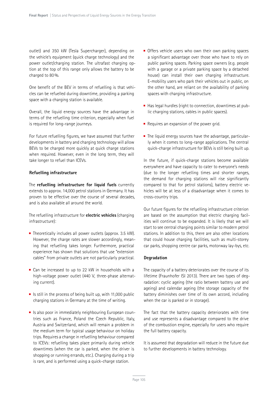outlet) and 350 kW (Tesla Supercharger), depending on the vehicle's equipment (quick charge technology) and the power outlet/charging station. The ultrafast charging option at the top of this range only allows the battery to be charged to 80%.

One benefit of the BEV in terms of refuelling is that vehicles can be refuelled during downtime, providing a parking space with a charging station is available.

Overall, the liquid energy sources have the advantage in terms of the refuelling time criterion, especially when fuel is required for long-range journeys.

For future refuelling figures, we have assumed that further developments in battery and charging technology will allow BEVs to be charged more quickly at quick charge stations when required. However, even in the long term, they will take longer to refuel than ICEVs.

#### **Refuelling infrastructure**

The **refuelling infrastructure for liquid fuels** currently extends to approx. 14,000 petrol stations in Germany. It has proven to be effective over the course of several decades, and is also available all around the world.

The refuelling infrastructure for **electric vehicles** (charging infrastructure):

- $\blacksquare$  Theoretically includes all power outlets (approx. 3.5 kW). However, the charge rates are slower accordingly, meaning that refuelling takes longer. Furthermore, practical experience has shown that solutions that use "extension cables" from private outlets are not particularly practical.
- Can be increased to up to 22 kW in households with a high-voltage power outlet (440 V, three-phase alternating current).
- If Is still in the process of being built up, with 11,000 public charging stations in Germany at the time of writing.
- $\blacksquare$  Is also poor in immediately neighbouring European countries such as France, Poland the Czech Republic, Italy, Austria and Switzerland, which will remain a problem in the medium term for typical usage behaviour on holiday trips. Requires a change in refuelling behaviour compared to ICEVs: refuelling takes place primarily during vehicle downtimes (when the car is parked, when the driver is shopping or running errands, etc.). Charging during a trip is rare, and is performed using a quick-charge station.
- Offers vehicle users who own their own parking spaces a significant advantage over those who have to rely on public parking spaces. Parking space owners (e.g. people with a garage or a private parking space by a detached house) can install their own charging infrastructure. E-mobility users who park their vehicles out in public, on the other hand, are reliant on the availability of parking spaces with charging infrastructure.
- $\blacksquare$  Has legal hurdles (right to connection, downtimes at public charging stations, cables in public spaces).
- Requires an expansion of the power grid.
- $\blacksquare$  The liquid energy sources have the advantage, particularly when it comes to long-range applications. The central quick-charge infrastructure for BEVs is still being built up.

In the future, if quick-charge stations become available everywhere and have capacity to cater to everyone's needs (due to the longer refuelling times and shorter ranges, the demand for charging stations will rise significantly compared to that for petrol stations), battery electric vehicles will be at less of a disadvantage when it comes to cross-country trips.

Our future figures for the refuelling infrastructure criterion are based on the assumption that electric charging facilities will continue to be expanded. It is likely that we will start to see central charging points similar to modern petrol stations. In addition to this, there are also other locations that could house charging facilities, such as multi-storey car parks, shopping centre car parks, motorway lay-bys, etc.

#### **Degradation**

The capacity of a battery deteriorates over the course of its lifetime (Fraunhofer ISI 2013). There are two types of degradation: cyclic ageing (the ratio between battery use and ageing) and calendar ageing (the storage capacity of the battery diminishes over time of its own accord, including when the car is parked or in storage).

The fact that the battery capacity deteriorates with time and use represents a disadvantage compared to the drive of the combustion engine, especially for users who require the full battery capacity.

It is assumed that degradation will reduce in the future due to further developments in battery technology.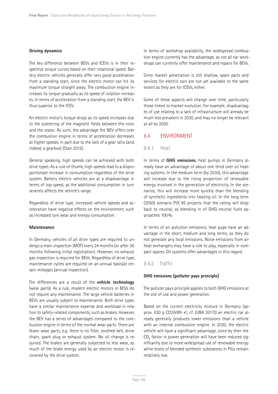#### **Driving dynamics**

The key difference between BEVs and ICEVs is in their respective torque curves based on their rotational speed. Battery electric vehicles generally offer very good acceleration from a standing start, since the electric motor can hit its maximum torque straight away. The combustion engine increases its torque gradually as its speed of rotation increases. In terms of acceleration from a standing start, the BEV is thus superior to the ICEV.

An electric motor's torque drops as its speed increases due to the scattering of the magnetic fields between the rotor and the stator. As such, the advantage the BEV offers over the combustion engine in terms of acceleration decreases at higher speeds, in part due to the lack of a gear ratio (and, indeed, a gearbox) (Stan 2015).

General speaking, high speeds can be achieved with both drive types. As a rule of thumb, high speeds lead to a disproportionate increase in consumption regardless of the drive system. Battery electric vehicles are at a disadvantage in terms of top speed, as the additional consumption in turn severely affects the vehicle's range.

Regardless of drive type, increased vehicle speeds and acceleration have negative effects on the environment, such as increased tyre wear and energy consumption.

#### **Maintenance**

In Germany, vehicles of all drive types are required to undergo a main inspection (MOT) every 24 months (or after 36 months following initial registration). However, no exhaust gas inspection is required for BEVs. Regardless of drive type, maintenance cycles are required on an annual basis/at certain mileages (annual inspection).

The differences are a result of the **vehicle technology** (wear parts). As a rule, modern electric motors in BEVs do not require any maintenance. The large vehicle batteries in BEVs are usually subject to maintenance. Both drive types have a similar maintenance expense and workload in relation to safety-related components, such as brakes. However, the BEV has a series of advantages compared to the combustion engine in terms of the normal wear parts: There are fewer wear parts, e.g. there is no filter, toothed belt, drive chain, spark plug or exhaust system. No oil change is required. The brakes are generally subjected to less wear, as much of the brake energy used by an electric motor is recovered by the drive system.

In terms of workshop availability, the widespread combustion engine currently has the advantage, as not all car workshops can currently offer maintenance and repairs for BEVs.

Since market penetration is still shallow, spare parts and services for electric cars are not yet available to the same extent as they are for ICEVs, either.

Some of these aspects will change over time, particularly those linked to market evolution. For example, disadvantages of use relating to a lack of infrastructure will already be much less prevalent in 2030, and may no longer be relevant at all by 2050.

## 8.4 ENVIRONMENT

#### 8.4.1 Heat

In terms of **GHG emissions**, heat pumps in Germany already have an advantage of about one third over oil heating systems. In the medium term (by 2030), this advantage will increase due to the rising proportion of renewable energy involved in the generation of electricity. In the scenarios, this will increase more quickly than the blending of synthetic ingredients into heating oil. In the long term (2050) scenario PtX 95 projects that the rating will drop back to neutral, as blending in of GHG-neutral fuels approaches 100%.

In terms of air pollution emissions, heat pups have an advantage in the short, medium and long terms, as they do not generate any local emissions. Noise emissions from air heat exchangers may have a role to play, especially in compact spaces. Oil systems offer advantages in this regard.

#### 8.4.2 Traffic

#### **GHG emissions (polluter pays principle)**

The polluter pays principle applies to both GHG emissions at the site of use and power generation.

Based on the current electricity mixture in Germany (approx. 530 g CO2/kWh el; cf. (UBA 2017)) an electric car already generally produces lower emissions than a vehicle with an internal combustion engine. In 2030, the electric vehicle will have a significant advantage, since by then the CO<sub>2</sub> factor in power generation will have been reduced significantly due to more widespread use of renewable energy while levels of blended synthetic substances in PtLs remain relatively low.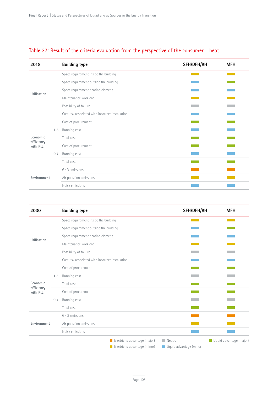| 2018                   |     | <b>Building type</b>                             | SFH/DFH/RH | <b>MFH</b> |
|------------------------|-----|--------------------------------------------------|------------|------------|
|                        |     | Space requirement inside the building            |            |            |
|                        |     | Space requirement outside the building           |            |            |
|                        |     | Space requirement heating element                |            |            |
| <b>Utilisation</b>     |     | Maintenance workload                             |            |            |
|                        |     | Possibility of failure                           |            |            |
|                        |     | Cost risk associated with incorrect installation |            |            |
|                        |     | Cost of procurement                              |            |            |
|                        | 1.3 | Running cost                                     |            |            |
| Economic               |     | Total cost                                       |            |            |
| efficiency<br>with PtL |     | Cost of procurement                              |            |            |
|                        | 0.7 | Running cost                                     |            |            |
|                        |     | Total cost                                       |            |            |
|                        |     | GHG emissions                                    |            |            |
| Environment            |     | Air pollution emissions                          |            |            |
|                        |     | Noise emissions                                  |            |            |

## Table 37: Result of the criteria evaluation from the perspective of the consumer – heat

| 2030                   |     | <b>Building type</b>                                           | SFH/DFH/RH                                                        | <b>MFH</b>               |
|------------------------|-----|----------------------------------------------------------------|-------------------------------------------------------------------|--------------------------|
|                        |     | Space requirement inside the building                          |                                                                   |                          |
|                        |     | Space requirement outside the building                         |                                                                   |                          |
|                        |     | Space requirement heating element                              |                                                                   |                          |
| Utilisation            |     | Maintenance workload                                           |                                                                   |                          |
|                        |     | Possibility of failure                                         |                                                                   |                          |
|                        |     | Cost risk associated with incorrect installation               |                                                                   |                          |
|                        |     | Cost of procurement                                            |                                                                   |                          |
|                        | 1.3 | Running cost                                                   |                                                                   |                          |
| Economic               |     | Total cost                                                     |                                                                   |                          |
| efficiency<br>with PtL |     | Cost of procurement                                            |                                                                   |                          |
|                        | 0.7 | Running cost                                                   |                                                                   |                          |
|                        |     | Total cost                                                     |                                                                   |                          |
|                        |     | GHG emissions                                                  |                                                                   |                          |
| Environment            |     | Air pollution emissions                                        |                                                                   |                          |
|                        |     | Noise emissions                                                |                                                                   |                          |
|                        |     | Electricity advantage (major)<br>Electricity advantage (minor) | $\blacksquare$ Neutral<br>$\blacksquare$ Liquid advantage (minor) | Liquid advantage (major) |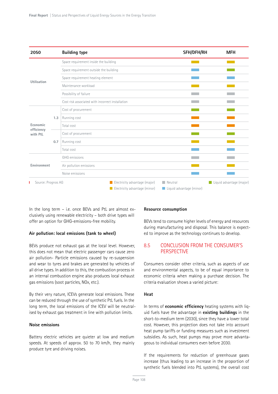| 2050                   |     | <b>Building type</b>                                           | SFH/DFH/RH                                         | <b>MFH</b>               |
|------------------------|-----|----------------------------------------------------------------|----------------------------------------------------|--------------------------|
|                        |     | Space requirement inside the building                          |                                                    |                          |
|                        |     | Space requirement outside the building                         |                                                    |                          |
|                        |     | Space requirement heating element                              |                                                    |                          |
| Utilisation            |     | Maintenance workload                                           |                                                    |                          |
|                        |     | Possibility of failure                                         |                                                    |                          |
|                        |     | Cost risk associated with incorrect installation               |                                                    |                          |
|                        |     | Cost of procurement                                            |                                                    |                          |
|                        | 1.3 | Running cost                                                   |                                                    |                          |
| Economic               |     | Total cost                                                     |                                                    |                          |
| efficiency<br>with PtL |     | Cost of procurement                                            |                                                    |                          |
|                        | 0.7 | Running cost                                                   |                                                    |                          |
|                        |     | Total cost                                                     |                                                    |                          |
|                        |     | GHG emissions                                                  |                                                    |                          |
| Environment            |     | Air pollution emissions                                        |                                                    |                          |
|                        |     | Noise emissions                                                |                                                    |                          |
| Source: Prognos AG     |     | Electricity advantage (major)<br>Electricity advantage (minor) | $\blacksquare$ Neutral<br>Liquid advantage (minor) | Liquid advantage (major) |

In the long term – i.e. once BEVs and PtL are almost exclusively using renewable electricity – both drive types will offer an option for GHG-emissions-free mobility.

#### **Air pollution: local emissions (tank to wheel)**

BEVs produce not exhaust gas at the local level. However, this does not mean that electric passenger cars cause zero air pollution- Particle emissions caused by re-suspension and wear to tyres and brakes are generated by vehicles of all drive types. In addition to this, the combustion process in an internal combustion engine also produces local exhaust gas emissions (soot particles, NOx, etc.).

By their very nature, ICEVs generate local emissions. These can be reduced through the use of synthetic PtL fuels. In the long term, the local emissions of the ICEV will be neutralised by exhaust gas treatment in line with pollution limits.

#### **Noise emissions**

Battery electric vehicles are quieter at low and medium speeds. At speeds of approx. 50 to 70 km/h, they mainly produce tyre and driving noises.

#### **Resource consumption**

BEVs tend to consume higher levels of energy and resources during manufacturing and disposal. This balance is expected to improve as the technology continues to develop.

## 8.5 CONCLUSION FROM THE CONSUMER'S **PERSPECTIVE**

Consumers consider other criteria, such as aspects of use and environmental aspects, to be of equal importance to economic criteria when making a purchase decision. The criteria evaluation shows a varied picture:

#### **Heat**

In terms of **economic efficiency** heating systems with liquid fuels have the advantage in **existing buildings** in the short-to-medium term (2030), since they have a lower total cost. However, this projection does not take into account heat pump tariffs or funding measures such as investment subsidies. As such, heat pumps may prove more advantageous to individual consumers even before 2030.

If the requirements for reduction of greenhouse gases increase (thus leading to an increase in the proportion of synthetic fuels blended into PtL systems), the overall cost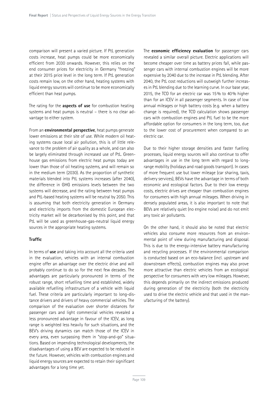comparison will present a varied picture. If PtL generation costs increase, heat pumps could be more economically efficient from 2030 onwards. However, this relies on the end consumer prices for electricity in Germany "freezing" at their 2015 price level in the long term. If PtL generation costs remain low, on the other hand, heating systems with liquid energy sources will continue to be more economically efficient than heat pumps.

The rating for the **aspects of use** for combustion heating systems and heat pumps is neutral – there is no clear advantage to either system.

From an **environmental perspective**, heat pumps generate lower emissions at their site of use. While modern oil heating systems cause local air pollution, this is of little relevance to the problem of air quality as a whole, and can also be largely eliminated through increased use of PtL. Greenhouse gas emissions from electric heat pumps today are lower than those of oil heating systems, and will remain so in the medium term (2030). As the proportion of synthetic materials blended into PtL systems increases (after 2040), the difference in GHG emissions levels between the two systems will decrease, and the rating between heat pumps and PtL-based heating systems will be neutral by 2050. This is assuming that both electricity generation in Germany and electricity imports from the domestic European electricity market will be decarbonised by this point, and that PtL will be used as greenhouse-gas-neutral liquid energy sources in the appropriate heating systems.

#### **Traffic**

In terms of **use** and taking into account all the criteria used in the evaluation, vehicles with an internal combustion engine offer an advantage over the electric drive and will probably continue to do so for the next few decades. The advantages are particularly pronounced in terms of the robust range, short refuelling time and established, widely available refuelling infrastructure of a vehicle with liquid fuel. These criteria are particularly important to long-distance drivers and drivers of heavy commercial vehicles. The comparison of the evaluation over shorter distances for passenger cars and light commercial vehicles revealed a less pronounced advantage in favour of the ICEV, as long range is weighted less heavily for such situations, and the BEV's driving dynamics can match those of the ICEV in every area, even surpassing them in "stop-and-go" situations. Based on impending technological developments, the disadvantages of using a BEV are expected to be reduced in the future. However, vehicles with combustion engines and liquid energy sources are expected to retain their significant advantages for a long time yet.

The **economic efficiency evaluation** for passenger cars revealed a similar overall picture. Electric applications will become cheaper over time as battery prices fall, while passenger cars with internal combustion engines will be more expensive by 2040 due to the increase in PtL blending. After 2040, the PtL cost reductions will outweigh further increases in PtL blending due to the learning curve. In our base year, 2015, the TCO for an electric car was 15% to 40% higher than for an ICEV in all passenger segments. In case of low annual mileages or high battery costs (e.g. when a battery change is required), the TCO calculation shows passenger cars with combustion engines and PtL fuel to be the more affordable option for consumers in the long term, too, due to the lower cost of procurement when compared to an electric car.

Due to their higher storage densities and faster fuelling processes, liquid energy sources will also continue to offer advantages in use in the long term with regard to longrange mobility (holidays and road goods transport). In cases of more frequent use but lower mileage (car sharing, taxis, delivery services), BEVs have the advantage in terms of both economic and ecological factors. Due to their low energy costs, electric drives are cheaper than combustion engines for consumers with high annual mileages. When driving in densely populated areas, it is also important to note that BEVs are relatively quiet (no engine noise) and do not emit any toxic air pollutants.

On the other hand, it should also be noted that electric vehicles also consume more resources from an environmental point of view during manufacturing and disposal. This is due to the energy-intensive battery manufacturing and recycling processes. If the environmental comparison is conducted based on an eco-balance (incl. upstream and downstream effects), combustion engines may also prove more attractive than electric vehicles from an ecological perspective for consumers with very low mileages. However, this depends primarily on the indirect emissions produced during generation of the electricity (both the electricity used to drive the electric vehicle and that used in the manufacturing of the battery).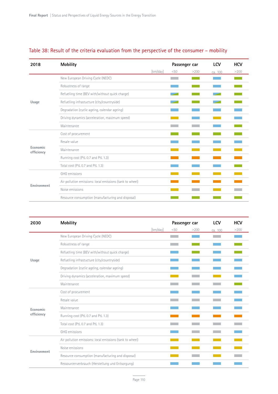| <b>Mobility</b><br>2018                                                                                                                                                                                                                                                                                                                                                                                                                                                                                                                                                                        |                                   |          |      |      | LCV     | <b>HCV</b> |
|------------------------------------------------------------------------------------------------------------------------------------------------------------------------------------------------------------------------------------------------------------------------------------------------------------------------------------------------------------------------------------------------------------------------------------------------------------------------------------------------------------------------------------------------------------------------------------------------|-----------------------------------|----------|------|------|---------|------------|
|                                                                                                                                                                                                                                                                                                                                                                                                                                                                                                                                                                                                |                                   | [km/day] | < 50 | >200 | ca. 100 | >200       |
|                                                                                                                                                                                                                                                                                                                                                                                                                                                                                                                                                                                                | New European Driving Cycle (NEDC) |          |      |      |         |            |
| Passenger car<br>Robustness of range<br>Refuelling time (BEV with/without quick charge)<br>Refuelling infrastucture (city/countryside)<br>Usage<br>Degradation (cyclic ageing, calendar ageing)<br>Driving dynamics (acceleration, maximum speed)<br>Maintenance<br>Cost of procurement<br>Resale value<br>Economic<br>Maintenance<br>efficiency<br>Running cost (PtL 0.7 and PtL 1.3)<br>Total cost (PtL 0.7 and PtL 1.3)<br>GHG emissions<br>Air pollution emissions: local emissions (tank to wheel)<br>Environment<br>Noise emissions<br>Resource consumption (manufacturing and disposal) |                                   |          |      |      |         |            |
|                                                                                                                                                                                                                                                                                                                                                                                                                                                                                                                                                                                                |                                   |          |      |      |         |            |
|                                                                                                                                                                                                                                                                                                                                                                                                                                                                                                                                                                                                |                                   |          |      |      |         |            |
|                                                                                                                                                                                                                                                                                                                                                                                                                                                                                                                                                                                                |                                   |          |      |      |         |            |
|                                                                                                                                                                                                                                                                                                                                                                                                                                                                                                                                                                                                |                                   |          |      |      |         |            |
|                                                                                                                                                                                                                                                                                                                                                                                                                                                                                                                                                                                                |                                   |          |      |      |         |            |
|                                                                                                                                                                                                                                                                                                                                                                                                                                                                                                                                                                                                |                                   |          |      |      |         |            |
|                                                                                                                                                                                                                                                                                                                                                                                                                                                                                                                                                                                                |                                   |          |      |      |         |            |
|                                                                                                                                                                                                                                                                                                                                                                                                                                                                                                                                                                                                |                                   |          |      |      |         |            |
|                                                                                                                                                                                                                                                                                                                                                                                                                                                                                                                                                                                                |                                   |          |      |      |         |            |
|                                                                                                                                                                                                                                                                                                                                                                                                                                                                                                                                                                                                |                                   |          |      |      |         |            |
|                                                                                                                                                                                                                                                                                                                                                                                                                                                                                                                                                                                                |                                   |          |      |      |         |            |
|                                                                                                                                                                                                                                                                                                                                                                                                                                                                                                                                                                                                |                                   |          |      |      |         |            |
|                                                                                                                                                                                                                                                                                                                                                                                                                                                                                                                                                                                                |                                   |          |      |      |         |            |
|                                                                                                                                                                                                                                                                                                                                                                                                                                                                                                                                                                                                |                                   |          |      |      |         |            |
|                                                                                                                                                                                                                                                                                                                                                                                                                                                                                                                                                                                                |                                   |          |      |      |         |            |

## Table 38: Result of the criteria evaluation from the perspective of the consumer – mobility

| <b>Mobility</b><br>2030               |                                                                                                                                                                                                                                                                                                                                                                                                                                                                                                                                                                                                  |          |     |      | <b>LCV</b> | <b>HCV</b> |
|---------------------------------------|--------------------------------------------------------------------------------------------------------------------------------------------------------------------------------------------------------------------------------------------------------------------------------------------------------------------------------------------------------------------------------------------------------------------------------------------------------------------------------------------------------------------------------------------------------------------------------------------------|----------|-----|------|------------|------------|
|                                       |                                                                                                                                                                                                                                                                                                                                                                                                                                                                                                                                                                                                  | [km/day] | <50 | >200 | ca. 100    | >200       |
|                                       | New European Driving Cycle (NEDC)                                                                                                                                                                                                                                                                                                                                                                                                                                                                                                                                                                |          |     |      |            |            |
|                                       | Passenger car<br>Robustness of range<br>Refuelling time (BEV with/without quick charge)<br>Refuelling infrastucture (city/countryside)<br>Degradation (cyclic ageing, calendar ageing)<br>Driving dynamics (acceleration, maximum speed)<br>Maintenance<br>Cost of procurement<br>Resale value<br>Maintenance<br>Running cost (PtL 0.7 and PtL 1.3)<br>Total cost (PtL 0.7 and PtL 1.3)<br>GHG emissions<br>Air pollution emissions: local emissions (tank to wheel)<br>Noise emissions<br>Resource consumption (manufacturing and disposal)<br>Ressourcenverbrauch (Herstellung und Entsorgung) |          |     |      |            |            |
|                                       |                                                                                                                                                                                                                                                                                                                                                                                                                                                                                                                                                                                                  |          |     |      |            |            |
| Usage                                 |                                                                                                                                                                                                                                                                                                                                                                                                                                                                                                                                                                                                  |          |     |      |            |            |
|                                       |                                                                                                                                                                                                                                                                                                                                                                                                                                                                                                                                                                                                  |          |     |      |            |            |
|                                       |                                                                                                                                                                                                                                                                                                                                                                                                                                                                                                                                                                                                  |          |     |      |            |            |
|                                       |                                                                                                                                                                                                                                                                                                                                                                                                                                                                                                                                                                                                  |          |     |      |            |            |
| Economic<br>efficiency<br>Environment |                                                                                                                                                                                                                                                                                                                                                                                                                                                                                                                                                                                                  |          |     |      |            |            |
|                                       |                                                                                                                                                                                                                                                                                                                                                                                                                                                                                                                                                                                                  |          |     |      |            |            |
|                                       |                                                                                                                                                                                                                                                                                                                                                                                                                                                                                                                                                                                                  |          |     |      |            |            |
|                                       |                                                                                                                                                                                                                                                                                                                                                                                                                                                                                                                                                                                                  |          |     |      |            |            |
|                                       |                                                                                                                                                                                                                                                                                                                                                                                                                                                                                                                                                                                                  |          |     |      |            |            |
|                                       |                                                                                                                                                                                                                                                                                                                                                                                                                                                                                                                                                                                                  |          |     |      |            |            |
|                                       |                                                                                                                                                                                                                                                                                                                                                                                                                                                                                                                                                                                                  |          |     |      |            |            |
|                                       |                                                                                                                                                                                                                                                                                                                                                                                                                                                                                                                                                                                                  |          |     |      |            |            |
|                                       |                                                                                                                                                                                                                                                                                                                                                                                                                                                                                                                                                                                                  |          |     |      |            |            |
|                                       |                                                                                                                                                                                                                                                                                                                                                                                                                                                                                                                                                                                                  |          |     |      |            |            |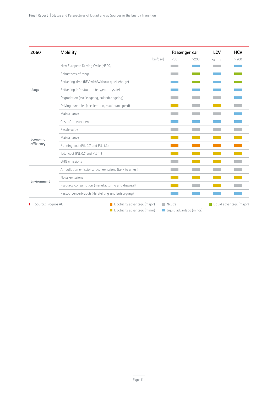| 2050               | <b>Mobility</b>                                          |                                                                                                                                       |      |      | <b>LCV</b> | <b>HCV</b>               |
|--------------------|----------------------------------------------------------|---------------------------------------------------------------------------------------------------------------------------------------|------|------|------------|--------------------------|
|                    |                                                          | [km/day]                                                                                                                              | < 50 | >200 | ca. 100    | >200                     |
|                    | New European Driving Cycle (NEDC)                        |                                                                                                                                       |      |      |            |                          |
|                    | Robustness of range                                      |                                                                                                                                       |      |      |            |                          |
|                    | Refuelling time (BEV with/without quick charge)          |                                                                                                                                       |      |      |            |                          |
| Usage              | Refuelling infrastucture (city/countryside)              |                                                                                                                                       |      |      |            |                          |
|                    | Degradation (cyclic ageing, calendar ageing)             |                                                                                                                                       |      |      |            |                          |
|                    | Driving dynamics (acceleration, maximum speed)           |                                                                                                                                       |      |      |            |                          |
|                    | Maintenance                                              |                                                                                                                                       |      |      |            |                          |
|                    | Cost of procurement                                      |                                                                                                                                       |      |      |            |                          |
|                    | Resale value                                             | Passenger car<br>Electricity advantage (major)<br>$\blacksquare$ Neutral<br>Electricity advantage (minor)<br>Liquid advantage (minor) |      |      |            |                          |
| Economic           | Maintenance                                              |                                                                                                                                       |      |      |            |                          |
| efficiency         | Running cost (PtL 0.7 and PtL 1.3)                       |                                                                                                                                       |      |      |            |                          |
|                    | Total cost (PtL 0.7 and PtL 1.3)                         |                                                                                                                                       |      |      |            |                          |
|                    | GHG emissions                                            |                                                                                                                                       |      |      |            |                          |
|                    | Air pollution emissions: local emissions (tank to wheel) |                                                                                                                                       |      |      |            |                          |
|                    | Noise emissions                                          |                                                                                                                                       |      |      |            |                          |
| Environment        | Resource consumption (manufacturing and disposal)        |                                                                                                                                       |      |      |            |                          |
|                    | Ressourcenverbrauch (Herstellung und Entsorgung)         |                                                                                                                                       |      |      |            |                          |
| Source: Prognos AG |                                                          |                                                                                                                                       |      |      |            | Liquid advantage (major) |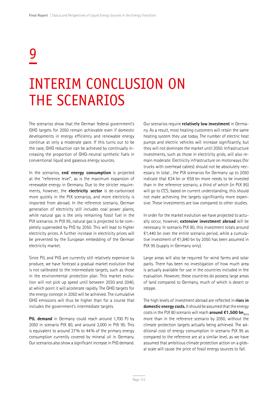# 9

## INTERIM CONCLUSION ON THE SCENARIOS

The scenarios show that the German federal government's GHG targets for 2050 remain achievable even if domestic developments in energy efficiency and renewable energy continue at only a moderate pace. If this turns out to be the case, GHG reduction can be achieved by continually increasing the proportion of GHG-neutral synthetic fuels in conventional liquid and gaseous energy sources.

In the scenarios, **end energy consumption** is projected at the "reference level", as is the maximum expansion of renewable energy in Germany. Due to the stricter requirements, however, the **electricity sector** is de-carbonised more quickly in the PtX scenarios, and more electricity is imported from abroad. In the reference scenario, German generation of electricity still includes coal power plants, while natural gas is the only remaining fossil fuel in the PtX scenarios. In PtX 95, natural gas is projected to be completely superseded by PtG by 2050. This will lead to higher electricity prices. A further increase in electricity prices will be prevented by the European embedding of the German electricity market.

Since PtL and PtG are currently still relatively expensive to produce, we have forecast a gradual market evolution that is not calibrated to the intermediate targets, such as those in the environmental protection plan. This market evolution will not pick up speed until between 2030 and 2040, at which point it will accelerate rapidly. The GHG targets for the energy concept in 2050 will be achieved. The cumulative GHG emissions will thus be higher than for a course that includes the government's intermediate targets.

**PtL demand** in Germany could reach around 1,700 PJ by 2050 in scenario PtX 80, and around 2,000 in PtX 95. This is equivalent to around 37% to 44% of the primary energy consumption currently covered by mineral oil in Germany. Our scenarios also show a significant increase in PtG demand.

Our scenarios require **relatively low investment** in Germany. As a result, most heating customers will retain the same heating system they use today. The number of electric heat pumps and electric vehicles will increase significantly, but they will not dominate the market until 2050. Infrastructure investments, such as those in electricity grids, will also remain moderate. Electricity infrastructure on motorways (for trucks with overhead cables) should not be absolutely necessary. In total , the PtX scenarios for Germany up to 2050 indicate that €34 bn or €59 bn more needs to be invested than in the reference scenario, a third of which (in PtX 95) will go to CCS; based on current understanding, this should not make achieving the targets significantly more expensive. These investments are low compared to other studies.

In order for the market evolution we have projected to actually occur, however, **extensive investment abroad** will be necessary. In scenario PtX 80, this investment totals around €1,440 bn over the entire scenario period, while a cumulative investment of €1,840 bn by 2050 has been assumed in PtX 95 (supply in Germany only).

Large areas will also be required for wind farms and solar parks. There has been no investigation of how much area is actually available for use in the countries included in the evaluation. However, these countries do possess large areas of land compared to Germany, much of which is desert or steppe.

The high levels of investment abroad are reflected in **rises in domestic energy costs.** It should be assumed that the energy costs in the PtX 80 scenario will reach **around €1,500 bn**<sub>2015</sub> more than in the reference scenario by 2050, without the climate protection targets actually being achieved. The additional cost of energy consumption in scenario PtX 95 as compared to the reference are at a similar level, as we have assumed that ambitious climate protection action on a global scale will cause the price of fossil energy sources to fall.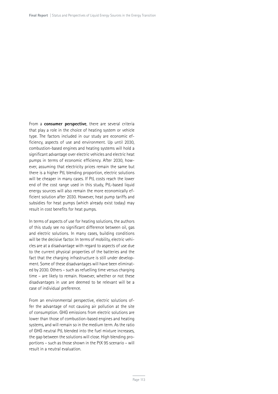From a **consumer perspective**, there are several criteria that play a role in the choice of heating system or vehicle type. The factors included in our study are economic efficiency, aspects of use and environment. Up until 2030, combustion-based engines and heating systems will hold a significant advantage over electric vehicles and electric heat pumps in terms of economic efficiency. After 2030, however, assuming that electricity prices remain the same but there is a higher PtL blending proportion, electric solutions will be cheaper in many cases. If PtL costs reach the lower end of the cost range used in this study, PtL-based liquid energy sources will also remain the more economically efficient solution after 2030. However, heat pump tariffs and subsidies for heat pumps (which already exist today) may result in cost benefits for heat pumps.

In terms of aspects of use for heating solutions, the authors of this study see no significant difference between oil, gas and electric solutions. In many cases, building conditions will be the decisive factor. In terms of mobility, electric vehicles are at a disadvantage with regard to aspects of use due to the current physical properties of the batteries and the fact that the charging infrastructure is still under development. Some of these disadvantages will have been eliminated by 2030. Others – such as refuelling time versus charging time – are likely to remain. However, whether or not these disadvantages in use are deemed to be relevant will be a case of individual preference.

From an environmental perspective, electric solutions offer the advantage of not causing air pollution at the site of consumption. GHG emissions from electric solutions are lower than those of combustion-based engines and heating systems, and will remain so in the medium term. As the ratio of GHG neutral PtL blended into the fuel mixture increases, the gap between the solutions will close. High blending proportions – such as those shown in the PtX 95 scenario – will result in a neutral evaluation.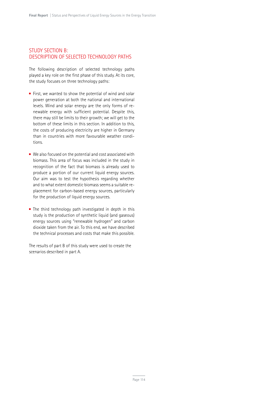#### STUDY SECTION B: DESCRIPTION OF SELECTED TECHNOLOGY PATHS

The following description of selected technology paths played a key role on the first phase of this study. At its core, the study focuses on three technology paths:

- First, we wanted to show the potential of wind and solar power generation at both the national and international levels. Wind and solar energy are the only forms of renewable energy with sufficient potential. Despite this, there may still be limits to their growth; we will get to the bottom of these limits in this section. In addition to this, the costs of producing electricity are higher in Germany than in countries with more favourable weather conditions.
- We also focused on the potential and cost associated with biomass. This area of focus was included in the study in recognition of the fact that biomass is already used to produce a portion of our current liquid energy sources. Our aim was to test the hypothesis regarding whether and to what extent domestic biomass seems a suitable replacement for carbon-based energy sources, particularly for the production of liquid energy sources.
- The third technology path investigated in depth in this study is the production of synthetic liquid (and gaseous) energy sources using "renewable hydrogen" and carbon dioxide taken from the air. To this end, we have described the technical processes and costs that make this possible.

The results of part B of this study were used to create the scenarios described in part A.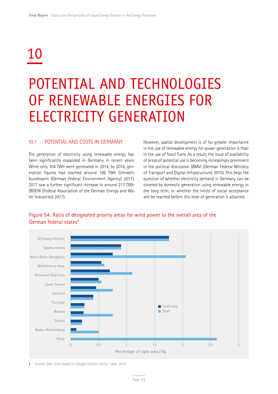# 10

## POTENTIAL AND TECHNOLOGIES OF RENEWABLE ENERGIES FOR ELECTRICITY GENERATION

#### 10.1 POTENTIAL AND COSTS IN GERMANY

The generation of electricity using renewable energy has been significantly expanded in Germany in recent years. While only 104 TWh were generated in 2014, by 2016, generation figures had reached around 188 TWh (Umweltbundesamt (German Federal Environment Agency) 2017). 2017 saw a further significant increase to around 217 TWh (BDEW (Federal Association of the German Energy and Water Industries) 2017).

However, spatial development is of far greater importance in the use of renewable energy for power generation is than in the use of fossil fuels. As a result, the issue of availability of areas of potential use is becoming increasingly prominent in the political discussion (BMVI (German Federal Ministry of Transport and Digital Infrastructure) 2015). This begs the question of whether electricity demand in Germany can be covered by domestic generation using renewable energy in the long term, or whether the limits of social acceptance will be reached before this level of generation is attained.



## Figure 54: Ratio of designated priority areas for wind power to the overall area of the German federal states\*

Source: Own chart based on (Zaspel-Heisters 2015), \* date: 2015 T.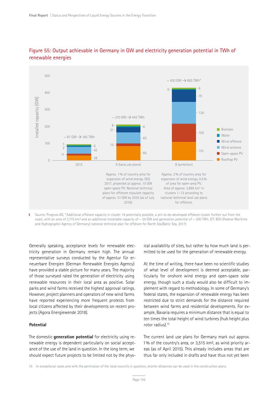

## Figure 55: Output achievable in Germany in GW and electricity generation potential in TWh of renewable energies

Source: Prognos AG, \*Additional offshore capacity in cluster 14 potentially possible, a yet-to-be-developed offshore cluster further out from the T. coast, with an area of 2,715 km<sup>2</sup> and an additional installable capacity of  $\sim$  50 GW and generation potential of  $\sim$  200 TWh. (Cf. BSH (Federal Maritime and Hydrographic Agency of Germany) national technical plan for offshore for North Sea/Baltic Sea, 2017)

Generally speaking, acceptance levels for renewable electricity generation in Germany remain high. The annual representative surveys conducted by the Agentur für erneuerbare Energien (German Renewable Energies Agency) have provided a stable picture for many years. The majority of those surveyed rated the generation of electricity using renewable resources in their local area as positive. Solar parks and wind farms received the highest approval ratings. However, project planners and operators of new wind farms have reported experiencing more frequent protests from local citizens affected by their developments on recent projects (Agora Energiewende 2018).

#### **Potential**

The domestic **generation potential** for electricity using renewable energy is dependent particularly on social acceptance of the use of the land in question. In the long term, we should expect future projects to be limited not by the physical availability of sites, but rather by how much land is permitted to be used for the generation of renewable energy.

At the time of writing, there have been no scientific studies of what level of development is deemed acceptable, particularly for onshore wind energy and open-space solar energy, though such a study would also be difficult to implement with regard to methodology. In some of Germany's federal states, the expansion of renewable energy has been restricted due to strict demands for the distance required between wind farms and residential developments. For example, Bavaria requires a minimum distance that is equal to ten times the total height of wind turbines (hub height plus rotor radius).15

The current land use plans for Germany mark out approx. 1% of the country's area, or 3,515 km², as wind priority areas (as of April 2015). This already includes areas that are thus far only included in drafts and have thus not yet been

15 In exceptional cases and with the permission of the local councils in question, shorter distances can be used in the construction plans.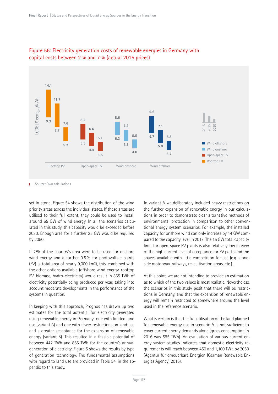

## Figure 56: Electricity generation costs of renewable energies in Germany with capital costs between 2% and 7% (actual 2015 prices)

Source: Own calculations

set in stone. Figure 54 shows the distribution of the wind priority areas across the individual states. If these areas are utilised to their full extent, they could be used to install around 65 GW of wind energy. In all the scenarios calculated in this study, this capacity would be exceeded before 2030. Enough area for a further 25 GW would be required by 2050.

If 2% of the country's area were to be used for onshore wind energy and a further 0.5% for photovoltaic plants (PV) (a total area of nearly 9,000 km²), this, combined with the other options available (offshore wind energy, rooftop PV, biomass, hydro-electricity) would result in 865 TWh of electricity potentially being produced per year, taking into account moderate developments in the performance of the systems in question.

In keeping with this approach, Prognos has drawn up two estimates for the total potential for electricity generated using renewable energy in Germany: one with limited land use (variant A) and one with fewer restrictions on land use and a greater acceptance for the expansion of renewable energy (variant B). This resulted in a feasible potential of between 442 TWh and 865 TWh for the country's annual generation of electricity. Figure 5 shows the results by type of generation technology. The fundamental assumptions with regard to land use are provided in Table 54, in the appendix to this study.

In variant A we deliberately included heavy restrictions on the further expansion of renewable energy in our calculations in order to demonstrate clear alternative methods of environmental protection in comparison to other conventional energy system scenarios. For example, the installed capacity for onshore wind can only increase by 14 GW compared to the capacity level in 2017. The 15 GW total capacity limit for open-space PV plants is also relatively low in view of the high current level of acceptance for PV parks and the spaces available with little competition for use (e.g. alongside motorway, railways, re-cultivation areas, etc.).

At this point, we are not intending to provide an estimation as to which of the two values is most realistic. Nevertheless, the scenarios in this study posit that there will be restrictions in Germany, and that the expansion of renewable energy will remain restricted to somewhere around the level used in the reference scenario.

What is certain is that the full utilisation of the land planned for renewable energy use in scenario A is not sufficient to cover current energy demands alone (gross consumption in 2016 was 595 TWh). An evaluation of various current energy system studies indicates that domestic electricity requirements will reach between 450 and 1,100 TWh by 2050 (Agentur für erneuerbare Energien (German Renewable Energies Agency) 2016).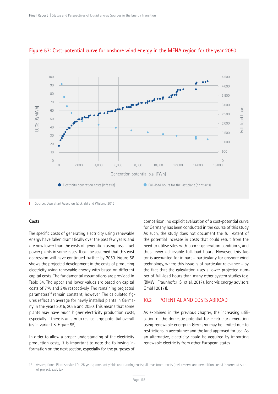

#### Figure 57: Cost-potential curve for onshore wind energy in the MENA region for the year 2050

Source: Own chart based on (Zickfeld and Wieland 2012)

#### **Costs**

The specific costs of generating electricity using renewable energy have fallen dramatically over the past few years, and are now lower than the costs of generation using fossil-fuel power plants in some cases. It can be assumed that this cost degression will have continued further by 2050. Figure 56 shows the projected development in the costs of producing electricity using renewable energy with based on different capital costs. The fundamental assumptions are provided in Table 54. The upper and lower values are based on capital costs of 7% and 2% respectively. The remaining projected parameters<sup>16</sup> remain constant, however. The calculated figures reflect an average for newly installed plants in Germany in the years 2015, 2025 and 2050. This means that some plants may have much higher electricity production costs, especially if there is an aim to realise large potential overall (as in variant B, Figure 55).

In order to allow a proper understanding of the electricity production costs, it is important to note the following information on the next section, especially for the purposes of

comparison: no explicit evaluation of a cost-potential curve for Germany has been conducted in the course of this study. As such, the study does not document the full extent of the potential increase in costs that could result from the need to utilise sites with poorer generation conditions, and thus fewer achievable full-load hours. However, this factor is accounted for in part – particularly for onshore wind technology, where this issue is of particular relevance – by the fact that the calculation uses a lower projected number of full-load hours than many other system studies (e.g. (BMWi, Fraunhofer ISI et al. 2017), (enervis energy advisors GmbH 2017)).

## 10.2 POTENTIAL AND COSTS ABROAD

As explained in the previous chapter, the increasing utilisation of the domestic potential for electricity generation using renewable energy in Germany may be limited due to restrictions in acceptance and the land approved for use. As an alternative, electricity could be acquired by importing renewable electricity from other European states.

<sup>16</sup> Assumptions: Plant service life: 25 years; constant yields and running costs; all investment costs (incl. reserve and demolition costs) incurred at start of project; excl. tax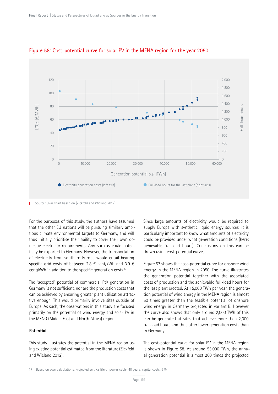

#### Figure 58: Cost-potential curve for solar PV in the MENA region for the year 2050

Source: Own chart based on (Zickfeld and Wieland 2012)

For the purposes of this study, the authors have assumed that the other EU nations will be pursuing similarly ambitious climate environmental targets to Germany, and will thus initially prioritise their ability to cover their own domestic electricity requirements. Any surplus could potentially be exported to Germany. However, the transportation of electricity from southern Europe would entail bearing specific grid costs of between 2.8 € cent/kWh and 3.9 € cent/kWh in addition to the specific generation costs.17

The "accepted" potential of commercial PtX generation in Germany is not sufficient, nor are the production costs that can be achieved by ensuring greater plant utilisation attractive enough. This would primarily involve sites outside of Europe. As such, the observations in this study are focused primarily on the potential of wind energy and solar PV in the MENO (Middle East and North Africa) region.

#### **Potential**

This study illustrates the potential in the MENA region using existing potential estimated from the literature (Zickfeld and Wieland 2012).

Since large amounts of electricity would be required to supply Europe with synthetic liquid energy sources, it is particularly important to know what amounts of electricity could be provided under what generation conditions (here: achievable full-load hours). Conclusions on this can be drawn using cost-potential curves.

Figure 57 shows the cost-potential curve for onshore wind energy in the MENA region in 2050. The curve illustrates the generation potential together with the associated costs of production and the achievable full-load hours for the last plant erected. At 15,000 TWh per year, the generation potential of wind energy in the MENA region is almost 50 times greater than the feasible potential of onshore wind energy in Germany projected in variant B. However, the curve also shows that only around 2,000 TWh of this can be generated at sites that achieve more than 2,000 full-load hours and thus offer lower generation costs than in Germany.

The cost-potential curve for solar PV in the MENA region is shown in Figure 58. At around 53,000 TWh, the annual generation potential is almost 260 times the projected

<sup>17</sup> Based on own calculations. Projected service life of power cable: 40 years; capital costs: 6%.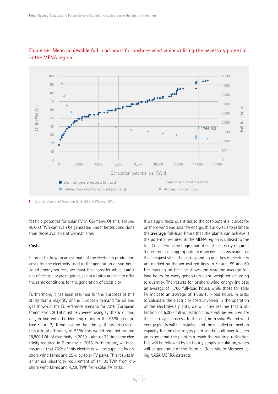

## Figure 59: Mean achievable full-load hours for onshore wind while utilising the necessary potential in the MENA region

Source: Own chart based on (Zickfeld and Wieland 2012) T.

feasible potential for solar PV in Germany. Of this, around 45,000 TWh can even be generated under better conditions than those available at German sites.

#### **Costs**

In order to draw up an estimate of the electricity production costs for the electricity used in the generation of synthetic liquid energy sources, we must first consider what quantities of electricity are required, as not all sites are able to offer the same conditions for the generation of electricity.

Furthermore, it has been assumed for the purposes of this study that a majority of the European demand for oil and gas shown in the EU reference scenario for 2016 (European Commission 2016) must be covered using synthetic oil and gas, in line with the blending ratios in the 95% scenario (see Figure 7). If we assume that the synthesis process offers a total efficiency of 53%, this would required around 18,800 TWh of electricity in 2050 – almost 32 times the electricity required in Germany in 2016. Furthermore, we have assumed that 75% of this electricity will be supplied by onshore wind farms and 25% by solar PV parks. This results in an annual electricity requirement of 14,100 TWh from onshore wind farms and 4,700 TWh from solar PV parks.

If we apply these quantities to the cost-potential curves for onshore wind and solar PV energy, this allows us to estimate the **average** full-load hours that the plants can achieve if the potential required in the MENA region is utilised to the full. Considering the huge quantities of electricity required, it does not seem appropriate to draw conclusions using just the cheapest sites. The corresponding qualities of electricity are marked by the vertical red lines in Figures 59 and 60. The marking on the line shows the resulting average fullload hours for every generation plant, weighted according to quantity. The results for onshore wind energy indicate an average of 1,766 full-load hours, while those for solar PV indicate an average of 1,665 full-load hours. In order to calculate the electricity costs involved in the operation of the electrolysis plants, we will now assume that a utilisation of 5,000 full-utilisation hours will be required for the electrolysis process. To this end, both solar PV and wind energy plants will be installed, and the installed connection capacity for the electrolysis plant will be built over to such an extent that the plant can reach the required utilisation. This will be followed by an hourly supply simulation, which will be generated at the Foum el-Oued site in Morocco using NASA MERRA datasets.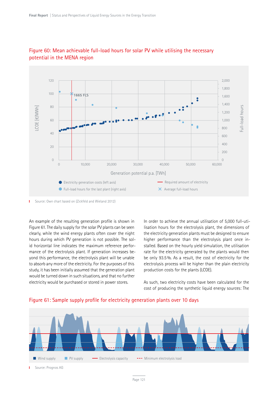

## Figure 60: Mean achievable full-load hours for solar PV while utilising the necessary potential in the MENA region

Source: Own chart based on (Zickfeld and Wieland 2012) T.

An example of the resulting generation profile is shown in Figure 61. The daily supply for the solar PV plants can be seen clearly, while the wind energy plants often cover the night hours during which PV generation is not possible. The solid horizontal line indicates the maximum reference performance of the electrolysis plant. If generation increases beyond this performance, the electrolysis plant will be unable to absorb any more of the electricity. For the purposes of this study, it has been initially assumed that the generation plant would be turned down in such situations, and that no further electricity would be purchased or stored in power stores.

In order to achieve the annual utilisation of 5,000 full-utilisation hours for the electrolysis plant, the dimensions of the electricity generation plants must be designed to ensure higher performance than the electrolysis plant once installed. Based on the hourly yield simulation, the utilisation rate for the electricity generated by the plants would then be only 93.5%. As a result, the cost of electricity for the electrolysis process will be higher than the plain electricity production costs for the plants (LCOE).

As such, two electricity costs have been calculated for the cost of producing the synthetic liquid energy sources: The



## Figure 61: Sample supply profile for electricity generation plants over 10 days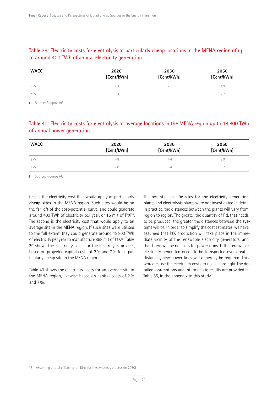## Table 39: Electricity costs for electrolysis at particularly cheap locations in the MENA region of up to around 400 TWh of annual electricity generation

| <b>WACC</b> | 2020<br>[Cent/kWh] | 2030<br>[Cent/kWh] | 2050<br>[Cent/kWh] |
|-------------|--------------------|--------------------|--------------------|
| 2%          | 2.3                |                    | 1.9                |
| 70/0        | 3.4                |                    |                    |

**I** Source: Prognos AG

## Table 40: Electricity costs for electrolysis at average locations in the MENA region up to 18,800 TWh of annual power generation

| <b>WACC</b> | 2020<br>[Cent/kWh] | 2030<br>[Cent/kWh] | 2050<br>[Cent/kWh] |  |
|-------------|--------------------|--------------------|--------------------|--|
| $2\%$       | 4.8                | 4.4                | 3.9                |  |
| 7%          | 7.0                | 6.4                | $- -$<br>5.1       |  |

**I** Source: Prognos AG

first is the electricity cost that would apply at particularly **cheap sites** in the MENA region. Such sites would be on the far left of the cost-potential curve, and could generate around 400 TWh of electricity per year, or 16 m t of PtX18. The second is the electricity cost that would apply to an average site in the MENA region. If such sites were utilised to the full extent, they could generate around 18,800 TWh of electricity per year to manufacture 858 m t of PtX<sup>19</sup>. Table 39 shows the electricity costs for the electrolysis process, based on projected capital costs of 2% and 7% for a particularly cheap site in the MENA region.

Table 40 shows the electricity costs for an average site in the MENA region, likewise based on capital costs of 2% and 7%.

The potential specific sites for the electricity generation plants and electrolysis plants were not investigated in detail. In practice, the distances between the plants will vary from region to region. The greater the quantity of PtL that needs to be produced, the greater the distances between the systems will be. In order to simplify the cost estimates, we have assumed that PtX production will take place in the immediate vicinity of the renewable electricity generators, and that there will be no costs for power grids. If the renewable electricity generated needs to be transported over greater distances, new power lines will generally be required. This would cause the electricity costs to rise accordingly. The detailed assumptions and intermediate results are provided in Table 55, in the appendix to this study.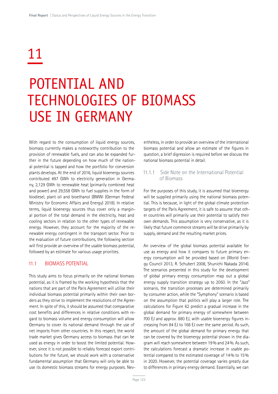# 11

## POTENTIAL AND TECHNOLOGIES OF BIOMASS USE IN GERMANY

With regard to the consumption of liquid energy sources, biomass currently makes a noteworthy contribution to the provision of renewable fuels, and can also be expanded further in the future depending on how much of the national potential is tapped and how the portfolio for conversion plants develops. At the end of 2016, liquid bioenergy sources contributed 497 GWh to electricity generation in Germany, 2,129 GWh to renewable heat (primarily combined heat and power) and 29,558 GWh to fuel supplies in the form of biodiesel, plant oil and bioethanol (BMWi (German Federal Ministry for Economic Affairs and Energy) 2018). In relative terms, liquid bioenergy sources thus cover only a marginal portion of the total demand in the electricity, heat and cooling sectors in relation to the other types of renewable energy. However, they account for the majority of the renewable energy contingent in the transport sector. Prior to the evaluation of future contributions, the following section will first provide an overview of the usable biomass potential, followed by an estimate for various usage priorities.

## 11.1 BIOMASS POTENTIAL

This study aims to focus primarily on the national biomass potential, as it is framed by the working hypothesis that the nations that are part of the Paris Agreement will utilise their individual biomass potential primarily within their own borders as they strive to implement the resolutions of the Agreement. In spite of this, it should be assumed that comparative cost benefits and differences in relative conditions with regard to biomass volume and energy consumption will allow Germany to cover its national demand through the use of net imports from other countries. In this respect, the world trade market gives Germany access to biomass that can be used as energy in order to boost the limited potential. However, since it is not possible to reliably forecast export contributions for the future, we should work with a conservative fundamental assumption that Germany will only be able to use its domestic biomass streams for energy purposes. Nevertheless, in order to provide an overview of the international biomass potential and allow an estimate of the figures in question, a brief digression is required before we discuss the national biomass potential in detail.

## 11.1.1. Side Note on the International Potential of Biomass

For the purposes of this study, it is assumed that bioenergy will be supplied primarily using the national biomass potential. This is because, in light of the global climate protection targets of the Paris Agreement, it is safe to assume that other countries will primarily use their potential to satisfy their own demands. This assumption is very conservative, as it is likely that future commerce streams will be drive primarily by supply, demand and the resulting market prices.

An overview of the global biomass potential available for use as energy and how it compares to future primary energy consumption will be provided based on (World Energy Council 2013, R. Schubert 2008, Shunichi Nakada 2014). The scenarios presented in this study for the development of global primary energy consumption map out a global energy supply transition strategy up to 2050. In the "Jazz" scenario, the transition processes are determined primarily by consumer action, while the "Symphony" scenario is based on the assumption that politics will play a larger role. The calculations for Figure 62 predict a gradual increase in the global demand for primary energy of somewhere between 700 EJ and approx. 880 EJ, with usable bioenergy figures increasing from 84 EJ to 168 EJ over the same period. As such, the amount of the global demand for primary energy that can be covered by the bioenergy potential shown in the diagram will reach somewhere between 19% and 24%. As such, the calculations forecast a dramatic increase in usable potential compared to the estimated coverage of 14% to 15% in 2020. However, the potential coverage varies greatly due to differences in primary energy demand. Essentially, we can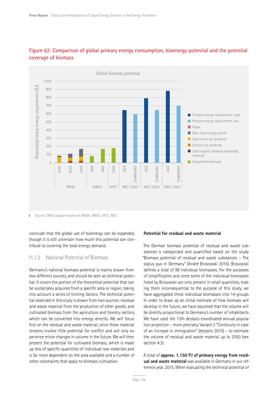

## Figure 62: Comparison of global primary energy consumption, bioenergy potential and the potential coverage of biomass

Source: DBFZ diagram based on IRENA, WBGU, IPCC, WEC T.

conclude that the global use of bioenergy can be expanded, though it is still uncertain how much this potential can contribute to covering the total energy demand.

#### 11.1.2 National Potential of Biomass

Germany's national biomass potential is mainly drawn from two different sources, and should be seen as technical potential. It covers the portion of the theoretical potential that can be sustainably acquired from a specific area or region, taking into account a series of limiting factors. The technical potential observed in this study is drawn from two sources: residual and waste material from the production of other goods; and cultivated biomass from the agriculture and forestry sectors, which can be converted into energy directly. We will focus first on the residual and waste material, since these material streams involve little potential for conflict and will only experience minor changes in volume in the future. We will then present the potential for cultivated biomass, which is made up less of specific quantities of individual raw materials and is far more dependent on the area available and a number of other constraints that apply to biomass cultivation.

#### **Potential for residual and waste material**

The German biomass potential of residual and waste substances is categorised and quantified based on the study "Biomass potential of residual and waste substances – The status quo in Germany" (André Brosowski 2015). Brosowski defines a total of 98 individual biomasses. For the purposes of simplification and since some of the individual biomasses listed by Brosowski are only present in small quantities, making them inconsequential to the purpose of this study, we have aggregated these individual biomasses into 14 groups. In order to draw up an initial estimate of how biomass will develop in the future, we have assumed that the volume will be directly proportional to Germany's number of inhabitants. We have used the 13th destatis coordinated annual population projection – more precisely, Variant 2 "Continuity in case of an increase in immigration" (destatis 2015) – to estimate the volume of residual and waste material up to 2050 (see section 4.3).

A total of **approx. 1,150 PJ of primary energy from residual and waste material** was available in Germany in our reference year, 2015. When evaluating the technical potential of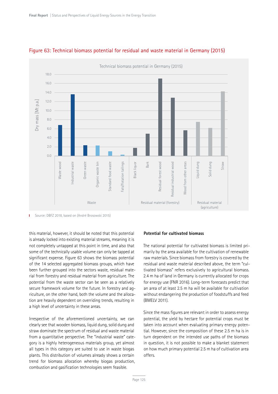

## Figure 63: Technical biomass potential for residual and waste material in Germany (2015)

this material, however, it should be noted that this potential is already locked into existing material streams, meaning it is not completely untapped at this point in time, and also that some of the technically usable volume can only be tapped at significant expense. Figure 63 shows the biomass potential of the 14 selected aggregated biomass groups, which have been further grouped into the sectors waste, residual material from forestry and residual material from agriculture. The potential from the waste sector can be seen as a relatively secure framework volume for the future. In forestry and agriculture, on the other hand, both the volume and the allocation are heavily dependent on overriding trends, resulting in a high level of uncertainty in these areas.

Irrespective of the aforementioned uncertainty, we can clearly see that wooden biomass, liquid dung, solid dung and straw dominate the spectrum of residual and waste material from a quantitative perspective. The "industrial waste" category is a highly heterogeneous materials group, yet almost all types in this category are suited to use in waste biogas plants. This distribution of volumes already shows a certain trend for biomass allocation whereby biogas production, combustion and gasification technologies seem feasible.

#### **Potential for cultivated biomass**

The national potential for cultivated biomass is limited primarily by the area available for the cultivation of renewable raw materials. Since biomass from forestry is covered by the residual and waste material described above, the term "cultivated biomass" refers exclusively to agricultural biomass. 2.4 m ha of land in Germany is currently allocated for crops for energy use (FNR 2016). Long-term forecasts predict that an area of at least 2.5 m ha will be available for cultivation without endangering the production of foodstuffs and feed (BMELV 2011).

Since the mass figures are relevant in order to assess energy potential, the yield by hectare for potential crops must be taken into account when evaluating primary energy potential. However, since the composition of these 2.5 m ha is in turn dependent on the intended use paths of the biomass in question, it is not possible to make a blanket statement on how much primary potential 2.5 m ha of cultivation area offers.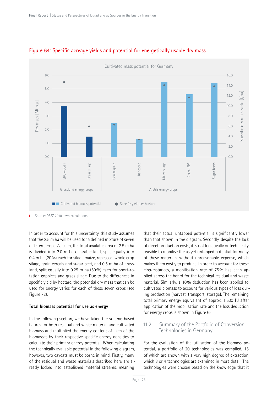

## Figure 64: Specific acreage yields and potential for energetically usable dry mass

Source: DBFZ 2018, own calculations т

In order to account for this uncertainty, this study assumes that the 2.5 m ha will be used for a defined mixture of seven different crops. As such, the total available area of 2.5 m ha is divided into 2.0 m ha of arable land, split equally into 0.4 m ha (20%) each for silage maize, rapeseed, whole crop silage, grain cereals and sugar beet, and 0.5 m ha of grassland, split equally into 0.25 m ha (50%) each for short-rotation coppices and grass silage. Due to the differences in specific yield by hectare, the potential dry mass that can be used for energy varies for each of these seven crops (see Figure 72).

#### **Total biomass potential for use as energy**

In the following section, we have taken the volume-based figures for both residual and waste material and cultivated biomass and multiplied the energy content of each of the biomasses by their respective specific energy densities to calculate their primary energy potential. When calculating the technically available potential in the following diagram, however, two caveats must be borne in mind. Firstly, many of the residual and waste materials described here are already locked into established material streams, meaning

that their actual untapped potential is significantly lower than that shown in the diagram. Secondly, despite the lack of direct production costs, it is not logistically or technically feasible to mobilise the as yet untapped potential for many of these materials without unreasonable expense, which makes them costly to produce. In order to account for these circumstances, a mobilisation rate of 75% has been applied across the board for the technical residual and waste material. Similarly, a 10% deduction has been applied to cultivated biomass to account for various types of loss during production (harvest, transport, storage). The remaining total primary energy equivalent of approx. 1,500 PJ after application of the mobilisation rate and the loss deduction for energy crops is shown in Figure 65.

#### 11.2 Summary of the Portfolio of Conversion Technologies in Germany

For the evaluation of the utilisation of the biomass potential, a portfolio of 20 technologies was compiled, 15 of which are shown with a very high degree of extraction, which 3 or 4 technologies are examined in more detail. The technologies were chosen based on the knowledge that it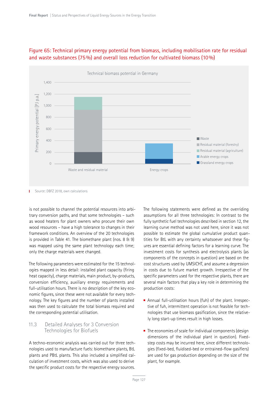

## Figure 65: Technical primary energy potential from biomass, including mobilisation rate for residual and waste substances (75%) and overall loss reduction for cultivated biomass (10%)

**Source: DBFZ 2018, own calculations** 

is not possible to channel the potential resources into arbitrary conversion paths, and that some technologies – such as wood heaters for plant owners who procure their own wood resources – have a high tolerance to changes in their framework conditions. An overview of the 20 technologies is provided in Table 41. The biomethane plant (nos. 8 & 9) was mapped using the same plant technology each time; only the charge materials were changed.

The following parameters were estimated for the 15 technologies mapped in less detail: installed plant capacity (firing heat capacity), charge materials, main product, by-products, conversion efficiency, auxiliary energy requirements and full-utilisation hours. There is no description of the key economic figures, since these were not available for every technology. The key figures and the number of plants installed was then used to calculate the total biomass required and the corresponding potential utilisation.

## 11.3 Detailed Analyses for 3 Conversion Technologies for Biofuels

A techno-economic analysis was carried out for three technologies used to manufacture fuels: biomethane plants, BtL plants and PBtL plants. This also included a simplified calculation of investment costs, which was also used to derive the specific product costs for the respective energy sources.

The following statements were defined as the overriding assumptions for all three technologies: In contrast to the fully synthetic fuel technologies described in section 12, the learning curve method was not used here, since it was not possible to estimate the global cumulative product quantities for BtL with any certainty whatsoever and these figures are essential defining factors for a learning curve. The investment costs for synthesis and electrolysis plants (as components of the concepts in question) are based on the cost structures used by UMSICHT, and assume a degression in costs due to future market growth. Irrespective of the specific parameters used for the respective plants, there are several main factors that play a key role in determining the production costs:

- Annual full-utilisation hours (fuh) of the plant. Irrespective of fuh, intermittent operation is not feasible for technologies that use biomass gasification, since the relatively long start-up times result in high losses.
- $\blacksquare$  The economies of scale for individual components (design dimensions of the individual plant in question). Fixedstep costs may be incurred here, since different technologies (fixed-bed, fluidised-bed or entrained-flow gasifiers) are used for gas production depending on the size of the plant, for example.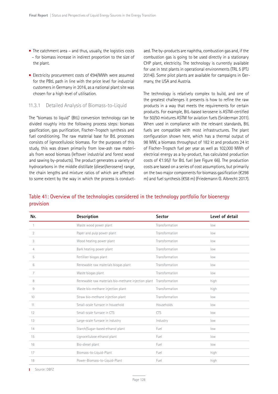- $\blacksquare$  The catchment area and thus, usually, the logistics costs – for biomass increase in indirect proportion to the size of the plant.
- Electricity procurement costs of €94/MWh were assumed for the PBtL path in line with the price level for industrial customers in Germany in 2016, as a national plant site was chosen for a high level of utilisation.

#### 11.3.1 Detailed Analysis of Biomass-to-Liquid

The "biomass to liquid" (BtL) conversion technology can be divided roughly into the following process steps: biomass gasification, gas purification, Fischer-Tropsch synthesis and fuel conditioning. The raw material base for BtL processes consists of lignocellulosic biomass. For the purposes of this study, this was drawn primarily from low-ash raw materials from wood biomass (leftover industrial and forest wood and sawing by-products). The product generates a variety of hydrocarbons in the middle distillate (diesel/kerosene) range, the chain lengths and mixture ratios of which are affected to some extent by the way in which the process is conduct-

aed. The by-products are naphtha, combustion gas and, if the combustion gas is going to be used directly in a stationary CHP plant, electricity. The technology is currently available for use in test plants in operational environments (TRL 5 (PTJ 2014)). Some pilot plants are available for campaigns in Germany, the USA and Austria.

The technology is relatively complex to build, and one of the greatest challenges it presents is how to refine the raw products in a way that meets the requirements for certain products. For example, BtL-based kerosene is ASTM-certified for 50/50 mixtures ASTM for aviation fuels (Sniderman 2011). When used in compliance with the relevant standards, BtL fuels are compatible with most infrastructures. The plant configuration shown here, which has a thermal output of 98 MW, a biomass throughput of 182 kt and produces 24 kt of Fischer-Tropsch fuel per year as well as 102,000 MWh of electrical energy as a by-product, has calculated production costs of €1.95/l for BtL fuel (see Figure 66). The production costs are based on a series of cost assumptions, but primarily on the two major components for biomass gasification (€298 m) and fuel synthesis (€58 m) (Friedemann G. Albrecht 2017).

## Table 41: Overview of the technologies considered in the technology portfolio for bioenergy provision

| Nr.            | Description                                                        | <b>Sector</b>  | Level of detail |
|----------------|--------------------------------------------------------------------|----------------|-----------------|
| 1              | Waste wood power plant                                             | Transformation | low             |
| $\overline{2}$ | Paper and pulp power plant                                         | Transformation | low             |
| 3              | Wood heating power plant                                           | Transformation | low             |
| 4              | Bark heating power plant                                           | Transformation | low             |
| 5              | Fertiliser biogas plant                                            | Transformation | low             |
| 6              | Renewable raw materials biogas plant                               | Transformation | low             |
| 7              | Waste biogas plant                                                 | Transformation | low             |
| 8              | Renewable raw materials bio-methane injection plant Transformation |                | high            |
| 9              | Waste bio-methane injection plant                                  | Transformation | high            |
| 10             | Straw bio-methane injection plant                                  | Transformation | low             |
| 11             | Small-scale furnace in household                                   | Households     | low             |
| 12             | Small-scale furnace in CTS                                         | <b>CTS</b>     | low             |
| 13             | Large-scale furnace in industry                                    | Industry       | low             |
| 14             | Starch/Sugar-based ethanol plant                                   | Fuel           | low             |
| 15             | Lignocellulose ethanol plant                                       | Fuel           | low             |
| 16             | Bio-diesel plant                                                   | Fuel           | low             |
| 17             | Biomass-to-Liquid-Plant                                            | Fuel           | high            |
| 18             | Power-Biomass-to-Liquid-Plant                                      | Fuel           | high            |

**Source: DBFZ**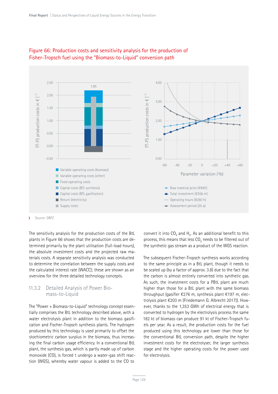

## Figure 66: Production costs and sensitivity analysis for the production of Fisher-Tropsch fuel using the "Biomass-to-Liquid" conversion path

Source: DBFZ

The sensitivity analysis for the production costs of the BtL plants in Figure 66 shows that the production costs are determined primarily by the plant utilisation (full-load hours), the absolute investment costs and the projected raw materials costs. A separate sensitivity analysis was conducted to determine the correlation between the supply costs and the calculated interest rate (WACC); these are shown as an overview for the three detailed technology concepts.

#### 11.3.2 Detailed Analysis of Power Biomass-to-Liquid

The "Power + Biomass-to-Liquid" technology concept essentially comprises the BtL technology described above, with a water electrolysis plant in addition to the biomass gasification and Fischer-Tropsch synthesis plants. The hydrogen produced by this technology is used primarily to offset the stochiometric carbon surplus in the biomass, thus increasing the final carbon usage efficiency. In a conventional BtL plant, the synthesis gas, which is partly made up of carbon monoxide (CO), is forced t undergo a water-gas shift reaction (WGS), whereby water vapour is added to the CO to

convert it into  $CO<sub>2</sub>$  and  $H<sub>2</sub>$ . As an additional benefit to this process, this means that less CO<sub>2</sub> needs to be filtered out of the synthetic gas stream as a product of the WGS reaction.

The subsequent Fischer-Tropsch synthesis works according to the same principle as in a BtL plant, though it needs to be scaled up (by a factor of approx. 3.8) due to the fact that the carbon is almost entirely converted into synthetic gas. As such, the investment costs for a PBtL plant are much higher than those for a BtL plant with the same biomass throughput (gasifier €276 m, synthesis plant €197 m, electrolysis plant €203 m (Friedemann G. Albrecht 2017)). However, thanks to the 1,353 GWh of electrical energy that is converted to hydrogen by the electrolysis process the same 182 kt of biomass can produce 91 kt of Fischer-Tropsch fuels per year. As a result, the production costs for the fuel produced using this technology are lower than those for the conventional BtL conversion path, despite the higher investment costs for the electrolyser, the larger synthesis stage and the higher operating costs for the power used for electrolysis.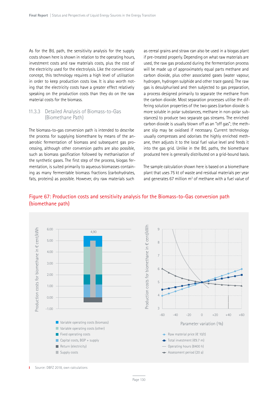As for the BtL path, the sensitivity analysis for the supply costs shown here is shown in relation to the operating hours, investment costs and raw materials costs, plus the cost of the electricity used for the electrolysis. Like the conventional concept, this technology requires a high level of utilisation in order to keep production costs low. It is also worth noting that the electricity costs have a greater effect relatively speaking on the production costs than they do on the raw material costs for the biomass.

#### 11.3.3 Detailed Analysis of Biomass-to-Gas (Biomethane Path)

The biomass-to-gas conversion path is intended to describe the process for supplying biomethane by means of the anaerobic fermentation of biomass and subsequent gas processing, although other conversion paths are also possible, such as biomass gasification followed by methanisation of the synthetic gases. The first step of the process, biogas fermentation, is suited primarily to aqueous biomasses containing as many fermentable biomass fractions (carbohydrates, fats, proteins) as possible. However, dry raw materials such

as cereal grains and straw can also be used in a biogas plant if pre-treated properly. Depending on what raw materials are used, the raw gas produced during the fermentation process will be made up of approximately equal parts methane and carbon dioxide, plus other associated gases (water vapour, hydrogen, hydrogen sulphide and other trace gases). The raw gas is desulphurised and then subjected to gas preparation, a process designed primarily to separate the methane from the carbon dioxide. Most separation processes utilise the differing solution properties of the two gases (carbon dioxide is more soluble in polar substances, methane in non-polar substances) to produce two separate gas streams. The enriched carbon dioxide is usually blown off as an "off gas"; the methane slip may be oxidised if necessary. Current technology usually compresses and odorises the highly enriched methane, then adjusts it to the local fuel value level and feeds it into the gas grid. Unlike in the BtL paths, the biomethane produced here is generally distributed on a grid-bound basis.

The sample calculation shown here is based on a biomethane plant that uses 75 kt of waste and residual materials per year and generates 67 million  $m<sup>3</sup>$  of methane with a fuel value of



## Figure 67: Production costs and sensitivity analysis for the Biomass-to-Gas conversion path (biomethane path)

Source: DBFZ 2018, own calculations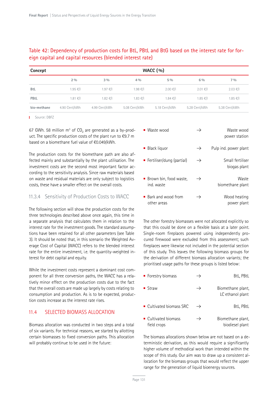## Table 42: Dependency of production costs for BtL, PBtL and BtG based on the interest rate for foreign capital and capital resources (blended interest rate)

| Concept     | WACC $(\%)$   |               |               |               |               |               |  |
|-------------|---------------|---------------|---------------|---------------|---------------|---------------|--|
|             | $2\%$         | $3\%$         | $4\%$         | $5\%$         | $6\%$         | $7\%$         |  |
| <b>BtL</b>  | $1.95$ €/I    | $1.97$ €/I    | $1.98$ €/I    | $2.00$ €/I    | $2.01$ €/I    | $2.03$ €/I    |  |
| PBtL        | $1.81 \in$ /  | $1.82$ €/I    | $1.83$ €/I    | 1.84 ∈ /      | $1.85$ €/I    | 1.85 €/I      |  |
| bio-methane | 4.90 Cent/kWh | 4.99 Cent/kWh | 5.08 Cent/kWh | 5.18 Cent/kWh | 5.28 Cent/kWh | 5.38 Cent/kWh |  |

**I** Source: DBFZ

67 GWh. 58 million  $m^3$  of  $CO_2$  are generated as a by-product. The specific production costs of the plant run to €9.7 m based on a biomethane fuel value of €0.049/kWh.

The production costs for the biomethane path are also affected mainly and substantially by the plant utilisation. The investment costs are the second most important factor according to the sensitivity analysis. Since raw materials based on waste and residual materials are only subject to logistics costs, these have a smaller effect on the overall costs.

#### 11.3.4 Sensitivity of Production Costs to WACC

The following section will show the production costs for the three technologies described above once again, this time in a separate analysis that calculates them in relation to the interest rate for the investment goods. The standard assumptions have been retained for all other parameters (see Table 3). It should be noted that, in this scenario the Weighted Average Cost of Capital (WACC) refers to the blended interest rate for the entire investment, i.e. the quantity-weighted interest for debt capital and equity.

While the investment costs represent a dominant cost component for all three conversion paths, the WACC has a relatively minor effect on the production costs due to the fact that the overall costs are made up largely by costs relating to consumption and production. As is to be expected, production costs increase as the interest rate rises.

## 11.4 SELECTED BIOMASS ALLOCATION

Biomass allocation was conducted in two steps and a total of six variants. For technical reasons, we started by allotting certain biomasses to fixed conversion paths. This allocation will probably continue to be used in the future:

| Waste wood                             | $\rightarrow$ | Waste wood<br>power station      |
|----------------------------------------|---------------|----------------------------------|
| $\blacksquare$ Black liquor            | $\rightarrow$ | Pulp ind. power plant            |
| ■ Fertiliser/dung (partial)            | $\rightarrow$ | Small fertiliser<br>biogas plant |
| ■ Brown bin, food waste,<br>ind, waste | $\rightarrow$ | Waste<br>biomethane plant        |
| Bark and wood from<br>other areas      |               | Wood heating<br>power plant      |

The other forestry biomasses were not allocated explicitly so that this could be done on a flexible basis at a later point. Single-room fireplaces powered using independently procured firewood were excluded from this assessment; such fireplaces were likewise not included in the potential section of this study. This leaves the following biomass groups for the derivation of different biomass allocation variants; the prioritised usage paths for these groups is listed below:

| ■ Forestry biomass                               |               | BtL, PBtL                             |
|--------------------------------------------------|---------------|---------------------------------------|
| ■ Straw                                          | $\rightarrow$ | Biomethane plant,<br>LC ethanol plant |
| ■ Cultivated biomass SRC                         | $\rightarrow$ | BtL, PBtL                             |
| $\blacksquare$ Cultivated biomass<br>field crops | $\rightarrow$ | Biomethane plant,<br>biodiesel plant  |

The biomass allocations shown below are not based on a deterministic derivation, as this would require a significantly higher volume of methodical work than intended within the scope of this study. Our aim was to draw up a consistent allocation for the biomass groups that would reflect the upper range for the generation of liquid bioenergy sources.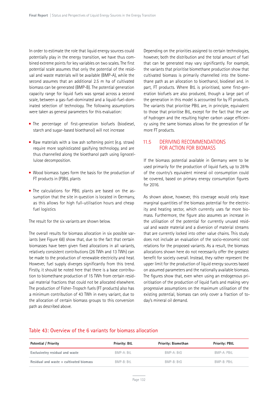In order to estimate the role that liquid energy sources could potentially play in the energy transition, we have thus combined extreme points for key variables on two scales. The first potential scale assumes that only the potential of the residual and waste materials will be available (BMP-A), while the second assumes that an additional 2.5 m ha of cultivated biomass can be generated (BMP-B). The potential generation capacity range for liquid fuels was spread across a second scale, between a gas-fuel-dominated and a liquid-fuel-dominated selection of technology. The following assumptions were taken as general parameters for this evaluation:

- The percentage of first-generation biofuels (biodiesel, starch and sugar-based bioethanol) will not increase
- Raw materials with a low ash softening point (e.g. straw) require more sophisticated gasifying technology, and are thus channelled along the bioethanol path using lignocellulose decomposition.
- $\blacksquare$  Wood biomass types form the basis for the production of FT products in (P)BtL plants
- The calculations for PBtL plants are based on the assumption that the site in question is located in Germany, as this allows for high full-utilisation hours and cheap fuel logistics

The result for the six variants are shown below.

The overall results for biomass allocation in six possible variants (see Figure 68) show that, due to the fact that certain biomasses have been given fixed allocations in all variants, relatively consistent contributions (26 TWh and 13 TWh) can be made to the production of renewable electricity and heat. However, fuel supply diverges significantly from this trend. Firstly, it should be noted here that there is a base contribution to biomethane production of 15 TWh from certain residual material fractions that could not be allocated elsewhere. The production of Fisher-Tropsch fuels (FT products) also has a minimum contribution of 43 TWh in every variant, due to the allocation of certain biomass groups to this conversion path as described above.

Depending on the priorities assigned to certain technologies, however, both the distribution and the total amount of fuel that can be generated may vary significantly. For example, the variants that prioritise biomethane production show that cultivated biomass is primarily channelled into the biomethane path as an allocation to bioethanol, biodiesel and. in part, FT products. Where BtL is prioritised, some first-generation biofuels are also produced, though a large part of the generation in this model is accounted for by FT products. The variants that prioritise PBtL are, in principle, equivalent to those that prioritise BtL, except for the fact that the use of hydrogen and the resulting higher carbon usage efficiency using the same biomass allows for the generation of far more FT products.

#### 11.5 DERIVING RECOMMENDATIONS FOR ACTION FOR BIOMASS

If the biomass potential available in Germany were to be used primarily for the production of liquid fuels, up to 28% of the country's equivalent mineral oil consumption could be covered, based on primary energy consumption figures for 2016.

As shown above, however, this coverage would only leave marginal quantities of the biomass potential for the electricity and heating sector, which currently uses far more biomass. Furthermore, the figure also assumes an increase in the utilisation of the potential for currently unused residual and waste material and a diversion of material streams that are currently locked into other value chains. This study does not include an evaluation of the socio-economic cost relations for the proposed variants. As a result, the biomass allocations shown here do not necessarily offer the greatest benefit for society overall. Instead, they rather represent the upper limit for the production of liquid energy sources based on assumed parameters and the nationally available biomass. The figures show that, even when using an endogenous prioritisation of the production of liquid fuels and making very progressive assumptions on the maximum utilisation of the existing potential, biomass can only cover a fraction of today's mineral oil demand.

#### Table 43: Overview of the 6 variants for biomass allocation

| <b>Potential / Priority</b>             | Priority: BtL     | <b>Priority: Biomethan</b> | <b>Priority: PBtL</b> |
|-----------------------------------------|-------------------|----------------------------|-----------------------|
| Exclusiveley residual and waste         | $BMP-A \cdot B H$ | $BMP-A \cdot B \nmid G$    | $BMP-A \cdot PBH$     |
| Residual and waste + cultivated biomass | BMP-B: BtL        | BMP-B: BtG                 | BMP-B: PBtL           |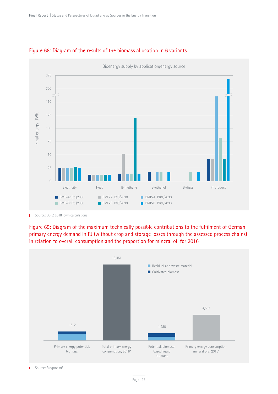

## Figure 68: Diagram of the results of the biomass allocation in 6 variants

Source: DBFZ 2018, own calculations Ť.

Figure 69: Diagram of the maximum technically possible contributions to the fulfilment of German primary energy demand in PJ (without crop and storage losses through the assessed process chains) in relation to overall consumption and the proportion for mineral oil for 2016



Source: Prognos AG т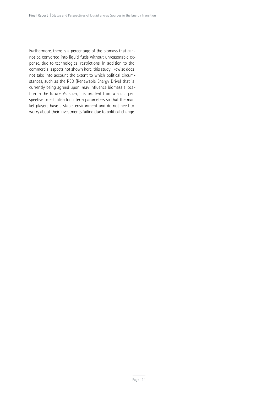Furthermore, there is a percentage of the biomass that cannot be converted into liquid fuels without unreasonable expense, due to technological restrictions. In addition to the commercial aspects not shown here, this study likewise does not take into account the extent to which political circumstances, such as the RED (Renewable Energy Drive) that is currently being agreed upon, may influence biomass allocation in the future. As such, it is prudent from a social perspective to establish long-term parameters so that the market players have a stable environment and do not need to worry about their investments failing due to political change.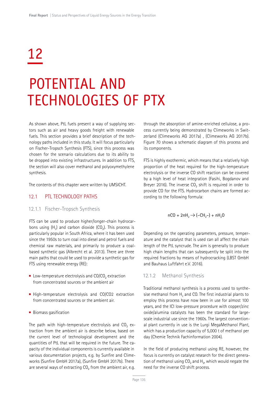# 12

## POTENTIAL AND TECHNOLOGIES OF PTX

As shown above, PtL fuels present a way of supplying sectors such as air and heavy goods freight with renewable fuels. This section provides a brief description of the technology paths included in this study. It will focus particularly on Fischer-Tropsch Synthesis (FTS), since this process was chosen for the scenario calculations due to its ability to be dropped into existing infrastructures. In addition to FTS, the section will also cover methanol and polyoxymethylene synthesis.

The contents of this chapter were written by UMSICHT.

#### 12.1 PTL TECHNOLOGY PATHS

#### 12.1.1 Fischer-Tropsch Synthesis

FTS can be used to produce higher/longer-chain hydrocarbons using  $(H<sub>2</sub>)$  and carbon dioxide  $(CO<sub>2</sub>)$ . This process is particularly popular in South Africa, where it has been used since the 1950s to turn coal into diesel and petrol fuels and chemical raw materials, and primarily to produce a coalbased synthetic gas (Albrecht et al. 2013). There are three main paths that could be used to provide a synthetic gas for FTS using renewable energy (RE):

- Low-temperature electrolysis and CO/CO<sub>2</sub> extraction from concentrated sources or the ambient air
- High-temperature electrolysis and CO/CO2 extraction from concentrated sources or the ambient air.
- **Biomass gasification**

The path with high-temperature electrolysis and  $CO<sub>2</sub>$  extraction from the ambient air is describe below, based on the current level of technological development and the quantities of PtL that will be required in the future. The capacity of the individual components is currently available in various documentation projects, e.g. by Sunfire and Climeworks (Sunfire GmbH 2017a), (Sunfire GmbH 2017b). There are several ways of extracting  $CO<sub>2</sub>$  from the ambient air, e.g.

through the absorption of amine-enriched cellulose, a process currently being demonstrated by Climeworks in Switzerland (Climeworks AG 2017a) , (Climeworks AG 2017b). Figure 70 shows a schematic diagram of this process and its components.

FTS is highly exothermic, which means that a relatively high proportion of the heat required for the high-temperature electrolysis or the inverse CO shift reaction can be covered by a high level of heat integration (Fasihi, Bogdanov and Breyer 2016). The inverse CO<sub>2</sub> shift is required in order to provide CO for the FTS. Hydrocarbon chains are formed according to the following formula:

$$
nCO + 2nH2 \rightarrow (-CH2-) + nH2O
$$

Depending on the operating parameters, pressure, temperature and the catalyst that is used can all affect the chain length of the PtL syncrude. The aim is generally to produce high chain lengths that can subsequently be split into the required fractions by means of hydrocracking (LBST GmbH and Bauhaus Luftfahrt e.V. 2016).

#### 12.1.2 Methanol Synthesis

Traditional methanol synthesis is a process used to synthesise methanol from  $H<sub>2</sub>$  and CO. The first industrial plants to employ this process have now been in use for almost 100 years, and the ICI low-pressure procedure with copper/zinc oxide/alumina catalysts has been the standard for largescale industrial use since the 1960s. The largest conventional plant currently in use is the Lurgi MegaMethanol Plant, which has a production capacity of 5,000 t of methanol per day (Chemie Technik Fachinformation 2004).

In the field of producing methanol using RE, however, the focus is currently on catalyst research for the direct generation of methanol using  $CO<sub>2</sub>$  and H<sub>2</sub>, which would negate the need for the inverse CO shift process.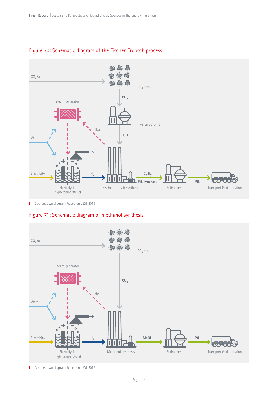

## Figure 70: Schematic diagram of the Fischer-Tropsch process

**I** Source: Own diagram, based on LBST 2016

## Figure 71: Schematic diagram of methanol synthesis



T. Source: Own diagram, based on LBST 2016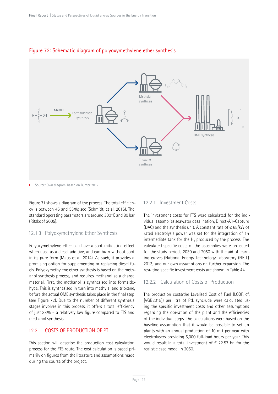

#### Figure 72: Schematic diagram of polyoxymethylene ether synthesis

Ť. Source: Own diagram, based on Burger 2012

Figure 71 shows a diagram of the process. The total efficiency is between 45 and 55%; see (Schmidt, et al. 2016). The standard operating parameters are around 300°C and 80 bar (Ritzkopf 2005).

#### 12.1.3 Polyoxymethylene Ether Synthesis

Polyoxymethylene ether can have a soot-mitigating effect when used as a diesel additive, and can burn without soot in its pure form (Maus et al. 2014). As such, it provides a promising option for supplementing or replacing diesel fuels. Polyoxymethylene ether synthesis is based on the methanol synthesis process, and requires methanol as a charge material. First, the methanol is synthesised into formaldehyde. This is synthesised in turn into methylal and trioxane, before the actual OME synthesis takes place in the final step (see Figure 72). Due to the number of different synthesis stages involves in this process, it offers a total efficiency of just 38% – a relatively low figure compared to FTS and methanol synthesis.

## 12.2 COSTS OF PRODUCTION OF PTL

This section will describe the production cost calculation process for the FTS route. The cost calculation is based primarily on figures from the literature and assumptions made during the course of the project.

#### 12.2.1 Investment Costs

The investment costs for FTS were calculated for the individual assemblies seawater desalination, Direct-Air-Capture (DAC) and the synthesis unit. A constant rate of  $\epsilon$  65/kW of rated electrolysis power was set for the integration of an intermediate tank for the  $H<sub>2</sub>$  produced by the process. The calculated specific costs of the assemblies were projected for the study periods 2030 and 2050 with the aid of learning curves (National Energy Technology Laboratory (NETL) 2013) and our own assumptions on further expansion. The resulting specific investment costs are shown in Table 44.

#### 12.2.2 Calculation of Costs of Production

The production costs/the Levelised Cost of Fuel (LCOF, cf. [VGB2015]) per litre of PtL syncrude were calculated using the specific investment costs and other assumptions regarding the operation of the plant and the efficiencies of the individual steps. The calculations were based on the baseline assumption that it would be possible to set up plants with an annual production of 10 m t per year with electrolysers providing 5,000 full-load hours per year. This would result in a total investment of  $\epsilon$  22.57 bn for the realistic case model in 2050.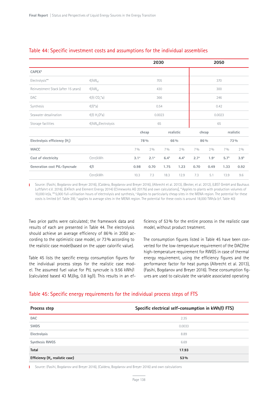|                                           |                                                   |                   |                    | 2030      |           |                  |                  | 2050             |                  |
|-------------------------------------------|---------------------------------------------------|-------------------|--------------------|-----------|-----------|------------------|------------------|------------------|------------------|
| CAPEX*                                    |                                                   |                   |                    |           |           |                  |                  |                  |                  |
| Electrolysis**                            | $\varepsilon$ /kW <sub>el</sub>                   |                   |                    | 705       |           | 370              |                  |                  |                  |
| Reinvestment Stack (after 15 years)       | $E/KW_{el}$                                       |                   |                    | 430       |           | 300              |                  |                  |                  |
| DAC                                       | $\varepsilon$ /(t CO <sub>2</sub> <sup>*</sup> a) |                   | 366                |           |           |                  | 246              |                  |                  |
| Synthesis                                 | $\varepsilon/(l^*a)$                              | 0.54              |                    |           | 0.42      |                  |                  |                  |                  |
| Seawater desalination                     | €/(1 H <sub>2</sub> O*a)                          |                   | 0.0023             |           |           | 0.0023           |                  |                  |                  |
| Storage facilities                        | $E/KW_{el}$ Electrolysis                          |                   |                    | 65        |           | 65               |                  |                  |                  |
|                                           |                                                   |                   | realistic<br>cheap |           |           | cheap            |                  | realistic        |                  |
| Electrolysis efficiency (H <sub>s</sub> ) |                                                   |                   | 78%                |           | 66%       | 86%              |                  |                  | 73%              |
| <b>WACC</b>                               |                                                   | 7 <sub>0</sub> /0 | 2%                 | 70/0      | 2%        | 70/0             | 2%               | 7%               | 2%               |
| Cost of electricity                       | Cent/kWh                                          | 3.1 <sup>a</sup>  | 2.1 <sup>a</sup>   | $6.4^{b}$ | $4.4^{b}$ | 2.7 <sup>a</sup> | 1.9 <sup>a</sup> | 5.7 <sup>b</sup> | 3.9 <sup>b</sup> |
| Generation cost PtL-Syncrude              | €/I                                               | 0.98              | 0.70               | 1.75      | 1.23      | 0.70             | 0.49             | 1.33             | 0.92             |
|                                           | Cent/kWh                                          | 10.3              | 7.3                | 18.3      | 12.9      | 7.3              | 5.1              | 13.9             | 9.6              |

#### Table 44: Specific investment costs and assumptions for the individual assemblies

Source: (Fasihi, Bogdanov and Breyer 2016), (Caldera, Bogdanov and Breyer 2016), (Albrecht et al. 2013), (Becker, et al. 2012), (LBST GmbH and Bauhaus Luftfahrt e.V. 2016), (E4Tech and Element Energy 2014) (Climeworks AG 2017b) and own calculations], \*Applies to plants with production volumes of 10,000 kt/a, \*\* 5,000 full-utilisation hours of electrolysis and synthesis, a Applies to particularly cheap sites in the MENA region. The potential for these costs is limited (cf. Table 39); <sup>b</sup> applies to average sites in the MENA region. The potential for these costs is around 18,000 TWh/a (cf. Table 40)

Two price paths were calculated; the framework data and results of each are presented in Table 44. The electrolysis should achieve an average efficiency of 86% in 2050 according to the optimistic case model, or 73% according to the realistic case model(based on the upper calorific value).

Table 45 lists the specific energy consumption figures for the individual process steps for the realistic case model. The assumed fuel value for PtL syncrude is 9.56 kWh/l (calculated based 43 MJ/kg, 0.8 kg/l). This results in an efficiency of 53% for the entire process in the realistic case model, without product treatment.

The consumption figures listed in Table 45 have been converted for the low-temperature requirement of the DAC/the high-temperature requirement for RWGS in case of thermal energy requirement, using the efficiency figures and the performance factor for heat pumps (Albrecht et al. 2013), (Fasihi, Bogdanov and Breyer 2016). These consumption figures are used to calculate the variable associated operating

#### Table 45: Specific energy requirements for the individual process steps of FTS

| Specific electrical self-consumption in kWh/(I FTS)<br>Process step |        |  |  |  |  |
|---------------------------------------------------------------------|--------|--|--|--|--|
| <b>DAC</b>                                                          | 2.35   |  |  |  |  |
| <b>SWDS</b>                                                         | 0.0033 |  |  |  |  |
| Electrolysis                                                        | 8.89   |  |  |  |  |
| <b>Synthesis RWGS</b>                                               | 6.69   |  |  |  |  |
| <b>Total</b>                                                        | 17.93  |  |  |  |  |
| Efficiency (H <sub>s</sub> , realistic case)                        | 53%    |  |  |  |  |

Source: (Fasihi, Bogdanov and Breyer 2016), (Caldera, Bogdanov and Breyer 2016) and own calculations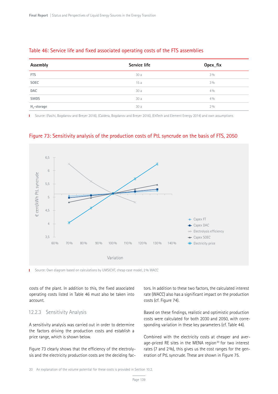## Table 46: Service life and fixed associated operating costs of the FTS assemblies

| Assembly                                                          | Service life | Opex_fix |
|-------------------------------------------------------------------|--------------|----------|
| <b>FTS</b>                                                        | 30a          | 3%       |
| SOEC                                                              | 15a          | 3%       |
| <b>DAC</b>                                                        | 30a          | 4%       |
| <b>SWDS</b>                                                       | 30a          | 4%       |
| $H_2$ -storage<br>the contract of the contract of the contract of | 30a          | 2%       |

Source: (Fasihi, Bogdanov and Breyer 2016), (Caldera, Bogdanov and Breyer 2016), (E4Tech and Element Energy 2014) and own assumptions Ē,



Figure 73: Sensitivity analysis of the production costs of PtL syncrude on the basis of FTS, 2050

I Source: Own diagram based on calculations by UMSICHT, cheap case model, 2% WACC

costs of the plant. In addition to this, the fixed associated operating costs listed in Table 46 must also be taken into account.

#### 12.2.3 Sensitivity Analysis

A sensitivity analysis was carried out in order to determine the factors driving the production costs and establish a price range, which is shown below.

Figure 73 clearly shows that the efficiency of the electrolysis and the electricity production costs are the deciding factors. In addition to these two factors, the calculated interest rate (WACC) also has a significant impact on the production costs (cf. Figure 74).

Based on these findings, realistic and optimistic production costs were calculated for both 2030 and 2050, with corresponding variation in these key parameters (cf. Table 44).

Combined with the electricity costs at cheaper and average-priced RE sites in the MENA region<sup>20</sup> for two interest rates (7 and 2%), this gives us the cost ranges for the generation of PtL syncrude. These are shown in Figure 75.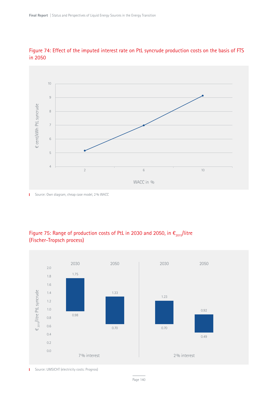

## Figure 74: Effect of the imputed interest rate on PtL syncrude production costs on the basis of FTS in 2050

**I** Source: Own diagram, cheap case model, 2% WACC

## Figure 75: Range of production costs of PtL in 2030 and 2050, in  $\epsilon_{2015}/$ litre (Fischer-Tropsch process)



Source: UMSICHT (electricity costs: Prognos)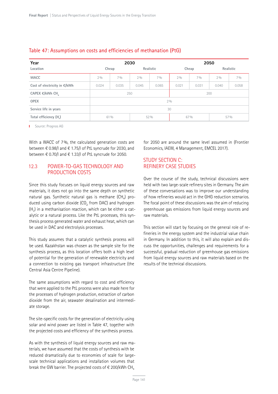| Year                         | 2030               |       |       |       | 2050      |       |       |       |  |  |
|------------------------------|--------------------|-------|-------|-------|-----------|-------|-------|-------|--|--|
| Location                     | Realistic<br>Cheap |       | Cheap |       | Realistic |       |       |       |  |  |
| <b>WACC</b>                  | $2\%$              | 7%    | 2%    | 70/0  | 2%        | 70/0  | 2%    | 7%    |  |  |
| Cost of electricity in €/kWh | 0.024              | 0.035 | 0.045 | 0.065 | 0.021     | 0.031 | 0.040 | 0.058 |  |  |
| CAPEX €/kWh CH               | 250                |       |       |       | 200       |       |       |       |  |  |
| <b>OPEX</b>                  | 2%                 |       |       |       |           |       |       |       |  |  |
| Service life in years        | 30                 |       |       |       |           |       |       |       |  |  |
| Total efficiency (H.)        | 61 %<br>52%        |       |       | 67 %  |           | 57 %  |       |       |  |  |

#### Table 47: Assumptions on costs and efficiencies of methanation (PtG)

**I** Source: Prognos AG

With a WACC of 7%, the calculated generation costs are between € 0.98/l and € 1.75/l of PtL syncrude for 2030, and between € 0.70/l and € 1.33/l of PtL syncrude for 2050.

## 12.3 POWER-TO-GAS TECHNOLOGY AND PRODUCTION COSTS

Since this study focuses on liquid energy sources and raw materials, it does not go into the same depth on synthetic natural gas. Synthetic natural gas is methane  $(CH_4)$  produced using carbon dioxide  $(CO<sub>2</sub>$  from DAC) and hydrogen  $(H<sub>2</sub>)$  in a methanisation reaction, which can be either a catalytic or a natural process. Like the PtL processes, this synthesis process generated water and exhaust heat, which can be used in DAC and electrolysis processes.

This study assumes that a catalytic synthesis process will be used. Kazakhstan was chosen as the sample site for the synthesis process, as this location offers both a high level of potential for the generation of renewable electricity and a connection to existing gas transport infrastructure (the Central Asia Centre Pipeline).

The same assumptions with regard to cost and efficiency that were applied to the PtL process were also made here for the processes of hydrogen production, extraction of carbon dioxide from the air, seawater desalination and intermediate storage.

The site-specific costs for the generation of electricity using solar and wind power are listed in Table 47, together with the projected costs and efficiency of the synthesis process.

As with the synthesis of liquid energy sources and raw materials, we have assumed that the costs of synthesis with be reduced dramatically due to economies of scale for largescale technical applications and installation volumes that break the GW barrier. The projected costs of  $\epsilon$  200/kWh CH<sub>4</sub>

for 2050 are around the same level assumed in (Frontier Economics, IAEW, 4 Management, EMCEL 2017).

## STUDY SECTION C: REFINERY CASE STUDIES

Over the course of the study, technical discussions were held with two large-scale refinery sites in Germany. The aim of these conversations was to improve our understanding of how refineries would act in the GHG reduction scenarios. The focal point of these discussions was the aim of reducing greenhouse gas emissions from liquid energy sources and raw materials.

This section will start by focusing on the general role of refineries in the energy system and the industrial value chain in Germany. In addition to this, it will also explain and discuss the opportunities, challenges and requirements for a successful, gradual reduction of greenhouse gas emissions from liquid energy sources and raw materials based on the results of the technical discussions.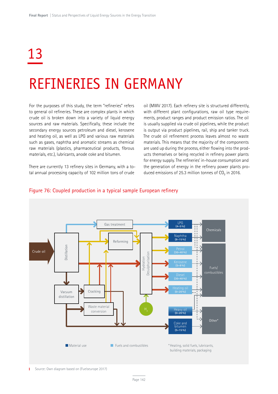# 13

## REFINERIES IN GERMANY

For the purposes of this study, the term "refineries" refers to general oil refineries. These are complex plants in which crude oil is broken down into a variety of liquid energy sources and raw materials. Specifically, these include the secondary energy sources petroleum and diesel, kerosene and heating oil, as well as LPG and various raw materials such as gases, naphtha and aromatic streams as chemical raw materials (plastics, pharmaceutical products, fibrous materials, etc.), lubricants, anode coke and bitumen.

There are currently 13 refinery sites in Germany, with a total annual processing capacity of 102 million tons of crude

oil (MWV 2017). Each refinery site is structured differently, with different plant configurations, raw oil type requirements, product ranges and product emission ratios. The oil is usually supplied via crude oil pipelines, while the product is output via product pipelines, rail, ship and tanker truck. The crude oil refinement process leaves almost no waste materials. This means that the majority of the components are used up during the process, either flowing into the products themselves or being recycled in refinery power plants for energy supply. The refineries' in-house consumption and the generation of energy in the refinery power plants produced emissions of 25.3 million tonnes of  $CO<sub>2</sub>$  in 2016.



#### Figure 76: Coupled production in a typical sample European refinery

Source: Own diagram based on (Fuelseurope 2017)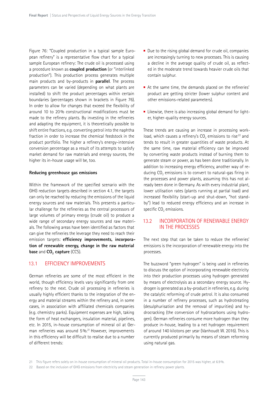Figure 76: "Coupled production in a typical sample European refinery" is a representative flow chart for a typical sample European refinery: The crude oil is processed using a procedure known as **coupled production** (or "interlinked production"). This production process generates multiple main products and by-products in **parallel**. The process parameters can be varied (depending on what plants are installed) to shift the product percentages within certain boundaries (percentages shown in brackets in Figure 76). In order to allow for changes that exceed the flexibility of around 10 to 20% constructional modifications must be made to the refinery plants. By investing in the refineries and adapting the equipment, it is theoretically possible to shift entire fractions, e.g. converting petrol into the naphtha fraction in order to increase the chemical feedstock in the product portfolio. The higher a refinery's energy-intensive conversion percentage as a result of its attempts to satisfy market demand for raw materials and energy sources, the higher its in-house usage will be, too.

#### **Reducing greenhouse gas emissions**

Within the framework of the specified scenario with the GHG reduction targets described in section 4.1, the targets can only be reached by reducing the emissions of the liquid energy sources and raw materials. This presents a particular challenge for the refineries as the central processors of large volumes of primary energy (crude oil) to produce a wide range of secondary energy sources and raw materials. The following areas have been identified as factors that can give the refineries the leverage they need to reach their emission targets: **efficiency improvements, incorporation of renewable energy, change in the raw material base** and **CO<sub>2</sub> capture** (CCS).

## 13.1 EFFICIENCY IMPROVEMENTS

German refineries are some of the most efficient in the world, though efficiency levels vary significantly from one refinery to the next. Crude oil processing in refineries is usually highly efficient thanks to the integration of the energy and material streams within the refinery and, in some cases, in association with affiliated chemicals companies (e.g. chemistry parks). Equipment expenses are high, taking the form of heat exchangers, insulation material, pipelines, etc. In 2015, in-house consumption of mineral oil at German refineries was around 5%.<sup>21</sup> However, improvements in this efficiency will be difficult to realise due to a number of different trends:

- $\blacksquare$  Due to the rising global demand for crude oil, companies are increasingly turning to new processes. This is causing a decline in the average quality of crude oil, as reflected in the moderate trend towards heavier crude oils that contain sulphur.
- At the same time, the demands placed on the refineries' product are getting stricter (lower sulphur content and other emissions-related parameters).
- $\blacksquare$  Likewise, there is also increasing global demand for lighter, higher-quality energy sources.

These trends are causing an increase in processing workload, which causes a refinery's  $CO<sub>2</sub>$  emissions to rise<sup>22</sup> and tends to result in greater quantities of waste products. At the same time, raw material efficiency can be improved by converting waste products instead of burning them to generate steam or power, as has been done traditionally. In addition to increasing energy efficiency, another way of reducing CO<sub>2</sub> emissions is to convert to natural-gas firing in the processes and power plants, assuming this has not already been done in Germany. As with every industrial plant, lower utilisation rates (plants running at partial load) and increased flexibility (start-up and shut-down, "hot standby") lead to reduced energy efficiency and an increase in specific  $CO<sub>2</sub>$  emissions.

#### 13.2 INCORPORATION OF RENEWABLE ENERGY IN THE PROCESSES

The next step that can be taken to reduce the refineries' emissions is the incorporation of renewable energy into the processes.

The buzzword "green hydrogen" is being used in refineries to discuss the option of incorporating renewable electricity into their production processes using hydrogen generated by means of electrolysis as a secondary energy source. Hydrogen is generated as a by-product in refineries, e.g. during the catalytic reforming of crude petrol. It is also consumed in a number of refinery processes, such as hydrotreating (desulphurisation and the removal of impurities) and hydrocracking (the conversion of hydrocarbons using hydrogen). German refineries consume more hydrogen than they produce in-house, leading to a net hydrogen requirement of around 140 kilotons per year (Vanhoudt W. 2016). This is currently produced primarily by means of steam reforming using natural gas.

<sup>21</sup> This figure refers solely on in-house consumption of mineral oil products. Total in-house consumption for 2015 was higher, at 6.9%.

<sup>22</sup> Based on the inclusion of GHG emissions from electricity and steam generation in refinery power plants.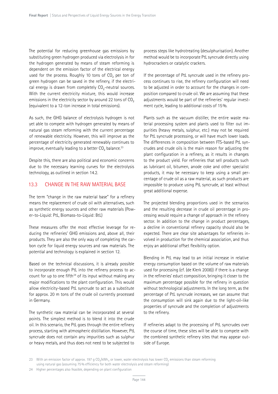The potential for reducing greenhouse gas emissions by substituting green hydrogen produced via electrolysis in for the hydrogen generated by means of steam reforming is dependent on the emission factor of the electrical energy used for the process. Roughly 10 tons of  $CO<sub>2</sub>$  per ton of green hydrogen can be saved in the refinery, if the electrical energy is drawn from completely  $CO<sub>2</sub>$ -neutral sources. With the current electricity mixture, this would increase emissions in the electricity sector by around 22 tons of  $CO<sub>2</sub>$ (equivalent to a 12-ton increase in total emissions).

As such, the GHG balance of electrolysis hydrogen is not yet able to compete with hydrogen generated by means of natural gas steam reforming with the current percentage of renewable electricity. However, this will improve as the percentage of electricity generated renewably continues to improve, eventually leading to a better  $CO<sub>2</sub>$  balance.<sup>23</sup>

Despite this, there are also political and economic concerns due to the necessary learning curves for the electrolysis technology, as outlined in section 14.2.

#### 13.3 CHANGE IN THE RAW MATERIAL BASE

The term "change in the raw material base" for a refinery means the replacement of crude oil with alternatives, such as synthetic energy sources and other raw materials (Power-to-Liquid: PtL, Biomass-to-Liquid: BtL)

These measures offer the most effective leverage for reducing the refineries' GHG emissions and, above all, their products. They are also the only way of completing the carbon cycle for liquid energy sources and raw materials. The potential and technology is explained in section 12.

Based on the technical discussions, it is already possible to incorporate enough PtL into the refinery process to account for up to one fifth<sup>24</sup> of its input without making any major modifications to the plant configuration. This would allow electricity-based PtL syncrude to act as a substitute for approx. 20 m tons of the crude oil currently processed in Germany.

The synthetic raw material can be incorporated at several points. The simplest method is to blend it into the crude oil. In this scenario, the PtL goes through the entire refinery process, starting with atmospheric distillation. However, PtL syncrude does not contain any impurities such as sulphur or heavy metals, and thus does not need to be subjected to

process steps like hydrotreating (desulphurisation). Another method would be to incorporate PtL syncrude directly using hydrocrackers or catalytic crackers.

If the percentage of PtL syncrude used in the refinery process continues to rise, the refinery configuration will need to be adjusted in order to account for the changes in composition compared to crude oil. We are assuming that these adjustments would be part of the refineries' regular investment cycle, leading to additional costs of 15%.

Plants such as the vacuum distiller, the entire waste material processing system and plants used to filter out impurities (heavy metals, sulphur, etc.) may not be required for PtL syncrude processing, or will have much lower loads. The differences in composition between FTS-based PtL syncrudes and crude oils is the main reason for adjusting the plant configuration in a refinery, as it results in changes to the product yield. For refineries that sell products such as lubricant oil, bitumen, anode coke and other specialist products, it may be necessary to keep using a small percentage of crude oil as a raw material, as such products are impossible to produce using PtL syncrude, at least without great additional expense.

The projected blending proportions used in the scenarios and the resulting decrease in crude oil percentage in processing would require a change of approach in the refinery sector. In addition to the change in product percentages, a decline in conventional refinery capacity should also be expected. There are clear site advantages for refineries involved in production for the chemical association, and thus enjoy an additional offset flexibility option.

Blending in PtL may lead to an initial increase in relative energy consumption based on the volume of raw materials used for processing (cf. (de Klerk 2008)) if there is a change in the refineries' educt composition, bringing it closer to the maximum percentage possible for the refinery in question without technological adjustments. In the long term, as the percentage of PtL syncrude increases, we can assume that the consumption will sink again due to the light-oil-like properties of syncrude and the completion of adjustments to the refinery.

If refineries adapt to the processing of PtL syncrudes over the course of time, these sites will be able to compete with the combined synthetic refinery sites that may appear outside of Europe.

<sup>23</sup> With an emission factor of approx. 197 g CO<sub>2</sub>/kWh<sub>el</sub> or lower, water electrolysis has lower CO<sub>2</sub> emissions than steam reforming using natural gas (assuming 75% efficiency for both water electrolysis and steam reforming)

<sup>24</sup> Higher percentages also feasible, depending on plant configuration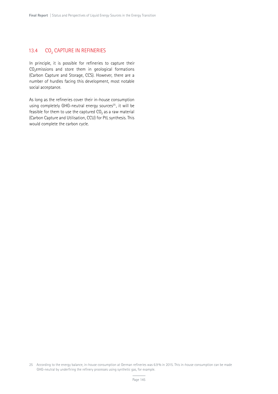#### 13.4 CO<sub>2</sub> CAPTURE IN REFINERIES

In principle, it is possible for refineries to capture their CO<sub>2</sub>emissions and store them in geological formations (Carbon Capture and Storage, CCS). However, there are a number of hurdles facing this development, most notable social acceptance.

As long as the refineries cover their in-house consumption using completely GHG-neutral energy sources<sup>25</sup>, it will be feasible for them to use the captured  $CO<sub>2</sub>$  as a raw material (Carbon Capture and Utilisation, CCU) for PtL synthesis. This would complete the carbon cycle.

25 According to the energy balance, in-house consumption at German refineries was 6.9% in 2015. This in-house consumption can be made GHG-neutral by underfiring the refinery processes using synthetic gas, for example.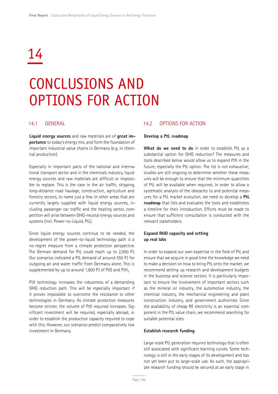# 14

# CONCLUSIONS AND OPTIONS FOR ACTION

#### 14.1 GENERAL

**Liquid energy sources** and raw materials are of **great importance** to today's energy mix, and form the foundation of important industrial value chains in Germany (e.g. in chemical production).

Especially in important parts of the national and international transport sector and in the chemicals industry, liquid energy sources and raw materials are difficult or impossible to replace. This is the case in the air traffic, shipping, long-distance road haulage, construction, agriculture and forestry sectors, to name just a few. In other areas that are currently largely supplied with liquid energy sources, including passenger car traffic and the heating sector, competition will arise between GHG-neutral energy sources and systems (incl. Power-to-Liquid, PtL).

Since liquid energy sources continue to be needed, the development of the power-to-liquid technology path is a no-regret measure from a climate protection perspective. The German demand for PtL could reach up to 2,000 PJ. Our scenarios indicated a PtL demand of around 550 PJ for outgoing air and water traffic from Germany alone. This is supplemented by up to around 1,600 PJ of PtG and PtH<sub>2</sub>.

PtX technology increases the robustness of a demanding GHG reduction path. This will be especially important if it proves impossible to overcome the resistance to other technologies in Germany. As climate protection measures become stricter, the volume of PtX required increases. Significant investment will be required, especially abroad, in order to establish the production capacity required to cope with this. However, our scenarios predict comparatively low investment in Germany.

#### 14.2 OPTIONS FOR ACTION

#### **Develop a PtL roadmap**

**What do we need to do** in order to establish PtL as a substantial option for GHG reduction? The measures and tools described below would allow us to expand PtX in the future, especially the PtL option. The list is not exhaustive; studies are still ongoing to determine whether these measures will be enough to ensure that the minimum quantities of PtL will be available when required. In order to allow a systematic analysis of the obstacles to and potential measures for a PtL market evolution, we need to develop a **PtL roadmap** that lists and evaluates the tools and establishes a timeline for their introduction. Efforts must be made to ensure that sufficient consultation is conducted with the relevant stakeholders.

#### **Expand R&D capacity and setting up real labs**

In order to expand our own expertise in the field of PtL and ensure that we acquire in good time the knowledge we need to make a decision on how to bring PtL onto the market, we recommend setting up research and development budgets in the business and science sectors. It is particularly important to ensure the involvement of important sectors such as the mineral oil industry, the automotive industry, the chemical industry, the mechanical engineering and plant construction industry, and government authorities Since the availability of cheap RE electricity is an essential component in the PtL value chain, we recommend searching for suitable potential sites.

#### **Establish research funding**

Large-scale PtL generation requires technology that is often still associated with significant learning curves. Some technology is still in the early stages of its development and has not yet been put to large-scale use. As such, the appropriate research funding should be secured at an early stage in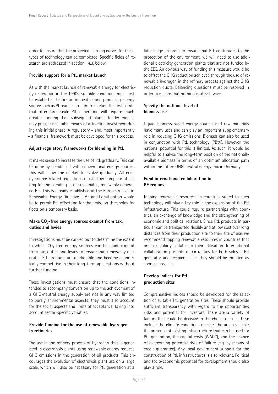order to ensure that the projected learning curves for these types of technology can be completed. Specific fields of research are addressed in section 14.3, below.

#### **Provide support for a PtL market launch**

As with the market launch of renewable energy for electricity generation in the 1990s, suitable conditions must first be established before an innovative and promising energy source such as PtL can be brought to market. The first plants that offer large-scale PtL generation will require much greater funding than subsequent plants. Tender models may present a suitable means of attracting investment during this initial phase. A regulatory – and, most importantly – a financial framework must be developed for this process.

#### **Adjust regulatory frameworks for blending in PtL**

It makes sense to increase the use of PtL gradually. This can be done by blending it with conventional energy sources. This will allow the market to evolve gradually. All energy-source-related regulations must allow complete offsetting for the blending in of sustainable, renewably generated PtL. This is already established at the European level in Renewable Energy Directive II. An additional option would be to permit PtL offsetting for the emission thresholds for fleets on a temporary basis.

#### Make CO<sub>2</sub>-free energy sources exempt from tax, **duties and levies**

Investigations must be carried out to determine the extent to which  $CO<sub>2</sub>$ -free energy sources can be made exempt from tax, duties and levies to ensure that renewably generated PtL products are marketable and become economically competitive in their long-term applications without further funding.

These investigations must ensure that the conditions intended to accompany conversion up to the achievement of a GHG-neutral energy supply are not in any way limited to purely environmental aspects; they must also account for the social aspects and limits of acceptance, taking into account sector-specific variables.

#### **Provide funding for the use of renewable hydrogen in refineries**

The use in the refinery process of hydrogen that is generated in electrolysis plants using renewable energy reduces GHG emissions in the generation of oil products. This encourages the evolution of electrolysis plant use on a large scale, which will also be necessary for PtL generation at a

later stage. In order to ensure that PtL contributes to the protection of the environment, we will need to use additional electricity generation plants that are not funded by the EEC. An obvious way of funding this measure would be to offset the GHG reduction achieved through the use of renewable hydrogen in the refinery process against the GHG reduction quota. Balancing questions must be resolved in order to ensure that nothing is offset twice.

#### **Specify the national level of biomass use**

Liquid, biomass-based energy sources and raw materials have many uses and can play an important supplementary role in reducing GHG emissions. Biomass can also be used in conjunction with PtL technology (PBtX). However, the national potential for this is limited. As such, it would be helpful to analyse the long-term position of the nationally available biomass in terms of an optimum allocation path within the future GHG-neutral energy mix in Germany.

#### **Fund international collaboration in RE regions**

Tapping renewable resources in countries suited to such technology will play a key role in the expansion of the PtL infrastructure. This could require partnerships with countries, an exchange of knowledge and the strengthening of economic and political relations. Since PtL products in particular can be transported flexibly and at low cost over long distances from their production site to their site of use, we recommend tapping renewable resources in countries that are particularly suitable to their utilisation. International collaboration presents opportunities for both sides – PtL generator and recipient alike. They should be initiated as soon as possible.

#### **Develop indices for PtL production sites**

Comprehensive indices should be developed for the selection of suitable PtL generation sites. These should provide sufficient transparency with regard to the opportunities, risks and potential for investors. There are a variety of factors that could be decisive in the choice of site. These include the climate conditions on site, the area available, the presence of existing infrastructure that can be used for PtL generation, the capital costs (WACC), and the chance of overcoming potential risks of failure (e.g. by means of credit guarantee). Any local government support for the construction of PtL infrastructures is also relevant. Political and socio-economic potential for development should also play a role.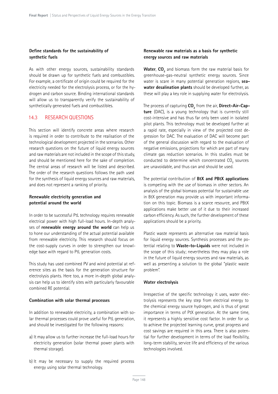#### **Define standards for the sustainability of synthetic fuels**

As with other energy sources, sustainability standards should be drawn up for synthetic fuels and combustibles. For example, a certificate of origin could be required for the electricity needed for the electrolysis process, or for the hydrogen and carbon source. Binding international standards will allow us to transparently verify the sustainability of synthetically generated fuels and combustibles.

#### 14.3 RESEARCH QUESTIONS

This section will identify concrete areas where research is required in order to contribute to the realisation of the technological development projected in the scenarios. Other research questions on the future of liquid energy sources and raw materials are not included in the scope of this study, and should be mentioned here for the sake of completion. The central areas of research will be listed and described. The order of the research questions follows the path used for the synthesis of liquid energy sources and raw materials, and does not represent a ranking of priority.

#### **Renewable electricity generation and potential around the world**

In order to be successful PtL technology requires renewable electrical power with high full-load hours. In-depth analyses of **renewable energy around the world** can help us to hone our understanding of the actual potential available from renewable electricity. This research should focus on the cost-supply curves in order to strengthen our knowledge base with regard to PtL generation costs.

This study has used combined PV and wind potential at reference sites as the basis for the generation structure for electrolysis plants. Here too, a more in-depth global analysis can help us to identify sites with particularly favourable combined RE potential.

#### **Combination with solar thermal processes**

In addition to renewable electricity, a combination with solar thermal processes could prove useful for PtL generation, and should be investigated for the following reasons:

- a) It may allow us to further increase the full-load hours for electricity generation (solar thermal power plants with thermal storage).
- b) It may be necessary to supply the required process energy using solar thermal technology.

#### **Renewable raw materials as a basis for synthetic energy sources and raw materials**

**Water, CO<sub>2</sub>** and biomass form the raw material basis for greenhouse-gas-neutral synthetic energy sources. Since water is scare in many potential generation regions, **seawater desalination plants** should be developed further, as these will play a key role in supplying water for electrolysis.

The process of capturing  $\mathsf{CO}_2^{}$  from the air, **Direct-Air-Capture** (DAC), is a young technology that is currently still cost-intensive and has thus far only been used in isolated pilot plants. This technology must be developed further at a rapid rate, especially in view of the projected cost degression for DAC. The evaluation of DAC will become part of the general discussion with regard to the evaluation of negative emissions, projections for which are part of many climate gas reduction scenarios. In this studies must be conducted to determine which concentrated  $CO<sub>2</sub>$  sources are unavoidable, and thus can and should be used.

The potential contribution of **BtX and PBtX applications**  is competing with the use of biomass in other sectors. An analysis of the global biomass potential for sustainable use in BtX generation may provide us with important information on this topic. Biomass is a scarce resource, and PBtX applications make better use of it due to their increased carbon efficiency. As such, the further development of these applications should be a priority.

Plastic waste represents an alternative raw material basis for liquid energy sources. Synthesis processes and the potential relating to **Waste-to-Liquids** were not included in the scope of this study; nevertheless they may play a role in the future of liquid energy sources and raw materials, as well as presenting a solution to the global "plastic waste problem".

#### **Water electrolysis**

Irrespective of the specific technology it uses, water electrolysis represents the key step from electrical energy to the chemical energy source hydrogen, and is thus of great importance in terms of PtX generation. At the same time, it represents a highly sensitive cost factor. In order for us to achieve the projected learning curve, great progress and cost savings are required in this area. There is also potential for further development in terms of the load flexibility, long-term stability, service life and efficiency of the various technologies involved.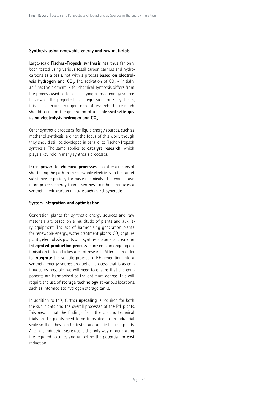#### **Synthesis using renewable energy and raw materials**

Large-scale **Fischer-Tropsch synthesis** has thus far only been tested using various fossil carbon carriers and hydrocarbons as a basis, not with a process **based on electrolysis hydrogen and**  $CO_2$ **.** The activation of  $CO_2$  – initially an "inactive element" – for chemical synthesis differs from the process used so far of gasifying a fossil energy source. In view of the projected cost degression for FT synthesis, this is also an area in urgent need of research. This research should focus on the generation of a stable **synthetic gas**  using electrolysis hydrogen and CO<sub>2</sub>. .

Other synthetic processes for liquid energy sources, such as methanol synthesis, are not the focus of this work, though they should still be developed in parallel to Fischer-Tropsch synthesis. The same applies to **catalyst research,** which plays a key role in many synthesis processes.

Direct **power-to-chemical processes** also offer a means of shortening the path from renewable electricity to the target substance, especially for basic chemicals. This would save more process energy than a synthesis method that uses a synthetic hydrocarbon mixture such as PtL syncrude.

#### **System integration and optimisation**

Generation plants for synthetic energy sources and raw materials are based on a multitude of plants and auxiliary equipment. The act of harmonising generation plants for renewable energy, water treatment plants, CO<sub>2</sub> capture plants, electrolysis plants and synthesis plants to create an **integrated production process** represents an ongoing optimisation task and a key area of research. After all, in order to **integrate** the volatile process of RE generation into a synthetic energy source production process that is as continuous as possible, we will need to ensure that the components are harmonised to the optimum degree. This will require the use of **storage technology** at various locations, such as intermediate hydrogen storage tanks.

In addition to this, further **upscaling** is required for both the sub-plants and the overall processes of the PtL plants. This means that the findings from the lab and technical trials on the plants need to be translated to an industrial scale so that they can be tested and applied in real plants. After all, industrial-scale use is the only way of generating the required volumes and unlocking the potential for cost reduction.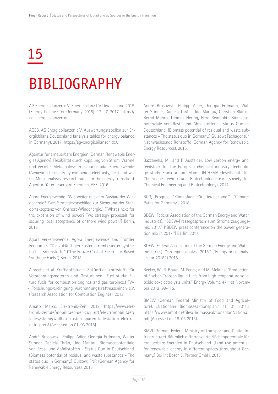# 15 BIBLIOGRAPHY

AG Energiebilanzen e.V. Energiebilanz für Deutschland 2015 (Energy balance for Germany 2015). 12. 10 2017. https:// ag-energiebilanzen.de.

AGEB, AG Energiebilanzen e.V. Auswertungstabellen zur Energiebilanz Deutschland (analysis tables for energy balance in Germany). 2017. https://ag-energiebilanzen.de/.

Agentur für erneuerbare Energien (German Renewable Energies Agency). Flexibilität durch Kopplung von Strom, Wärme und Verkehr. Metaanalyse, Forschungsradar Energiewende (Achieving flexibility by combining electricity, heat and water. Meta-analysis, research radar for the energy transition). Agentur für erneuerbare Energien, AEE, 2016.

Agora Energiewende. "Wie weiter mit dem Ausbau der Windenergie? Zwei Strategievorschläge zur Sicherung der Standortakzeptanz von Onshore-Windenergie." ("What's next for the expansion of wind power? Two strategy proposals for securing local acceptance of onshore wind power.") Berlin, 2018.

Agora Verkehrswende, Agora Energiewende and Frontier Economics. "Die zukünftigen Kosten strombasierter synthetischer Brennstoffe." ("The Future Cost of Electricity-Based Synthetic Fuels.") Berlin, 2018.

Albrecht et al. Kraftstoffstudie. Zukünftige Kraftstoffe für Verbrennungsmotoren und Gasturbinen. (Fuel study: Future fuels for combustion engines and gas turbines.) FVV - Forschungsvereinigung Verbrennungskraftmaschinen e.V. (Research Association for Combustion Engines), 2013.

Amato, Marco. Elektronik-Zeit. 2018. https://www.elektronik-zeit.de/mobilitaet-der-zukunft/elektromobilitaet/ ladesysteme/wallbox-kosten-sparen-ladestation-elektroauto-preis/ (Accessed on 01. 03 2018).

André Brosowski, Philipp Adler, Georgia Erdmann, Walter Stinner, Daniela Thrän, Udo Mantau. Biomassepotentiale von Rest- und Abfallstoffen - Status Quo in Deutschland. (Biomass potential of residual and waste substances – The status quo in Germany.) Gülzow: FNR (German Agency for Renewable Energy Resources), 2015.

André Brosowski, Philipp Adler, Georgia Erdmann, Walter Stinner, Daniela Thrän, Udo Mantau, Christian Blanke, Bernd Mahro, Thomas Hering, Gerd Reinholdt. Biomassepotenziale von Rest- und Abfallstoffen - Status Quo in Deutschland. (Biomass potential of residual and waste substances – The status quo in Germany.) Gülzow: Fachagentur Nachwachsende Rohstoffe (German Agency for Renewable Energy Resources), 2015.

Bazzanella, M., and F. Ausfelder. Low carbon energy and feedstock for the European chemical industry. Technology Study, Frankfurt am Main: DECHEMA Gesellschaft für Chemische Technik und Biotechnologie e.V. (Society for Chemical Engineering and Biotechnology), 2014.

BCG, Prognos. "Klimapfade für Deutschland." ("Climate Paths for Germany") 2018.

BDEW (Federal Association of the German Energy and Water Industries). "BDEW-Pressegespräch zum Stromerzeugungsmix 2017." ("BDEW press conference on the power generation mix in 2017.") Berlin, 2017.

BDEW (Federal Association of the German Energy and Water Industries). "Strompreisanalyse 2018." ("Energy price analysis for 2018.") 2018.

Becker, W., R. Braun, M. Penev, and M. Melaina. "Production of Fischer–Tropsch liquid fuels from high temperature solid oxide co-electrolysis units." Energy Volume 47, 1st November 2012: 99-115.

BMELV (German Federal Ministry of Food and Agriculture). "Nationaler Biomasseaktionsplan." 11. 01 2011.; https://www.bmbf.de/files/BiomasseaktionsplanNational. pdf (Accessed on 19. 03 2018).

BMVI (German Federal Ministry of Transport and Digital Infrastructure). Räumlich differrenzierte Flächenpotentiale für erneuerbare Energien in Deutschland. (Land use potential for renewable energy in different spaces throughout Germany.) Berlin: Bosch & Partner GmbH, 2015.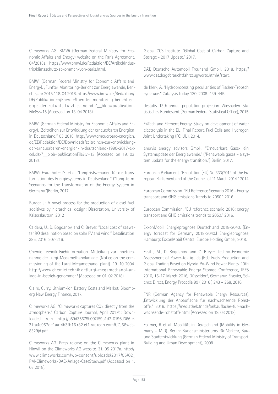Climeworks AG. BMWi (German Federal Ministry for Economic Affairs and Energy) website on the Paris Agreement. 04/2018a. https://www.bmwi.de/Redaktion/DE/Artikel/Industrie/klimaschutz-abkommen-von-paris.html.

BMWi (German Federal Ministry for Economic Affairs and Energy). "Fünfter Monitoring-Bericht zur Energiewende, Berichtsjahr 2015." 18. 04 2018. https://www.bmwi.de/Redaktion/ DE/Publikationen/Energie/fuenfter-monitoring-bericht-energie-der-zukunft-kurzfassung.pdf?\_\_blob=publication-File&v=15 (Accessed on 18. 04 2018).

BMWi (German Federal Ministry for Economic Affairs and Energy). "Zeitreihen zur Entwicklung der erneuerbaren Energien in Deutschland." 03 2018. http://www.erneuerbare-energien. de/EE/Redaktion/DE/Downloads/zeitreihen-zur-entwicklungder-erneuerbaren-energien-in-deutschland-1990-2017-excel.xlsx?\_\_blob=publicationFile&v=13 (Accessed on 19. 03 2018).

BMWi, Fraunhofer ISI et al. "Langfristszenarien für die Transformation des Energiesystems in Deutschland." ("Long-term Scenarios for the Transformation of the Energy System in Germany.")Berlin, 2017.

Burger, J.: A novel process for the production of diesel fuel additives by hierarchical design; Dissertation, University of Kaiserslautern, 2012

Caldera, U., D. Bogdanov, and C. Breyer. "Local cost of seawater RO desalination based on solar PV and wind." Desalination 385, 2016: 207-216.

Chemie Technik Fachinformation. Mitteilung zur Inbetriebnahme der Lurgi-Megamethanolanlage. (Notice on the commissioning of the Lurgi Megamethanol plant). 19. 10 2004. http://www.chemietechnik.de/lurgi-megamethanol-anlage-in-betrieb-genommen/ (Accessed on 01. 02 2018).

Claire, Curry. Lithium-ion Battery Costs and Market. Bloomberg New Energy Finance, 2017.

Climeworks AG. "Climeworks captures CO2 directly from the atmosphere." Carbon Capture Journal, April 2017b: Downloaded from: http://b59d35675b007f59b1d7-0196d366fe-21fa4c957de1aaf4b3fb16.r82.cf1.rackcdn.com/CCJ56web-8329jd.pdf.

Climeworks AG. Press release on the Climeworks plant in Hinwil on the Climeworks AG website. 31. 05 2017a. http:// www.climeworks.com/wp-content/uploads/2017/05/02\_ PM-Climeworks-DAC-Anlage-CaseStudy.pdf (Accessed on 1. 03 2018).

Global CCS Institute. "Global Cost of Carbon Capture and Storage - 2017 Update." 2017.

DAT, Deutsche Automobil Treuhand GmbH. 2018. https:// www.dat.de/gebrauchtfahrzeugwerte.html#/start.

de Klerk, A. "Hydroprocessing peculiarities of Fischer-Tropsch syncrude." Catalysis Today 130, 2008: 439-445.

destatis. 13th annual population projection. Wiesbaden: Statistisches Bundesamt (German Federal Statistical Office), 2015.

E4Tech and Element Energy. Study on development of water electrolysis in the EU. Final Report, Fuel Cells and Hydrogen Joint Undertaking (FCHJU), 2014.

enervis energy advisors GmbH. "Erneuerbare Gase- ein Systemupdate der Energiewende." ("Renewable gases – a system update for the energy transition.") Berlin, 2017.

European Parliament. "Regulation (EU) No 333/2014 of the European Parliament and of the Council of 11 March 2014." 2014.

European Commission. "EU Reference Scenario 2016 - Energy, transport and GHG emissions Trends to 2050." 2016.

European Commission. "EU reference scenario 2016: energy, transport and GHG emissions trends to 2050." 2016.

ExxonMobil. Energieprognose Deutschland 2018-2040. (Energy forecast for Germany 2018-2040.) Energieprognose, Hamburg: ExxonMobil Central Europe Holding GmbH, 2018.

Fasihi, M., D. Bogdanov, and C. Breyer. Techno-Economic Assessment of Power-to-Liquids (PtL) Fuels Production and Global Trading Based on Hybrid PV-Wind Power Plants. 10th International Renewable Energy Storage Conference, IRES 2016, 15-17 March 2016, Düsseldorf, Germany: Elsevier, Science Direct, Energy Procedia 99 ( 2016 ) 243 – 268, 2016.

FNR (German Agency for Renewable Energy Resources). "Entwicklung der Anbaufläche für nachwachsende Rohstoffe." 2016. https://mediathek.fnr.de/anbauflache-fur-nachwachsende-rohstoffe.html (Accessed on 19. 03 2018).

Follmer, R et al. Mobilität in Deutschland (Mobility in Germany – MiD). Berlin: Bundesministeriums für Verkehr, Bauund Stadtentwicklung (German Federal Ministry of Transport, Building and Urban Development), 2008.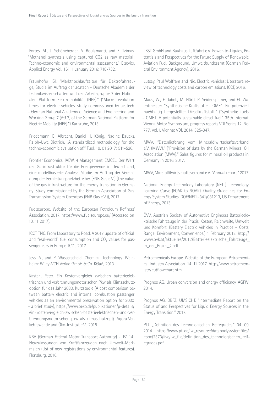Fortes, M., J. Schöneberger, A. Boulamanti, and E. Tzimas. "Methanol synthesis using captured CO2 as raw material: Techno-economic and environmental assessment." Elsevier, Applied Energy Vol. 161, 1 January 2016: 718-732.

Fraunhofer ISI. "Markthochlaufzeiten für Elektrofahrzeuge, Studie im Auftrag der acatech - Deutsche Akademie der Technikwissenschaften und der Arbeitsgruppe 7 der Nationalen Plattform Elektromobilität (NPE)." ("Market evolution times for electric vehicles, study commissioned by acatech – German National Academy of Science and Engineering and Working Group 7 (AG 7) of the German National Platform for Electric Mobility (NPE).") Karlsruhe, 2013.

Friedemann G. Albrecht, Daniel H. König, Nadine Baucks, Ralph-Uwe Dietrich. "A standardized methodology for the techno-economic evaluation of." Fuel, 19. 01 2017: 511-526.

Frontier Economics, IAEW, 4 Management, EMCEL. Der Wert der Gasinfrastruktur für die Energiewende in Deutschland, eine modellbasierte Analyse. Studie im Auftrag der Vereinigung der Fernleitungsnetzbetreiber (FNB Gas e.V.) (The value of the gas infrastructure for the energy transition in Germany. Study commissioned by the German Association of Gas Transmission System Operators (FNB Gas e.V.)), 2017.

Fuelseurope. Website of the European Petroleum Refiners' Association. 2017. https://www.fuelseurope.eu/ (Accessed on 10. 11 2017).

ICCT, TNO. From Laboratory to Road. A 2017 update of official and "real-world" fuel consumption and CO<sub>2</sub> values for passenger cars in Europe. ICCT, 2017.

Jess, A., and P. Wasserscheid. Chemical Technology. Weinheim: Wiley-VCH Verlag GmbH & Co. KGaA, 2013.

Kasten, Peter. Ein Kostenvergleich zwischen batterieelektrischen und verbrennungsmotorischen Pkw als Klimaschutzoption für das Jahr 2030. Kurzstudie (A cost comparison between battery electric and internal combustion passenger vehicles as an environmental preservation option for 2030 – a brief study), https://www.oeko.de/publikationen/p-details/ ein-kostenvergleich-zwischen-batterieelektrischen-und-verbrennungsmotorischen-pkw-als-klimaschutzopt/: Agora Verkehrswende and Öko-Institut e.V., 2018.

KBA (German Federal Motor Transport Authority) -. FZ 14: Neuzulassungen von Kraftfahrzeugen nach Umwelt-Merkmalen (List of new registrations by environmental features). Flensburg, 2016.

LBST GmbH and Bauhaus Luftfahrt e.V. Power-to-Liquids, Potentials and Perspectives for the Future Supply of Renewable Aviation Fuel. Background, Umweltbundesamt (German Federal Environment Agency), 2016.

Lutsey, Paul Wolfram and Nic. Electric vehicles: Literature review of technology costs and carbon emissions. ICCT, 2016.

Maus, W., E. Jabob, M. Härtl, P. Seidenspinner, and G. Wachtmeister. "Synthetische Kraftstoffe – OME1: Ein potenziell nachhaltig hergestellter Dieselkraftstoff." ("Synthetic fuels – OME1: A potentially sustainable diesel fuel." 35th Internat. Vienna Motor Symposium, progress reports VDI Series 12, No. 777, Vol.1. Vienna: VDI, 2014. 325-347.

MWV. "Datenlieferung vom Mineralölwirtschaftsverband e.V. (MWV)." ("Provision of data by the German Mineral Oil Association (MWV)." Sales figures for mineral oil products in Germany in 2016. 2017.

MWV, Mineralölwirtschaftsverband e.V. "Annual report." 2017.

National Energy Technology Laboratory (NETL). Technology Learning Curve (FOAK to NOAK). Quality Guidelines for Energy System Studies, DOE/NETL–341/081213, US Department of Energy, 2013.

ÖVV, Austrian Society of Automotive Engineers Batterieelektrische Fahrzeuge in der Praxis, Kosten, Reichweite, Umwelt und Komfort. (Battery Electric Vehicles in Practice – Costs, Range, Environment, Convenience.) 1 February 2012. http:// www.övk.at/aktuelles/2012/Batterieelektrische\_Fahrzeuge\_ in\_der\_Praxis\_2.pdf.

Petrochemicals Europe. Website of the European Petrochemical Industry Association. 14. 11 2017. http://www.petrochemistry.eu/flowchart.html.

Prognos AG. Urban conversion and energy efficiency. AGFW, 2014.

Prognos AG, DBFZ, UMSICHT. "Intermediate Report on the Status of and Perspectives for Liquid Energy Sources in the Energy Transition." 2017.

PTJ. "Definition des Technologischen Reifegrades." 04. 09 2014. https://www.pti.de/lw\_resource/datapool/systemfiles/ cbox/2373/live/lw\_file/definition\_des\_technologischen\_reifegrades.pdf.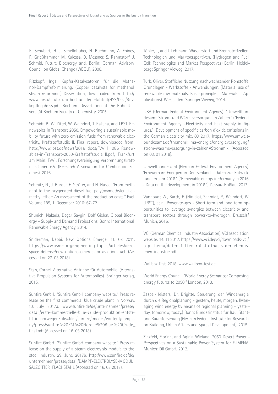R. Schubert, H. J. Schellnhuber, N. Buchmann, A. Epiney, R. Grießhammer, M. Kulessa, D. Messner, S. Rahmstorf, J. Schmid. Future Bioenergy and. Berlin: German Advisory Council on Global Change (WBGU), 2008.

Ritzkopf, Inga. Kupfer-Katalysatoren für die Methanol-Dampfreformierung. (Copper catalysts for methanol steam reforming.) Dissertation, downloaded from: http:// www-brs.ub.ruhr-uni-bochum.de/netahtml/HSS/Diss/RitzkopfInga/diss.pdf, Bochum: Dissertation at the Ruhr-Universität Bochum Faculty of Chemistry, 2005.

Schmidt, P., W. Zittel, W. Weindorf, T. Raksha, and LBST. Renewables in Transport 2050, Empowering a sustainable mobility future with zero emission fuels from renewable electricity, Kraftstoffstudie II. Final report, downloaded from: http://www.lbst.de/news/2016\_docs/FVV\_H1086\_Renewables-in-Transport-2050-Kraftstoffstudie\_II.pdf, Frankfurt am Main: FVV , Forschungsvereinigung Verbrennungskraftmaschinen e.V. (Research Association for Combustion Engines), 2016.

Schmitz, N., J. Burger, E. Ströfer, and H. Hasse. "From methanol to the oxygenated diesel fuel poly(oxymethylene) dimethyl ether: An assessment of the production costs." Fuel Volume 185, 1. December 2016: 67-72.

Shunichi Nakada, Deger Saygin, Dolf Gielen. Global Bioenergy - Supply and Demand Projections. Bonn: International Renewable Energy Agency, 2014.

Sniderman, Debbi. New Options Emerge. 11. 08 2011. https://www.asme.org/engineering-topics/articles/aerospace-defense/new-options-emerge-for-aviation-fuel (Accessed on 27. 03 2018).

Stan, Cornel. Alternative Antriebe für Automobile. (Alternative Propulsion Systems for Automobiles). Springer Verlag, 2015.

Sunfire GmbH. "Sunfire GmbH company website." Press release on the first commercial blue crude plant in Norway. 10. July 2017a. www.sunfire.de/de/unternehmen/presse/ detail/erste-kommerzielle-blue-crude-produktion-entsteht-in-norwegen?file=files/sunfire/images/content/company/press/sunfire %20PM %20Nordic %20Blue %20Crude\_ final.pdf (Accessed on 16. 03 2018).

Sunfire GmbH. "Sunfire GmbH company website." Press release on the supply of a steam electroylsis module to the steel industry. 29. June 2017b. http://www.sunfire.de/de/ unternehmen/presse/detail/DAMPF-ELEKTROLYSE-MODUL\_ SALZGITTER\_FLACHSTAHL (Accessed on 16. 03 2018).

Töpler, J., and J. Lehmann. Wasserstoff und Brennstoffzellen, Technologien und Marktperspektiven. (Hydrogen and Fuel Cell: Technologies and Market Perspectives) Berlin, Heidelberg: Springer Vieweg, 2017.

Türk, Oliver. Stoffliche Nutzung nachwachsender Rohstoffe, Grundlagen - Werkstoffe - Anwendungen. (Material use of renewable raw materials. Basic principle – Materials – Applications). Wiesbaden: Springer Vieweg, 2014.

UBA (German Federal Environment Agency). "Umweltbundesamt, Strom- und Wärmeversorgung in Zahlen." ("Federal Environment Agency –Electricity and heat supply in figures.") Development of specific carbon dioxide emissions in the German electricity mix. 03 2017. https://www.umweltbundesamt.de/themen/klima-energie/energieversorgung/ strom-waermeversorgung-in-zahlen#Strommix (Accessed on 03. 01 2018).

Umweltbundesamt (German Federal Environment Agency). "Erneuerbare Energien in Deutschland - Daten zur Entwicklung im Jahr 2016." ("Renewable energy in Germany in 2016 – Data on the development in 2016.") Dessau-Roßlau, 2017.

Vanhoudt W., Barth, F. (Hinicio), Schmidt, P., Weindorf, W. (LBST), et al. Power-to-gas - Short term and long term opportunities to leverage synergies between electricity and transport sectors through power-to-hydrogen. Brussels/ Munich, 2016.

VCI (German Chemical Industry Association). VCI association website. 14. 11 2017. https://www.vci.de/vci/downloads-vci/ top-thema/daten-fakten-rohstoffbasis-der-chemischen-industrie.pdf.

Wallbox Test. 2018. www.wallbox-test.de.

World Energy Council. "World Energy Scenarios: Composing energy futures to 2050." London, 2013.

Zaspel-Heisters, Dr. Brigitte. Steuerung der Windenergie durch die Regionalplanung - gestern, heute, morgen. (Managing wind energy by means of regional planning – yesterday, tomorrow, today.) Bonn: Bundesinstitut für Bau, Stadtund Raumforschung (German Federal Institute for Research on Building, Urban Affairs and Spatial Development), 2015.

Zickfeld, Florian, and Aglaia Wieland. 2050 Desert Power - Perspectives on a Sustainable Power System for EUMENA. Munich: Dii GmbH, 2012.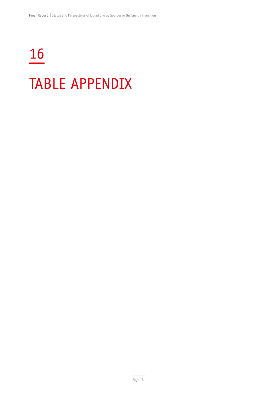# 16 TABLE APPENDIX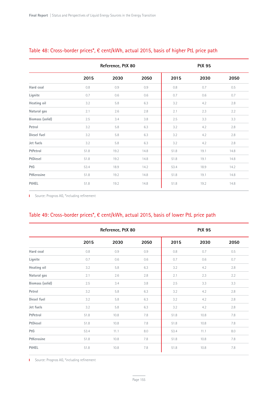|                 | Reference, PtX 80 |      |      | <b>PtX 95</b> |      |         |
|-----------------|-------------------|------|------|---------------|------|---------|
|                 | 2015              | 2030 | 2050 | 2015          | 2030 | 2050    |
| Hard coal       | 0.8               | 0.9  | 0.9  | 0.8           | 0.7  | 0.5     |
| Lignite         | 0.7               | 0.6  | 0.6  | 0.7           | 0.6  | 0.7     |
| Heating oil     | 3.2               | 5.8  | 6.3  | 3.2           | 4.2  | 2.8     |
| Natural gas     | 2.1               | 2.6  | 2.8  | 2.1           | 2.3  | 2.2     |
| Biomass (solid) | 2.5               | 3.4  | 3.8  | 2.5           | 3.3  | 3.3     |
| Petrol          | 3.2               | 5.8  | 6.3  | 3.2           | 4.2  | $2.8\,$ |
| Diesel fuel     | 3.2               | 5.8  | 6.3  | 3.2           | 4.2  | 2.8     |
| Jet fuels       | 3.2               | 5.8  | 6.3  | 3.2           | 4.2  | 2.8     |
| PtPetrol        | 51.8              | 19.2 | 14.8 | 51.8          | 19.1 | 14.8    |
| PtDiesel        | 51.8              | 19.2 | 14.8 | 51.8          | 19.1 | 14.8    |
| PtG             | 53.4              | 18.9 | 14.2 | 53.4          | 18.9 | 14.2    |
| PtKerosine      | 51.8              | 19.2 | 14.8 | 51.8          | 19.1 | 14.8    |
| PtHEL           | 51.8              | 19.2 | 14.8 | 51.8          | 19.2 | 14.8    |

# Table 48: Cross-border prices\*, € cent/kWh, actual 2015, basis of higher PtL price path

Source: Prognos AG, \*including refinement

# Table 49: Cross-border prices\*, € cent/kWh, actual 2015, basis of lower PtL price path

|                 | Reference, PtX 80 |         |      | <b>PtX 95</b> |      |         |
|-----------------|-------------------|---------|------|---------------|------|---------|
|                 | 2015              | 2030    | 2050 | 2015          | 2030 | 2050    |
| Hard coal       | 0.8               | 0.9     | 0.9  | 0.8           | 0.7  | 0.5     |
| Lignite         | 0.7               | 0.6     | 0.6  | 0.7           | 0.6  | 0.7     |
| Heating oil     | 3.2               | $5.8\,$ | 6.3  | 3.2           | 4.2  | $2.8\,$ |
| Natural gas     | 2.1               | 2.6     | 2.8  | 2.1           | 2.3  | 2.2     |
| Biomass (solid) | 2.5               | 3.4     | 3.8  | 2.5           | 3.3  | 3.3     |
| Petrol          | 3.2               | 5.8     | 6.3  | 3.2           | 4.2  | 2.8     |
| Diesel fuel     | 3.2               | 5.8     | 6.3  | 3.2           | 4.2  | 2.8     |
| Jet fuels       | 3.2               | 5.8     | 6.3  | 3.2           | 4.2  | 2.8     |
| PtPetrol        | 51.8              | 10.8    | 7.8  | 51.8          | 10.8 | 7.8     |
| PtDiesel        | 51.8              | 10.8    | 7.8  | 51.8          | 10.8 | 7.8     |
| PtG             | 53.4              | 11.1    | 8.0  | 53.4          | 11.1 | 8.0     |
| PtKerosine      | 51.8              | 10.8    | 7.8  | 51.8          | 10.8 | 7.8     |
| PtHEL           | 51.8              | 10.8    | 7.8  | 51.8          | 10.8 | 7.8     |

Source: Prognos AG, \*including refinement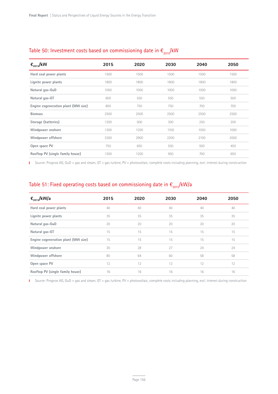| $\epsilon_{2015}$ /kW               | 2015 | 2020 | 2030 | 2040 | 2050 |
|-------------------------------------|------|------|------|------|------|
| Hard coal power plants              | 1500 | 1500 | 1500 | 1500 | 1500 |
| Lignite power plants                | 1800 | 1800 | 1800 | 1800 | 1800 |
| Natural gas-GuD                     | 1000 | 1000 | 1000 | 1000 | 1000 |
| Natural gas-GT                      | 600  | 550  | 550  | 550  | 500  |
| Engine cogeneration plant (MW size) | 800  | 750  | 750  | 700  | 700  |
| <b>Biomass</b>                      | 2500 | 2500 | 2500 | 2500 | 2500 |
| Storage (batteries)                 | 1200 | 500  | 300  | 250  | 200  |
| Windpower onshore                   | 1300 | 1200 | 1100 | 1050 | 1000 |
| Windpower offshore                  | 3300 | 2900 | 2200 | 2100 | 2000 |
| Open space PV                       | 750  | 650  | 550  | 500  | 450  |
| Rooftop PV (single family house)    | 1300 | 1200 | 950  | 700  | 650  |

# Table 50: Investment costs based on commissioning date in  $\epsilon_{_{2015}}$ /kW

Source: Prognos AG, GuD = gas and steam, GT = gas turbine, PV = photovoltaic, complete costs including planning, excl. interest during construction

# Table 51: Fixed operating costs based on commissioning date in  $\epsilon_{_{2015}}$ /kW/a

| $\epsilon_{2015}$ /kW/a             | 2015 | 2020 | 2030 | 2040 | 2050 |
|-------------------------------------|------|------|------|------|------|
| Hard coal power plants              | 40   | 40   | 40   | 40   | 40   |
| Lignite power plants                | 35   | 35   | 35   | 35   | 35   |
| Natural gas-GuD                     | 20   | 20   | 20   | 20   | 20   |
| Natural gas-GT                      | 15   | 15   | 15   | 15   | 15   |
| Engine cogeneration plant (MW size) | 15   | 15   | 15   | 15   | 15   |
| Windpower onshore                   | 30   | 28   | 27   | 24   | 24   |
| Windpower offshore                  | 80   | 64   | 60   | 58   | 58   |
| Open space PV                       | 12   | 12   | 12   | 12   | 12   |
| Rooftop PV (single family house)    | 16   | 16   | 16   | 16   | 16   |

Source: Prognos AG, GuD = gas and steam, GT = gas turbine, PV = photovoltaic, complete costs including planning, excl. interest during construction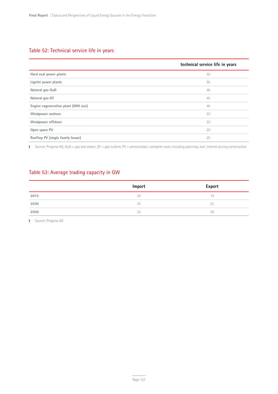# Table 52: Technical service life in years

|                                     | technical service life in years |
|-------------------------------------|---------------------------------|
| Hard coal power plants              | 50                              |
| Lignite power plants                | 50                              |
| Natural gas-GuD                     | 40                              |
| Natural gas-GT                      | 40                              |
| Engine cogeneration plant (MW size) | 40                              |
| Windpower onshore                   | 25                              |
| Windpower offshore                  | 25                              |
| Open space PV                       | 25                              |
| Rooftop PV (single family house)    | 25                              |

Source: Prognos AG, GuD = gas and steam, GT = gas turbine, PV = photovoltaic, complete costs including planning, excl. interest during construction

## Table 53: Average trading capacity in GW

|      | Import | <b>Export</b> |
|------|--------|---------------|
| 2015 | 20     | 19            |
| 2030 | 25     | 22            |
| 2050 | 32     | 28            |

**I** Source: Prognos AG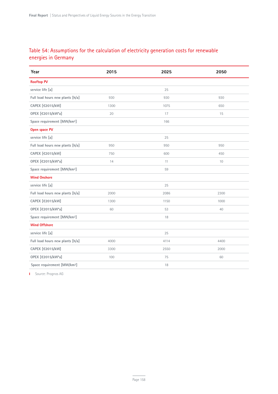# Table 54: Assumptions for the calculation of electricity generation costs for renewable energies in Germany

| Year                                    | 2015 | 2025 | 2050 |
|-----------------------------------------|------|------|------|
| <b>Rooftop PV</b>                       |      |      |      |
| service life [a]                        |      | 25   |      |
| Full load hours new plants [h/a]        | 930  | 930  | 930  |
| CAPEX [€2015/kW]                        | 1300 | 1075 | 650  |
| OPEX [€2015/kW*a]                       | 20   | 17   | 15   |
| Space requirement [MW/km <sup>2</sup> ] |      | 166  |      |
| Open space PV                           |      |      |      |
| service life [a]                        |      | 25   |      |
| Full load hours new plants [h/a]        | 950  | 950  | 950  |
| CAPEX [€2015/kW]                        | 750  | 600  | 450  |
| OPEX [€2015/kW*a]                       | 14   | 11   | 10   |
| Space requirement [MW/km <sup>2</sup> ] |      | 59   |      |
| <b>Wind Onshore</b>                     |      |      |      |
| service life [a]                        |      | 25   |      |
| Full load hours new plants [h/a]        | 2000 | 2086 | 2300 |
| CAPEX [€2015/kW]                        | 1300 | 1150 | 1000 |
| OPEX [€2015/kW*a]                       | 60   | 53   | 40   |
| Space requirement [MW/km <sup>2</sup> ] |      | 18   |      |
| <b>Wind Offshore</b>                    |      |      |      |
| service life [a]                        |      | 25   |      |
| Full load hours new plants [h/a]        | 4000 | 4114 | 4400 |
| CAPEX [€2015/kW]                        | 3300 | 2550 | 2000 |
| OPEX [€2015/kW*a]                       | 100  | 75   | 60   |
| Space requirement [MW/km <sup>2</sup> ] |      | 18   |      |

**I** Source: Prognos AG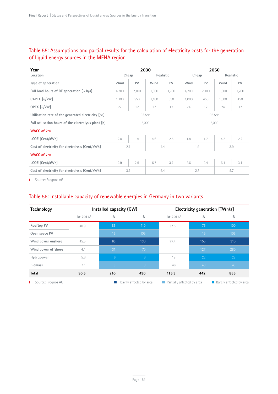# Table 55: Assumptions and partial results for the calculation of electricity costs for the generation of liquid energy sources in the MENA region

| Year                                                 | 2030              |           |       | 2050       |                    |       |           |       |
|------------------------------------------------------|-------------------|-----------|-------|------------|--------------------|-------|-----------|-------|
| Location                                             | Cheap             |           |       | Realistic  | Cheap              |       | Realistic |       |
| Type of generation                                   | Wind              | <b>PV</b> | Wind  | PV         | Wind<br>PV<br>Wind |       |           | PV    |
| Full load hours of RE generation $[\sim h/a]$        | 4,200             | 2,100     | 1,800 | 1,700      | 4,200              | 2,100 | 1,800     | 1,700 |
| CAPEX [€/kW]                                         | 1,100             | 550       | 1,100 | 550        | 1,000              | 450   | 1,000     | 450   |
| OPEX [€/kW]                                          | 27                | 12        | 27    | 12         | 24                 | 12    | 24        | 12    |
| Utilisation rate of the generated electricity [%]    | 93.5%<br>93.5%    |           |       |            |                    |       |           |       |
| Full utilisation hours of the electrolysis plant [h] |                   |           | 5,000 |            |                    |       | 5,000     |       |
| WACC of 2%                                           |                   |           |       |            |                    |       |           |       |
| LCOE [Cent/kWh]                                      | 2.0               | 1.9       | 4.6   | 2.5        | 1.8                | 1.7   | 4.2       | 2.2   |
| Cost of electricity for electrolysis [Cent/kWh]      | 2.1<br>4.4        |           |       | 3.9<br>1.9 |                    |       |           |       |
| WACC of 7%                                           |                   |           |       |            |                    |       |           |       |
| LCOE [Cent/kWh]                                      | 2.9               | 2.9       | 6.7   | 3.7        | 2.6                | 2.4   | 6.1       | 3.1   |
| Cost of electricity for electrolysis [Cent/kWh]      | 3.1<br>2.7<br>6.4 |           |       | 5.7        |                    |       |           |       |

**I** Source: Prognos AG

#### Table 56: Installable capacity of renewable energies in Germany in two variants

| Technology          |           | Installed capacity (GW) |                                         | Electricity generation [TWh/a] |     |                                |  |
|---------------------|-----------|-------------------------|-----------------------------------------|--------------------------------|-----|--------------------------------|--|
|                     | lst 2016* | Α                       | B                                       | lst 2016*                      | Α   | В                              |  |
| Rooftop PV          | 40.9      | 85                      | 110                                     | 37.5                           | 75  | 100                            |  |
| Open space PV       |           | 15                      | 105                                     |                                | 15  | 105                            |  |
| Wind power onshore  | 45.5      | 65                      | 130                                     | 77.8                           | 155 | 310                            |  |
| Wind power offshore | 4.1       | 31                      | 70                                      |                                | 127 | 280                            |  |
| Hydropower          | 5.6       | 6 <sup>°</sup>          | $6^{\circ}$                             | 19                             | 22  | 22                             |  |
| <b>Biomass</b>      | 7.1       | 8                       | 8                                       | 46                             | 48  | 48                             |  |
| <b>Total</b>        | 90.5      | 210                     | 430                                     | 115.3<br>442                   |     | 865                            |  |
| Source: Prognos AG  |           |                         | $\blacksquare$ Heavily affected by area | Partially affected by area     |     | <b>Barely affected by area</b> |  |